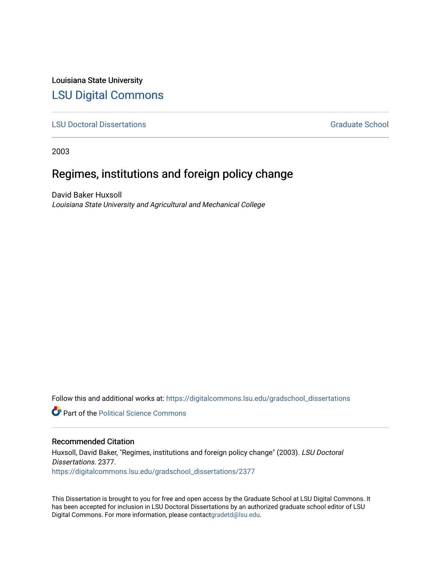Louisiana State University [LSU Digital Commons](https://digitalcommons.lsu.edu/)

**[LSU Doctoral Dissertations](https://digitalcommons.lsu.edu/gradschool_dissertations) Graduate School** Controller Controller Controller Controller Controller Controller Controller Controller Controller Controller Controller Controller Controller Controller Controller Controller C

2003

# Regimes, institutions and foreign policy change

David Baker Huxsoll Louisiana State University and Agricultural and Mechanical College

Follow this and additional works at: [https://digitalcommons.lsu.edu/gradschool\\_dissertations](https://digitalcommons.lsu.edu/gradschool_dissertations?utm_source=digitalcommons.lsu.edu%2Fgradschool_dissertations%2F2377&utm_medium=PDF&utm_campaign=PDFCoverPages)

**C** Part of the Political Science Commons

#### Recommended Citation

Huxsoll, David Baker, "Regimes, institutions and foreign policy change" (2003). LSU Doctoral Dissertations. 2377. [https://digitalcommons.lsu.edu/gradschool\\_dissertations/2377](https://digitalcommons.lsu.edu/gradschool_dissertations/2377?utm_source=digitalcommons.lsu.edu%2Fgradschool_dissertations%2F2377&utm_medium=PDF&utm_campaign=PDFCoverPages)

This Dissertation is brought to you for free and open access by the Graduate School at LSU Digital Commons. It has been accepted for inclusion in LSU Doctoral Dissertations by an authorized graduate school editor of LSU Digital Commons. For more information, please contac[tgradetd@lsu.edu.](mailto:gradetd@lsu.edu)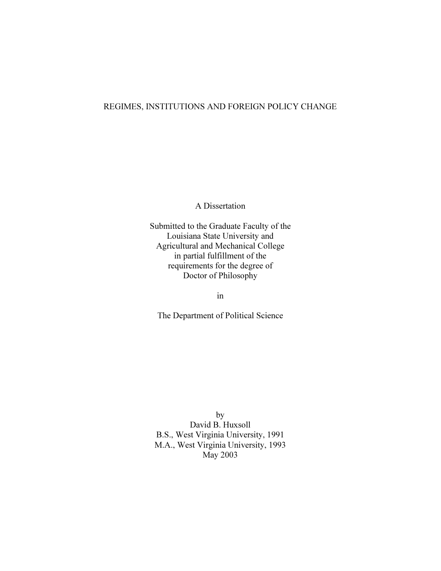# REGIMES, INSTITUTIONS AND FOREIGN POLICY CHANGE

A Dissertation

Submitted to the Graduate Faculty of the Louisiana State University and Agricultural and Mechanical College in partial fulfillment of the requirements for the degree of Doctor of Philosophy

in

The Department of Political Science

by David B. Huxsoll B.S., West Virginia University, 1991 M.A., West Virginia University, 1993 May 2003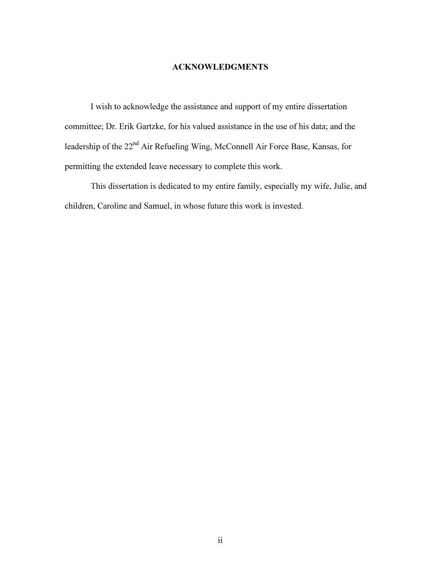### ACKNOWLEDGMENTS

 I wish to acknowledge the assistance and support of my entire dissertation committee; Dr. Erik Gartzke, for his valued assistance in the use of his data; and the leadership of the 22<sup>nd</sup> Air Refueling Wing, McConnell Air Force Base, Kansas, for permitting the extended leave necessary to complete this work.

 This dissertation is dedicated to my entire family, especially my wife, Julie, and children, Caroline and Samuel, in whose future this work is invested.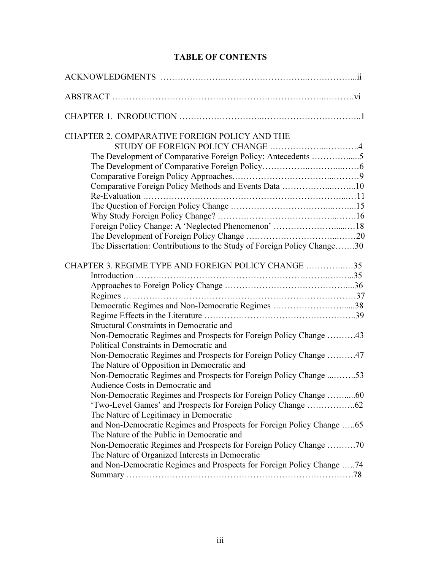# TABLE OF CONTENTS

| CHAPTER 2. COMPARATIVE FOREIGN POLICY AND THE<br>The Development of Comparative Foreign Policy: Antecedents 5<br>Comparative Foreign Policy Methods and Events Data 10<br>Foreign Policy Change: A 'Neglected Phenomenon' 18<br>The Dissertation: Contributions to the Study of Foreign Policy Change30                                                                                                                                                                                                                                                                                                                                                                                                                                                                                                                                                                                                                                                                                                |
|--------------------------------------------------------------------------------------------------------------------------------------------------------------------------------------------------------------------------------------------------------------------------------------------------------------------------------------------------------------------------------------------------------------------------------------------------------------------------------------------------------------------------------------------------------------------------------------------------------------------------------------------------------------------------------------------------------------------------------------------------------------------------------------------------------------------------------------------------------------------------------------------------------------------------------------------------------------------------------------------------------|
| CHAPTER 3. REGIME TYPE AND FOREIGN POLICY CHANGE 35<br>Democratic Regimes and Non-Democratic Regimes 38<br>Structural Constraints in Democratic and<br>Non-Democratic Regimes and Prospects for Foreign Policy Change 43<br>Political Constraints in Democratic and<br>Non-Democratic Regimes and Prospects for Foreign Policy Change 47<br>The Nature of Opposition in Democratic and<br>Non-Democratic Regimes and Prospects for Foreign Policy Change 53<br>Audience Costs in Democratic and<br>Non-Democratic Regimes and Prospects for Foreign Policy Change 60<br>'Two-Level Games' and Prospects for Foreign Policy Change 62<br>The Nature of Legitimacy in Democratic<br>and Non-Democratic Regimes and Prospects for Foreign Policy Change 65<br>The Nature of the Public in Democratic and<br>Non-Democratic Regimes and Prospects for Foreign Policy Change 70<br>The Nature of Organized Interests in Democratic<br>and Non-Democratic Regimes and Prospects for Foreign Policy Change 74 |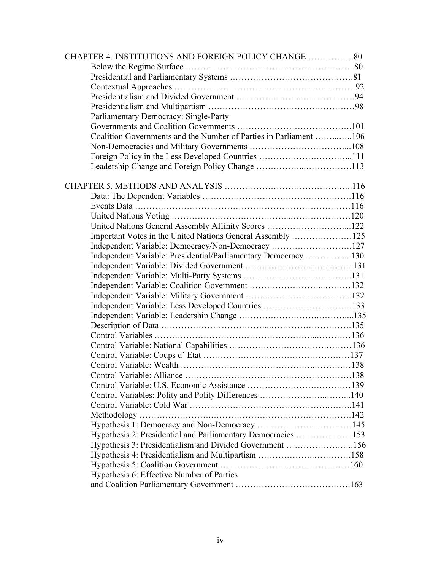| CHAPTER 4. INSTITUTIONS AND FOREIGN POLICY CHANGE 80              |  |
|-------------------------------------------------------------------|--|
|                                                                   |  |
|                                                                   |  |
|                                                                   |  |
|                                                                   |  |
|                                                                   |  |
| Parliamentary Democracy: Single-Party                             |  |
|                                                                   |  |
| Coalition Governments and the Number of Parties in Parliament 106 |  |
|                                                                   |  |
|                                                                   |  |
|                                                                   |  |
|                                                                   |  |
|                                                                   |  |
|                                                                   |  |
|                                                                   |  |
|                                                                   |  |
| United Nations General Assembly Affinity Scores 122               |  |
| Important Votes in the United Nations General Assembly 125        |  |
| Independent Variable: Democracy/Non-Democracy 127                 |  |
| Independent Variable: Presidential/Parliamentary Democracy 130    |  |
|                                                                   |  |
|                                                                   |  |
|                                                                   |  |
|                                                                   |  |
| Independent Variable: Less Developed Countries 133                |  |
|                                                                   |  |
|                                                                   |  |
|                                                                   |  |
|                                                                   |  |
|                                                                   |  |
|                                                                   |  |
|                                                                   |  |
|                                                                   |  |
| Control Variables: Polity and Polity Differences 140              |  |
|                                                                   |  |
|                                                                   |  |
| Hypothesis 1: Democracy and Non-Democracy 145                     |  |
| Hypothesis 2: Presidential and Parliamentary Democracies 153      |  |
| Hypothesis 3: Presidentialism and Divided Government 156          |  |
|                                                                   |  |
|                                                                   |  |
| Hypothesis 6: Effective Number of Parties                         |  |
|                                                                   |  |
|                                                                   |  |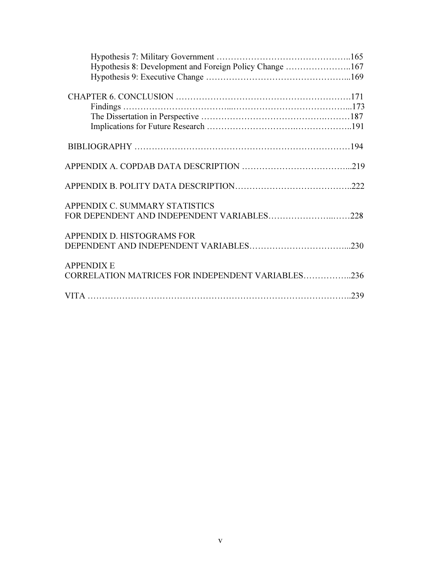| Hypothesis 8: Development and Foreign Policy Change 167 |  |
|---------------------------------------------------------|--|
|                                                         |  |
|                                                         |  |
| Findings $\dots$                                        |  |
|                                                         |  |
|                                                         |  |
|                                                         |  |
|                                                         |  |
|                                                         |  |
| APPENDIX C. SUMMARY STATISTICS                          |  |
| FOR DEPENDENT AND INDEPENDENT VARIABLES228              |  |
| APPENDIX D. HISTOGRAMS FOR                              |  |
|                                                         |  |
| <b>APPENDIX E</b>                                       |  |
| CORRELATION MATRICES FOR INDEPENDENT VARIABLES236       |  |
|                                                         |  |
|                                                         |  |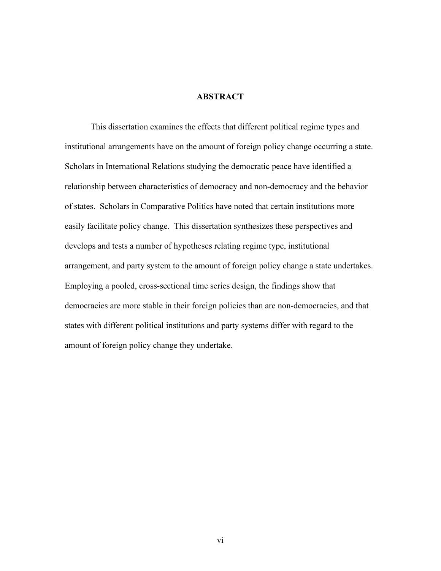## **ABSTRACT**

This dissertation examines the effects that different political regime types and institutional arrangements have on the amount of foreign policy change occurring a state. Scholars in International Relations studying the democratic peace have identified a relationship between characteristics of democracy and non-democracy and the behavior of states. Scholars in Comparative Politics have noted that certain institutions more easily facilitate policy change. This dissertation synthesizes these perspectives and develops and tests a number of hypotheses relating regime type, institutional arrangement, and party system to the amount of foreign policy change a state undertakes. Employing a pooled, cross-sectional time series design, the findings show that democracies are more stable in their foreign policies than are non-democracies, and that states with different political institutions and party systems differ with regard to the amount of foreign policy change they undertake.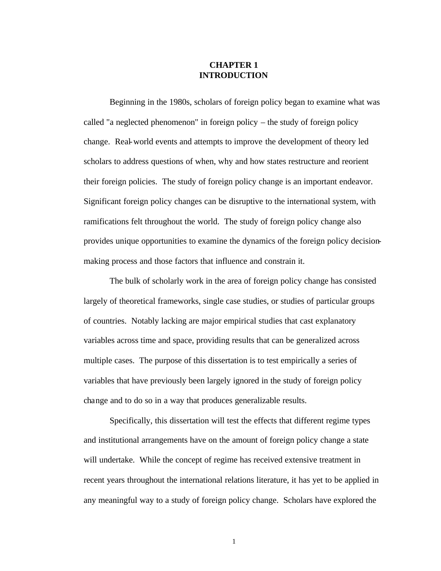# **CHAPTER 1 INTRODUCTION**

Beginning in the 1980s, scholars of foreign policy began to examine what was called "a neglected phenomenon" in foreign policy – the study of foreign policy change. Real-world events and attempts to improve the development of theory led scholars to address questions of when, why and how states restructure and reorient their foreign policies. The study of foreign policy change is an important endeavor. Significant foreign policy changes can be disruptive to the international system, with ramifications felt throughout the world. The study of foreign policy change also provides unique opportunities to examine the dynamics of the foreign policy decisionmaking process and those factors that influence and constrain it.

The bulk of scholarly work in the area of foreign policy change has consisted largely of theoretical frameworks, single case studies, or studies of particular groups of countries. Notably lacking are major empirical studies that cast explanatory variables across time and space, providing results that can be generalized across multiple cases. The purpose of this dissertation is to test empirically a series of variables that have previously been largely ignored in the study of foreign policy change and to do so in a way that produces generalizable results.

Specifically, this dissertation will test the effects that different regime types and institutional arrangements have on the amount of foreign policy change a state will undertake. While the concept of regime has received extensive treatment in recent years throughout the international relations literature, it has yet to be applied in any meaningful way to a study of foreign policy change. Scholars have explored the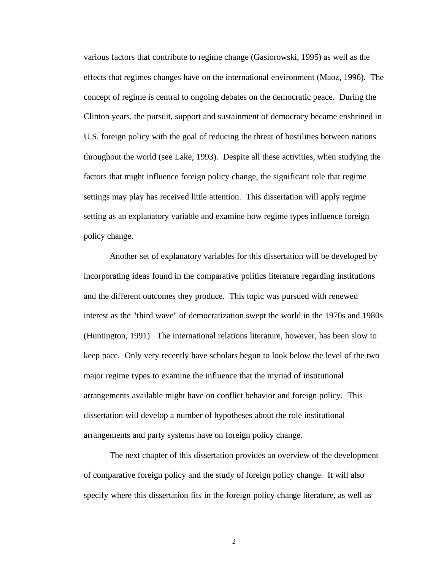various factors that contribute to regime change (Gasiorowski, 1995) as well as the effects that regimes changes have on the international environment (Maoz, 1996). The concept of regime is central to ongoing debates on the democratic peace. During the Clinton years, the pursuit, support and sustainment of democracy became enshrined in U.S. foreign policy with the goal of reducing the threat of hostilities between nations throughout the world (see Lake, 1993). Despite all these activities, when studying the factors that might influence foreign policy change, the significant role that regime settings may play has received little attention. This dissertation will apply regime setting as an explanatory variable and examine how regime types influence foreign policy change.

Another set of explanatory variables for this dissertation will be developed by incorporating ideas found in the comparative politics literature regarding institutions and the different outcomes they produce. This topic was pursued with renewed interest as the "third wave" of democratization swept the world in the 1970s and 1980s (Huntington, 1991). The international relations literature, however, has been slow to keep pace. Only very recently have scholars begun to look below the level of the two major regime types to examine the influence that the myriad of institutional arrangements available might have on conflict behavior and foreign policy. This dissertation will develop a number of hypotheses about the role institutional arrangements and party systems have on foreign policy change.

The next chapter of this dissertation provides an overview of the development of comparative foreign policy and the study of foreign policy change. It will also specify where this dissertation fits in the foreign policy change literature, as well as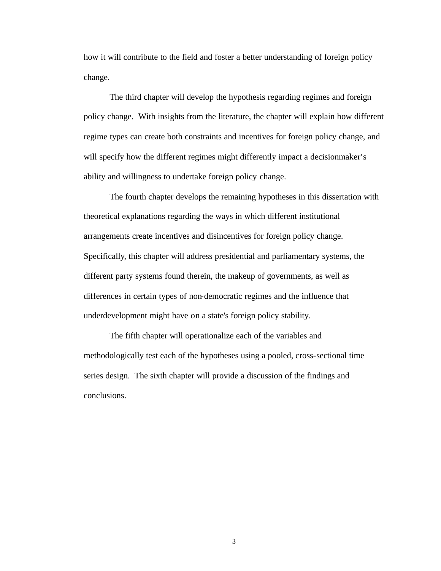how it will contribute to the field and foster a better understanding of foreign policy change.

The third chapter will develop the hypothesis regarding regimes and foreign policy change. With insights from the literature, the chapter will explain how different regime types can create both constraints and incentives for foreign policy change, and will specify how the different regimes might differently impact a decisionmaker's ability and willingness to undertake foreign policy change.

The fourth chapter develops the remaining hypotheses in this dissertation with theoretical explanations regarding the ways in which different institutional arrangements create incentives and disincentives for foreign policy change. Specifically, this chapter will address presidential and parliamentary systems, the different party systems found therein, the makeup of governments, as well as differences in certain types of non-democratic regimes and the influence that underdevelopment might have on a state's foreign policy stability.

The fifth chapter will operationalize each of the variables and methodologically test each of the hypotheses using a pooled, cross-sectional time series design. The sixth chapter will provide a discussion of the findings and conclusions.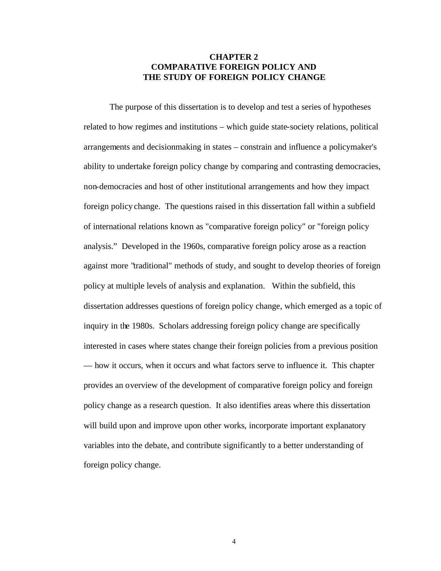# **CHAPTER 2 COMPARATIVE FOREIGN POLICY AND THE STUDY OF FOREIGN POLICY CHANGE**

The purpose of this dissertation is to develop and test a series of hypotheses related to how regimes and institutions – which guide state-society relations, political arrangements and decisionmaking in states – constrain and influence a policymaker's ability to undertake foreign policy change by comparing and contrasting democracies, non-democracies and host of other institutional arrangements and how they impact foreign policy change. The questions raised in this dissertation fall within a subfield of international relations known as "comparative foreign policy" or "foreign policy analysis." Developed in the 1960s, comparative foreign policy arose as a reaction against more "traditional" methods of study, and sought to develop theories of foreign policy at multiple levels of analysis and explanation. Within the subfield, this dissertation addresses questions of foreign policy change, which emerged as a topic of inquiry in the 1980s. Scholars addressing foreign policy change are specifically interested in cases where states change their foreign policies from a previous position — how it occurs, when it occurs and what factors serve to influence it. This chapter provides an overview of the development of comparative foreign policy and foreign policy change as a research question. It also identifies areas where this dissertation will build upon and improve upon other works, incorporate important explanatory variables into the debate, and contribute significantly to a better understanding of foreign policy change.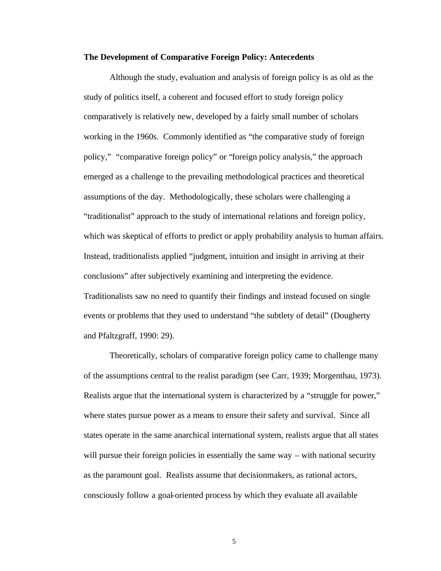#### **The Development of Comparative Foreign Policy: Antecedents**

Although the study, evaluation and analysis of foreign policy is as old as the study of politics itself, a coherent and focused effort to study foreign policy comparatively is relatively new, developed by a fairly small number of scholars working in the 1960s. Commonly identified as "the comparative study of foreign policy," "comparative foreign policy" or "foreign policy analysis," the approach emerged as a challenge to the prevailing methodological practices and theoretical assumptions of the day. Methodologically, these scholars were challenging a "traditionalist" approach to the study of international relations and foreign policy, which was skeptical of efforts to predict or apply probability analysis to human affairs. Instead, traditionalists applied "judgment, intuition and insight in arriving at their conclusions" after subjectively examining and interpreting the evidence. Traditionalists saw no need to quantify their findings and instead focused on single events or problems that they used to understand "the subtlety of detail" (Dougherty and Pfaltzgraff, 1990: 29).

Theoretically, scholars of comparative foreign policy came to challenge many of the assumptions central to the realist paradigm (see Carr, 1939; Morgenthau, 1973). Realists argue that the international system is characterized by a "struggle for power," where states pursue power as a means to ensure their safety and survival. Since all states operate in the same anarchical international system, realists argue that all states will pursue their foreign policies in essentially the same way – with national security as the paramount goal. Realists assume that decisionmakers, as rational actors, consciously follow a goal-oriented process by which they evaluate all available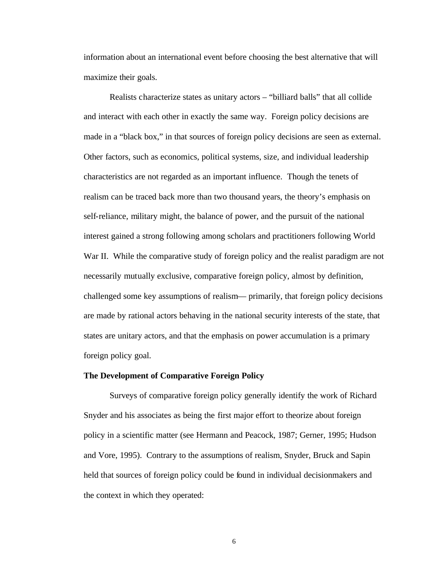information about an international event before choosing the best alternative that will maximize their goals.

Realists characterize states as unitary actors – "billiard balls" that all collide and interact with each other in exactly the same way. Foreign policy decisions are made in a "black box," in that sources of foreign policy decisions are seen as external. Other factors, such as economics, political systems, size, and individual leadership characteristics are not regarded as an important influence. Though the tenets of realism can be traced back more than two thousand years, the theory's emphasis on self-reliance, military might, the balance of power, and the pursuit of the national interest gained a strong following among scholars and practitioners following World War II. While the comparative study of foreign policy and the realist paradigm are not necessarily mutually exclusive, comparative foreign policy, almost by definition, challenged some key assumptions of realism— primarily, that foreign policy decisions are made by rational actors behaving in the national security interests of the state, that states are unitary actors, and that the emphasis on power accumulation is a primary foreign policy goal.

#### **The Development of Comparative Foreign Policy**

Surveys of comparative foreign policy generally identify the work of Richard Snyder and his associates as being the first major effort to theorize about foreign policy in a scientific matter (see Hermann and Peacock, 1987; Gerner, 1995; Hudson and Vore, 1995). Contrary to the assumptions of realism, Snyder, Bruck and Sapin held that sources of foreign policy could be found in individual decisionmakers and the context in which they operated: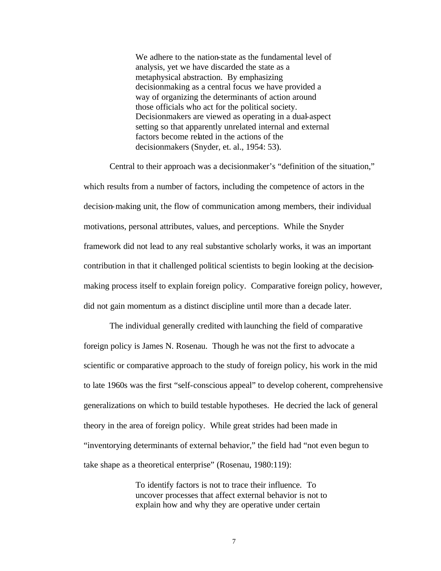We adhere to the nation-state as the fundamental level of analysis, yet we have discarded the state as a metaphysical abstraction. By emphasizing decisionmaking as a central focus we have provided a way of organizing the determinants of action around those officials who act for the political society. Decisionmakers are viewed as operating in a dual-aspect setting so that apparently unrelated internal and external factors become related in the actions of the decisionmakers (Snyder, et. al., 1954: 53).

Central to their approach was a decisionmaker's "definition of the situation," which results from a number of factors, including the competence of actors in the decision-making unit, the flow of communication among members, their individual motivations, personal attributes, values, and perceptions. While the Snyder framework did not lead to any real substantive scholarly works, it was an important contribution in that it challenged political scientists to begin looking at the decisionmaking process itself to explain foreign policy. Comparative foreign policy, however, did not gain momentum as a distinct discipline until more than a decade later.

The individual generally credited with launching the field of comparative foreign policy is James N. Rosenau. Though he was not the first to advocate a scientific or comparative approach to the study of foreign policy, his work in the mid to late 1960s was the first "self-conscious appeal" to develop coherent, comprehensive generalizations on which to build testable hypotheses. He decried the lack of general theory in the area of foreign policy. While great strides had been made in "inventorying determinants of external behavior," the field had "not even begun to take shape as a theoretical enterprise" (Rosenau, 1980:119):

> To identify factors is not to trace their influence. To uncover processes that affect external behavior is not to explain how and why they are operative under certain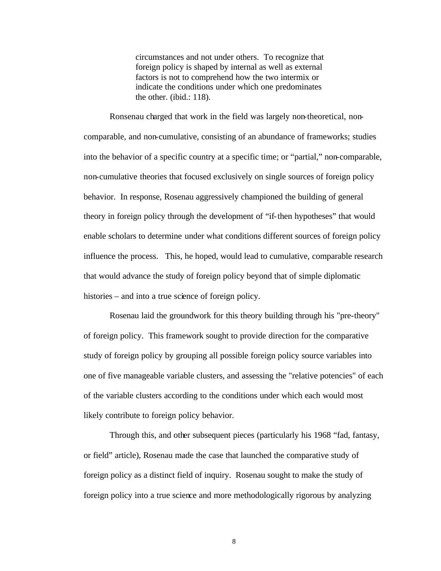circumstances and not under others. To recognize that foreign policy is shaped by internal as well as external factors is not to comprehend how the two intermix or indicate the conditions under which one predominates the other. (ibid.: 118).

Ronsenau charged that work in the field was largely non-theoretical, noncomparable, and non-cumulative, consisting of an abundance of frameworks; studies into the behavior of a specific country at a specific time; or "partial," non-comparable, non-cumulative theories that focused exclusively on single sources of foreign policy behavior. In response, Rosenau aggressively championed the building of general theory in foreign policy through the development of "if-then hypotheses" that would enable scholars to determine under what conditions different sources of foreign policy influence the process. This, he hoped, would lead to cumulative, comparable research that would advance the study of foreign policy beyond that of simple diplomatic histories – and into a true science of foreign policy.

Rosenau laid the groundwork for this theory building through his "pre-theory" of foreign policy. This framework sought to provide direction for the comparative study of foreign policy by grouping all possible foreign policy source variables into one of five manageable variable clusters, and assessing the "relative potencies" of each of the variable clusters according to the conditions under which each would most likely contribute to foreign policy behavior.

Through this, and other subsequent pieces (particularly his 1968 "fad, fantasy, or field" article), Rosenau made the case that launched the comparative study of foreign policy as a distinct field of inquiry. Rosenau sought to make the study of foreign policy into a true science and more methodologically rigorous by analyzing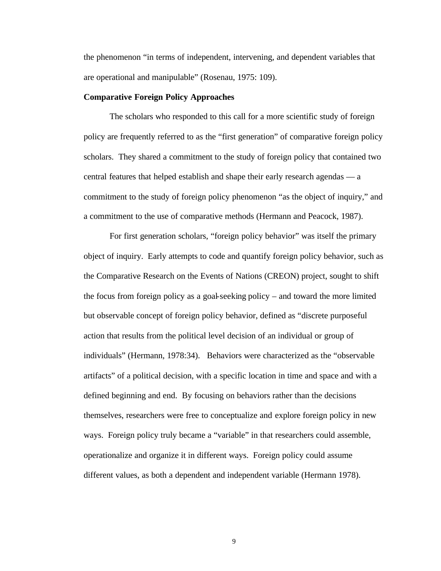the phenomenon "in terms of independent, intervening, and dependent variables that are operational and manipulable" (Rosenau, 1975: 109).

#### **Comparative Foreign Policy Approaches**

The scholars who responded to this call for a more scientific study of foreign policy are frequently referred to as the "first generation" of comparative foreign policy scholars. They shared a commitment to the study of foreign policy that contained two central features that helped establish and shape their early research agendas — a commitment to the study of foreign policy phenomenon "as the object of inquiry," and a commitment to the use of comparative methods (Hermann and Peacock, 1987).

For first generation scholars, "foreign policy behavior" was itself the primary object of inquiry. Early attempts to code and quantify foreign policy behavior, such as the Comparative Research on the Events of Nations (CREON) project, sought to shift the focus from foreign policy as a goal-seeking policy – and toward the more limited but observable concept of foreign policy behavior, defined as "discrete purposeful action that results from the political level decision of an individual or group of individuals" (Hermann, 1978:34). Behaviors were characterized as the "observable artifacts" of a political decision, with a specific location in time and space and with a defined beginning and end. By focusing on behaviors rather than the decisions themselves, researchers were free to conceptualize and explore foreign policy in new ways. Foreign policy truly became a "variable" in that researchers could assemble, operationalize and organize it in different ways. Foreign policy could assume different values, as both a dependent and independent variable (Hermann 1978).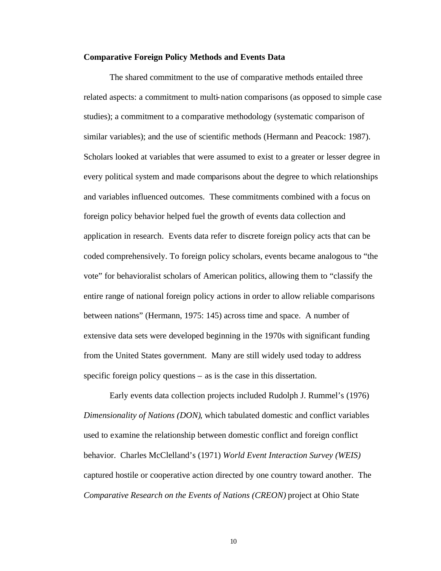#### **Comparative Foreign Policy Methods and Events Data**

The shared commitment to the use of comparative methods entailed three related aspects: a commitment to multi-nation comparisons (as opposed to simple case studies); a commitment to a comparative methodology (systematic comparison of similar variables); and the use of scientific methods (Hermann and Peacock: 1987). Scholars looked at variables that were assumed to exist to a greater or lesser degree in every political system and made comparisons about the degree to which relationships and variables influenced outcomes. These commitments combined with a focus on foreign policy behavior helped fuel the growth of events data collection and application in research. Events data refer to discrete foreign policy acts that can be coded comprehensively. To foreign policy scholars, events became analogous to "the vote" for behavioralist scholars of American politics, allowing them to "classify the entire range of national foreign policy actions in order to allow reliable comparisons between nations" (Hermann, 1975: 145) across time and space. A number of extensive data sets were developed beginning in the 1970s with significant funding from the United States government. Many are still widely used today to address specific foreign policy questions – as is the case in this dissertation.

Early events data collection projects included Rudolph J. Rummel's (1976) *Dimensionality of Nations (DON)*, which tabulated domestic and conflict variables used to examine the relationship between domestic conflict and foreign conflict behavior. Charles McClelland's (1971) *World Event Interaction Survey (WEIS)* captured hostile or cooperative action directed by one country toward another. The *Comparative Research on the Events of Nations (CREON)* project at Ohio State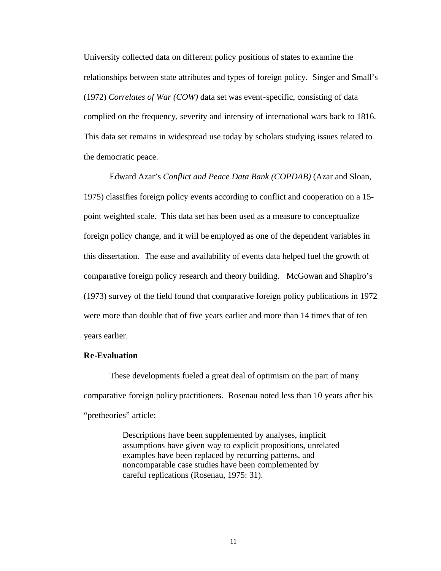University collected data on different policy positions of states to examine the relationships between state attributes and types of foreign policy. Singer and Small's (1972) *Correlates of War (COW)* data set was event-specific, consisting of data complied on the frequency, severity and intensity of international wars back to 1816. This data set remains in widespread use today by scholars studying issues related to the democratic peace.

Edward Azar's *Conflict and Peace Data Bank (COPDAB)* (Azar and Sloan, 1975) classifies foreign policy events according to conflict and cooperation on a 15 point weighted scale. This data set has been used as a measure to conceptualize foreign policy change, and it will be employed as one of the dependent variables in this dissertation.The ease and availability of events data helped fuel the growth of comparative foreign policy research and theory building. McGowan and Shapiro's (1973) survey of the field found that comparative foreign policy publications in 1972 were more than double that of five years earlier and more than 14 times that of ten years earlier.

#### **Re-Evaluation**

These developments fueled a great deal of optimism on the part of many comparative foreign policy practitioners. Rosenau noted less than 10 years after his "pretheories" article:

> Descriptions have been supplemented by analyses, implicit assumptions have given way to explicit propositions, unrelated examples have been replaced by recurring patterns, and noncomparable case studies have been complemented by careful replications (Rosenau, 1975: 31).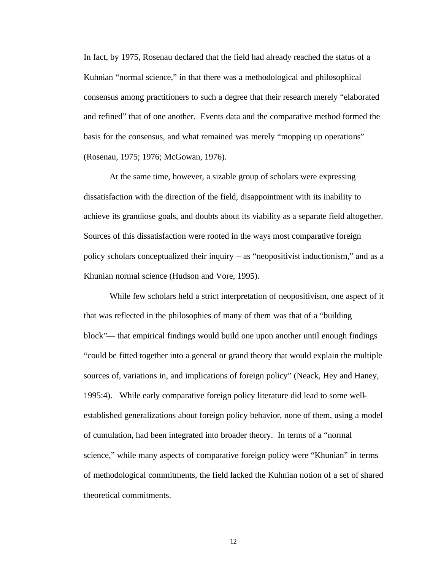In fact, by 1975, Rosenau declared that the field had already reached the status of a Kuhnian "normal science," in that there was a methodological and philosophical consensus among practitioners to such a degree that their research merely "elaborated and refined" that of one another. Events data and the comparative method formed the basis for the consensus, and what remained was merely "mopping up operations" (Rosenau, 1975; 1976; McGowan, 1976).

At the same time, however, a sizable group of scholars were expressing dissatisfaction with the direction of the field, disappointment with its inability to achieve its grandiose goals, and doubts about its viability as a separate field altogether. Sources of this dissatisfaction were rooted in the ways most comparative foreign policy scholars conceptualized their inquiry – as "neopositivist inductionism," and as a Khunian normal science (Hudson and Vore, 1995).

While few scholars held a strict interpretation of neopositivism, one aspect of it that was reflected in the philosophies of many of them was that of a "building block"— that empirical findings would build one upon another until enough findings "could be fitted together into a general or grand theory that would explain the multiple sources of, variations in, and implications of foreign policy" (Neack, Hey and Haney, 1995:4). While early comparative foreign policy literature did lead to some wellestablished generalizations about foreign policy behavior, none of them, using a model of cumulation, had been integrated into broader theory. In terms of a "normal science," while many aspects of comparative foreign policy were "Khunian" in terms of methodological commitments, the field lacked the Kuhnian notion of a set of shared theoretical commitments.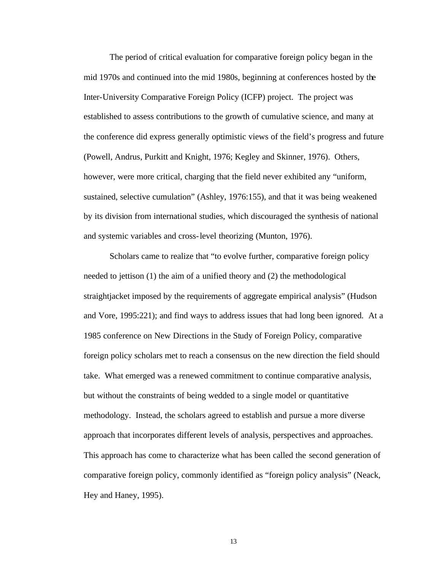The period of critical evaluation for comparative foreign policy began in the mid 1970s and continued into the mid 1980s, beginning at conferences hosted by the Inter-University Comparative Foreign Policy (ICFP) project. The project was established to assess contributions to the growth of cumulative science, and many at the conference did express generally optimistic views of the field's progress and future (Powell, Andrus, Purkitt and Knight, 1976; Kegley and Skinner, 1976). Others, however, were more critical, charging that the field never exhibited any "uniform, sustained, selective cumulation" (Ashley, 1976:155), and that it was being weakened by its division from international studies, which discouraged the synthesis of national and systemic variables and cross-level theorizing (Munton, 1976).

Scholars came to realize that "to evolve further, comparative foreign policy needed to jettison (1) the aim of a unified theory and (2) the methodological straightjacket imposed by the requirements of aggregate empirical analysis" (Hudson and Vore, 1995:221); and find ways to address issues that had long been ignored. At a 1985 conference on New Directions in the Study of Foreign Policy, comparative foreign policy scholars met to reach a consensus on the new direction the field should take. What emerged was a renewed commitment to continue comparative analysis, but without the constraints of being wedded to a single model or quantitative methodology. Instead, the scholars agreed to establish and pursue a more diverse approach that incorporates different levels of analysis, perspectives and approaches. This approach has come to characterize what has been called the second generation of comparative foreign policy, commonly identified as "foreign policy analysis" (Neack, Hey and Haney, 1995).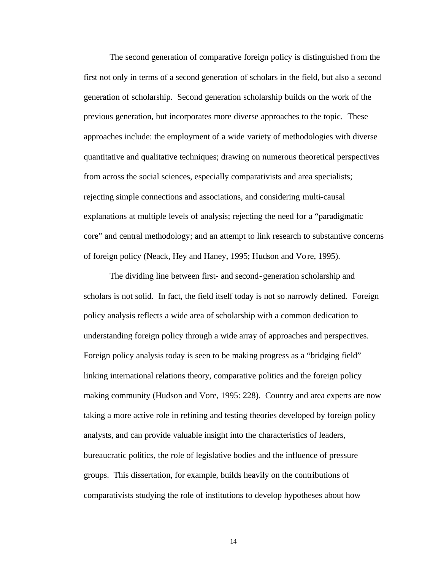The second generation of comparative foreign policy is distinguished from the first not only in terms of a second generation of scholars in the field, but also a second generation of scholarship. Second generation scholarship builds on the work of the previous generation, but incorporates more diverse approaches to the topic. These approaches include: the employment of a wide variety of methodologies with diverse quantitative and qualitative techniques; drawing on numerous theoretical perspectives from across the social sciences, especially comparativists and area specialists; rejecting simple connections and associations, and considering multi-causal explanations at multiple levels of analysis; rejecting the need for a "paradigmatic core" and central methodology; and an attempt to link research to substantive concerns of foreign policy (Neack, Hey and Haney, 1995; Hudson and Vore, 1995).

The dividing line between first- and second-generation scholarship and scholars is not solid. In fact, the field itself today is not so narrowly defined. Foreign policy analysis reflects a wide area of scholarship with a common dedication to understanding foreign policy through a wide array of approaches and perspectives. Foreign policy analysis today is seen to be making progress as a "bridging field" linking international relations theory, comparative politics and the foreign policy making community (Hudson and Vore, 1995: 228). Country and area experts are now taking a more active role in refining and testing theories developed by foreign policy analysts, and can provide valuable insight into the characteristics of leaders, bureaucratic politics, the role of legislative bodies and the influence of pressure groups. This dissertation, for example, builds heavily on the contributions of comparativists studying the role of institutions to develop hypotheses about how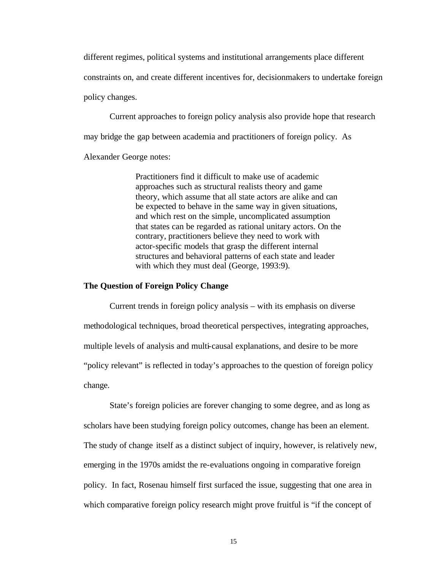different regimes, political systems and institutional arrangements place different constraints on, and create different incentives for, decisionmakers to undertake foreign policy changes.

Current approaches to foreign policy analysis also provide hope that research may bridge the gap between academia and practitioners of foreign policy. As

Alexander George notes:

Practitioners find it difficult to make use of academic approaches such as structural realists theory and game theory, which assume that all state actors are alike and can be expected to behave in the same way in given situations, and which rest on the simple, uncomplicated assumption that states can be regarded as rational unitary actors. On the contrary, practitioners believe they need to work with actor-specific models that grasp the different internal structures and behavioral patterns of each state and leader with which they must deal (George, 1993:9).

#### **The Question of Foreign Policy Change**

Current trends in foreign policy analysis – with its emphasis on diverse methodological techniques, broad theoretical perspectives, integrating approaches, multiple levels of analysis and multi-causal explanations, and desire to be more "policy relevant" is reflected in today's approaches to the question of foreign policy change.

State's foreign policies are forever changing to some degree, and as long as scholars have been studying foreign policy outcomes, change has been an element. The study of change itself as a distinct subject of inquiry, however, is relatively new, emerging in the 1970s amidst the re-evaluations ongoing in comparative foreign policy. In fact, Rosenau himself first surfaced the issue, suggesting that one area in which comparative foreign policy research might prove fruitful is "if the concept of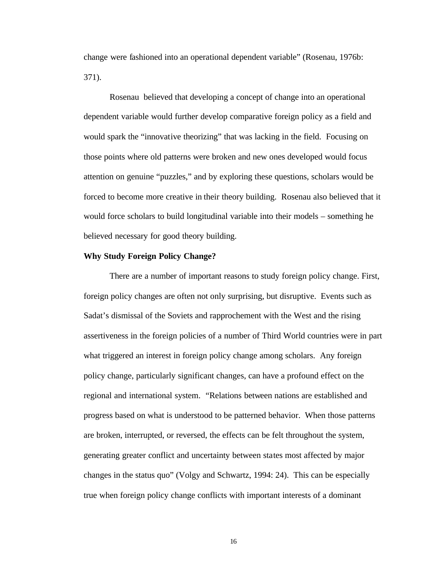change were fashioned into an operational dependent variable" (Rosenau, 1976b: 371).

Rosenau believed that developing a concept of change into an operational dependent variable would further develop comparative foreign policy as a field and would spark the "innovative theorizing" that was lacking in the field. Focusing on those points where old patterns were broken and new ones developed would focus attention on genuine "puzzles," and by exploring these questions, scholars would be forced to become more creative in their theory building. Rosenau also believed that it would force scholars to build longitudinal variable into their models – something he believed necessary for good theory building.

#### **Why Study Foreign Policy Change?**

There are a number of important reasons to study foreign policy change. First, foreign policy changes are often not only surprising, but disruptive. Events such as Sadat's dismissal of the Soviets and rapprochement with the West and the rising assertiveness in the foreign policies of a number of Third World countries were in part what triggered an interest in foreign policy change among scholars. Any foreign policy change, particularly significant changes, can have a profound effect on the regional and international system. "Relations between nations are established and progress based on what is understood to be patterned behavior. When those patterns are broken, interrupted, or reversed, the effects can be felt throughout the system, generating greater conflict and uncertainty between states most affected by major changes in the status quo" (Volgy and Schwartz, 1994: 24). This can be especially true when foreign policy change conflicts with important interests of a dominant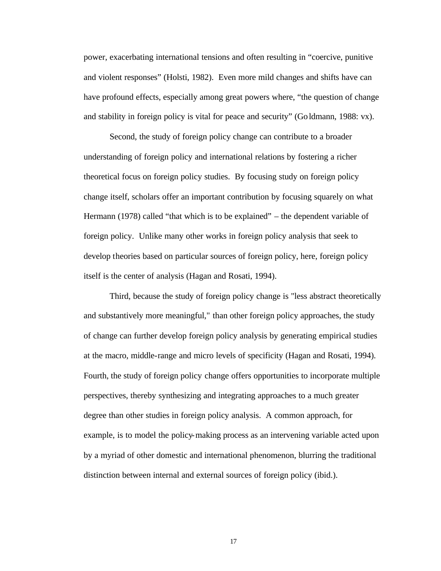power, exacerbating international tensions and often resulting in "coercive, punitive and violent responses" (Holsti, 1982). Even more mild changes and shifts have can have profound effects, especially among great powers where, "the question of change and stability in foreign policy is vital for peace and security" (Goldmann, 1988: vx).

Second, the study of foreign policy change can contribute to a broader understanding of foreign policy and international relations by fostering a richer theoretical focus on foreign policy studies. By focusing study on foreign policy change itself, scholars offer an important contribution by focusing squarely on what Hermann (1978) called "that which is to be explained" – the dependent variable of foreign policy. Unlike many other works in foreign policy analysis that seek to develop theories based on particular sources of foreign policy, here, foreign policy itself is the center of analysis (Hagan and Rosati, 1994).

Third, because the study of foreign policy change is "less abstract theoretically and substantively more meaningful," than other foreign policy approaches, the study of change can further develop foreign policy analysis by generating empirical studies at the macro, middle-range and micro levels of specificity (Hagan and Rosati, 1994). Fourth, the study of foreign policy change offers opportunities to incorporate multiple perspectives, thereby synthesizing and integrating approaches to a much greater degree than other studies in foreign policy analysis. A common approach, for example, is to model the policy-making process as an intervening variable acted upon by a myriad of other domestic and international phenomenon, blurring the traditional distinction between internal and external sources of foreign policy (ibid.).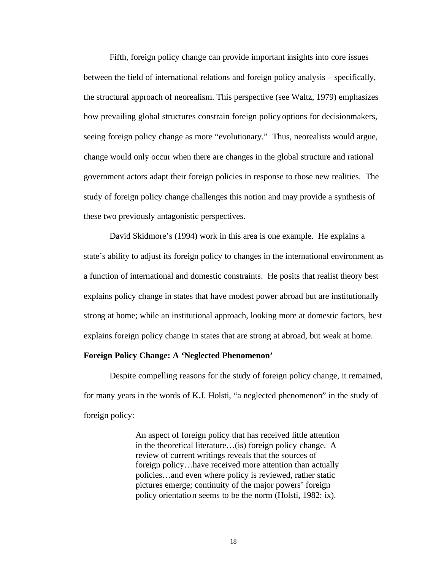Fifth, foreign policy change can provide important insights into core issues between the field of international relations and foreign policy analysis – specifically, the structural approach of neorealism. This perspective (see Waltz, 1979) emphasizes how prevailing global structures constrain foreign policy options for decisionmakers, seeing foreign policy change as more "evolutionary." Thus, neorealists would argue, change would only occur when there are changes in the global structure and rational government actors adapt their foreign policies in response to those new realities. The study of foreign policy change challenges this notion and may provide a synthesis of these two previously antagonistic perspectives.

David Skidmore's (1994) work in this area is one example. He explains a state's ability to adjust its foreign policy to changes in the international environment as a function of international and domestic constraints. He posits that realist theory best explains policy change in states that have modest power abroad but are institutionally strong at home; while an institutional approach, looking more at domestic factors, best explains foreign policy change in states that are strong at abroad, but weak at home.

#### **Foreign Policy Change: A 'Neglected Phenomenon'**

Despite compelling reasons for the study of foreign policy change, it remained, for many years in the words of K.J. Holsti, "a neglected phenomenon" in the study of foreign policy:

> An aspect of foreign policy that has received little attention in the theoretical literature…(is) foreign policy change. A review of current writings reveals that the sources of foreign policy…have received more attention than actually policies…and even where policy is reviewed, rather static pictures emerge; continuity of the major powers' foreign policy orientation seems to be the norm (Holsti, 1982: ix).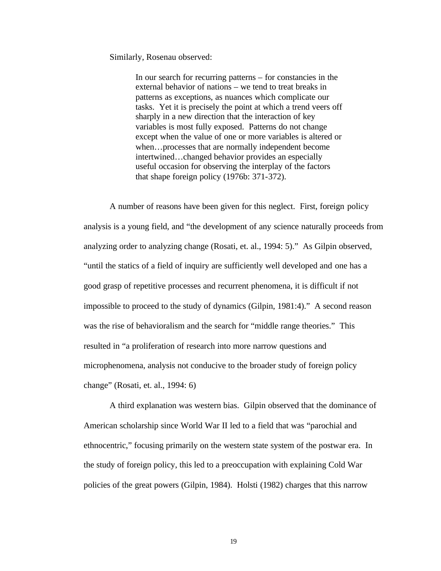Similarly, Rosenau observed:

In our search for recurring patterns – for constancies in the external behavior of nations – we tend to treat breaks in patterns as exceptions, as nuances which complicate our tasks. Yet it is precisely the point at which a trend veers off sharply in a new direction that the interaction of key variables is most fully exposed. Patterns do not change except when the value of one or more variables is altered or when…processes that are normally independent become intertwined…changed behavior provides an especially useful occasion for observing the interplay of the factors that shape foreign policy (1976b: 371-372).

A number of reasons have been given for this neglect. First, foreign policy analysis is a young field, and "the development of any science naturally proceeds from analyzing order to analyzing change (Rosati, et. al., 1994: 5)." As Gilpin observed, "until the statics of a field of inquiry are sufficiently well developed and one has a good grasp of repetitive processes and recurrent phenomena, it is difficult if not impossible to proceed to the study of dynamics (Gilpin, 1981:4)." A second reason was the rise of behavioralism and the search for "middle range theories." This resulted in "a proliferation of research into more narrow questions and microphenomena, analysis not conducive to the broader study of foreign policy change" (Rosati, et. al., 1994: 6)

A third explanation was western bias. Gilpin observed that the dominance of American scholarship since World War II led to a field that was "parochial and ethnocentric," focusing primarily on the western state system of the postwar era. In the study of foreign policy, this led to a preoccupation with explaining Cold War policies of the great powers (Gilpin, 1984). Holsti (1982) charges that this narrow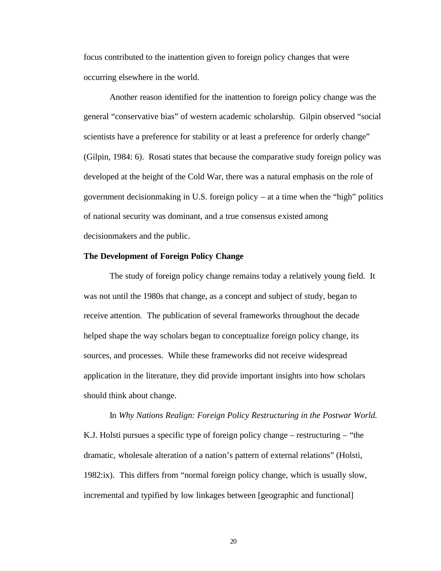focus contributed to the inattention given to foreign policy changes that were occurring elsewhere in the world.

Another reason identified for the inattention to foreign policy change was the general "conservative bias" of western academic scholarship. Gilpin observed "social scientists have a preference for stability or at least a preference for orderly change" (Gilpin, 1984: 6). Rosati states that because the comparative study foreign policy was developed at the height of the Cold War, there was a natural emphasis on the role of government decisionmaking in U.S. foreign policy – at a time when the "high" politics of national security was dominant, and a true consensus existed among decisionmakers and the public.

# **The Development of Foreign Policy Change**

The study of foreign policy change remains today a relatively young field. It was not until the 1980s that change, as a concept and subject of study, began to receive attention. The publication of several frameworks throughout the decade helped shape the way scholars began to conceptualize foreign policy change, its sources, and processes. While these frameworks did not receive widespread application in the literature, they did provide important insights into how scholars should think about change.

In *Why Nations Realign: Foreign Policy Restructuring in the Postwar World.*  K.J. Holsti pursues a specific type of foreign policy change – restructuring – "the dramatic, wholesale alteration of a nation's pattern of external relations" (Holsti, 1982:ix). This differs from "normal foreign policy change, which is usually slow, incremental and typified by low linkages between [geographic and functional]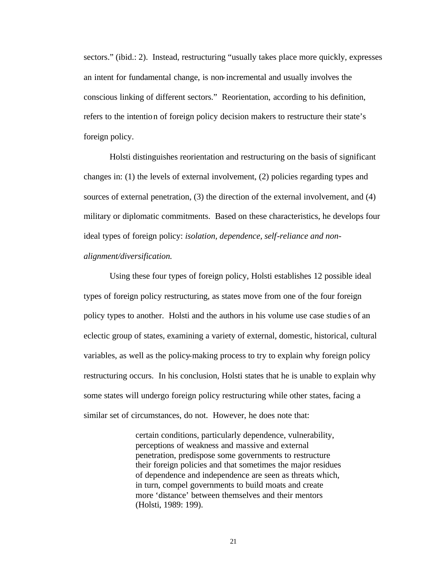sectors." (ibid.: 2). Instead, restructuring "usually takes place more quickly, expresses an intent for fundamental change, is non-incremental and usually involves the conscious linking of different sectors." Reorientation, according to his definition, refers to the intention of foreign policy decision makers to restructure their state's foreign policy.

Holsti distinguishes reorientation and restructuring on the basis of significant changes in: (1) the levels of external involvement, (2) policies regarding types and sources of external penetration, (3) the direction of the external involvement, and (4) military or diplomatic commitments. Based on these characteristics, he develops four ideal types of foreign policy: *isolation, dependence, self-reliance and nonalignment/diversification.*

Using these four types of foreign policy, Holsti establishes 12 possible ideal types of foreign policy restructuring, as states move from one of the four foreign policy types to another. Holsti and the authors in his volume use case studie s of an eclectic group of states, examining a variety of external, domestic, historical, cultural variables, as well as the policy-making process to try to explain why foreign policy restructuring occurs. In his conclusion, Holsti states that he is unable to explain why some states will undergo foreign policy restructuring while other states, facing a similar set of circumstances, do not. However, he does note that:

> certain conditions, particularly dependence, vulnerability, perceptions of weakness and massive and external penetration, predispose some governments to restructure their foreign policies and that sometimes the major residues of dependence and independence are seen as threats which, in turn, compel governments to build moats and create more 'distance' between themselves and their mentors (Holsti, 1989: 199).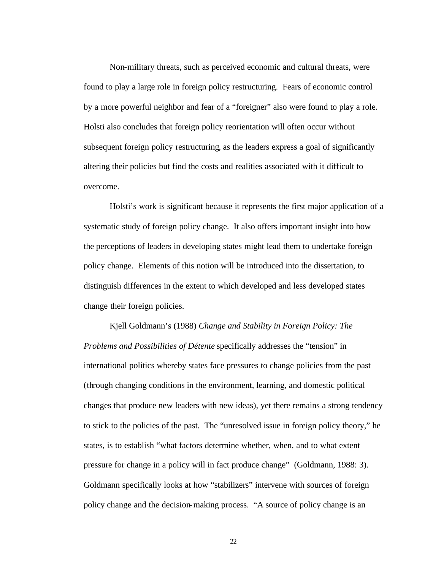Non-military threats, such as perceived economic and cultural threats, were found to play a large role in foreign policy restructuring. Fears of economic control by a more powerful neighbor and fear of a "foreigner" also were found to play a role. Holsti also concludes that foreign policy reorientation will often occur without subsequent foreign policy restructuring*,* as the leaders express a goal of significantly altering their policies but find the costs and realities associated with it difficult to overcome.

Holsti's work is significant because it represents the first major application of a systematic study of foreign policy change. It also offers important insight into how the perceptions of leaders in developing states might lead them to undertake foreign policy change. Elements of this notion will be introduced into the dissertation, to distinguish differences in the extent to which developed and less developed states change their foreign policies.

Kjell Goldmann's (1988) *Change and Stability in Foreign Policy: The Problems and Possibilities of Détente* specifically addresses the "tension" in international politics whereby states face pressures to change policies from the past (through changing conditions in the environment, learning, and domestic political changes that produce new leaders with new ideas), yet there remains a strong tendency to stick to the policies of the past. The "unresolved issue in foreign policy theory," he states, is to establish "what factors determine whether, when, and to what extent pressure for change in a policy will in fact produce change" (Goldmann, 1988: 3). Goldmann specifically looks at how "stabilizers" intervene with sources of foreign policy change and the decision-making process. "A source of policy change is an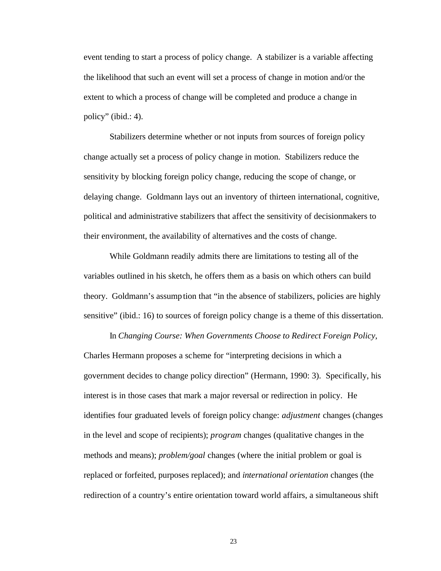event tending to start a process of policy change. A stabilizer is a variable affecting the likelihood that such an event will set a process of change in motion and/or the extent to which a process of change will be completed and produce a change in policy" (ibid.: 4).

Stabilizers determine whether or not inputs from sources of foreign policy change actually set a process of policy change in motion. Stabilizers reduce the sensitivity by blocking foreign policy change, reducing the scope of change, or delaying change. Goldmann lays out an inventory of thirteen international, cognitive, political and administrative stabilizers that affect the sensitivity of decisionmakers to their environment, the availability of alternatives and the costs of change.

While Goldmann readily admits there are limitations to testing all of the variables outlined in his sketch, he offers them as a basis on which others can build theory. Goldmann's assumption that "in the absence of stabilizers, policies are highly sensitive" (ibid.: 16) to sources of foreign policy change is a theme of this dissertation.

In *Changing Course: When Governments Choose to Redirect Foreign Policy*, Charles Hermann proposes a scheme for "interpreting decisions in which a government decides to change policy direction" (Hermann, 1990: 3). Specifically, his interest is in those cases that mark a major reversal or redirection in policy. He identifies four graduated levels of foreign policy change: *adjustment* changes (changes in the level and scope of recipients); *program* changes (qualitative changes in the methods and means); *problem/goal* changes (where the initial problem or goal is replaced or forfeited, purposes replaced); and *international orientation* changes (the redirection of a country's entire orientation toward world affairs, a simultaneous shift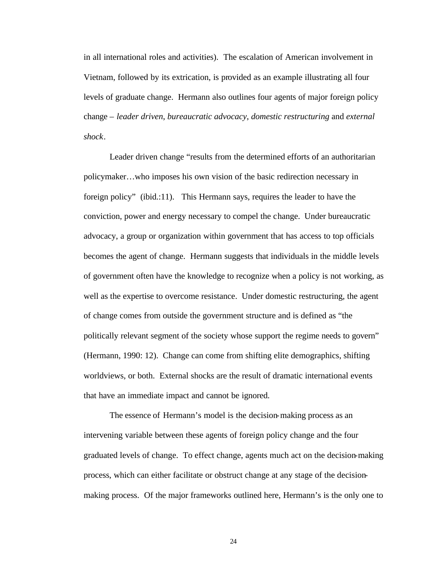in all international roles and activities). The escalation of American involvement in Vietnam, followed by its extrication, is provided as an example illustrating all four levels of graduate change. Hermann also outlines four agents of major foreign policy change – *leader driven*, *bureaucratic advocacy*, *domestic restructuring* and *external shock*.

Leader driven change "results from the determined efforts of an authoritarian policymaker…who imposes his own vision of the basic redirection necessary in foreign policy" (ibid.:11). This Hermann says, requires the leader to have the conviction, power and energy necessary to compel the change. Under bureaucratic advocacy, a group or organization within government that has access to top officials becomes the agent of change. Hermann suggests that individuals in the middle levels of government often have the knowledge to recognize when a policy is not working, as well as the expertise to overcome resistance. Under domestic restructuring, the agent of change comes from outside the government structure and is defined as "the politically relevant segment of the society whose support the regime needs to govern" (Hermann, 1990: 12). Change can come from shifting elite demographics, shifting worldviews, or both. External shocks are the result of dramatic international events that have an immediate impact and cannot be ignored.

The essence of Hermann's model is the decision-making process as an intervening variable between these agents of foreign policy change and the four graduated levels of change. To effect change, agents much act on the decision-making process, which can either facilitate or obstruct change at any stage of the decisionmaking process. Of the major frameworks outlined here, Hermann's is the only one to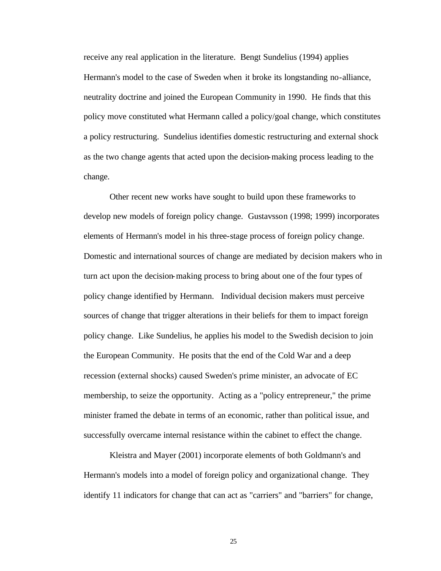receive any real application in the literature. Bengt Sundelius (1994) applies Hermann's model to the case of Sweden when it broke its longstanding no-alliance, neutrality doctrine and joined the European Community in 1990. He finds that this policy move constituted what Hermann called a policy/goal change, which constitutes a policy restructuring. Sundelius identifies domestic restructuring and external shock as the two change agents that acted upon the decision-making process leading to the change.

Other recent new works have sought to build upon these frameworks to develop new models of foreign policy change. Gustavsson (1998; 1999) incorporates elements of Hermann's model in his three-stage process of foreign policy change. Domestic and international sources of change are mediated by decision makers who in turn act upon the decision-making process to bring about one of the four types of policy change identified by Hermann. Individual decision makers must perceive sources of change that trigger alterations in their beliefs for them to impact foreign policy change. Like Sundelius, he applies his model to the Swedish decision to join the European Community. He posits that the end of the Cold War and a deep recession (external shocks) caused Sweden's prime minister, an advocate of EC membership, to seize the opportunity. Acting as a "policy entrepreneur," the prime minister framed the debate in terms of an economic, rather than political issue, and successfully overcame internal resistance within the cabinet to effect the change.

Kleistra and Mayer (2001) incorporate elements of both Goldmann's and Hermann's models into a model of foreign policy and organizational change. They identify 11 indicators for change that can act as "carriers" and "barriers" for change,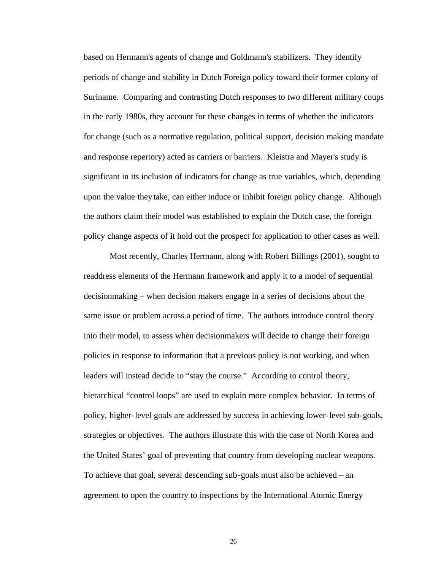based on Hermann's agents of change and Goldmann's stabilizers. They identify periods of change and stability in Dutch Foreign policy toward their former colony of Suriname. Comparing and contrasting Dutch responses to two different military coups in the early 1980s, they account for these changes in terms of whether the indicators for change (such as a normative regulation, political support, decision making mandate and response repertory) acted as carriers or barriers. Kleistra and Mayer's study is significant in its inclusion of indicators for change as true variables, which, depending upon the value they take, can either induce or inhibit foreign policy change. Although the authors claim their model was established to explain the Dutch case, the foreign policy change aspects of it hold out the prospect for application to other cases as well.

Most recently, Charles Hermann, along with Robert Billings (2001), sought to readdress elements of the Hermann framework and apply it to a model of sequential decisionmaking – when decision makers engage in a series of decisions about the same issue or problem across a period of time. The authors introduce control theory into their model, to assess when decisionmakers will decide to change their foreign policies in response to information that a previous policy is not working, and when leaders will instead decide to "stay the course." According to control theory, hierarchical "control loops" are used to explain more complex behavior. In terms of policy, higher-level goals are addressed by success in achieving lower-level sub-goals, strategies or objectives. The authors illustrate this with the case of North Korea and the United States' goal of preventing that country from developing nuclear weapons. To achieve that goal, several descending sub-goals must also be achieved – an agreement to open the country to inspections by the International Atomic Energy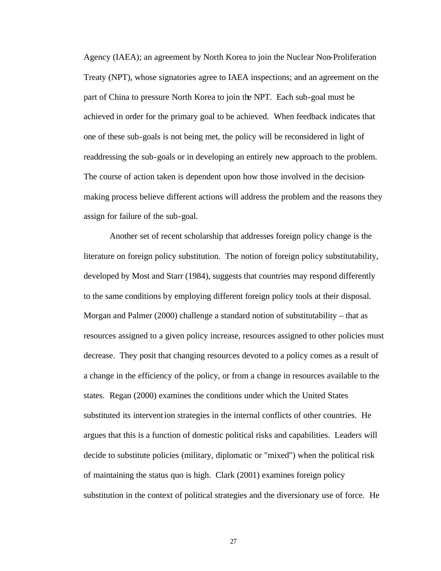Agency (IAEA); an agreement by North Korea to join the Nuclear Non-Proliferation Treaty (NPT), whose signatories agree to IAEA inspections; and an agreement on the part of China to pressure North Korea to join the NPT. Each sub-goal must be achieved in order for the primary goal to be achieved. When feedback indicates that one of these sub-goals is not being met, the policy will be reconsidered in light of readdressing the sub-goals or in developing an entirely new approach to the problem. The course of action taken is dependent upon how those involved in the decisionmaking process believe different actions will address the problem and the reasons they assign for failure of the sub-goal.

Another set of recent scholarship that addresses foreign policy change is the literature on foreign policy substitution. The notion of foreign policy substitutability, developed by Most and Starr (1984), suggests that countries may respond differently to the same conditions by employing different foreign policy tools at their disposal. Morgan and Palmer (2000) challenge a standard notion of substitutability – that as resources assigned to a given policy increase, resources assigned to other policies must decrease. They posit that changing resources devoted to a policy comes as a result of a change in the efficiency of the policy, or from a change in resources available to the states. Regan (2000) examines the conditions under which the United States substituted its intervention strategies in the internal conflicts of other countries. He argues that this is a function of domestic political risks and capabilities. Leaders will decide to substitute policies (military, diplomatic or "mixed") when the political risk of maintaining the status quo is high. Clark (2001) examines foreign policy substitution in the context of political strategies and the diversionary use of force. He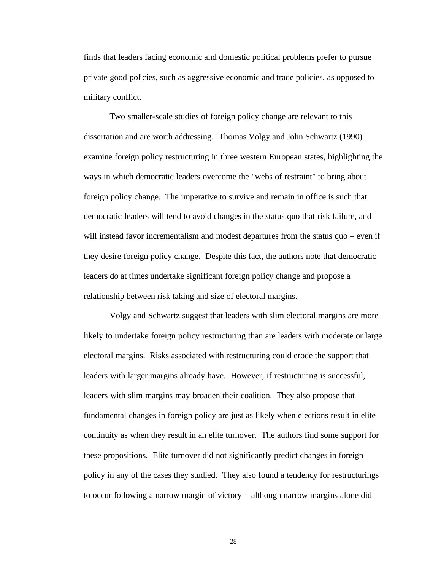finds that leaders facing economic and domestic political problems prefer to pursue private good policies, such as aggressive economic and trade policies, as opposed to military conflict.

Two smaller-scale studies of foreign policy change are relevant to this dissertation and are worth addressing. Thomas Volgy and John Schwartz (1990) examine foreign policy restructuring in three western European states, highlighting the ways in which democratic leaders overcome the "webs of restraint" to bring about foreign policy change. The imperative to survive and remain in office is such that democratic leaders will tend to avoid changes in the status quo that risk failure, and will instead favor incrementalism and modest departures from the status quo – even if they desire foreign policy change. Despite this fact, the authors note that democratic leaders do at times undertake significant foreign policy change and propose a relationship between risk taking and size of electoral margins.

Volgy and Schwartz suggest that leaders with slim electoral margins are more likely to undertake foreign policy restructuring than are leaders with moderate or large electoral margins. Risks associated with restructuring could erode the support that leaders with larger margins already have. However, if restructuring is successful, leaders with slim margins may broaden their coalition. They also propose that fundamental changes in foreign policy are just as likely when elections result in elite continuity as when they result in an elite turnover. The authors find some support for these propositions. Elite turnover did not significantly predict changes in foreign policy in any of the cases they studied. They also found a tendency for restructurings to occur following a narrow margin of victory – although narrow margins alone did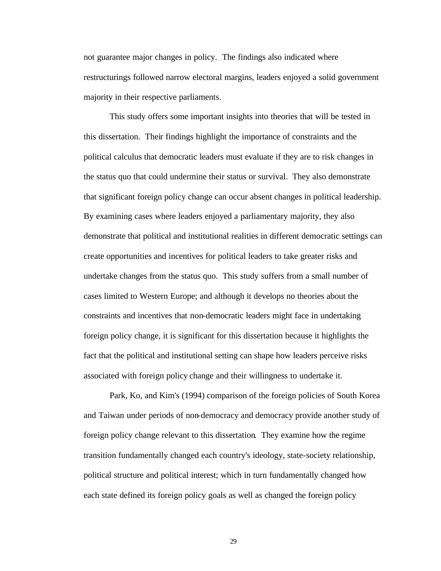not guarantee major changes in policy. The findings also indicated where restructurings followed narrow electoral margins, leaders enjoyed a solid government majority in their respective parliaments.

This study offers some important insights into theories that will be tested in this dissertation. Their findings highlight the importance of constraints and the political calculus that democratic leaders must evaluate if they are to risk changes in the status quo that could undermine their status or survival. They also demonstrate that significant foreign policy change can occur absent changes in political leadership. By examining cases where leaders enjoyed a parliamentary majority, they also demonstrate that political and institutional realities in different democratic settings can create opportunities and incentives for political leaders to take greater risks and undertake changes from the status quo. This study suffers from a small number of cases limited to Western Europe; and although it develops no theories about the constraints and incentives that non-democratic leaders might face in undertaking foreign policy change, it is significant for this dissertation because it highlights the fact that the political and institutional setting can shape how leaders perceive risks associated with foreign policy change and their willingness to undertake it.

Park, Ko, and Kim's (1994) comparison of the foreign policies of South Korea and Taiwan under periods of non-democracy and democracy provide another study of foreign policy change relevant to this dissertation. They examine how the regime transition fundamentally changed each country's ideology, state-society relationship, political structure and political interest; which in turn fundamentally changed how each state defined its foreign policy goals as well as changed the foreign policy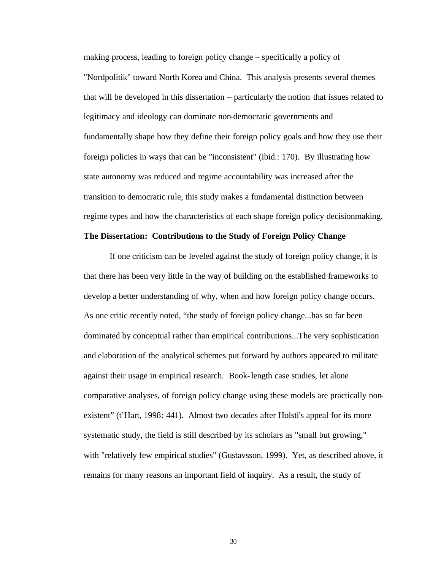making process, leading to foreign policy change – specifically a policy of "Nordpolitik" toward North Korea and China. This analysis presents several themes that will be developed in this dissertation – particularly the notion that issues related to legitimacy and ideology can dominate non-democratic governments and fundamentally shape how they define their foreign policy goals and how they use their foreign policies in ways that can be "inconsistent" (ibid.: 170). By illustrating how state autonomy was reduced and regime accountability was increased after the transition to democratic rule, this study makes a fundamental distinction between regime types and how the characteristics of each shape foreign policy decisionmaking.

### **The Dissertation: Contributions to the Study of Foreign Policy Change**

If one criticism can be leveled against the study of foreign policy change, it is that there has been very little in the way of building on the established frameworks to develop a better understanding of why, when and how foreign policy change occurs. As one critic recently noted, "the study of foreign policy change...has so far been dominated by conceptual rather than empirical contributions...The very sophistication and elaboration of the analytical schemes put forward by authors appeared to militate against their usage in empirical research. Book-length case studies, let alone comparative analyses, of foreign policy change using these models are practically nonexistent" (t'Hart, 1998: 441). Almost two decades after Holsti's appeal for its more systematic study, the field is still described by its scholars as "small but growing," with "relatively few empirical studies" (Gustavsson, 1999). Yet, as described above, it remains for many reasons an important field of inquiry. As a result, the study of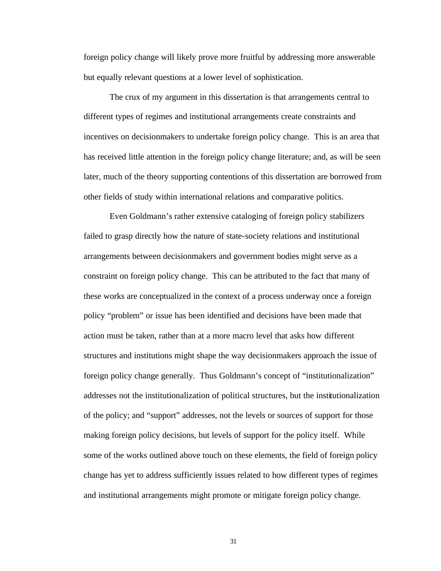foreign policy change will likely prove more fruitful by addressing more answerable but equally relevant questions at a lower level of sophistication.

The crux of my argument in this dissertation is that arrangements central to different types of regimes and institutional arrangements create constraints and incentives on decisionmakers to undertake foreign policy change. This is an area that has received little attention in the foreign policy change literature; and, as will be seen later, much of the theory supporting contentions of this dissertation are borrowed from other fields of study within international relations and comparative politics.

Even Goldmann's rather extensive cataloging of foreign policy stabilizers failed to grasp directly how the nature of state-society relations and institutional arrangements between decisionmakers and government bodies might serve as a constraint on foreign policy change. This can be attributed to the fact that many of these works are conceptualized in the context of a process underway once a foreign policy "problem" or issue has been identified and decisions have been made that action must be taken, rather than at a more macro level that asks how different structures and institutions might shape the way decisionmakers approach the issue of foreign policy change generally. Thus Goldmann's concept of "institutionalization" addresses not the institutionalization of political structures, but the institutionalization of the policy; and "support" addresses, not the levels or sources of support for those making foreign policy decisions, but levels of support for the policy itself. While some of the works outlined above touch on these elements, the field of foreign policy change has yet to address sufficiently issues related to how different types of regimes and institutional arrangements might promote or mitigate foreign policy change.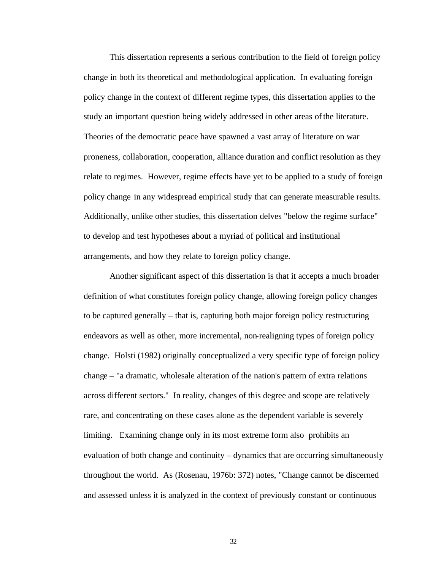This dissertation represents a serious contribution to the field of foreign policy change in both its theoretical and methodological application. In evaluating foreign policy change in the context of different regime types, this dissertation applies to the study an important question being widely addressed in other areas of the literature. Theories of the democratic peace have spawned a vast array of literature on war proneness, collaboration, cooperation, alliance duration and conflict resolution as they relate to regimes. However, regime effects have yet to be applied to a study of foreign policy change in any widespread empirical study that can generate measurable results. Additionally, unlike other studies, this dissertation delves "below the regime surface" to develop and test hypotheses about a myriad of political and institutional arrangements, and how they relate to foreign policy change.

Another significant aspect of this dissertation is that it accepts a much broader definition of what constitutes foreign policy change, allowing foreign policy changes to be captured generally – that is, capturing both major foreign policy restructuring endeavors as well as other, more incremental, non-realigning types of foreign policy change. Holsti (1982) originally conceptualized a very specific type of foreign policy change – "a dramatic, wholesale alteration of the nation's pattern of extra relations across different sectors." In reality, changes of this degree and scope are relatively rare, and concentrating on these cases alone as the dependent variable is severely limiting. Examining change only in its most extreme form also prohibits an evaluation of both change and continuity – dynamics that are occurring simultaneously throughout the world. As (Rosenau, 1976b: 372) notes, "Change cannot be discerned and assessed unless it is analyzed in the context of previously constant or continuous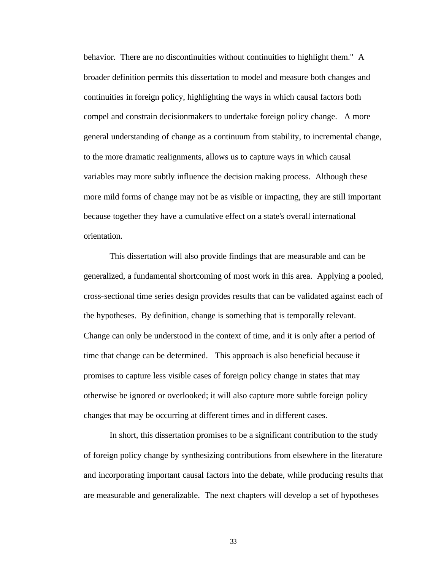behavior. There are no discontinuities without continuities to highlight them." A broader definition permits this dissertation to model and measure both changes and continuities in foreign policy, highlighting the ways in which causal factors both compel and constrain decisionmakers to undertake foreign policy change. A more general understanding of change as a continuum from stability, to incremental change, to the more dramatic realignments, allows us to capture ways in which causal variables may more subtly influence the decision making process. Although these more mild forms of change may not be as visible or impacting, they are still important because together they have a cumulative effect on a state's overall international orientation.

This dissertation will also provide findings that are measurable and can be generalized, a fundamental shortcoming of most work in this area. Applying a pooled, cross-sectional time series design provides results that can be validated against each of the hypotheses. By definition, change is something that is temporally relevant. Change can only be understood in the context of time, and it is only after a period of time that change can be determined. This approach is also beneficial because it promises to capture less visible cases of foreign policy change in states that may otherwise be ignored or overlooked; it will also capture more subtle foreign policy changes that may be occurring at different times and in different cases.

In short, this dissertation promises to be a significant contribution to the study of foreign policy change by synthesizing contributions from elsewhere in the literature and incorporating important causal factors into the debate, while producing results that are measurable and generalizable. The next chapters will develop a set of hypotheses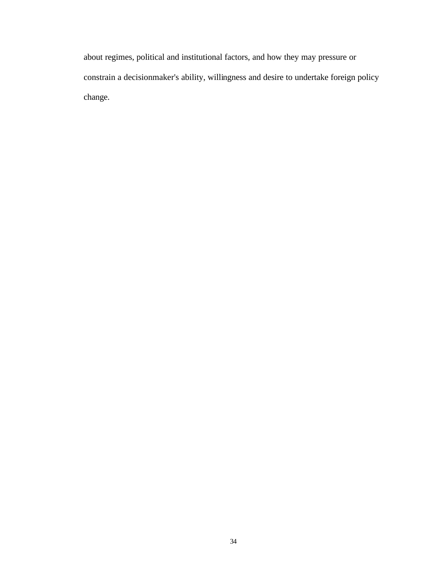about regimes, political and institutional factors, and how they may pressure or constrain a decisionmaker's ability, willingness and desire to undertake foreign policy change.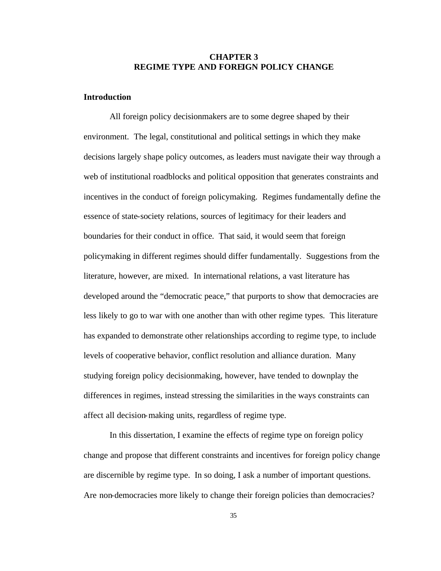### **CHAPTER 3 REGIME TYPE AND FOREIGN POLICY CHANGE**

### **Introduction**

All foreign policy decisionmakers are to some degree shaped by their environment. The legal, constitutional and political settings in which they make decisions largely shape policy outcomes, as leaders must navigate their way through a web of institutional roadblocks and political opposition that generates constraints and incentives in the conduct of foreign policymaking. Regimes fundamentally define the essence of state-society relations, sources of legitimacy for their leaders and boundaries for their conduct in office. That said, it would seem that foreign policymaking in different regimes should differ fundamentally. Suggestions from the literature, however, are mixed. In international relations, a vast literature has developed around the "democratic peace," that purports to show that democracies are less likely to go to war with one another than with other regime types. This literature has expanded to demonstrate other relationships according to regime type, to include levels of cooperative behavior, conflict resolution and alliance duration. Many studying foreign policy decisionmaking, however, have tended to downplay the differences in regimes, instead stressing the similarities in the ways constraints can affect all decision-making units, regardless of regime type.

In this dissertation, I examine the effects of regime type on foreign policy change and propose that different constraints and incentives for foreign policy change are discernible by regime type. In so doing, I ask a number of important questions. Are non-democracies more likely to change their foreign policies than democracies?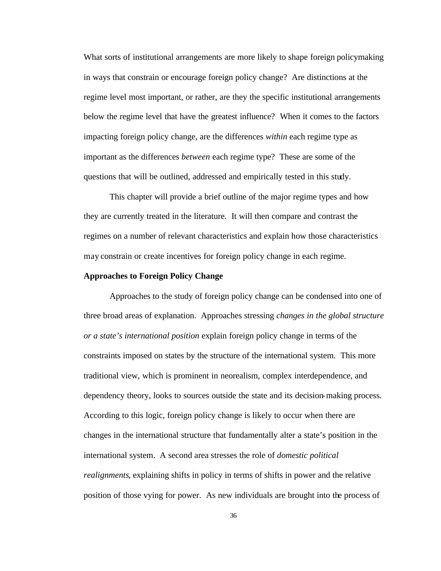What sorts of institutional arrangements are more likely to shape foreign policymaking in ways that constrain or encourage foreign policy change? Are distinctions at the regime level most important, or rather, are they the specific institutional arrangements below the regime level that have the greatest influence? When it comes to the factors impacting foreign policy change, are the differences *within* each regime type as important as the differences *between* each regime type? These are some of the questions that will be outlined, addressed and empirically tested in this study.

This chapter will provide a brief outline of the major regime types and how they are currently treated in the literature. It will then compare and contrast the regimes on a number of relevant characteristics and explain how those characteristics may constrain or create incentives for foreign policy change in each regime.

#### **Approaches to Foreign Policy Change**

Approaches to the study of foreign policy change can be condensed into one of three broad areas of explanation. Approaches stressing *changes in the global structure or a state's international position* explain foreign policy change in terms of the constraints imposed on states by the structure of the international system. This more traditional view, which is prominent in neorealism, complex interdependence, and dependency theory, looks to sources outside the state and its decision-making process. According to this logic, foreign policy change is likely to occur when there are changes in the international structure that fundamentally alter a state's position in the international system. A second area stresses the role of *domestic political realignments*, explaining shifts in policy in terms of shifts in power and the relative position of those vying for power. As new individuals are brought into the process of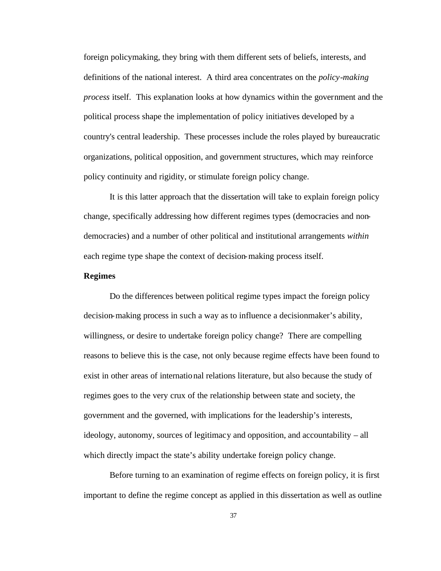foreign policymaking, they bring with them different sets of beliefs, interests, and definitions of the national interest. A third area concentrates on the *policy-making process* itself. This explanation looks at how dynamics within the government and the political process shape the implementation of policy initiatives developed by a country's central leadership. These processes include the roles played by bureaucratic organizations, political opposition, and government structures, which may reinforce policy continuity and rigidity, or stimulate foreign policy change.

It is this latter approach that the dissertation will take to explain foreign policy change, specifically addressing how different regimes types (democracies and nondemocracies) and a number of other political and institutional arrangements *within*  each regime type shape the context of decision-making process itself.

#### **Regimes**

Do the differences between political regime types impact the foreign policy decision-making process in such a way as to influence a decisionmaker's ability, willingness, or desire to undertake foreign policy change? There are compelling reasons to believe this is the case, not only because regime effects have been found to exist in other areas of international relations literature, but also because the study of regimes goes to the very crux of the relationship between state and society, the government and the governed, with implications for the leadership's interests, ideology, autonomy, sources of legitimacy and opposition, and accountability – all which directly impact the state's ability undertake foreign policy change.

Before turning to an examination of regime effects on foreign policy, it is first important to define the regime concept as applied in this dissertation as well as outline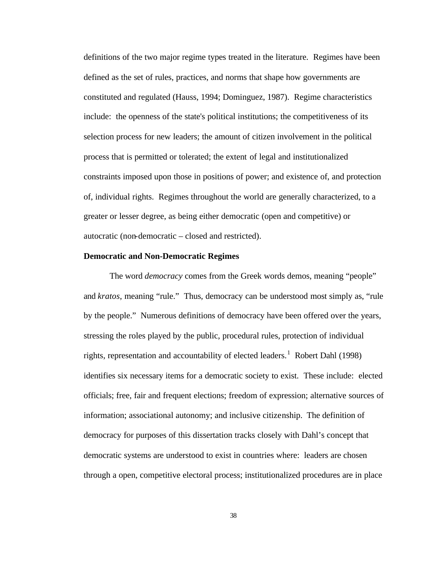definitions of the two major regime types treated in the literature. Regimes have been defined as the set of rules, practices, and norms that shape how governments are constituted and regulated (Hauss, 1994; Dominguez, 1987). Regime characteristics include: the openness of the state's political institutions; the competitiveness of its selection process for new leaders; the amount of citizen involvement in the political process that is permitted or tolerated; the extent of legal and institutionalized constraints imposed upon those in positions of power; and existence of, and protection of, individual rights. Regimes throughout the world are generally characterized, to a greater or lesser degree, as being either democratic (open and competitive) or autocratic (non-democratic – closed and restricted).

### **Democratic and Non-Democratic Regimes**

The word *democracy* comes from the Greek words demos, meaning "people" and *kratos*, meaning "rule." Thus, democracy can be understood most simply as, "rule by the people." Numerous definitions of democracy have been offered over the years, stressing the roles played by the public, procedural rules, protection of individual rights, representation and accountability of elected leaders.<sup>1</sup> Robert Dahl (1998) identifies six necessary items for a democratic society to exist. These include: elected officials; free, fair and frequent elections; freedom of expression; alternative sources of information; associational autonomy; and inclusive citizenship. The definition of democracy for purposes of this dissertation tracks closely with Dahl's concept that democratic systems are understood to exist in countries where: leaders are chosen through a open, competitive electoral process; institutionalized procedures are in place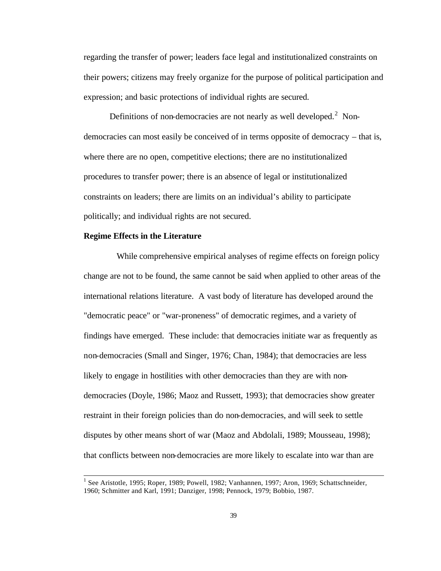regarding the transfer of power; leaders face legal and institutionalized constraints on their powers; citizens may freely organize for the purpose of political participation and expression; and basic protections of individual rights are secured.

Definitions of non-democracies are not nearly as well developed. $2$  Nondemocracies can most easily be conceived of in terms opposite of democracy – that is, where there are no open, competitive elections; there are no institutionalized procedures to transfer power; there is an absence of legal or institutionalized constraints on leaders; there are limits on an individual's ability to participate politically; and individual rights are not secured.

### **Regime Effects in the Literature**

l

While comprehensive empirical analyses of regime effects on foreign policy change are not to be found, the same cannot be said when applied to other areas of the international relations literature. A vast body of literature has developed around the "democratic peace" or "war-proneness" of democratic regimes, and a variety of findings have emerged. These include: that democracies initiate war as frequently as non-democracies (Small and Singer, 1976; Chan, 1984); that democracies are less likely to engage in hostilities with other democracies than they are with nondemocracies (Doyle, 1986; Maoz and Russett, 1993); that democracies show greater restraint in their foreign policies than do non-democracies, and will seek to settle disputes by other means short of war (Maoz and Abdolali, 1989; Mousseau, 1998); that conflicts between non-democracies are more likely to escalate into war than are

<sup>&</sup>lt;sup>1</sup> See Aristotle, 1995; Roper, 1989; Powell, 1982; Vanhannen, 1997; Aron, 1969; Schattschneider, 1960; Schmitter and Karl, 1991; Danziger, 1998; Pennock, 1979; Bobbio, 1987.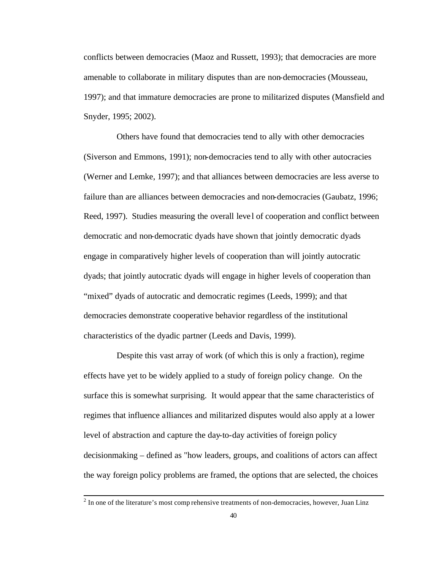conflicts between democracies (Maoz and Russett, 1993); that democracies are more amenable to collaborate in military disputes than are non-democracies (Mousseau, 1997); and that immature democracies are prone to militarized disputes (Mansfield and Snyder, 1995; 2002).

Others have found that democracies tend to ally with other democracies (Siverson and Emmons, 1991); non-democracies tend to ally with other autocracies (Werner and Lemke, 1997); and that alliances between democracies are less averse to failure than are alliances between democracies and non-democracies (Gaubatz, 1996; Reed, 1997). Studies measuring the overall leve l of cooperation and conflict between democratic and non-democratic dyads have shown that jointly democratic dyads engage in comparatively higher levels of cooperation than will jointly autocratic dyads; that jointly autocratic dyads will engage in higher levels of cooperation than "mixed" dyads of autocratic and democratic regimes (Leeds, 1999); and that democracies demonstrate cooperative behavior regardless of the institutional characteristics of the dyadic partner (Leeds and Davis, 1999).

Despite this vast array of work (of which this is only a fraction), regime effects have yet to be widely applied to a study of foreign policy change. On the surface this is somewhat surprising. It would appear that the same characteristics of regimes that influence alliances and militarized disputes would also apply at a lower level of abstraction and capture the day-to-day activities of foreign policy decisionmaking – defined as "how leaders, groups, and coalitions of actors can affect the way foreign policy problems are framed, the options that are selected, the choices

 $2^{2}$  In one of the literature's most comp rehensive treatments of non-democracies, however, Juan Linz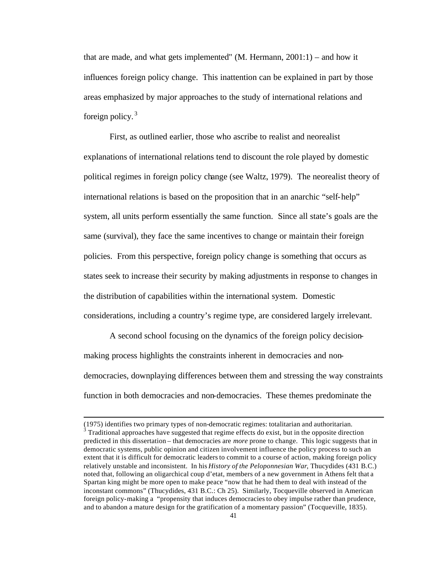that are made, and what gets implemented" (M. Hermann, 2001:1) – and how it influences foreign policy change. This inattention can be explained in part by those areas emphasized by major approaches to the study of international relations and foreign policy. $3$ 

First, as outlined earlier, those who ascribe to realist and neorealist explanations of international relations tend to discount the role played by domestic political regimes in foreign policy change (see Waltz, 1979). The neorealist theory of international relations is based on the proposition that in an anarchic "self-help" system, all units perform essentially the same function. Since all state's goals are the same (survival), they face the same incentives to change or maintain their foreign policies. From this perspective, foreign policy change is something that occurs as states seek to increase their security by making adjustments in response to changes in the distribution of capabilities within the international system. Domestic considerations, including a country's regime type, are considered largely irrelevant.

A second school focusing on the dynamics of the foreign policy decisionmaking process highlights the constraints inherent in democracies and nondemocracies, downplaying differences between them and stressing the way constraints function in both democracies and non-democracies. These themes predominate the

<sup>(1975)</sup> identifies two primary types of non-democratic regimes: totalitarian and authoritarian.  $3$  Traditional approaches have suggested that regime effects do exist, but in the opposite direction predicted in this dissertation – that democracies are *more* prone to change. This logic suggests that in democratic systems, public opinion and citizen involvement influence the policy process to such an extent that it is difficult for democratic leaders to commit to a course of action, making foreign policy relatively unstable and inconsistent. In his *History of the Peloponnesian War*, Thucydides (431 B.C.) noted that, following an oligarchical coup d'etat, members of a new government in Athens felt that a Spartan king might be more open to make peace "now that he had them to deal with instead of the inconstant commons" (Thucydides, 431 B.C.: Ch 25). Similarly, Tocqueville observed in American foreign policy-making a "propensity that induces democracies to obey impulse rather than prudence, and to abandon a mature design for the gratification of a momentary passion" (Tocqueville, 1835).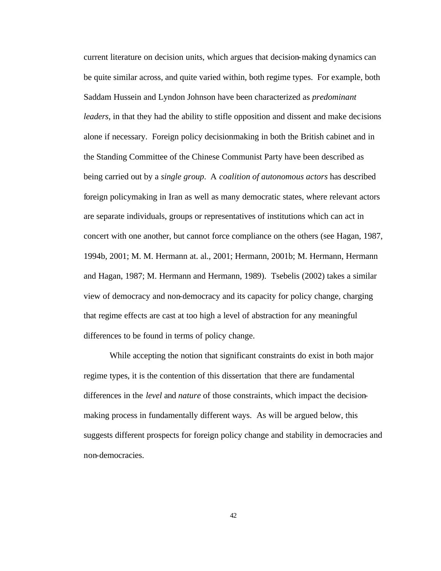current literature on decision units, which argues that decision-making dynamics can be quite similar across, and quite varied within, both regime types. For example, both Saddam Hussein and Lyndon Johnson have been characterized as *predominant leaders*, in that they had the ability to stifle opposition and dissent and make decisions alone if necessary. Foreign policy decisionmaking in both the British cabinet and in the Standing Committee of the Chinese Communist Party have been described as being carried out by a *single group*. A *coalition of autonomous actors* has described foreign policymaking in Iran as well as many democratic states, where relevant actors are separate individuals, groups or representatives of institutions which can act in concert with one another, but cannot force compliance on the others (see Hagan, 1987, 1994b, 2001; M. M. Hermann at. al., 2001; Hermann, 2001b; M. Hermann, Hermann and Hagan, 1987; M. Hermann and Hermann, 1989). Tsebelis (2002) takes a similar view of democracy and non-democracy and its capacity for policy change, charging that regime effects are cast at too high a level of abstraction for any meaningful differences to be found in terms of policy change.

While accepting the notion that significant constraints do exist in both major regime types, it is the contention of this dissertation that there are fundamental differences in the *level* and *nature* of those constraints, which impact the decisionmaking process in fundamentally different ways. As will be argued below, this suggests different prospects for foreign policy change and stability in democracies and non-democracies.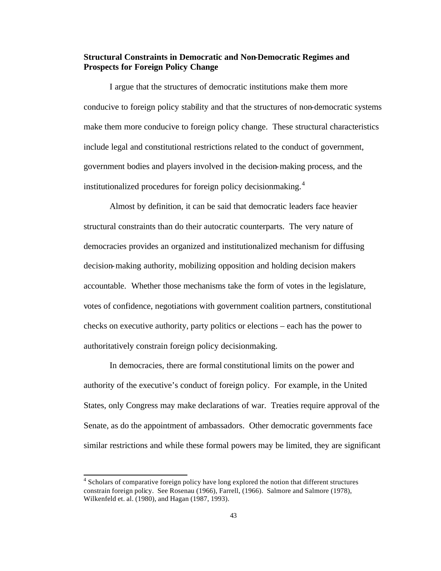## **Structural Constraints in Democratic and Non-Democratic Regimes and Prospects for Foreign Policy Change**

I argue that the structures of democratic institutions make them more conducive to foreign policy stability and that the structures of non-democratic systems make them more conducive to foreign policy change. These structural characteristics include legal and constitutional restrictions related to the conduct of government, government bodies and players involved in the decision-making process, and the institutionalized procedures for foreign policy decisionmaking.<sup>4</sup>

Almost by definition, it can be said that democratic leaders face heavier structural constraints than do their autocratic counterparts. The very nature of democracies provides an organized and institutionalized mechanism for diffusing decision-making authority, mobilizing opposition and holding decision makers accountable. Whether those mechanisms take the form of votes in the legislature, votes of confidence, negotiations with government coalition partners, constitutional checks on executive authority, party politics or elections – each has the power to authoritatively constrain foreign policy decisionmaking.

In democracies, there are formal constitutional limits on the power and authority of the executive's conduct of foreign policy. For example, in the United States, only Congress may make declarations of war. Treaties require approval of the Senate, as do the appointment of ambassadors. Other democratic governments face similar restrictions and while these formal powers may be limited, they are significant

<sup>&</sup>lt;sup>4</sup> Scholars of comparative foreign policy have long explored the notion that different structures constrain foreign policy. See Rosenau (1966), Farrell, (1966). Salmore and Salmore (1978), Wilkenfeld et. al. (1980), and Hagan (1987, 1993).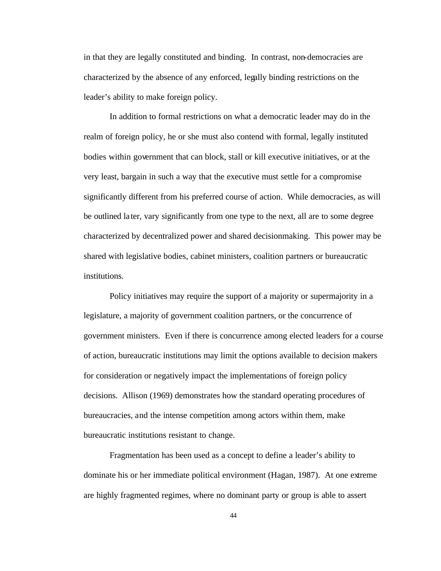in that they are legally constituted and binding. In contrast, non-democracies are characterized by the absence of any enforced, legally binding restrictions on the leader's ability to make foreign policy.

In addition to formal restrictions on what a democratic leader may do in the realm of foreign policy, he or she must also contend with formal, legally instituted bodies within government that can block, stall or kill executive initiatives, or at the very least, bargain in such a way that the executive must settle for a compromise significantly different from his preferred course of action. While democracies, as will be outlined later, vary significantly from one type to the next, all are to some degree characterized by decentralized power and shared decisionmaking. This power may be shared with legislative bodies, cabinet ministers, coalition partners or bureaucratic institutions.

Policy initiatives may require the support of a majority or supermajority in a legislature, a majority of government coalition partners, or the concurrence of government ministers. Even if there is concurrence among elected leaders for a course of action, bureaucratic institutions may limit the options available to decision makers for consideration or negatively impact the implementations of foreign policy decisions. Allison (1969) demonstrates how the standard operating procedures of bureaucracies, and the intense competition among actors within them, make bureaucratic institutions resistant to change.

Fragmentation has been used as a concept to define a leader's ability to dominate his or her immediate political environment (Hagan, 1987). At one extreme are highly fragmented regimes, where no dominant party or group is able to assert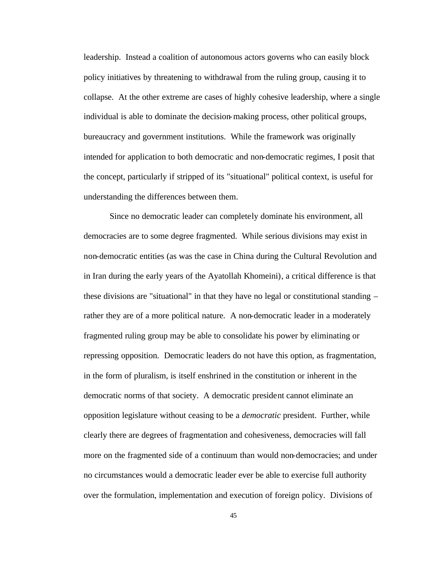leadership. Instead a coalition of autonomous actors governs who can easily block policy initiatives by threatening to withdrawal from the ruling group, causing it to collapse. At the other extreme are cases of highly cohesive leadership, where a single individual is able to dominate the decision-making process, other political groups, bureaucracy and government institutions. While the framework was originally intended for application to both democratic and non-democratic regimes, I posit that the concept, particularly if stripped of its "situational" political context, is useful for understanding the differences between them.

Since no democratic leader can completely dominate his environment, all democracies are to some degree fragmented. While serious divisions may exist in non-democratic entities (as was the case in China during the Cultural Revolution and in Iran during the early years of the Ayatollah Khomeini), a critical difference is that these divisions are "situational" in that they have no legal or constitutional standing – rather they are of a more political nature. A non-democratic leader in a moderately fragmented ruling group may be able to consolidate his power by eliminating or repressing opposition. Democratic leaders do not have this option, as fragmentation, in the form of pluralism, is itself enshrined in the constitution or inherent in the democratic norms of that society. A democratic president cannot eliminate an opposition legislature without ceasing to be a *democratic* president. Further, while clearly there are degrees of fragmentation and cohesiveness, democracies will fall more on the fragmented side of a continuum than would non-democracies; and under no circumstances would a democratic leader ever be able to exercise full authority over the formulation, implementation and execution of foreign policy. Divisions of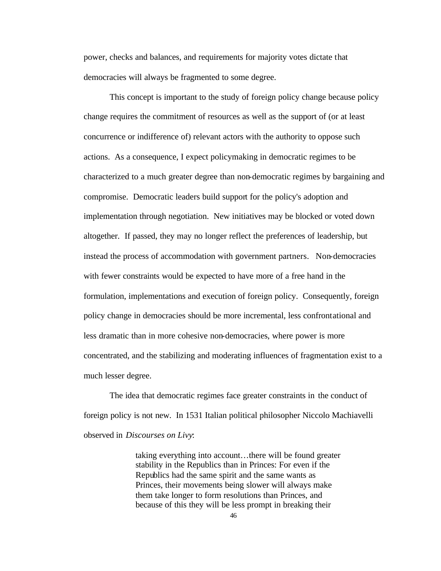power, checks and balances, and requirements for majority votes dictate that democracies will always be fragmented to some degree.

This concept is important to the study of foreign policy change because policy change requires the commitment of resources as well as the support of (or at least concurrence or indifference of) relevant actors with the authority to oppose such actions. As a consequence, I expect policymaking in democratic regimes to be characterized to a much greater degree than non-democratic regimes by bargaining and compromise. Democratic leaders build support for the policy's adoption and implementation through negotiation. New initiatives may be blocked or voted down altogether. If passed, they may no longer reflect the preferences of leadership, but instead the process of accommodation with government partners. Non-democracies with fewer constraints would be expected to have more of a free hand in the formulation, implementations and execution of foreign policy. Consequently, foreign policy change in democracies should be more incremental, less confrontational and less dramatic than in more cohesive non-democracies, where power is more concentrated, and the stabilizing and moderating influences of fragmentation exist to a much lesser degree.

The idea that democratic regimes face greater constraints in the conduct of foreign policy is not new. In 1531 Italian political philosopher Niccolo Machiavelli observed in *Discourses on Livy*:

> taking everything into account…there will be found greater stability in the Republics than in Princes: For even if the Republics had the same spirit and the same wants as Princes, their movements being slower will always make them take longer to form resolutions than Princes, and because of this they will be less prompt in breaking their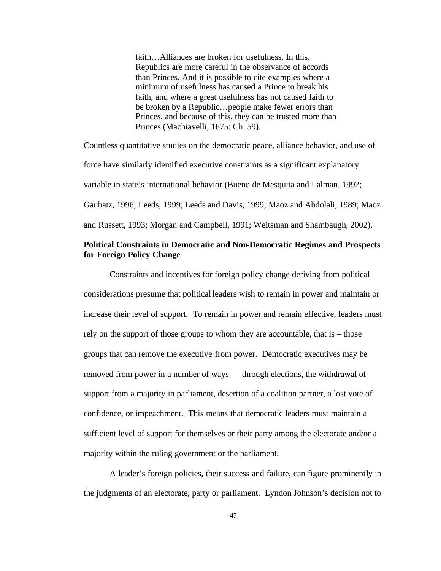faith…Alliances are broken for usefulness. In this, Republics are more careful in the observance of accords than Princes. And it is possible to cite examples where a minimum of usefulness has caused a Prince to break his faith, and where a great usefulness has not caused faith to be broken by a Republic…people make fewer errors than Princes, and because of this, they can be trusted more than Princes (Machiavelli, 1675: Ch. 59).

Countless quantitative studies on the democratic peace, alliance behavior, and use of force have similarly identified executive constraints as a significant explanatory variable in state's international behavior (Bueno de Mesquita and Lalman, 1992; Gaubatz, 1996; Leeds, 1999; Leeds and Davis, 1999; Maoz and Abdolali, 1989; Maoz and Russett, 1993; Morgan and Campbell, 1991; Weitsman and Shambaugh, 2002).

# **Political Constraints in Democratic and Non-Democratic Regimes and Prospects for Foreign Policy Change**

Constraints and incentives for foreign policy change deriving from political considerations presume that political leaders wish to remain in power and maintain or increase their level of support. To remain in power and remain effective, leaders must rely on the support of those groups to whom they are accountable, that is – those groups that can remove the executive from power. Democratic executives may be removed from power in a number of ways — through elections, the withdrawal of support from a majority in parliament, desertion of a coalition partner, a lost vote of confidence, or impeachment. This means that democratic leaders must maintain a sufficient level of support for themselves or their party among the electorate and/or a majority within the ruling government or the parliament.

A leader's foreign policies, their success and failure, can figure prominently in the judgments of an electorate, party or parliament. Lyndon Johnson's decision not to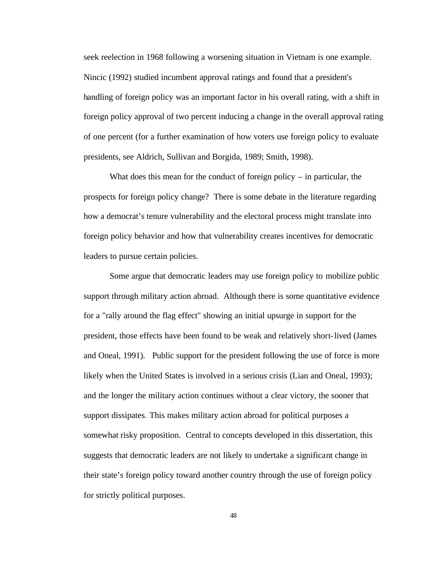seek reelection in 1968 following a worsening situation in Vietnam is one example. Nincic (1992) studied incumbent approval ratings and found that a president's handling of foreign policy was an important factor in his overall rating, with a shift in foreign policy approval of two percent inducing a change in the overall approval rating of one percent (for a further examination of how voters use foreign policy to evaluate presidents, see Aldrich, Sullivan and Borgida, 1989; Smith, 1998).

What does this mean for the conduct of foreign policy  $-$  in particular, the prospects for foreign policy change? There is some debate in the literature regarding how a democrat's tenure vulnerability and the electoral process might translate into foreign policy behavior and how that vulnerability creates incentives for democratic leaders to pursue certain policies.

Some argue that democratic leaders may use foreign policy to mobilize public support through military action abroad. Although there is some quantitative evidence for a "rally around the flag effect" showing an initial upsurge in support for the president, those effects have been found to be weak and relatively short-lived (James and Oneal, 1991). Public support for the president following the use of force is more likely when the United States is involved in a serious crisis (Lian and Oneal, 1993); and the longer the military action continues without a clear victory, the sooner that support dissipates. This makes military action abroad for political purposes a somewhat risky proposition. Central to concepts developed in this dissertation, this suggests that democratic leaders are not likely to undertake a significant change in their state's foreign policy toward another country through the use of foreign policy for strictly political purposes.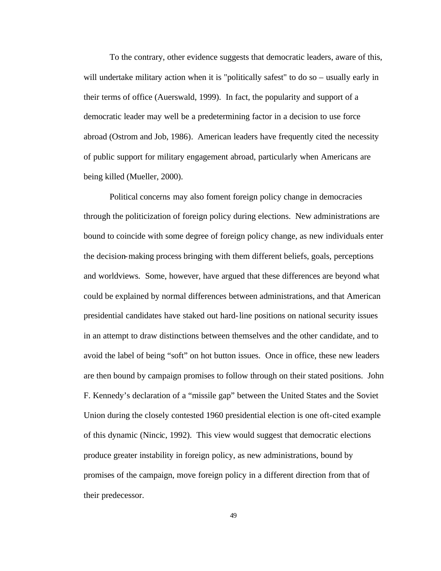To the contrary, other evidence suggests that democratic leaders, aware of this, will undertake military action when it is "politically safest" to do so – usually early in their terms of office (Auerswald, 1999). In fact, the popularity and support of a democratic leader may well be a predetermining factor in a decision to use force abroad (Ostrom and Job, 1986). American leaders have frequently cited the necessity of public support for military engagement abroad, particularly when Americans are being killed (Mueller, 2000).

Political concerns may also foment foreign policy change in democracies through the politicization of foreign policy during elections. New administrations are bound to coincide with some degree of foreign policy change, as new individuals enter the decision-making process bringing with them different beliefs, goals, perceptions and worldviews. Some, however, have argued that these differences are beyond what could be explained by normal differences between administrations, and that American presidential candidates have staked out hard-line positions on national security issues in an attempt to draw distinctions between themselves and the other candidate, and to avoid the label of being "soft" on hot button issues. Once in office, these new leaders are then bound by campaign promises to follow through on their stated positions. John F. Kennedy's declaration of a "missile gap" between the United States and the Soviet Union during the closely contested 1960 presidential election is one oft-cited example of this dynamic (Nincic, 1992). This view would suggest that democratic elections produce greater instability in foreign policy, as new administrations, bound by promises of the campaign, move foreign policy in a different direction from that of their predecessor.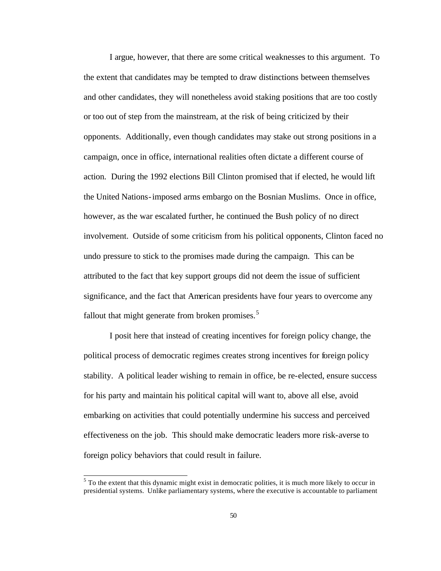I argue, however, that there are some critical weaknesses to this argument. To the extent that candidates may be tempted to draw distinctions between themselves and other candidates, they will nonetheless avoid staking positions that are too costly or too out of step from the mainstream, at the risk of being criticized by their opponents. Additionally, even though candidates may stake out strong positions in a campaign, once in office, international realities often dictate a different course of action. During the 1992 elections Bill Clinton promised that if elected, he would lift the United Nations-imposed arms embargo on the Bosnian Muslims. Once in office, however, as the war escalated further, he continued the Bush policy of no direct involvement. Outside of some criticism from his political opponents, Clinton faced no undo pressure to stick to the promises made during the campaign. This can be attributed to the fact that key support groups did not deem the issue of sufficient significance, and the fact that American presidents have four years to overcome any fallout that might generate from broken promises.<sup>5</sup>

I posit here that instead of creating incentives for foreign policy change, the political process of democratic regimes creates strong incentives for foreign policy stability. A political leader wishing to remain in office, be re-elected, ensure success for his party and maintain his political capital will want to, above all else, avoid embarking on activities that could potentially undermine his success and perceived effectiveness on the job. This should make democratic leaders more risk-averse to foreign policy behaviors that could result in failure.

 $<sup>5</sup>$  To the extent that this dynamic might exist in democratic polities, it is much more likely to occur in</sup> presidential systems. Unlike parliamentary systems, where the executive is accountable to parliament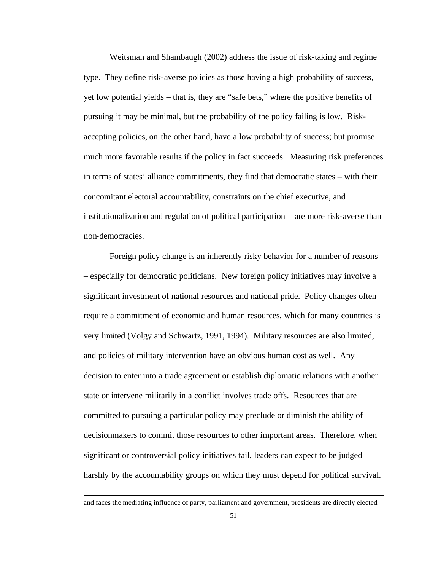Weitsman and Shambaugh (2002) address the issue of risk-taking and regime type. They define risk-averse policies as those having a high probability of success, yet low potential yields – that is, they are "safe bets," where the positive benefits of pursuing it may be minimal, but the probability of the policy failing is low. Riskaccepting policies, on the other hand, have a low probability of success; but promise much more favorable results if the policy in fact succeeds. Measuring risk preferences in terms of states' alliance commitments, they find that democratic states – with their concomitant electoral accountability, constraints on the chief executive, and institutionalization and regulation of political participation – are more risk-averse than non-democracies.

Foreign policy change is an inherently risky behavior for a number of reasons – especially for democratic politicians. New foreign policy initiatives may involve a significant investment of national resources and national pride. Policy changes often require a commitment of economic and human resources, which for many countries is very limited (Volgy and Schwartz, 1991, 1994). Military resources are also limited, and policies of military intervention have an obvious human cost as well. Any decision to enter into a trade agreement or establish diplomatic relations with another state or intervene militarily in a conflict involves trade offs. Resources that are committed to pursuing a particular policy may preclude or diminish the ability of decisionmakers to commit those resources to other important areas. Therefore, when significant or controversial policy initiatives fail, leaders can expect to be judged harshly by the accountability groups on which they must depend for political survival.

and faces the mediating influence of party, parliament and government, presidents are directly elected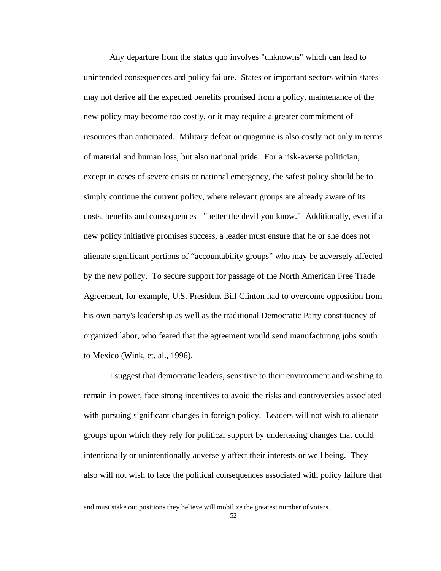Any departure from the status quo involves "unknowns" which can lead to unintended consequences and policy failure. States or important sectors within states may not derive all the expected benefits promised from a policy, maintenance of the new policy may become too costly, or it may require a greater commitment of resources than anticipated. Military defeat or quagmire is also costly not only in terms of material and human loss, but also national pride. For a risk-averse politician, except in cases of severe crisis or national emergency, the safest policy should be to simply continue the current policy, where relevant groups are already aware of its costs, benefits and consequences –"better the devil you know." Additionally, even if a new policy initiative promises success, a leader must ensure that he or she does not alienate significant portions of "accountability groups" who may be adversely affected by the new policy. To secure support for passage of the North American Free Trade Agreement, for example, U.S. President Bill Clinton had to overcome opposition from his own party's leadership as well as the traditional Democratic Party constituency of organized labor, who feared that the agreement would send manufacturing jobs south to Mexico (Wink, et. al., 1996).

I suggest that democratic leaders, sensitive to their environment and wishing to remain in power, face strong incentives to avoid the risks and controversies associated with pursuing significant changes in foreign policy. Leaders will not wish to alienate groups upon which they rely for political support by undertaking changes that could intentionally or unintentionally adversely affect their interests or well being. They also will not wish to face the political consequences associated with policy failure that

and must stake out positions they believe will mobilize the greatest number of voters.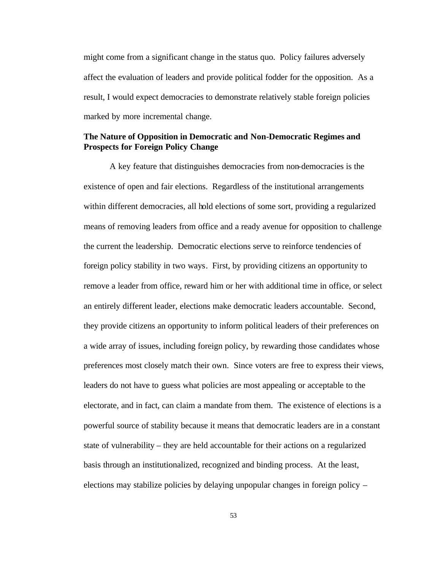might come from a significant change in the status quo. Policy failures adversely affect the evaluation of leaders and provide political fodder for the opposition. As a result, I would expect democracies to demonstrate relatively stable foreign policies marked by more incremental change.

# **The Nature of Opposition in Democratic and Non-Democratic Regimes and Prospects for Foreign Policy Change**

A key feature that distinguishes democracies from non-democracies is the existence of open and fair elections. Regardless of the institutional arrangements within different democracies, all hold elections of some sort, providing a regularized means of removing leaders from office and a ready avenue for opposition to challenge the current the leadership. Democratic elections serve to reinforce tendencies of foreign policy stability in two ways. First, by providing citizens an opportunity to remove a leader from office, reward him or her with additional time in office, or select an entirely different leader, elections make democratic leaders accountable. Second, they provide citizens an opportunity to inform political leaders of their preferences on a wide array of issues, including foreign policy, by rewarding those candidates whose preferences most closely match their own. Since voters are free to express their views, leaders do not have to guess what policies are most appealing or acceptable to the electorate, and in fact, can claim a mandate from them. The existence of elections is a powerful source of stability because it means that democratic leaders are in a constant state of vulnerability – they are held accountable for their actions on a regularized basis through an institutionalized, recognized and binding process. At the least, elections may stabilize policies by delaying unpopular changes in foreign policy –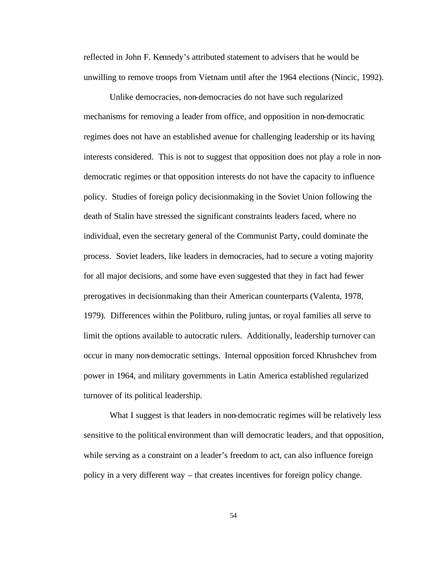reflected in John F. Kennedy's attributed statement to advisers that he would be unwilling to remove troops from Vietnam until after the 1964 elections (Nincic, 1992).

Unlike democracies, non-democracies do not have such regularized mechanisms for removing a leader from office, and opposition in non-democratic regimes does not have an established avenue for challenging leadership or its having interests considered. This is not to suggest that opposition does not play a role in nondemocratic regimes or that opposition interests do not have the capacity to influence policy. Studies of foreign policy decisionmaking in the Soviet Union following the death of Stalin have stressed the significant constraints leaders faced, where no individual, even the secretary general of the Communist Party, could dominate the process. Soviet leaders, like leaders in democracies, had to secure a voting majority for all major decisions, and some have even suggested that they in fact had fewer prerogatives in decisionmaking than their American counterparts (Valenta, 1978, 1979). Differences within the Politburo, ruling juntas, or royal families all serve to limit the options available to autocratic rulers. Additionally, leadership turnover can occur in many non-democratic settings. Internal opposition forced Khrushchev from power in 1964, and military governments in Latin America established regularized turnover of its political leadership.

What I suggest is that leaders in non-democratic regimes will be relatively less sensitive to the political environment than will democratic leaders, and that opposition, while serving as a constraint on a leader's freedom to act, can also influence foreign policy in a very different way – that creates incentives for foreign policy change.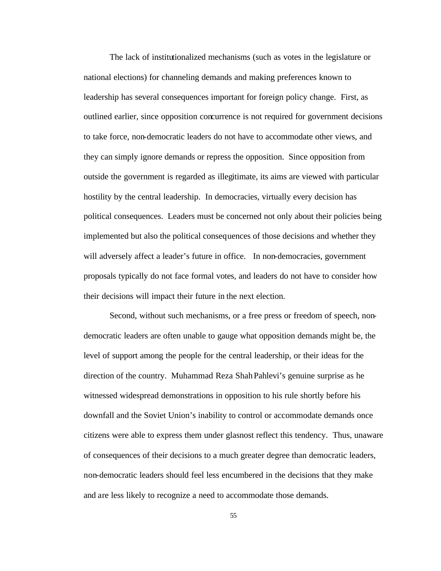The lack of institutionalized mechanisms (such as votes in the legislature or national elections) for channeling demands and making preferences known to leadership has several consequences important for foreign policy change. First, as outlined earlier, since opposition concurrence is not required for government decisions to take force, non-democratic leaders do not have to accommodate other views, and they can simply ignore demands or repress the opposition. Since opposition from outside the government is regarded as illegitimate, its aims are viewed with particular hostility by the central leadership. In democracies, virtually every decision has political consequences. Leaders must be concerned not only about their policies being implemented but also the political consequences of those decisions and whether they will adversely affect a leader's future in office. In non-democracies, government proposals typically do not face formal votes, and leaders do not have to consider how their decisions will impact their future in the next election.

Second, without such mechanisms, or a free press or freedom of speech, nondemocratic leaders are often unable to gauge what opposition demands might be, the level of support among the people for the central leadership, or their ideas for the direction of the country. Muhammad Reza ShahPahlevi's genuine surprise as he witnessed widespread demonstrations in opposition to his rule shortly before his downfall and the Soviet Union's inability to control or accommodate demands once citizens were able to express them under glasnost reflect this tendency. Thus, unaware of consequences of their decisions to a much greater degree than democratic leaders, non-democratic leaders should feel less encumbered in the decisions that they make and are less likely to recognize a need to accommodate those demands.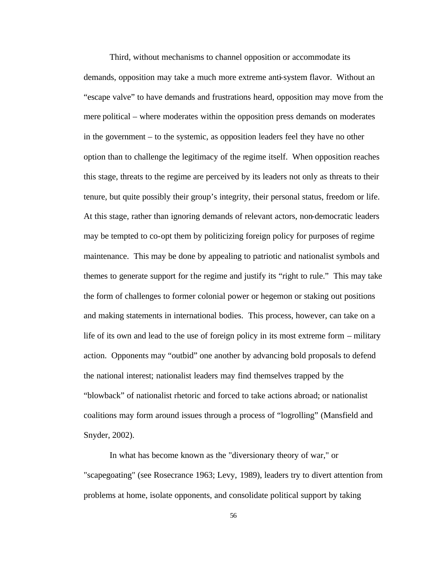Third, without mechanisms to channel opposition or accommodate its demands, opposition may take a much more extreme anti-system flavor. Without an "escape valve" to have demands and frustrations heard, opposition may move from the mere political – where moderates within the opposition press demands on moderates in the government – to the systemic, as opposition leaders feel they have no other option than to challenge the legitimacy of the regime itself. When opposition reaches this stage, threats to the regime are perceived by its leaders not only as threats to their tenure, but quite possibly their group's integrity, their personal status, freedom or life. At this stage, rather than ignoring demands of relevant actors, non-democratic leaders may be tempted to co-opt them by politicizing foreign policy for purposes of regime maintenance. This may be done by appealing to patriotic and nationalist symbols and themes to generate support for the regime and justify its "right to rule." This may take the form of challenges to former colonial power or hegemon or staking out positions and making statements in international bodies. This process, however, can take on a life of its own and lead to the use of foreign policy in its most extreme form – military action. Opponents may "outbid" one another by advancing bold proposals to defend the national interest; nationalist leaders may find themselves trapped by the "blowback" of nationalist rhetoric and forced to take actions abroad; or nationalist coalitions may form around issues through a process of "logrolling" (Mansfield and Snyder, 2002).

In what has become known as the "diversionary theory of war," or "scapegoating" (see Rosecrance 1963; Levy, 1989), leaders try to divert attention from problems at home, isolate opponents, and consolidate political support by taking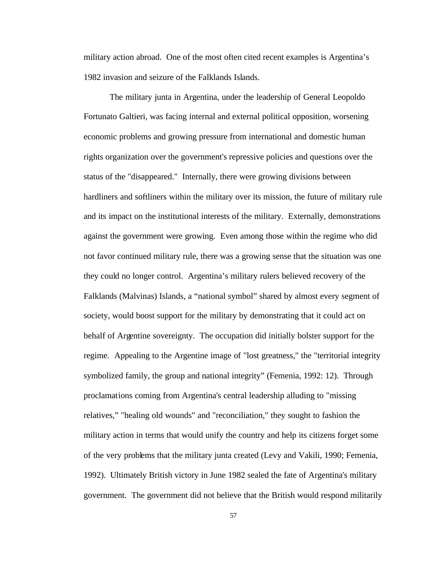military action abroad. One of the most often cited recent examples is Argentina's 1982 invasion and seizure of the Falklands Islands.

The military junta in Argentina, under the leadership of General Leopoldo Fortunato Galtieri, was facing internal and external political opposition, worsening economic problems and growing pressure from international and domestic human rights organization over the government's repressive policies and questions over the status of the "disappeared." Internally, there were growing divisions between hardliners and softliners within the military over its mission, the future of military rule and its impact on the institutional interests of the military. Externally, demonstrations against the government were growing. Even among those within the regime who did not favor continued military rule, there was a growing sense that the situation was one they could no longer control. Argentina's military rulers believed recovery of the Falklands (Malvinas) Islands, a "national symbol" shared by almost every segment of society, would boost support for the military by demonstrating that it could act on behalf of Argentine sovereignty. The occupation did initially bolster support for the regime. Appealing to the Argentine image of "lost greatness," the "territorial integrity symbolized family, the group and national integrity" (Femenia, 1992: 12). Through proclamations coming from Argentina's central leadership alluding to "missing relatives," "healing old wounds" and "reconciliation," they sought to fashion the military action in terms that would unify the country and help its citizens forget some of the very problems that the military junta created (Levy and Vakili, 1990; Femenia, 1992). Ultimately British victory in June 1982 sealed the fate of Argentina's military government. The government did not believe that the British would respond militarily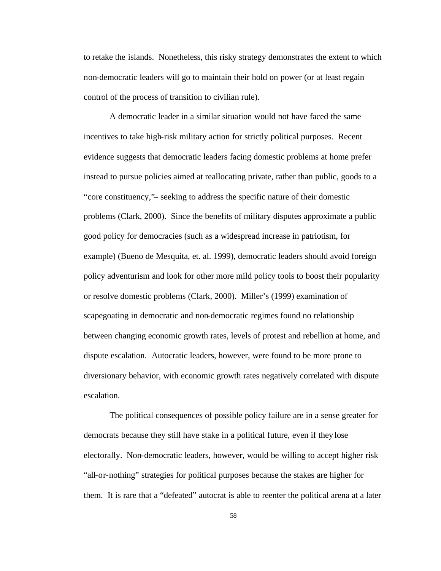to retake the islands. Nonetheless, this risky strategy demonstrates the extent to which non-democratic leaders will go to maintain their hold on power (or at least regain control of the process of transition to civilian rule).

A democratic leader in a similar situation would not have faced the same incentives to take high-risk military action for strictly political purposes. Recent evidence suggests that democratic leaders facing domestic problems at home prefer instead to pursue policies aimed at reallocating private, rather than public, goods to a "core constituency,"– seeking to address the specific nature of their domestic problems (Clark, 2000). Since the benefits of military disputes approximate a public good policy for democracies (such as a widespread increase in patriotism, for example) (Bueno de Mesquita, et. al. 1999), democratic leaders should avoid foreign policy adventurism and look for other more mild policy tools to boost their popularity or resolve domestic problems (Clark, 2000). Miller's (1999) examination of scapegoating in democratic and non-democratic regimes found no relationship between changing economic growth rates, levels of protest and rebellion at home, and dispute escalation. Autocratic leaders, however, were found to be more prone to diversionary behavior, with economic growth rates negatively correlated with dispute escalation.

The political consequences of possible policy failure are in a sense greater for democrats because they still have stake in a political future, even if they lose electorally. Non-democratic leaders, however, would be willing to accept higher risk "all-or-nothing" strategies for political purposes because the stakes are higher for them. It is rare that a "defeated" autocrat is able to reenter the political arena at a later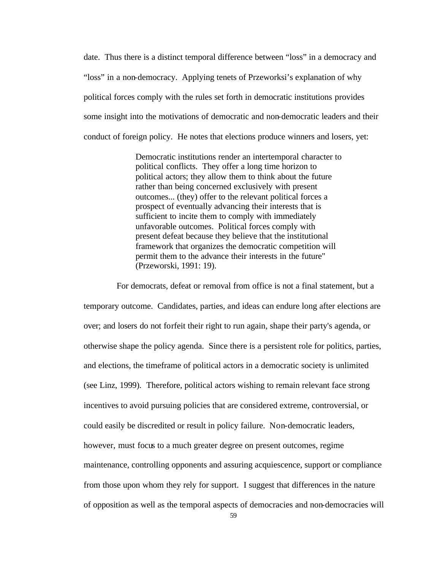date. Thus there is a distinct temporal difference between "loss" in a democracy and "loss" in a non-democracy. Applying tenets of Przeworksi's explanation of why political forces comply with the rules set forth in democratic institutions provides some insight into the motivations of democratic and non-democratic leaders and their conduct of foreign policy. He notes that elections produce winners and losers, yet:

> Democratic institutions render an intertemporal character to political conflicts. They offer a long time horizon to political actors; they allow them to think about the future rather than being concerned exclusively with present outcomes... (they) offer to the relevant political forces a prospect of eventually advancing their interests that is sufficient to incite them to comply with immediately unfavorable outcomes. Political forces comply with present defeat because they believe that the institutional framework that organizes the democratic competition will permit them to the advance their interests in the future" (Przeworski, 1991: 19).

For democrats, defeat or removal from office is not a final statement, but a temporary outcome. Candidates, parties, and ideas can endure long after elections are over; and losers do not forfeit their right to run again, shape their party's agenda, or otherwise shape the policy agenda. Since there is a persistent role for politics, parties, and elections, the timeframe of political actors in a democratic society is unlimited (see Linz, 1999). Therefore, political actors wishing to remain relevant face strong incentives to avoid pursuing policies that are considered extreme, controversial, or could easily be discredited or result in policy failure. Non-democratic leaders, however, must focus to a much greater degree on present outcomes, regime maintenance, controlling opponents and assuring acquiescence, support or compliance from those upon whom they rely for support. I suggest that differences in the nature of opposition as well as the temporal aspects of democracies and non-democracies will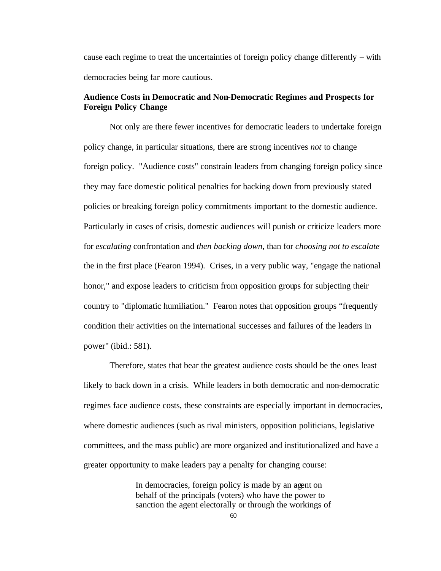cause each regime to treat the uncertainties of foreign policy change differently – with democracies being far more cautious.

## **Audience Costs in Democratic and Non-Democratic Regimes and Prospects for Foreign Policy Change**

Not only are there fewer incentives for democratic leaders to undertake foreign policy change, in particular situations, there are strong incentives *not* to change foreign policy. "Audience costs" constrain leaders from changing foreign policy since they may face domestic political penalties for backing down from previously stated policies or breaking foreign policy commitments important to the domestic audience. Particularly in cases of crisis, domestic audiences will punish or criticize leaders more for *escalating* confrontation and *then backing down*, than for *choosing not to escalate*  the in the first place (Fearon 1994). Crises, in a very public way, "engage the national honor," and expose leaders to criticism from opposition groups for subjecting their country to "diplomatic humiliation." Fearon notes that opposition groups "frequently condition their activities on the international successes and failures of the leaders in power" (ibid.: 581).

Therefore, states that bear the greatest audience costs should be the ones least likely to back down in a crisis. While leaders in both democratic and non-democratic regimes face audience costs, these constraints are especially important in democracies, where domestic audiences (such as rival ministers, opposition politicians, legislative committees, and the mass public) are more organized and institutionalized and have a greater opportunity to make leaders pay a penalty for changing course:

> In democracies, foreign policy is made by an agent on behalf of the principals (voters) who have the power to sanction the agent electorally or through the workings of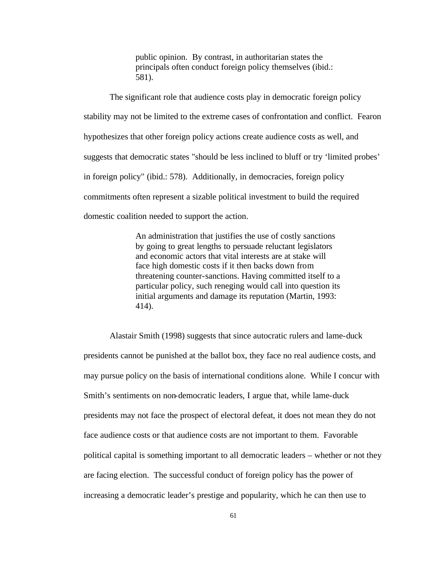public opinion. By contrast, in authoritarian states the principals often conduct foreign policy themselves (ibid.: 581).

The significant role that audience costs play in democratic foreign policy stability may not be limited to the extreme cases of confrontation and conflict. Fearon hypothesizes that other foreign policy actions create audience costs as well, and suggests that democratic states "should be less inclined to bluff or try 'limited probes' in foreign policy" (ibid.: 578). Additionally, in democracies, foreign policy commitments often represent a sizable political investment to build the required domestic coalition needed to support the action.

> An administration that justifies the use of costly sanctions by going to great lengths to persuade reluctant legislators and economic actors that vital interests are at stake will face high domestic costs if it then backs down from threatening counter-sanctions. Having committed itself to a particular policy, such reneging would call into question its initial arguments and damage its reputation (Martin, 1993: 414).

Alastair Smith (1998) suggests that since autocratic rulers and lame-duck presidents cannot be punished at the ballot box, they face no real audience costs, and may pursue policy on the basis of international conditions alone. While I concur with Smith's sentiments on non-democratic leaders, I argue that, while lame-duck presidents may not face the prospect of electoral defeat, it does not mean they do not face audience costs or that audience costs are not important to them. Favorable political capital is something important to all democratic leaders – whether or not they are facing election. The successful conduct of foreign policy has the power of increasing a democratic leader's prestige and popularity, which he can then use to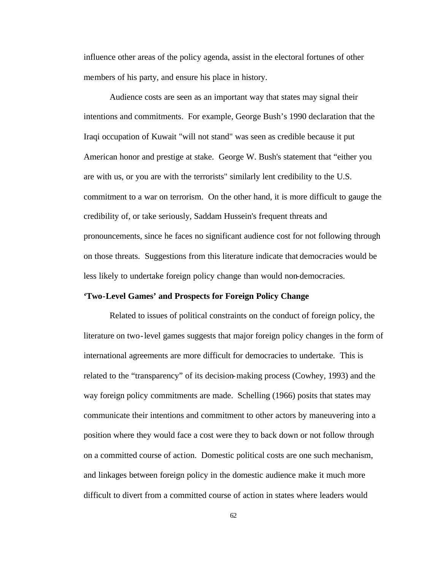influence other areas of the policy agenda, assist in the electoral fortunes of other members of his party, and ensure his place in history.

Audience costs are seen as an important way that states may signal their intentions and commitments. For example, George Bush's 1990 declaration that the Iraqi occupation of Kuwait "will not stand" was seen as credible because it put American honor and prestige at stake. George W. Bush's statement that "either you are with us, or you are with the terrorists" similarly lent credibility to the U.S. commitment to a war on terrorism. On the other hand, it is more difficult to gauge the credibility of, or take seriously, Saddam Hussein's frequent threats and pronouncements, since he faces no significant audience cost for not following through on those threats. Suggestions from this literature indicate that democracies would be less likely to undertake foreign policy change than would non-democracies.

### **'Two-Level Games' and Prospects for Foreign Policy Change**

Related to issues of political constraints on the conduct of foreign policy, the literature on two-level games suggests that major foreign policy changes in the form of international agreements are more difficult for democracies to undertake. This is related to the "transparency" of its decision-making process (Cowhey, 1993) and the way foreign policy commitments are made. Schelling (1966) posits that states may communicate their intentions and commitment to other actors by maneuvering into a position where they would face a cost were they to back down or not follow through on a committed course of action. Domestic political costs are one such mechanism, and linkages between foreign policy in the domestic audience make it much more difficult to divert from a committed course of action in states where leaders would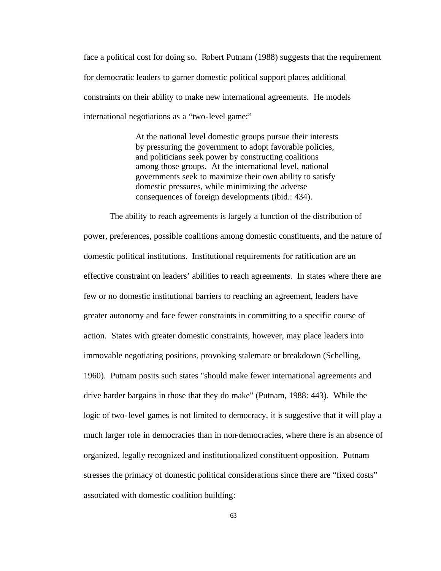face a political cost for doing so. Robert Putnam (1988) suggests that the requirement for democratic leaders to garner domestic political support places additional constraints on their ability to make new international agreements. He models international negotiations as a "two-level game:"

> At the national level domestic groups pursue their interests by pressuring the government to adopt favorable policies, and politicians seek power by constructing coalitions among those groups. At the international level, national governments seek to maximize their own ability to satisfy domestic pressures, while minimizing the adverse consequences of foreign developments (ibid.: 434).

The ability to reach agreements is largely a function of the distribution of power, preferences, possible coalitions among domestic constituents, and the nature of domestic political institutions. Institutional requirements for ratification are an effective constraint on leaders' abilities to reach agreements. In states where there are few or no domestic institutional barriers to reaching an agreement, leaders have greater autonomy and face fewer constraints in committing to a specific course of action. States with greater domestic constraints, however, may place leaders into immovable negotiating positions, provoking stalemate or breakdown (Schelling, 1960). Putnam posits such states "should make fewer international agreements and drive harder bargains in those that they do make" (Putnam, 1988: 443). While the logic of two-level games is not limited to democracy, it is suggestive that it will play a much larger role in democracies than in non-democracies, where there is an absence of organized, legally recognized and institutionalized constituent opposition. Putnam stresses the primacy of domestic political considerations since there are "fixed costs" associated with domestic coalition building: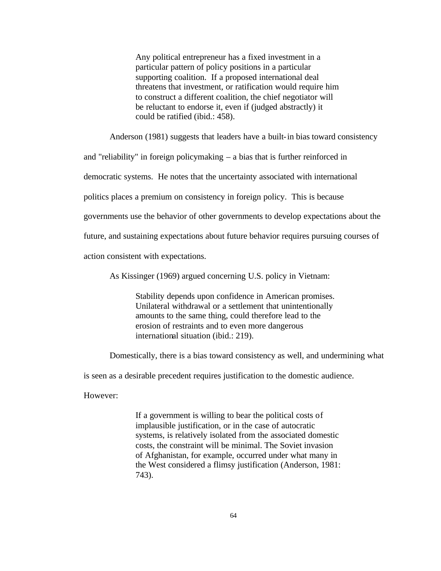Any political entrepreneur has a fixed investment in a particular pattern of policy positions in a particular supporting coalition. If a proposed international deal threatens that investment, or ratification would require him to construct a different coalition, the chief negotiator will be reluctant to endorse it, even if (judged abstractly) it could be ratified (ibid.: 458).

Anderson (1981) suggests that leaders have a built-in bias toward consistency

and "reliability" in foreign policymaking – a bias that is further reinforced in

democratic systems. He notes that the uncertainty associated with international

politics places a premium on consistency in foreign policy. This is because

governments use the behavior of other governments to develop expectations about the

future, and sustaining expectations about future behavior requires pursuing courses of

action consistent with expectations.

As Kissinger (1969) argued concerning U.S. policy in Vietnam:

Stability depends upon confidence in American promises. Unilateral withdrawal or a settlement that unintentionally amounts to the same thing, could therefore lead to the erosion of restraints and to even more dangerous international situation (ibid.: 219).

Domestically, there is a bias toward consistency as well, and undermining what

is seen as a desirable precedent requires justification to the domestic audience.

However:

If a government is willing to bear the political costs of implausible justification, or in the case of autocratic systems, is relatively isolated from the associated domestic costs, the constraint will be minimal. The Soviet invasion of Afghanistan, for example, occurred under what many in the West considered a flimsy justification (Anderson, 1981: 743).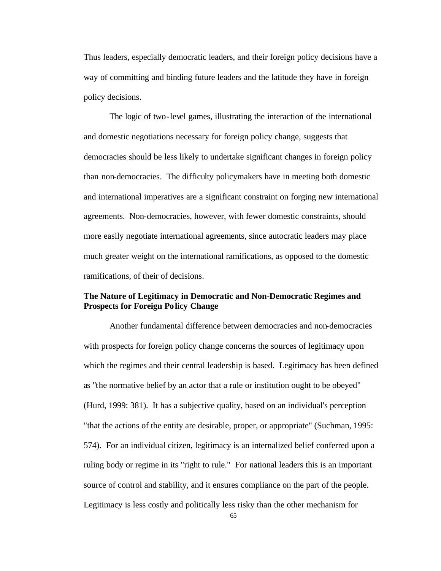Thus leaders, especially democratic leaders, and their foreign policy decisions have a way of committing and binding future leaders and the latitude they have in foreign policy decisions.

The logic of two-level games, illustrating the interaction of the international and domestic negotiations necessary for foreign policy change, suggests that democracies should be less likely to undertake significant changes in foreign policy than non-democracies. The difficulty policymakers have in meeting both domestic and international imperatives are a significant constraint on forging new international agreements. Non-democracies, however, with fewer domestic constraints, should more easily negotiate international agreements, since autocratic leaders may place much greater weight on the international ramifications, as opposed to the domestic ramifications, of their of decisions.

## **The Nature of Legitimacy in Democratic and Non-Democratic Regimes and Prospects for Foreign Policy Change**

Another fundamental difference between democracies and non-democracies with prospects for foreign policy change concerns the sources of legitimacy upon which the regimes and their central leadership is based. Legitimacy has been defined as "the normative belief by an actor that a rule or institution ought to be obeyed" (Hurd, 1999: 381). It has a subjective quality, based on an individual's perception "that the actions of the entity are desirable, proper, or appropriate" (Suchman, 1995: 574). For an individual citizen, legitimacy is an internalized belief conferred upon a ruling body or regime in its "right to rule." For national leaders this is an important source of control and stability, and it ensures compliance on the part of the people. Legitimacy is less costly and politically less risky than the other mechanism for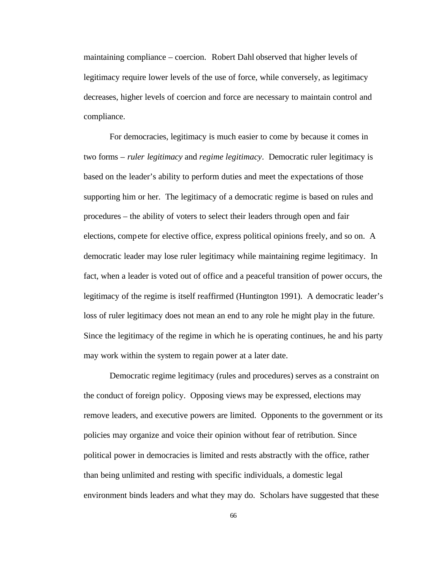maintaining compliance – coercion. Robert Dahl observed that higher levels of legitimacy require lower levels of the use of force, while conversely, as legitimacy decreases, higher levels of coercion and force are necessary to maintain control and compliance.

For democracies, legitimacy is much easier to come by because it comes in two forms – *ruler legitimacy* and *regime legitimacy*. Democratic ruler legitimacy is based on the leader's ability to perform duties and meet the expectations of those supporting him or her. The legitimacy of a democratic regime is based on rules and procedures – the ability of voters to select their leaders through open and fair elections, compete for elective office, express political opinions freely, and so on. A democratic leader may lose ruler legitimacy while maintaining regime legitimacy. In fact, when a leader is voted out of office and a peaceful transition of power occurs, the legitimacy of the regime is itself reaffirmed (Huntington 1991). A democratic leader's loss of ruler legitimacy does not mean an end to any role he might play in the future. Since the legitimacy of the regime in which he is operating continues, he and his party may work within the system to regain power at a later date.

Democratic regime legitimacy (rules and procedures) serves as a constraint on the conduct of foreign policy. Opposing views may be expressed, elections may remove leaders, and executive powers are limited. Opponents to the government or its policies may organize and voice their opinion without fear of retribution. Since political power in democracies is limited and rests abstractly with the office, rather than being unlimited and resting with specific individuals, a domestic legal environment binds leaders and what they may do. Scholars have suggested that these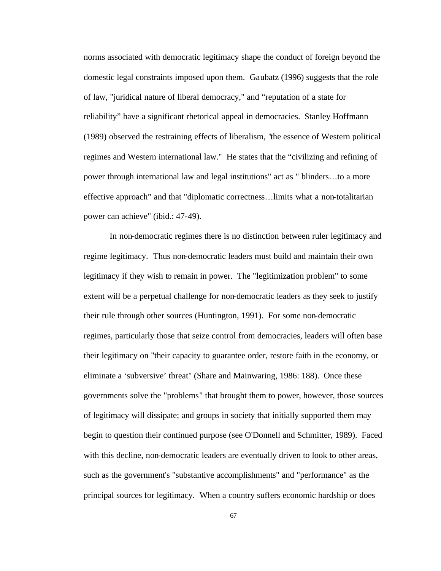norms associated with democratic legitimacy shape the conduct of foreign beyond the domestic legal constraints imposed upon them. Gaubatz (1996) suggests that the role of law, "juridical nature of liberal democracy," and "reputation of a state for reliability" have a significant rhetorical appeal in democracies. Stanley Hoffmann (1989) observed the restraining effects of liberalism, "the essence of Western political regimes and Western international law." He states that the "civilizing and refining of power through international law and legal institutions" act as " blinders…to a more effective approach" and that "diplomatic correctness…limits what a non-totalitarian power can achieve" (ibid.: 47-49).

In non-democratic regimes there is no distinction between ruler legitimacy and regime legitimacy. Thus non-democratic leaders must build and maintain their own legitimacy if they wish to remain in power. The "legitimization problem" to some extent will be a perpetual challenge for non-democratic leaders as they seek to justify their rule through other sources (Huntington, 1991). For some non-democratic regimes, particularly those that seize control from democracies, leaders will often base their legitimacy on "their capacity to guarantee order, restore faith in the economy, or eliminate a 'subversive' threat" (Share and Mainwaring, 1986: 188). Once these governments solve the "problems" that brought them to power, however, those sources of legitimacy will dissipate; and groups in society that initially supported them may begin to question their continued purpose (see O'Donnell and Schmitter, 1989). Faced with this decline, non-democratic leaders are eventually driven to look to other areas, such as the government's "substantive accomplishments" and "performance" as the principal sources for legitimacy. When a country suffers economic hardship or does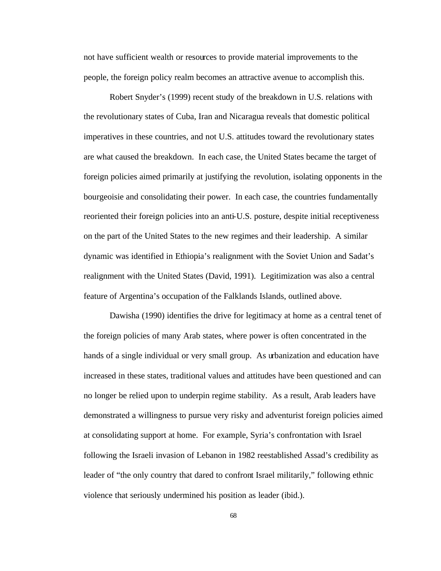not have sufficient wealth or resources to provide material improvements to the people, the foreign policy realm becomes an attractive avenue to accomplish this.

Robert Snyder's (1999) recent study of the breakdown in U.S. relations with the revolutionary states of Cuba, Iran and Nicaragua reveals that domestic political imperatives in these countries, and not U.S. attitudes toward the revolutionary states are what caused the breakdown. In each case, the United States became the target of foreign policies aimed primarily at justifying the revolution, isolating opponents in the bourgeoisie and consolidating their power. In each case, the countries fundamentally reoriented their foreign policies into an anti-U.S. posture, despite initial receptiveness on the part of the United States to the new regimes and their leadership. A similar dynamic was identified in Ethiopia's realignment with the Soviet Union and Sadat's realignment with the United States (David, 1991). Legitimization was also a central feature of Argentina's occupation of the Falklands Islands, outlined above.

Dawisha (1990) identifies the drive for legitimacy at home as a central tenet of the foreign policies of many Arab states, where power is often concentrated in the hands of a single individual or very small group. As urbanization and education have increased in these states, traditional values and attitudes have been questioned and can no longer be relied upon to underpin regime stability. As a result, Arab leaders have demonstrated a willingness to pursue very risky and adventurist foreign policies aimed at consolidating support at home. For example, Syria's confrontation with Israel following the Israeli invasion of Lebanon in 1982 reestablished Assad's credibility as leader of "the only country that dared to confront Israel militarily," following ethnic violence that seriously undermined his position as leader (ibid.).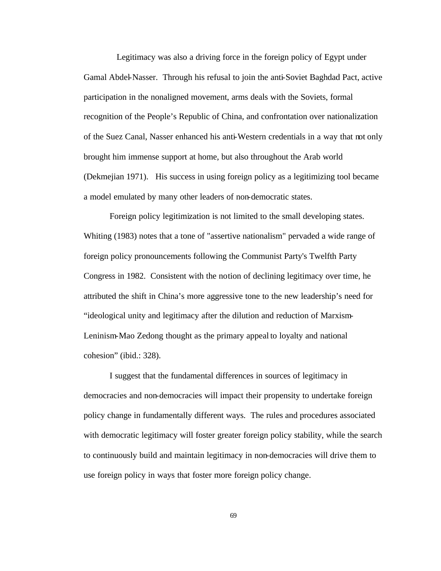Legitimacy was also a driving force in the foreign policy of Egypt under Gamal Abdel-Nasser. Through his refusal to join the anti-Soviet Baghdad Pact, active participation in the nonaligned movement, arms deals with the Soviets, formal recognition of the People's Republic of China, and confrontation over nationalization of the Suez Canal, Nasser enhanced his anti-Western credentials in a way that not only brought him immense support at home, but also throughout the Arab world (Dekmejian 1971). His success in using foreign policy as a legitimizing tool became a model emulated by many other leaders of non-democratic states.

Foreign policy legitimization is not limited to the small developing states. Whiting (1983) notes that a tone of "assertive nationalism" pervaded a wide range of foreign policy pronouncements following the Communist Party's Twelfth Party Congress in 1982. Consistent with the notion of declining legitimacy over time, he attributed the shift in China's more aggressive tone to the new leadership's need for "ideological unity and legitimacy after the dilution and reduction of Marxism-Leninism-Mao Zedong thought as the primary appeal to loyalty and national cohesion" (ibid.: 328).

I suggest that the fundamental differences in sources of legitimacy in democracies and non-democracies will impact their propensity to undertake foreign policy change in fundamentally different ways. The rules and procedures associated with democratic legitimacy will foster greater foreign policy stability, while the search to continuously build and maintain legitimacy in non-democracies will drive them to use foreign policy in ways that foster more foreign policy change.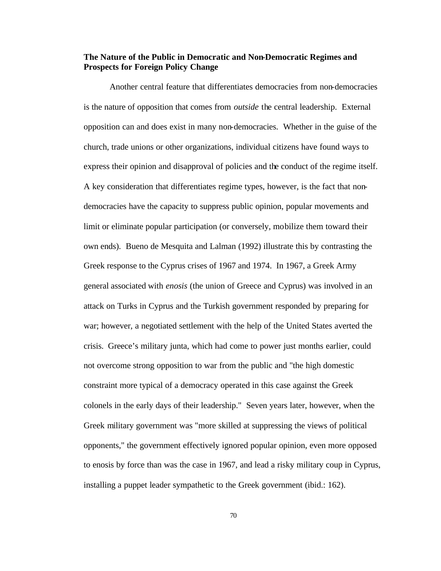# **The Nature of the Public in Democratic and Non-Democratic Regimes and Prospects for Foreign Policy Change**

Another central feature that differentiates democracies from non-democracies is the nature of opposition that comes from *outside* the central leadership. External opposition can and does exist in many non-democracies. Whether in the guise of the church, trade unions or other organizations, individual citizens have found ways to express their opinion and disapproval of policies and the conduct of the regime itself. A key consideration that differentiates regime types, however, is the fact that nondemocracies have the capacity to suppress public opinion, popular movements and limit or eliminate popular participation (or conversely, mobilize them toward their own ends). Bueno de Mesquita and Lalman (1992) illustrate this by contrasting the Greek response to the Cyprus crises of 1967 and 1974. In 1967, a Greek Army general associated with *enosis* (the union of Greece and Cyprus) was involved in an attack on Turks in Cyprus and the Turkish government responded by preparing for war; however, a negotiated settlement with the help of the United States averted the crisis. Greece's military junta, which had come to power just months earlier, could not overcome strong opposition to war from the public and "the high domestic constraint more typical of a democracy operated in this case against the Greek colonels in the early days of their leadership." Seven years later, however, when the Greek military government was "more skilled at suppressing the views of political opponents," the government effectively ignored popular opinion, even more opposed to enosis by force than was the case in 1967, and lead a risky military coup in Cyprus, installing a puppet leader sympathetic to the Greek government (ibid.: 162).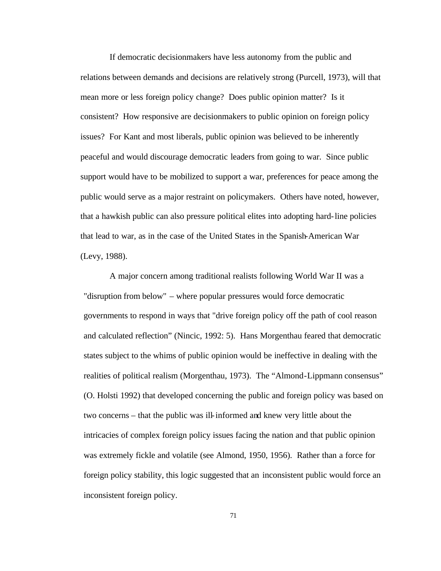If democratic decisionmakers have less autonomy from the public and relations between demands and decisions are relatively strong (Purcell, 1973), will that mean more or less foreign policy change? Does public opinion matter? Is it consistent? How responsive are decisionmakers to public opinion on foreign policy issues? For Kant and most liberals, public opinion was believed to be inherently peaceful and would discourage democratic leaders from going to war. Since public support would have to be mobilized to support a war, preferences for peace among the public would serve as a major restraint on policymakers. Others have noted, however, that a hawkish public can also pressure political elites into adopting hard-line policies that lead to war, as in the case of the United States in the Spanish-American War (Levy, 1988).

A major concern among traditional realists following World War II was a "disruption from below" – where popular pressures would force democratic governments to respond in ways that "drive foreign policy off the path of cool reason and calculated reflection" (Nincic, 1992: 5). Hans Morgenthau feared that democratic states subject to the whims of public opinion would be ineffective in dealing with the realities of political realism (Morgenthau, 1973). The "Almond-Lippmann consensus" (O. Holsti 1992) that developed concerning the public and foreign policy was based on two concerns – that the public was ill-informed and knew very little about the intricacies of complex foreign policy issues facing the nation and that public opinion was extremely fickle and volatile (see Almond, 1950, 1956). Rather than a force for foreign policy stability, this logic suggested that an inconsistent public would force an inconsistent foreign policy.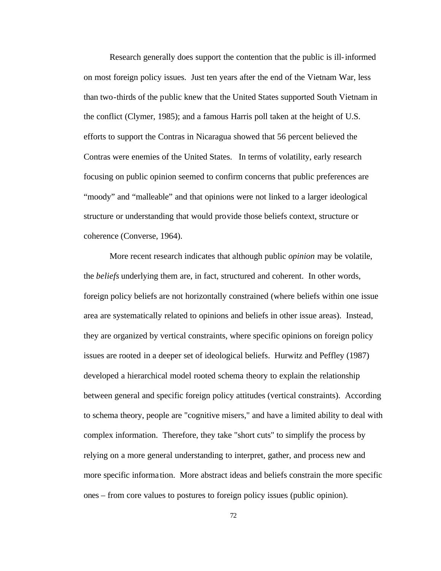Research generally does support the contention that the public is ill-informed on most foreign policy issues. Just ten years after the end of the Vietnam War, less than two-thirds of the public knew that the United States supported South Vietnam in the conflict (Clymer, 1985); and a famous Harris poll taken at the height of U.S. efforts to support the Contras in Nicaragua showed that 56 percent believed the Contras were enemies of the United States. In terms of volatility, early research focusing on public opinion seemed to confirm concerns that public preferences are "moody" and "malleable" and that opinions were not linked to a larger ideological structure or understanding that would provide those beliefs context, structure or coherence (Converse, 1964).

More recent research indicates that although public *opinion* may be volatile, the *beliefs* underlying them are, in fact, structured and coherent. In other words, foreign policy beliefs are not horizontally constrained (where beliefs within one issue area are systematically related to opinions and beliefs in other issue areas). Instead, they are organized by vertical constraints, where specific opinions on foreign policy issues are rooted in a deeper set of ideological beliefs. Hurwitz and Peffley (1987) developed a hierarchical model rooted schema theory to explain the relationship between general and specific foreign policy attitudes (vertical constraints). According to schema theory, people are "cognitive misers," and have a limited ability to deal with complex information. Therefore, they take "short cuts" to simplify the process by relying on a more general understanding to interpret, gather, and process new and more specific informa tion. More abstract ideas and beliefs constrain the more specific ones – from core values to postures to foreign policy issues (public opinion).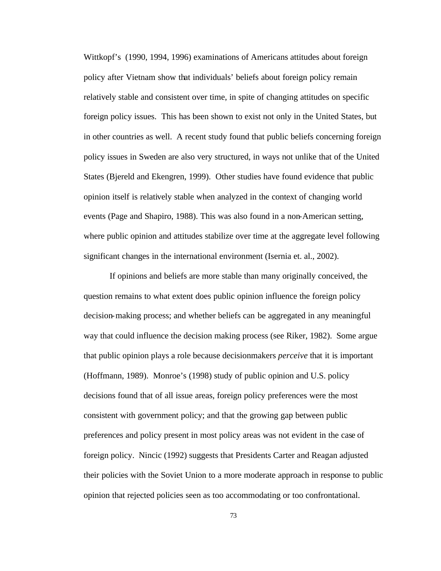Wittkopf's (1990, 1994, 1996) examinations of Americans attitudes about foreign policy after Vietnam show that individuals' beliefs about foreign policy remain relatively stable and consistent over time, in spite of changing attitudes on specific foreign policy issues. This has been shown to exist not only in the United States, but in other countries as well. A recent study found that public beliefs concerning foreign policy issues in Sweden are also very structured, in ways not unlike that of the United States (Bjereld and Ekengren, 1999). Other studies have found evidence that public opinion itself is relatively stable when analyzed in the context of changing world events (Page and Shapiro, 1988). This was also found in a non-American setting, where public opinion and attitudes stabilize over time at the aggregate level following significant changes in the international environment (Isernia et. al., 2002).

If opinions and beliefs are more stable than many originally conceived, the question remains to what extent does public opinion influence the foreign policy decision-making process; and whether beliefs can be aggregated in any meaningful way that could influence the decision making process (see Riker, 1982). Some argue that public opinion plays a role because decisionmakers *perceive* that it is important (Hoffmann, 1989). Monroe's (1998) study of public opinion and U.S. policy decisions found that of all issue areas, foreign policy preferences were the most consistent with government policy; and that the growing gap between public preferences and policy present in most policy areas was not evident in the case of foreign policy. Nincic (1992) suggests that Presidents Carter and Reagan adjusted their policies with the Soviet Union to a more moderate approach in response to public opinion that rejected policies seen as too accommodating or too confrontational.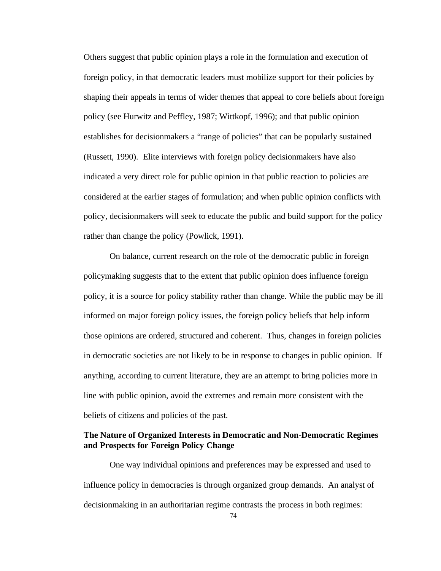Others suggest that public opinion plays a role in the formulation and execution of foreign policy, in that democratic leaders must mobilize support for their policies by shaping their appeals in terms of wider themes that appeal to core beliefs about foreign policy (see Hurwitz and Peffley, 1987; Wittkopf, 1996); and that public opinion establishes for decisionmakers a "range of policies" that can be popularly sustained (Russett, 1990). Elite interviews with foreign policy decisionmakers have also indicated a very direct role for public opinion in that public reaction to policies are considered at the earlier stages of formulation; and when public opinion conflicts with policy, decisionmakers will seek to educate the public and build support for the policy rather than change the policy (Powlick, 1991).

On balance, current research on the role of the democratic public in foreign policymaking suggests that to the extent that public opinion does influence foreign policy, it is a source for policy stability rather than change. While the public may be ill informed on major foreign policy issues, the foreign policy beliefs that help inform those opinions are ordered, structured and coherent. Thus, changes in foreign policies in democratic societies are not likely to be in response to changes in public opinion. If anything, according to current literature, they are an attempt to bring policies more in line with public opinion, avoid the extremes and remain more consistent with the beliefs of citizens and policies of the past.

# **The Nature of Organized Interests in Democratic and Non-Democratic Regimes and Prospects for Foreign Policy Change**

One way individual opinions and preferences may be expressed and used to influence policy in democracies is through organized group demands. An analyst of decisionmaking in an authoritarian regime contrasts the process in both regimes: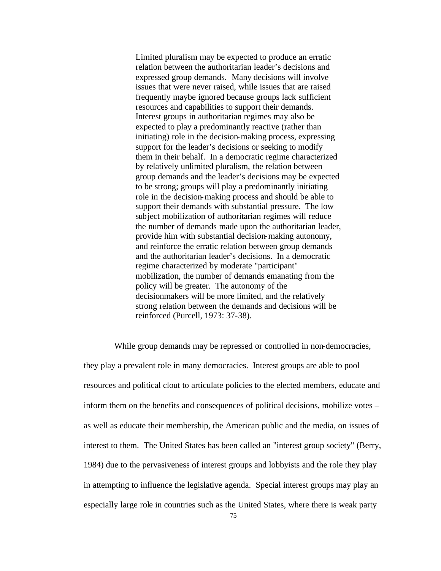Limited pluralism may be expected to produce an erratic relation between the authoritarian leader's decisions and expressed group demands. Many decisions will involve issues that were never raised, while issues that are raised frequently maybe ignored because groups lack sufficient resources and capabilities to support their demands. Interest groups in authoritarian regimes may also be expected to play a predominantly reactive (rather than initiating) role in the decision-making process, expressing support for the leader's decisions or seeking to modify them in their behalf. In a democratic regime characterized by relatively unlimited pluralism, the relation between group demands and the leader's decisions may be expected to be strong; groups will play a predominantly initiating role in the decision-making process and should be able to support their demands with substantial pressure. The low subject mobilization of authoritarian regimes will reduce the number of demands made upon the authoritarian leader, provide him with substantial decision-making autonomy, and reinforce the erratic relation between group demands and the authoritarian leader's decisions. In a democratic regime characterized by moderate "participant" mobilization, the number of demands emanating from the policy will be greater. The autonomy of the decisionmakers will be more limited, and the relatively strong relation between the demands and decisions will be reinforced (Purcell, 1973: 37-38).

 While group demands may be repressed or controlled in non-democracies, they play a prevalent role in many democracies. Interest groups are able to pool resources and political clout to articulate policies to the elected members, educate and inform them on the benefits and consequences of political decisions, mobilize votes – as well as educate their membership, the American public and the media, on issues of interest to them. The United States has been called an "interest group society" (Berry, 1984) due to the pervasiveness of interest groups and lobbyists and the role they play in attempting to influence the legislative agenda. Special interest groups may play an especially large role in countries such as the United States, where there is weak party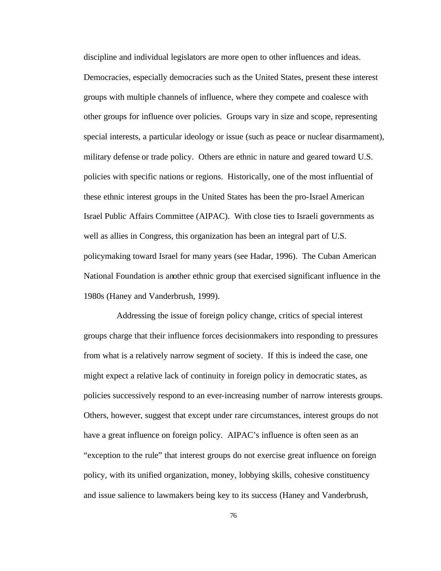discipline and individual legislators are more open to other influences and ideas. Democracies, especially democracies such as the United States, present these interest groups with multiple channels of influence, where they compete and coalesce with other groups for influence over policies. Groups vary in size and scope, representing special interests, a particular ideology or issue (such as peace or nuclear disarmament), military defense or trade policy. Others are ethnic in nature and geared toward U.S. policies with specific nations or regions. Historically, one of the most influential of these ethnic interest groups in the United States has been the pro-Israel American Israel Public Affairs Committee (AIPAC). With close ties to Israeli governments as well as allies in Congress, this organization has been an integral part of U.S. policymaking toward Israel for many years (see Hadar, 1996). The Cuban American National Foundation is another ethnic group that exercised significant influence in the 1980s (Haney and Vanderbrush, 1999).

Addressing the issue of foreign policy change, critics of special interest groups charge that their influence forces decisionmakers into responding to pressures from what is a relatively narrow segment of society. If this is indeed the case, one might expect a relative lack of continuity in foreign policy in democratic states, as policies successively respond to an ever-increasing number of narrow interests groups. Others, however, suggest that except under rare circumstances, interest groups do not have a great influence on foreign policy. AIPAC's influence is often seen as an "exception to the rule" that interest groups do not exercise great influence on foreign policy, with its unified organization, money, lobbying skills, cohesive constituency and issue salience to lawmakers being key to its success (Haney and Vanderbrush,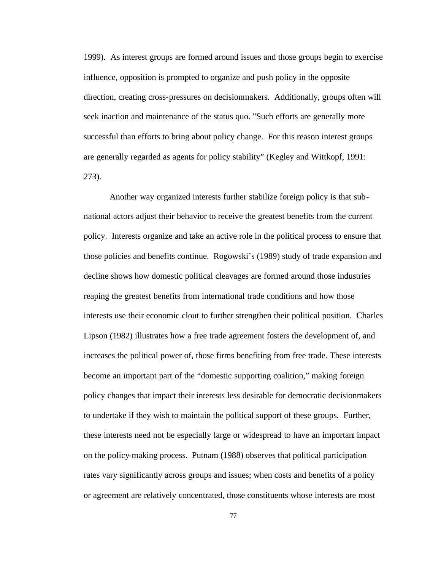1999). As interest groups are formed around issues and those groups begin to exercise influence, opposition is prompted to organize and push policy in the opposite direction, creating cross-pressures on decisionmakers. Additionally, groups often will seek inaction and maintenance of the status quo. "Such efforts are generally more successful than efforts to bring about policy change. For this reason interest groups are generally regarded as agents for policy stability" (Kegley and Wittkopf, 1991: 273).

Another way organized interests further stabilize foreign policy is that subnational actors adjust their behavior to receive the greatest benefits from the current policy. Interests organize and take an active role in the political process to ensure that those policies and benefits continue. Rogowski's (1989) study of trade expansion and decline shows how domestic political cleavages are formed around those industries reaping the greatest benefits from international trade conditions and how those interests use their economic clout to further strengthen their political position. Charles Lipson (1982) illustrates how a free trade agreement fosters the development of, and increases the political power of, those firms benefiting from free trade. These interests become an important part of the "domestic supporting coalition," making foreign policy changes that impact their interests less desirable for democratic decisionmakers to undertake if they wish to maintain the political support of these groups. Further, these interests need not be especially large or widespread to have an important impact on the policy-making process. Putnam (1988) observes that political participation rates vary significantly across groups and issues; when costs and benefits of a policy or agreement are relatively concentrated, those constituents whose interests are most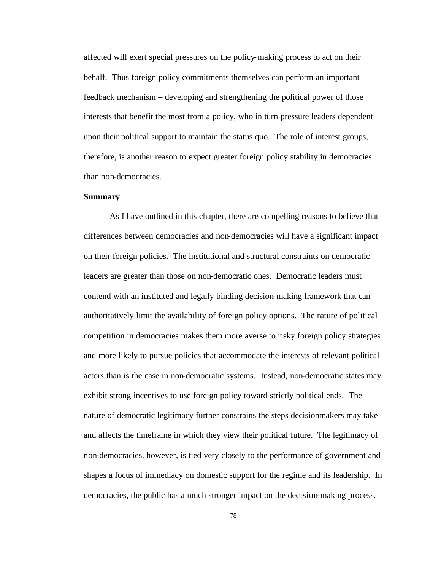affected will exert special pressures on the policy-making process to act on their behalf. Thus foreign policy commitments themselves can perform an important feedback mechanism – developing and strengthening the political power of those interests that benefit the most from a policy, who in turn pressure leaders dependent upon their political support to maintain the status quo. The role of interest groups, therefore, is another reason to expect greater foreign policy stability in democracies than non-democracies.

## **Summary**

As I have outlined in this chapter, there are compelling reasons to believe that differences between democracies and non-democracies will have a significant impact on their foreign policies. The institutional and structural constraints on democratic leaders are greater than those on non-democratic ones. Democratic leaders must contend with an instituted and legally binding decision-making framework that can authoritatively limit the availability of foreign policy options. The nature of political competition in democracies makes them more averse to risky foreign policy strategies and more likely to pursue policies that accommodate the interests of relevant political actors than is the case in non-democratic systems. Instead, non-democratic states may exhibit strong incentives to use foreign policy toward strictly political ends. The nature of democratic legitimacy further constrains the steps decisionmakers may take and affects the timeframe in which they view their political future. The legitimacy of non-democracies, however, is tied very closely to the performance of government and shapes a focus of immediacy on domestic support for the regime and its leadership. In democracies, the public has a much stronger impact on the decision-making process.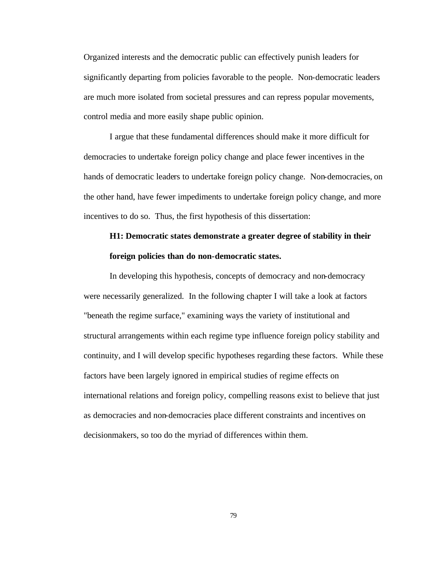Organized interests and the democratic public can effectively punish leaders for significantly departing from policies favorable to the people. Non-democratic leaders are much more isolated from societal pressures and can repress popular movements, control media and more easily shape public opinion.

I argue that these fundamental differences should make it more difficult for democracies to undertake foreign policy change and place fewer incentives in the hands of democratic leaders to undertake foreign policy change. Non-democracies, on the other hand, have fewer impediments to undertake foreign policy change, and more incentives to do so. Thus, the first hypothesis of this dissertation:

# **H1: Democratic states demonstrate a greater degree of stability in their foreign policies than do non-democratic states.**

In developing this hypothesis, concepts of democracy and non-democracy were necessarily generalized. In the following chapter I will take a look at factors "beneath the regime surface," examining ways the variety of institutional and structural arrangements within each regime type influence foreign policy stability and continuity, and I will develop specific hypotheses regarding these factors. While these factors have been largely ignored in empirical studies of regime effects on international relations and foreign policy, compelling reasons exist to believe that just as democracies and non-democracies place different constraints and incentives on decisionmakers, so too do the myriad of differences within them.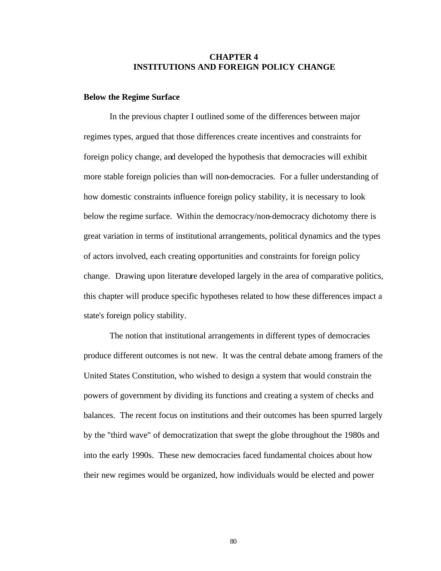## **CHAPTER 4 INSTITUTIONS AND FOREIGN POLICY CHANGE**

### **Below the Regime Surface**

In the previous chapter I outlined some of the differences between major regimes types, argued that those differences create incentives and constraints for foreign policy change, and developed the hypothesis that democracies will exhibit more stable foreign policies than will non-democracies. For a fuller understanding of how domestic constraints influence foreign policy stability, it is necessary to look below the regime surface. Within the democracy/non-democracy dichotomy there is great variation in terms of institutional arrangements, political dynamics and the types of actors involved, each creating opportunities and constraints for foreign policy change. Drawing upon literature developed largely in the area of comparative politics, this chapter will produce specific hypotheses related to how these differences impact a state's foreign policy stability.

The notion that institutional arrangements in different types of democracies produce different outcomes is not new. It was the central debate among framers of the United States Constitution, who wished to design a system that would constrain the powers of government by dividing its functions and creating a system of checks and balances. The recent focus on institutions and their outcomes has been spurred largely by the "third wave" of democratization that swept the globe throughout the 1980s and into the early 1990s. These new democracies faced fundamental choices about how their new regimes would be organized, how individuals would be elected and power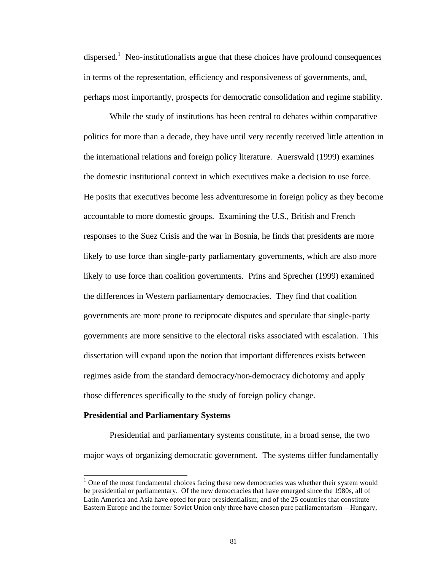dispersed.<sup>1</sup> Neo-institutionalists argue that these choices have profound consequences in terms of the representation, efficiency and responsiveness of governments, and, perhaps most importantly, prospects for democratic consolidation and regime stability.

While the study of institutions has been central to debates within comparative politics for more than a decade, they have until very recently received little attention in the international relations and foreign policy literature. Auerswald (1999) examines the domestic institutional context in which executives make a decision to use force. He posits that executives become less adventuresome in foreign policy as they become accountable to more domestic groups. Examining the U.S., British and French responses to the Suez Crisis and the war in Bosnia, he finds that presidents are more likely to use force than single-party parliamentary governments, which are also more likely to use force than coalition governments. Prins and Sprecher (1999) examined the differences in Western parliamentary democracies. They find that coalition governments are more prone to reciprocate disputes and speculate that single-party governments are more sensitive to the electoral risks associated with escalation. This dissertation will expand upon the notion that important differences exists between regimes aside from the standard democracy/non-democracy dichotomy and apply those differences specifically to the study of foreign policy change.

#### **Presidential and Parliamentary Systems**

l

Presidential and parliamentary systems constitute, in a broad sense, the two major ways of organizing democratic government. The systems differ fundamentally

 $1$  One of the most fundamental choices facing these new democracies was whether their system would be presidential or parliamentary. Of the new democracies that have emerged since the 1980s, all of Latin America and Asia have opted for pure presidentialism; and of the 25 countries that constitute Eastern Europe and the former Soviet Union only three have chosen pure parliamentarism – Hungary,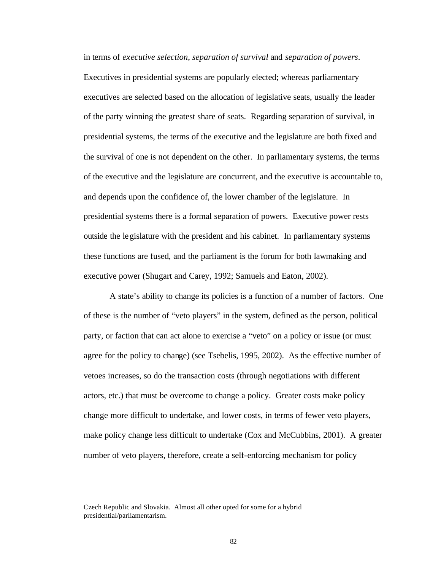in terms of *executive selection*, *separation of survival* and *separation of powers*. Executives in presidential systems are popularly elected; whereas parliamentary executives are selected based on the allocation of legislative seats, usually the leader of the party winning the greatest share of seats. Regarding separation of survival, in presidential systems, the terms of the executive and the legislature are both fixed and the survival of one is not dependent on the other. In parliamentary systems, the terms of the executive and the legislature are concurrent, and the executive is accountable to, and depends upon the confidence of, the lower chamber of the legislature. In presidential systems there is a formal separation of powers. Executive power rests outside the legislature with the president and his cabinet. In parliamentary systems these functions are fused, and the parliament is the forum for both lawmaking and executive power (Shugart and Carey, 1992; Samuels and Eaton, 2002).

A state's ability to change its policies is a function of a number of factors. One of these is the number of "veto players" in the system, defined as the person, political party, or faction that can act alone to exercise a "veto" on a policy or issue (or must agree for the policy to change) (see Tsebelis, 1995, 2002). As the effective number of vetoes increases, so do the transaction costs (through negotiations with different actors, etc.) that must be overcome to change a policy. Greater costs make policy change more difficult to undertake, and lower costs, in terms of fewer veto players, make policy change less difficult to undertake (Cox and McCubbins, 2001). A greater number of veto players, therefore, create a self-enforcing mechanism for policy

l

Czech Republic and Slovakia. Almost all other opted for some for a hybrid presidential/parliamentarism.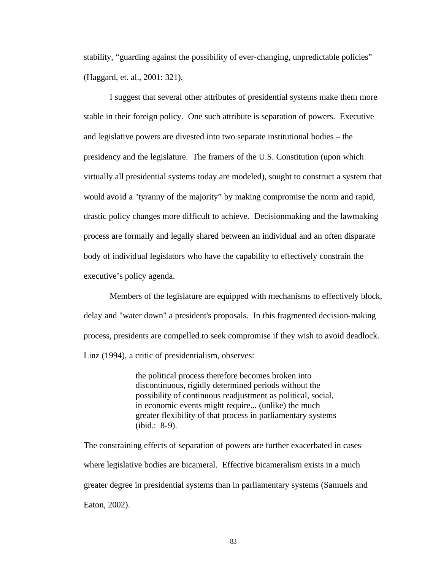stability, "guarding against the possibility of ever-changing, unpredictable policies" (Haggard, et. al., 2001: 321).

I suggest that several other attributes of presidential systems make them more stable in their foreign policy. One such attribute is separation of powers. Executive and legislative powers are divested into two separate institutional bodies – the presidency and the legislature. The framers of the U.S. Constitution (upon which virtually all presidential systems today are modeled), sought to construct a system that would avoid a "tyranny of the majority" by making compromise the norm and rapid, drastic policy changes more difficult to achieve. Decisionmaking and the lawmaking process are formally and legally shared between an individual and an often disparate body of individual legislators who have the capability to effectively constrain the executive's policy agenda.

Members of the legislature are equipped with mechanisms to effectively block, delay and "water down" a president's proposals. In this fragmented decision-making process, presidents are compelled to seek compromise if they wish to avoid deadlock. Linz (1994), a critic of presidentialism, observes:

> the political process therefore becomes broken into discontinuous, rigidly determined periods without the possibility of continuous readjustment as political, social, in economic events might require... (unlike) the much greater flexibility of that process in parliamentary systems (ibid.: 8-9).

The constraining effects of separation of powers are further exacerbated in cases where legislative bodies are bicameral. Effective bicameralism exists in a much greater degree in presidential systems than in parliamentary systems (Samuels and Eaton, 2002).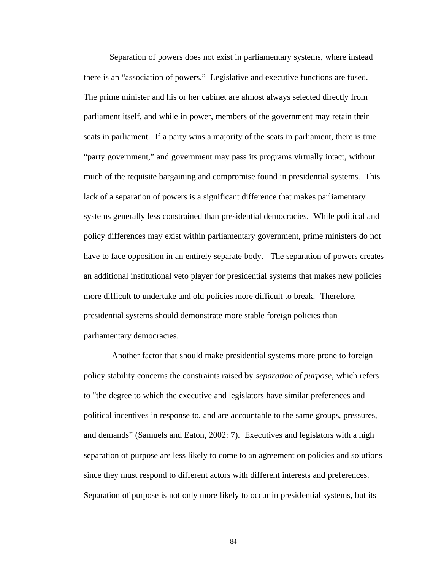Separation of powers does not exist in parliamentary systems, where instead there is an "association of powers." Legislative and executive functions are fused. The prime minister and his or her cabinet are almost always selected directly from parliament itself, and while in power, members of the government may retain their seats in parliament. If a party wins a majority of the seats in parliament, there is true "party government," and government may pass its programs virtually intact, without much of the requisite bargaining and compromise found in presidential systems. This lack of a separation of powers is a significant difference that makes parliamentary systems generally less constrained than presidential democracies. While political and policy differences may exist within parliamentary government, prime ministers do not have to face opposition in an entirely separate body. The separation of powers creates an additional institutional veto player for presidential systems that makes new policies more difficult to undertake and old policies more difficult to break. Therefore, presidential systems should demonstrate more stable foreign policies than parliamentary democracies.

Another factor that should make presidential systems more prone to foreign policy stability concerns the constraints raised by *separation of purpose,* which refers to "the degree to which the executive and legislators have similar preferences and political incentives in response to, and are accountable to the same groups, pressures, and demands" (Samuels and Eaton, 2002: 7). Executives and legislators with a high separation of purpose are less likely to come to an agreement on policies and solutions since they must respond to different actors with different interests and preferences. Separation of purpose is not only more likely to occur in presidential systems, but its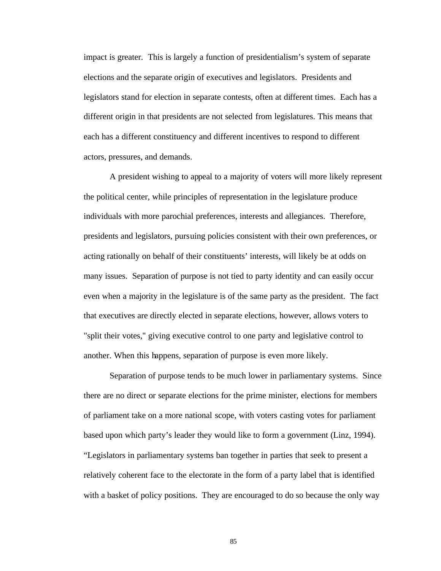impact is greater. This is largely a function of presidentialism's system of separate elections and the separate origin of executives and legislators. Presidents and legislators stand for election in separate contests, often at different times. Each has a different origin in that presidents are not selected from legislatures. This means that each has a different constituency and different incentives to respond to different actors, pressures, and demands.

A president wishing to appeal to a majority of voters will more likely represent the political center, while principles of representation in the legislature produce individuals with more parochial preferences, interests and allegiances. Therefore, presidents and legislators, pursuing policies consistent with their own preferences, or acting rationally on behalf of their constituents' interests, will likely be at odds on many issues. Separation of purpose is not tied to party identity and can easily occur even when a majority in the legislature is of the same party as the president. The fact that executives are directly elected in separate elections, however, allows voters to "split their votes," giving executive control to one party and legislative control to another. When this happens, separation of purpose is even more likely.

Separation of purpose tends to be much lower in parliamentary systems. Since there are no direct or separate elections for the prime minister, elections for members of parliament take on a more national scope, with voters casting votes for parliament based upon which party's leader they would like to form a government (Linz, 1994). "Legislators in parliamentary systems ban together in parties that seek to present a relatively coherent face to the electorate in the form of a party label that is identified with a basket of policy positions. They are encouraged to do so because the only way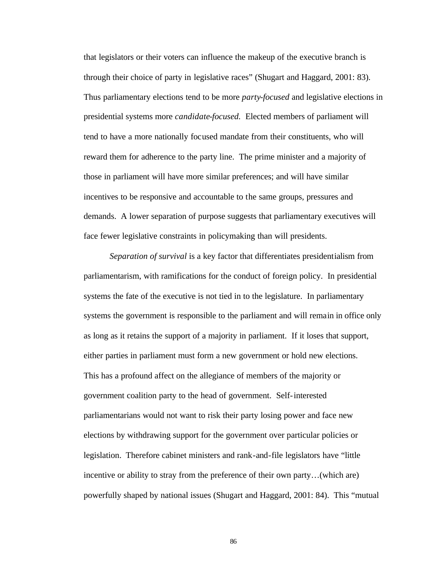that legislators or their voters can influence the makeup of the executive branch is through their choice of party in legislative races" (Shugart and Haggard, 2001: 83). Thus parliamentary elections tend to be more *party-focused* and legislative elections in presidential systems more *candidate-focused.* Elected members of parliament will tend to have a more nationally focused mandate from their constituents, who will reward them for adherence to the party line. The prime minister and a majority of those in parliament will have more similar preferences; and will have similar incentives to be responsive and accountable to the same groups, pressures and demands. A lower separation of purpose suggests that parliamentary executives will face fewer legislative constraints in policymaking than will presidents.

*Separation of survival* is a key factor that differentiates presidentialism from parliamentarism, with ramifications for the conduct of foreign policy. In presidential systems the fate of the executive is not tied in to the legislature. In parliamentary systems the government is responsible to the parliament and will remain in office only as long as it retains the support of a majority in parliament. If it loses that support, either parties in parliament must form a new government or hold new elections. This has a profound affect on the allegiance of members of the majority or government coalition party to the head of government. Self-interested parliamentarians would not want to risk their party losing power and face new elections by withdrawing support for the government over particular policies or legislation. Therefore cabinet ministers and rank-and-file legislators have "little incentive or ability to stray from the preference of their own party…(which are) powerfully shaped by national issues (Shugart and Haggard, 2001: 84). This "mutual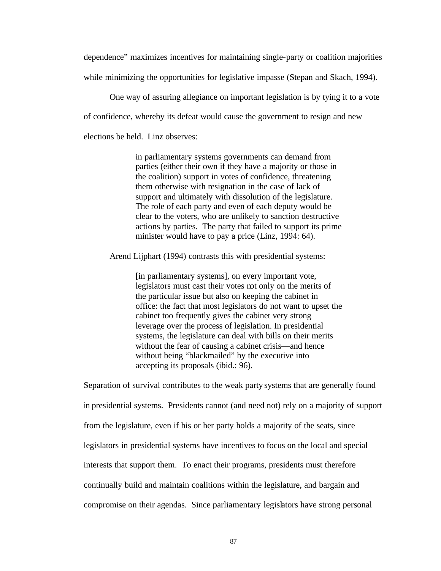dependence" maximizes incentives for maintaining single-party or coalition majorities while minimizing the opportunities for legislative impasse (Stepan and Skach, 1994).

One way of assuring allegiance on important legislation is by tying it to a vote of confidence, whereby its defeat would cause the government to resign and new elections be held. Linz observes:

> in parliamentary systems governments can demand from parties (either their own if they have a majority or those in the coalition) support in votes of confidence, threatening them otherwise with resignation in the case of lack of support and ultimately with dissolution of the legislature. The role of each party and even of each deputy would be clear to the voters, who are unlikely to sanction destructive actions by parties. The party that failed to support its prime minister would have to pay a price (Linz, 1994: 64).

Arend Lijphart (1994) contrasts this with presidential systems:

[in parliamentary systems], on every important vote, legislators must cast their votes not only on the merits of the particular issue but also on keeping the cabinet in office: the fact that most legislators do not want to upset the cabinet too frequently gives the cabinet very strong leverage over the process of legislation. In presidential systems, the legislature can deal with bills on their merits without the fear of causing a cabinet crisis—and hence without being "blackmailed" by the executive into accepting its proposals (ibid.: 96).

Separation of survival contributes to the weak party systems that are generally found in presidential systems. Presidents cannot (and need not) rely on a majority of support from the legislature, even if his or her party holds a majority of the seats, since legislators in presidential systems have incentives to focus on the local and special interests that support them. To enact their programs, presidents must therefore continually build and maintain coalitions within the legislature, and bargain and compromise on their agendas. Since parliamentary legislators have strong personal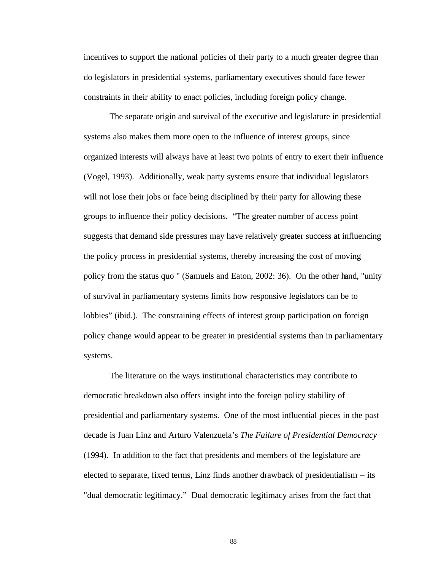incentives to support the national policies of their party to a much greater degree than do legislators in presidential systems, parliamentary executives should face fewer constraints in their ability to enact policies, including foreign policy change.

The separate origin and survival of the executive and legislature in presidential systems also makes them more open to the influence of interest groups*,* since organized interests will always have at least two points of entry to exert their influence (Vogel, 1993). Additionally, weak party systems ensure that individual legislators will not lose their jobs or face being disciplined by their party for allowing these groups to influence their policy decisions. "The greater number of access point suggests that demand side pressures may have relatively greater success at influencing the policy process in presidential systems, thereby increasing the cost of moving policy from the status quo " (Samuels and Eaton, 2002: 36). On the other hand, "unity of survival in parliamentary systems limits how responsive legislators can be to lobbies" (ibid.). The constraining effects of interest group participation on foreign policy change would appear to be greater in presidential systems than in parliamentary systems.

The literature on the ways institutional characteristics may contribute to democratic breakdown also offers insight into the foreign policy stability of presidential and parliamentary systems. One of the most influential pieces in the past decade is Juan Linz and Arturo Valenzuela's *The Failure of Presidential Democracy*  (1994). In addition to the fact that presidents and members of the legislature are elected to separate, fixed terms, Linz finds another drawback of presidentialism – its "dual democratic legitimacy." Dual democratic legitimacy arises from the fact that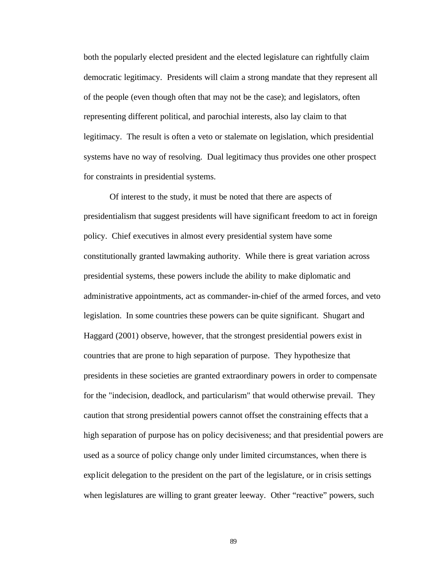both the popularly elected president and the elected legislature can rightfully claim democratic legitimacy. Presidents will claim a strong mandate that they represent all of the people (even though often that may not be the case); and legislators, often representing different political, and parochial interests, also lay claim to that legitimacy. The result is often a veto or stalemate on legislation, which presidential systems have no way of resolving. Dual legitimacy thus provides one other prospect for constraints in presidential systems.

Of interest to the study, it must be noted that there are aspects of presidentialism that suggest presidents will have significant freedom to act in foreign policy. Chief executives in almost every presidential system have some constitutionally granted lawmaking authority. While there is great variation across presidential systems, these powers include the ability to make diplomatic and administrative appointments, act as commander-in-chief of the armed forces, and veto legislation. In some countries these powers can be quite significant. Shugart and Haggard (2001) observe, however, that the strongest presidential powers exist in countries that are prone to high separation of purpose. They hypothesize that presidents in these societies are granted extraordinary powers in order to compensate for the "indecision, deadlock, and particularism" that would otherwise prevail. They caution that strong presidential powers cannot offset the constraining effects that a high separation of purpose has on policy decisiveness; and that presidential powers are used as a source of policy change only under limited circumstances, when there is explicit delegation to the president on the part of the legislature, or in crisis settings when legislatures are willing to grant greater leeway. Other "reactive" powers, such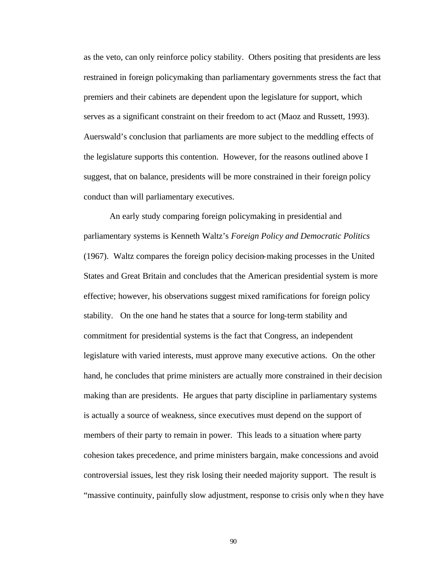as the veto, can only reinforce policy stability. Others positing that presidents are less restrained in foreign policymaking than parliamentary governments stress the fact that premiers and their cabinets are dependent upon the legislature for support, which serves as a significant constraint on their freedom to act (Maoz and Russett, 1993). Auerswald's conclusion that parliaments are more subject to the meddling effects of the legislature supports this contention. However, for the reasons outlined above I suggest, that on balance, presidents will be more constrained in their foreign policy conduct than will parliamentary executives.

An early study comparing foreign policymaking in presidential and parliamentary systems is Kenneth Waltz's *Foreign Policy and Democratic Politics* (1967). Waltz compares the foreign policy decision-making processes in the United States and Great Britain and concludes that the American presidential system is more effective; however, his observations suggest mixed ramifications for foreign policy stability. On the one hand he states that a source for long-term stability and commitment for presidential systems is the fact that Congress, an independent legislature with varied interests, must approve many executive actions. On the other hand, he concludes that prime ministers are actually more constrained in their decision making than are presidents. He argues that party discipline in parliamentary systems is actually a source of weakness, since executives must depend on the support of members of their party to remain in power. This leads to a situation where party cohesion takes precedence, and prime ministers bargain, make concessions and avoid controversial issues, lest they risk losing their needed majority support. The result is "massive continuity, painfully slow adjustment, response to crisis only when they have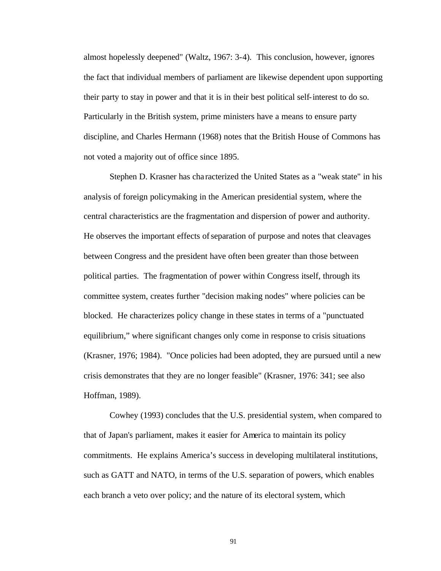almost hopelessly deepened" (Waltz, 1967: 3-4). This conclusion, however, ignores the fact that individual members of parliament are likewise dependent upon supporting their party to stay in power and that it is in their best political self-interest to do so. Particularly in the British system, prime ministers have a means to ensure party discipline, and Charles Hermann (1968) notes that the British House of Commons has not voted a majority out of office since 1895.

Stephen D. Krasner has cha racterized the United States as a "weak state" in his analysis of foreign policymaking in the American presidential system, where the central characteristics are the fragmentation and dispersion of power and authority. He observes the important effects of separation of purpose and notes that cleavages between Congress and the president have often been greater than those between political parties. The fragmentation of power within Congress itself, through its committee system, creates further "decision making nodes" where policies can be blocked. He characterizes policy change in these states in terms of a "punctuated equilibrium," where significant changes only come in response to crisis situations (Krasner, 1976; 1984). "Once policies had been adopted, they are pursued until a new crisis demonstrates that they are no longer feasible" (Krasner, 1976: 341; see also Hoffman, 1989).

Cowhey (1993) concludes that the U.S. presidential system, when compared to that of Japan's parliament, makes it easier for America to maintain its policy commitments. He explains America's success in developing multilateral institutions, such as GATT and NATO, in terms of the U.S. separation of powers, which enables each branch a veto over policy; and the nature of its electoral system, which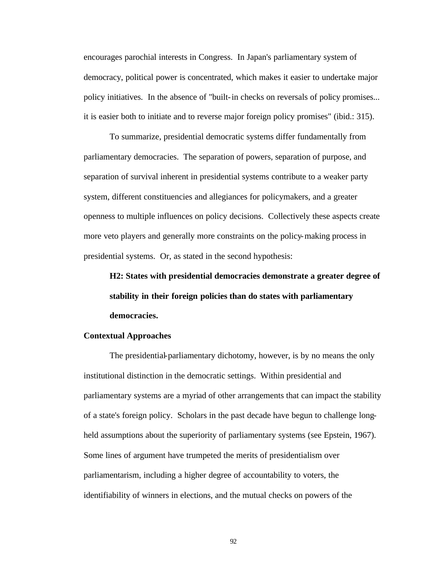encourages parochial interests in Congress. In Japan's parliamentary system of democracy, political power is concentrated, which makes it easier to undertake major policy initiatives. In the absence of "built-in checks on reversals of policy promises... it is easier both to initiate and to reverse major foreign policy promises" (ibid.: 315).

To summarize, presidential democratic systems differ fundamentally from parliamentary democracies. The separation of powers, separation of purpose, and separation of survival inherent in presidential systems contribute to a weaker party system, different constituencies and allegiances for policymakers, and a greater openness to multiple influences on policy decisions. Collectively these aspects create more veto players and generally more constraints on the policy-making process in presidential systems. Or, as stated in the second hypothesis:

**H2: States with presidential democracies demonstrate a greater degree of stability in their foreign policies than do states with parliamentary democracies.**

#### **Contextual Approaches**

The presidential-parliamentary dichotomy, however, is by no means the only institutional distinction in the democratic settings. Within presidential and parliamentary systems are a myriad of other arrangements that can impact the stability of a state's foreign policy. Scholars in the past decade have begun to challenge longheld assumptions about the superiority of parliamentary systems (see Epstein, 1967). Some lines of argument have trumpeted the merits of presidentialism over parliamentarism, including a higher degree of accountability to voters, the identifiability of winners in elections, and the mutual checks on powers of the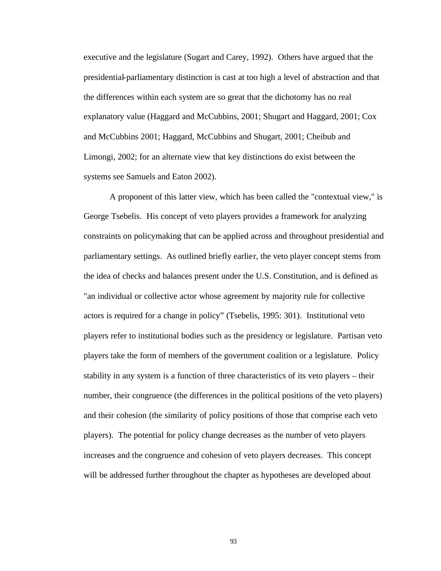executive and the legislature (Sugart and Carey, 1992). Others have argued that the presidential-parliamentary distinction is cast at too high a level of abstraction and that the differences within each system are so great that the dichotomy has no real explanatory value (Haggard and McCubbins, 2001; Shugart and Haggard, 2001; Cox and McCubbins 2001; Haggard, McCubbins and Shugart, 2001; Cheibub and Limongi, 2002; for an alternate view that key distinctions do exist between the systems see Samuels and Eaton 2002).

A proponent of this latter view, which has been called the "contextual view," is George Tsebelis. His concept of veto players provides a framework for analyzing constraints on policymaking that can be applied across and throughout presidential and parliamentary settings. As outlined briefly earlier, the veto player concept stems from the idea of checks and balances present under the U.S. Constitution, and is defined as "an individual or collective actor whose agreement by majority rule for collective actors is required for a change in policy" (Tsebelis, 1995: 301). Institutional veto players refer to institutional bodies such as the presidency or legislature. Partisan veto players take the form of members of the government coalition or a legislature. Policy stability in any system is a function of three characteristics of its veto players – their number, their congruence (the differences in the political positions of the veto players) and their cohesion (the similarity of policy positions of those that comprise each veto players). The potential for policy change decreases as the number of veto players increases and the congruence and cohesion of veto players decreases. This concept will be addressed further throughout the chapter as hypotheses are developed about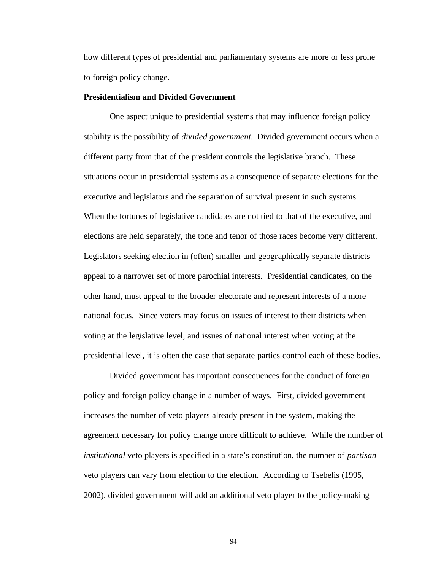how different types of presidential and parliamentary systems are more or less prone to foreign policy change.

#### **Presidentialism and Divided Government**

One aspect unique to presidential systems that may influence foreign policy stability is the possibility of *divided government.* Divided government occurs when a different party from that of the president controls the legislative branch. These situations occur in presidential systems as a consequence of separate elections for the executive and legislators and the separation of survival present in such systems. When the fortunes of legislative candidates are not tied to that of the executive, and elections are held separately, the tone and tenor of those races become very different. Legislators seeking election in (often) smaller and geographically separate districts appeal to a narrower set of more parochial interests. Presidential candidates, on the other hand, must appeal to the broader electorate and represent interests of a more national focus. Since voters may focus on issues of interest to their districts when voting at the legislative level, and issues of national interest when voting at the presidential level, it is often the case that separate parties control each of these bodies.

Divided government has important consequences for the conduct of foreign policy and foreign policy change in a number of ways. First, divided government increases the number of veto players already present in the system, making the agreement necessary for policy change more difficult to achieve. While the number of *institutional* veto players is specified in a state's constitution, the number of *partisan* veto players can vary from election to the election. According to Tsebelis (1995, 2002), divided government will add an additional veto player to the policy-making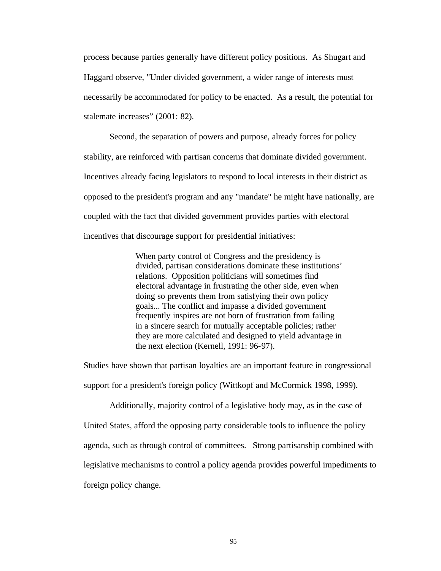process because parties generally have different policy positions. As Shugart and Haggard observe, "Under divided government, a wider range of interests must necessarily be accommodated for policy to be enacted. As a result, the potential for stalemate increases" (2001: 82).

Second, the separation of powers and purpose, already forces for policy stability, are reinforced with partisan concerns that dominate divided government. Incentives already facing legislators to respond to local interests in their district as opposed to the president's program and any "mandate" he might have nationally, are coupled with the fact that divided government provides parties with electoral incentives that discourage support for presidential initiatives:

> When party control of Congress and the presidency is divided, partisan considerations dominate these institutions' relations. Opposition politicians will sometimes find electoral advantage in frustrating the other side, even when doing so prevents them from satisfying their own policy goals... The conflict and impasse a divided government frequently inspires are not born of frustration from failing in a sincere search for mutually acceptable policies; rather they are more calculated and designed to yield advantage in the next election (Kernell, 1991: 96-97).

Studies have shown that partisan loyalties are an important feature in congressional support for a president's foreign policy (Wittkopf and McCormick 1998, 1999).

Additionally, majority control of a legislative body may, as in the case of United States, afford the opposing party considerable tools to influence the policy agenda, such as through control of committees. Strong partisanship combined with legislative mechanisms to control a policy agenda provides powerful impediments to foreign policy change.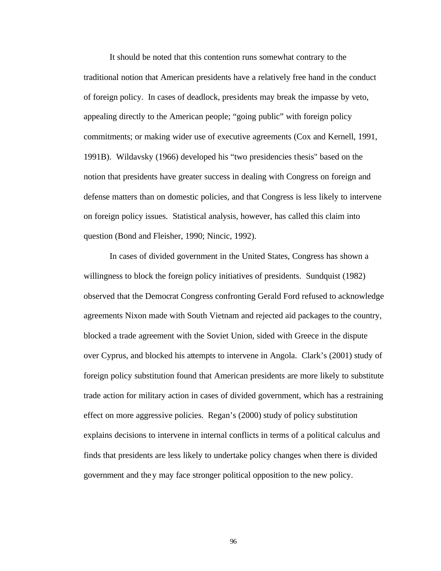It should be noted that this contention runs somewhat contrary to the traditional notion that American presidents have a relatively free hand in the conduct of foreign policy. In cases of deadlock, presidents may break the impasse by veto, appealing directly to the American people; "going public" with foreign policy commitments; or making wider use of executive agreements (Cox and Kernell, 1991, 1991B). Wildavsky (1966) developed his "two presidencies thesis" based on the notion that presidents have greater success in dealing with Congress on foreign and defense matters than on domestic policies, and that Congress is less likely to intervene on foreign policy issues. Statistical analysis, however, has called this claim into question (Bond and Fleisher, 1990; Nincic, 1992).

In cases of divided government in the United States, Congress has shown a willingness to block the foreign policy initiatives of presidents. Sundquist (1982) observed that the Democrat Congress confronting Gerald Ford refused to acknowledge agreements Nixon made with South Vietnam and rejected aid packages to the country, blocked a trade agreement with the Soviet Union, sided with Greece in the dispute over Cyprus, and blocked his attempts to intervene in Angola. Clark's (2001) study of foreign policy substitution found that American presidents are more likely to substitute trade action for military action in cases of divided government, which has a restraining effect on more aggressive policies. Regan's (2000) study of policy substitution explains decisions to intervene in internal conflicts in terms of a political calculus and finds that presidents are less likely to undertake policy changes when there is divided government and they may face stronger political opposition to the new policy.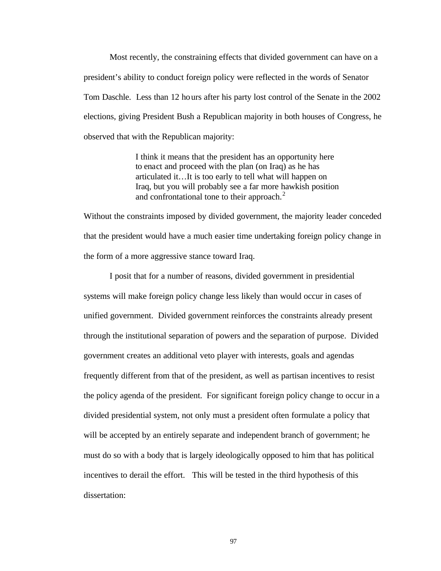Most recently, the constraining effects that divided government can have on a president's ability to conduct foreign policy were reflected in the words of Senator Tom Daschle. Less than 12 hours after his party lost control of the Senate in the 2002 elections, giving President Bush a Republican majority in both houses of Congress, he observed that with the Republican majority:

> I think it means that the president has an opportunity here to enact and proceed with the plan (on Iraq) as he has articulated it…It is too early to tell what will happen on Iraq, but you will probably see a far more hawkish position and confrontational tone to their approach. $2$

Without the constraints imposed by divided government, the majority leader conceded that the president would have a much easier time undertaking foreign policy change in the form of a more aggressive stance toward Iraq.

I posit that for a number of reasons, divided government in presidential systems will make foreign policy change less likely than would occur in cases of unified government. Divided government reinforces the constraints already present through the institutional separation of powers and the separation of purpose. Divided government creates an additional veto player with interests, goals and agendas frequently different from that of the president, as well as partisan incentives to resist the policy agenda of the president. For significant foreign policy change to occur in a divided presidential system, not only must a president often formulate a policy that will be accepted by an entirely separate and independent branch of government; he must do so with a body that is largely ideologically opposed to him that has political incentives to derail the effort. This will be tested in the third hypothesis of this dissertation: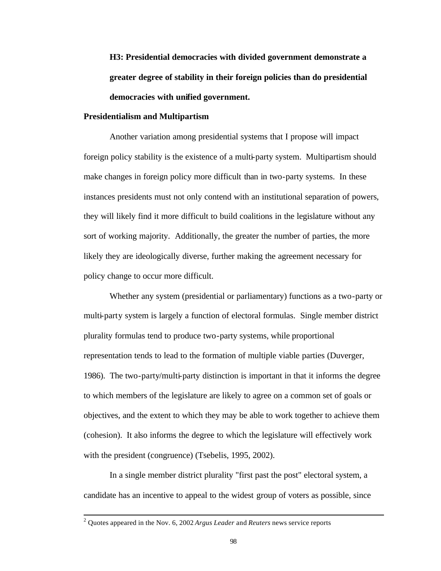**H3: Presidential democracies with divided government demonstrate a greater degree of stability in their foreign policies than do presidential democracies with unified government.**

## **Presidentialism and Multipartism**

Another variation among presidential systems that I propose will impact foreign policy stability is the existence of a multi-party system. Multipartism should make changes in foreign policy more difficult than in two-party systems. In these instances presidents must not only contend with an institutional separation of powers, they will likely find it more difficult to build coalitions in the legislature without any sort of working majority. Additionally, the greater the number of parties, the more likely they are ideologically diverse, further making the agreement necessary for policy change to occur more difficult.

Whether any system (presidential or parliamentary) functions as a two-party or multi-party system is largely a function of electoral formulas. Single member district plurality formulas tend to produce two-party systems, while proportional representation tends to lead to the formation of multiple viable parties (Duverger, 1986). The two-party/multi-party distinction is important in that it informs the degree to which members of the legislature are likely to agree on a common set of goals or objectives, and the extent to which they may be able to work together to achieve them (cohesion). It also informs the degree to which the legislature will effectively work with the president (congruence) (Tsebelis, 1995, 2002).

In a single member district plurality "first past the post" electoral system, a candidate has an incentive to appeal to the widest group of voters as possible, since

 2 Quotes appeared in the Nov. 6, 2002 *Argus Leader* and *Reuters* news service reports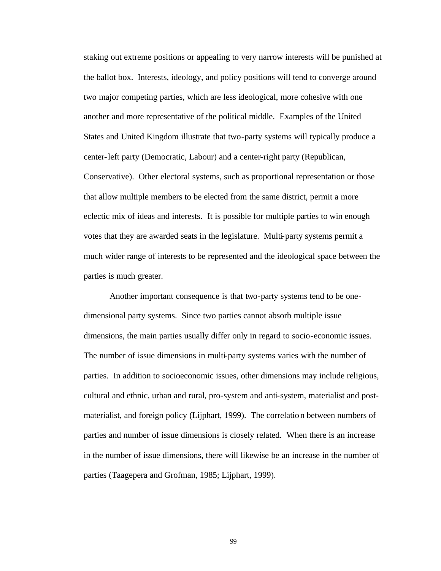staking out extreme positions or appealing to very narrow interests will be punished at the ballot box. Interests, ideology, and policy positions will tend to converge around two major competing parties, which are less ideological, more cohesive with one another and more representative of the political middle. Examples of the United States and United Kingdom illustrate that two-party systems will typically produce a center-left party (Democratic, Labour) and a center-right party (Republican, Conservative). Other electoral systems, such as proportional representation or those that allow multiple members to be elected from the same district, permit a more eclectic mix of ideas and interests. It is possible for multiple parties to win enough votes that they are awarded seats in the legislature. Multi-party systems permit a much wider range of interests to be represented and the ideological space between the parties is much greater.

Another important consequence is that two-party systems tend to be onedimensional party systems. Since two parties cannot absorb multiple issue dimensions, the main parties usually differ only in regard to socio-economic issues. The number of issue dimensions in multi-party systems varies with the number of parties. In addition to socioeconomic issues, other dimensions may include religious, cultural and ethnic, urban and rural, pro-system and anti-system, materialist and postmaterialist, and foreign policy (Lijphart, 1999). The correlation between numbers of parties and number of issue dimensions is closely related. When there is an increase in the number of issue dimensions, there will likewise be an increase in the number of parties (Taagepera and Grofman, 1985; Lijphart, 1999).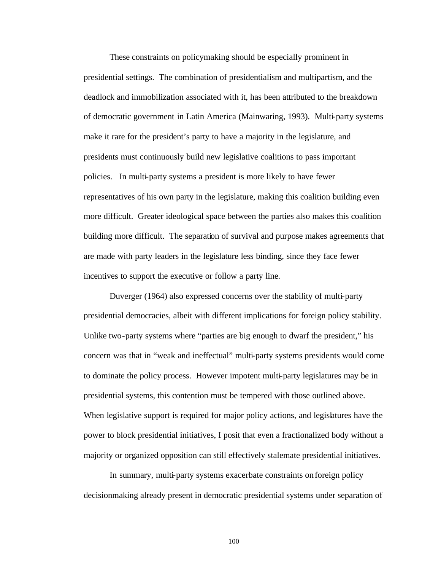These constraints on policymaking should be especially prominent in presidential settings. The combination of presidentialism and multipartism, and the deadlock and immobilization associated with it, has been attributed to the breakdown of democratic government in Latin America (Mainwaring, 1993). Multi-party systems make it rare for the president's party to have a majority in the legislature, and presidents must continuously build new legislative coalitions to pass important policies. In multi-party systems a president is more likely to have fewer representatives of his own party in the legislature, making this coalition building even more difficult. Greater ideological space between the parties also makes this coalition building more difficult. The separation of survival and purpose makes agreements that are made with party leaders in the legislature less binding, since they face fewer incentives to support the executive or follow a party line.

Duverger (1964) also expressed concerns over the stability of multi-party presidential democracies, albeit with different implications for foreign policy stability. Unlike two-party systems where "parties are big enough to dwarf the president," his concern was that in "weak and ineffectual" multi-party systems presidents would come to dominate the policy process. However impotent multi-party legislatures may be in presidential systems, this contention must be tempered with those outlined above. When legislative support is required for major policy actions, and legislatures have the power to block presidential initiatives, I posit that even a fractionalized body without a majority or organized opposition can still effectively stalemate presidential initiatives.

In summary, multi-party systems exacerbate constraints on foreign policy decisionmaking already present in democratic presidential systems under separation of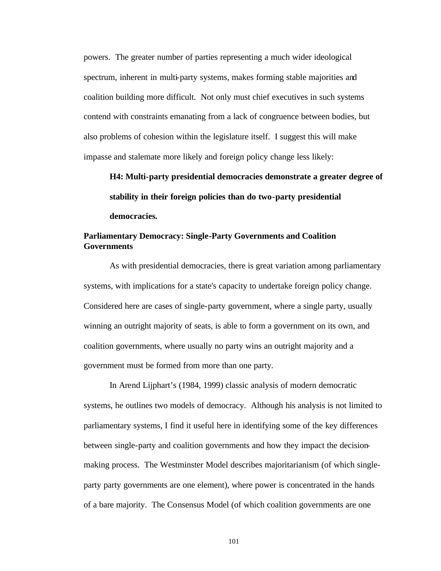powers. The greater number of parties representing a much wider ideological spectrum, inherent in multi-party systems, makes forming stable majorities and coalition building more difficult. Not only must chief executives in such systems contend with constraints emanating from a lack of congruence between bodies, but also problems of cohesion within the legislature itself. I suggest this will make impasse and stalemate more likely and foreign policy change less likely:

**H4: Multi-party presidential democracies demonstrate a greater degree of stability in their foreign policies than do two-party presidential democracies***.*

# **Parliamentary Democracy: Single-Party Governments and Coalition Governments**

As with presidential democracies, there is great variation among parliamentary systems, with implications for a state's capacity to undertake foreign policy change. Considered here are cases of single-party government, where a single party, usually winning an outright majority of seats, is able to form a government on its own, and coalition governments, where usually no party wins an outright majority and a government must be formed from more than one party.

In Arend Lijphart's (1984, 1999) classic analysis of modern democratic systems, he outlines two models of democracy. Although his analysis is not limited to parliamentary systems, I find it useful here in identifying some of the key differences between single-party and coalition governments and how they impact the decisionmaking process. The Westminster Model describes majoritarianism (of which singleparty party governments are one element), where power is concentrated in the hands of a bare majority. The Consensus Model (of which coalition governments are one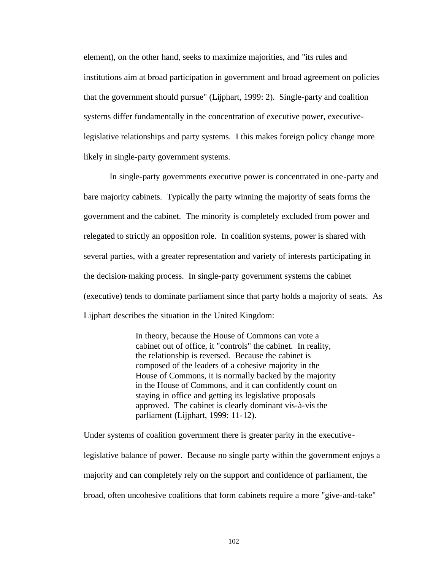element), on the other hand, seeks to maximize majorities, and "its rules and institutions aim at broad participation in government and broad agreement on policies that the government should pursue" (Lijphart, 1999: 2). Single-party and coalition systems differ fundamentally in the concentration of executive power, executivelegislative relationships and party systems. I this makes foreign policy change more likely in single-party government systems.

In single-party governments executive power is concentrated in one-party and bare majority cabinets. Typically the party winning the majority of seats forms the government and the cabinet. The minority is completely excluded from power and relegated to strictly an opposition role. In coalition systems, power is shared with several parties, with a greater representation and variety of interests participating in the decision-making process. In single-party government systems the cabinet (executive) tends to dominate parliament since that party holds a majority of seats. As Lijphart describes the situation in the United Kingdom:

> In theory, because the House of Commons can vote a cabinet out of office, it "controls" the cabinet. In reality, the relationship is reversed. Because the cabinet is composed of the leaders of a cohesive majority in the House of Commons, it is normally backed by the majority in the House of Commons, and it can confidently count on staying in office and getting its legislative proposals approved. The cabinet is clearly dominant vis-à-vis the parliament (Lijphart, 1999: 11-12).

Under systems of coalition government there is greater parity in the executivelegislative balance of power. Because no single party within the government enjoys a majority and can completely rely on the support and confidence of parliament, the broad, often uncohesive coalitions that form cabinets require a more "give-and-take"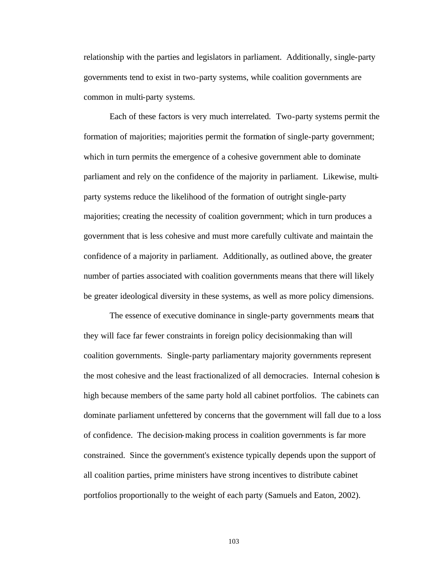relationship with the parties and legislators in parliament. Additionally, single-party governments tend to exist in two-party systems, while coalition governments are common in multi-party systems.

Each of these factors is very much interrelated. Two-party systems permit the formation of majorities; majorities permit the formation of single-party government; which in turn permits the emergence of a cohesive government able to dominate parliament and rely on the confidence of the majority in parliament. Likewise, multiparty systems reduce the likelihood of the formation of outright single-party majorities; creating the necessity of coalition government; which in turn produces a government that is less cohesive and must more carefully cultivate and maintain the confidence of a majority in parliament. Additionally, as outlined above, the greater number of parties associated with coalition governments means that there will likely be greater ideological diversity in these systems, as well as more policy dimensions.

The essence of executive dominance in single-party governments means that they will face far fewer constraints in foreign policy decisionmaking than will coalition governments. Single-party parliamentary majority governments represent the most cohesive and the least fractionalized of all democracies. Internal cohesion is high because members of the same party hold all cabinet portfolios. The cabinets can dominate parliament unfettered by concerns that the government will fall due to a loss of confidence. The decision-making process in coalition governments is far more constrained. Since the government's existence typically depends upon the support of all coalition parties, prime ministers have strong incentives to distribute cabinet portfolios proportionally to the weight of each party (Samuels and Eaton, 2002).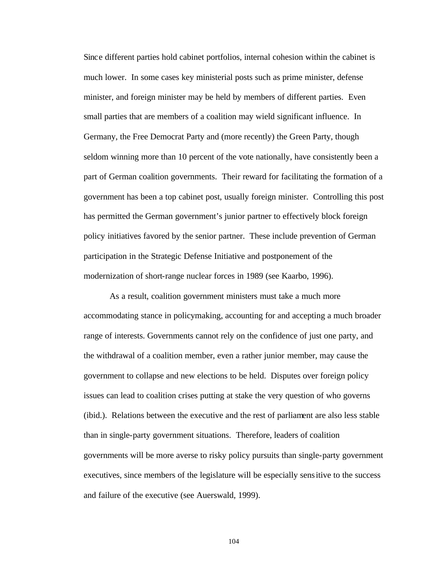Since different parties hold cabinet portfolios, internal cohesion within the cabinet is much lower. In some cases key ministerial posts such as prime minister, defense minister, and foreign minister may be held by members of different parties. Even small parties that are members of a coalition may wield significant influence. In Germany, the Free Democrat Party and (more recently) the Green Party, though seldom winning more than 10 percent of the vote nationally, have consistently been a part of German coalition governments. Their reward for facilitating the formation of a government has been a top cabinet post, usually foreign minister. Controlling this post has permitted the German government's junior partner to effectively block foreign policy initiatives favored by the senior partner. These include prevention of German participation in the Strategic Defense Initiative and postponement of the modernization of short-range nuclear forces in 1989 (see Kaarbo, 1996).

As a result, coalition government ministers must take a much more accommodating stance in policymaking, accounting for and accepting a much broader range of interests. Governments cannot rely on the confidence of just one party, and the withdrawal of a coalition member, even a rather junior member, may cause the government to collapse and new elections to be held. Disputes over foreign policy issues can lead to coalition crises putting at stake the very question of who governs (ibid.). Relations between the executive and the rest of parliament are also less stable than in single-party government situations. Therefore, leaders of coalition governments will be more averse to risky policy pursuits than single-party government executives, since members of the legislature will be especially sensitive to the success and failure of the executive (see Auerswald, 1999).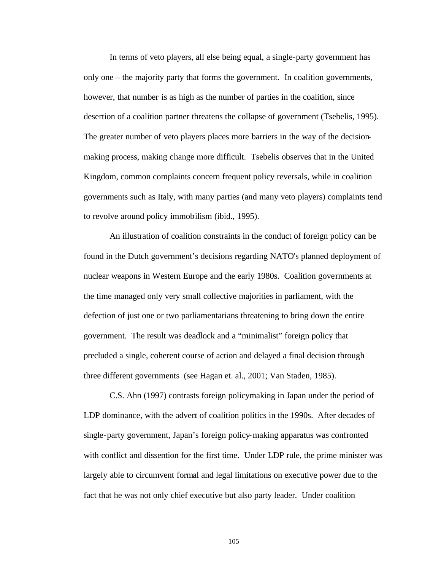In terms of veto players, all else being equal, a single-party government has only one – the majority party that forms the government. In coalition governments, however, that number is as high as the number of parties in the coalition, since desertion of a coalition partner threatens the collapse of government (Tsebelis, 1995). The greater number of veto players places more barriers in the way of the decisionmaking process, making change more difficult. Tsebelis observes that in the United Kingdom, common complaints concern frequent policy reversals, while in coalition governments such as Italy, with many parties (and many veto players) complaints tend to revolve around policy immobilism (ibid., 1995).

An illustration of coalition constraints in the conduct of foreign policy can be found in the Dutch government's decisions regarding NATO's planned deployment of nuclear weapons in Western Europe and the early 1980s. Coalition governments at the time managed only very small collective majorities in parliament, with the defection of just one or two parliamentarians threatening to bring down the entire government. The result was deadlock and a "minimalist" foreign policy that precluded a single, coherent course of action and delayed a final decision through three different governments (see Hagan et. al., 2001; Van Staden, 1985).

C.S. Ahn (1997) contrasts foreign policymaking in Japan under the period of LDP dominance, with the advent of coalition politics in the 1990s. After decades of single-party government, Japan's foreign policy-making apparatus was confronted with conflict and dissention for the first time. Under LDP rule, the prime minister was largely able to circumvent formal and legal limitations on executive power due to the fact that he was not only chief executive but also party leader. Under coalition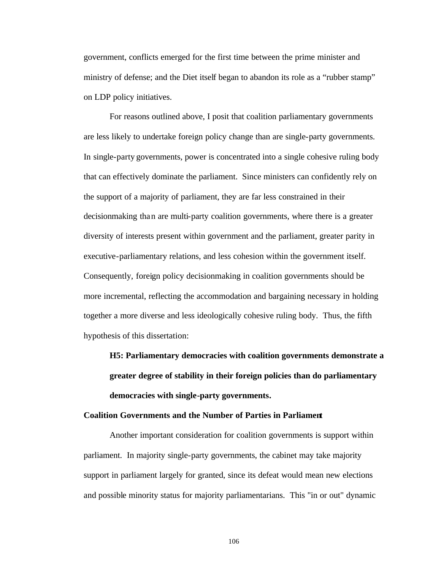government, conflicts emerged for the first time between the prime minister and ministry of defense; and the Diet itself began to abandon its role as a "rubber stamp" on LDP policy initiatives.

For reasons outlined above, I posit that coalition parliamentary governments are less likely to undertake foreign policy change than are single-party governments. In single-party governments, power is concentrated into a single cohesive ruling body that can effectively dominate the parliament. Since ministers can confidently rely on the support of a majority of parliament, they are far less constrained in their decisionmaking than are multi-party coalition governments, where there is a greater diversity of interests present within government and the parliament, greater parity in executive-parliamentary relations, and less cohesion within the government itself. Consequently, foreign policy decisionmaking in coalition governments should be more incremental, reflecting the accommodation and bargaining necessary in holding together a more diverse and less ideologically cohesive ruling body. Thus, the fifth hypothesis of this dissertation:

**H5: Parliamentary democracies with coalition governments demonstrate a greater degree of stability in their foreign policies than do parliamentary democracies with single-party governments***.*

#### **Coalition Governments and the Number of Parties in Parliament**

Another important consideration for coalition governments is support within parliament. In majority single-party governments, the cabinet may take majority support in parliament largely for granted, since its defeat would mean new elections and possible minority status for majority parliamentarians. This "in or out" dynamic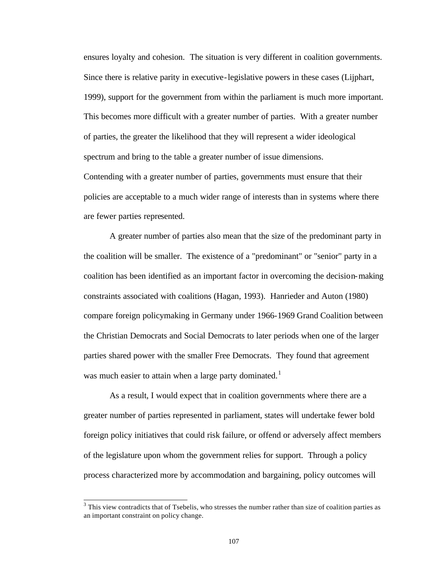ensures loyalty and cohesion. The situation is very different in coalition governments. Since there is relative parity in executive-legislative powers in these cases (Lijphart, 1999), support for the government from within the parliament is much more important. This becomes more difficult with a greater number of parties. With a greater number of parties, the greater the likelihood that they will represent a wider ideological spectrum and bring to the table a greater number of issue dimensions.

Contending with a greater number of parties, governments must ensure that their policies are acceptable to a much wider range of interests than in systems where there are fewer parties represented.

A greater number of parties also mean that the size of the predominant party in the coalition will be smaller. The existence of a "predominant" or "senior" party in a coalition has been identified as an important factor in overcoming the decision-making constraints associated with coalitions (Hagan, 1993). Hanrieder and Auton (1980) compare foreign policymaking in Germany under 1966-1969 Grand Coalition between the Christian Democrats and Social Democrats to later periods when one of the larger parties shared power with the smaller Free Democrats. They found that agreement was much easier to attain when a large party dominated.<sup>1</sup>

As a result, I would expect that in coalition governments where there are a greater number of parties represented in parliament, states will undertake fewer bold foreign policy initiatives that could risk failure, or offend or adversely affect members of the legislature upon whom the government relies for support. Through a policy process characterized more by accommodation and bargaining, policy outcomes will

l

 $3$  This view contradicts that of Tsebelis, who stresses the number rather than size of coalition parties as an important constraint on policy change.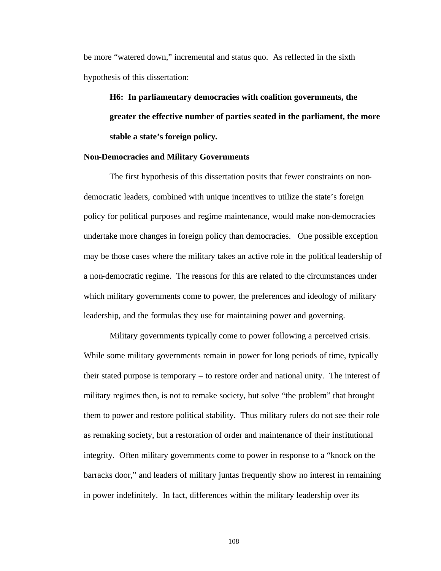be more "watered down," incremental and status quo. As reflected in the sixth hypothesis of this dissertation:

**H6: In parliamentary democracies with coalition governments, the greater the effective number of parties seated in the parliament, the more stable a state's foreign policy***.*

## **Non-Democracies and Military Governments**

The first hypothesis of this dissertation posits that fewer constraints on nondemocratic leaders, combined with unique incentives to utilize the state's foreign policy for political purposes and regime maintenance, would make non-democracies undertake more changes in foreign policy than democracies. One possible exception may be those cases where the military takes an active role in the political leadership of a non-democratic regime. The reasons for this are related to the circumstances under which military governments come to power, the preferences and ideology of military leadership, and the formulas they use for maintaining power and governing.

Military governments typically come to power following a perceived crisis. While some military governments remain in power for long periods of time, typically their stated purpose is temporary – to restore order and national unity. The interest of military regimes then, is not to remake society, but solve "the problem" that brought them to power and restore political stability. Thus military rulers do not see their role as remaking society, but a restoration of order and maintenance of their institutional integrity. Often military governments come to power in response to a "knock on the barracks door," and leaders of military juntas frequently show no interest in remaining in power indefinitely. In fact, differences within the military leadership over its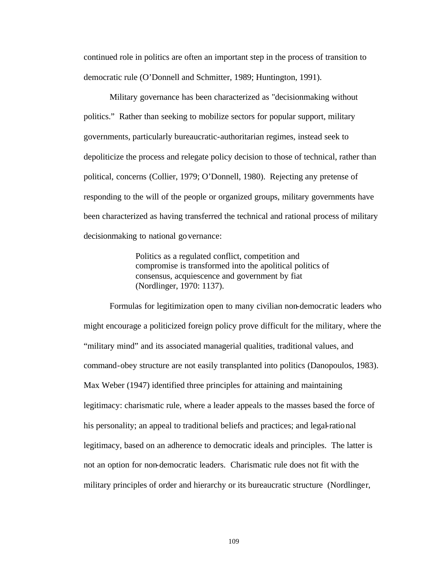continued role in politics are often an important step in the process of transition to democratic rule (O'Donnell and Schmitter, 1989; Huntington, 1991).

Military governance has been characterized as "decisionmaking without politics." Rather than seeking to mobilize sectors for popular support, military governments, particularly bureaucratic-authoritarian regimes, instead seek to depoliticize the process and relegate policy decision to those of technical, rather than political, concerns (Collier, 1979; O'Donnell, 1980). Rejecting any pretense of responding to the will of the people or organized groups, military governments have been characterized as having transferred the technical and rational process of military decisionmaking to national governance:

> Politics as a regulated conflict, competition and compromise is transformed into the apolitical politics of consensus, acquiescence and government by fiat (Nordlinger, 1970: 1137).

Formulas for legitimization open to many civilian non-democratic leaders who might encourage a politicized foreign policy prove difficult for the military, where the "military mind" and its associated managerial qualities, traditional values, and command-obey structure are not easily transplanted into politics (Danopoulos, 1983). Max Weber (1947) identified three principles for attaining and maintaining legitimacy: charismatic rule, where a leader appeals to the masses based the force of his personality; an appeal to traditional beliefs and practices; and legal-rational legitimacy, based on an adherence to democratic ideals and principles. The latter is not an option for non-democratic leaders. Charismatic rule does not fit with the military principles of order and hierarchy or its bureaucratic structure (Nordlinger,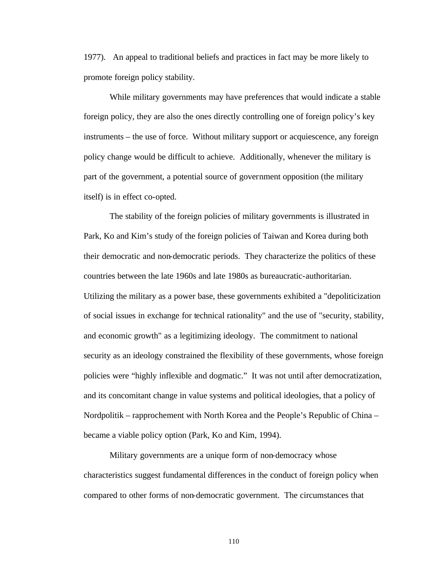1977). An appeal to traditional beliefs and practices in fact may be more likely to promote foreign policy stability.

While military governments may have preferences that would indicate a stable foreign policy, they are also the ones directly controlling one of foreign policy's key instruments – the use of force. Without military support or acquiescence, any foreign policy change would be difficult to achieve. Additionally, whenever the military is part of the government, a potential source of government opposition (the military itself) is in effect co-opted.

The stability of the foreign policies of military governments is illustrated in Park, Ko and Kim's study of the foreign policies of Taiwan and Korea during both their democratic and non-democratic periods. They characterize the politics of these countries between the late 1960s and late 1980s as bureaucratic-authoritarian. Utilizing the military as a power base, these governments exhibited a "depoliticization of social issues in exchange for technical rationality" and the use of "security, stability, and economic growth" as a legitimizing ideology. The commitment to national security as an ideology constrained the flexibility of these governments, whose foreign policies were "highly inflexible and dogmatic." It was not until after democratization, and its concomitant change in value systems and political ideologies, that a policy of Nordpolitik – rapprochement with North Korea and the People's Republic of China – became a viable policy option (Park, Ko and Kim, 1994).

Military governments are a unique form of non-democracy whose characteristics suggest fundamental differences in the conduct of foreign policy when compared to other forms of non-democratic government. The circumstances that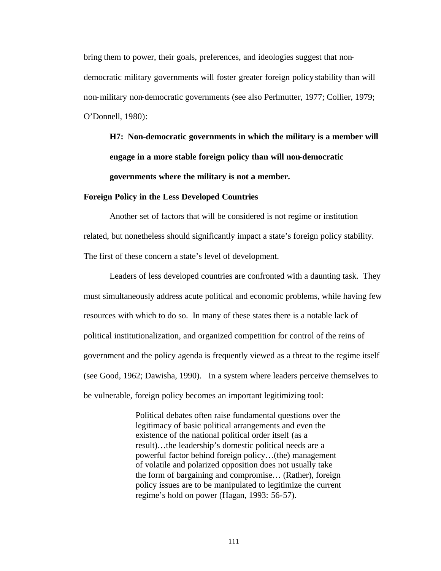bring them to power, their goals, preferences, and ideologies suggest that nondemocratic military governments will foster greater foreign policy stability than will non-military non-democratic governments (see also Perlmutter, 1977; Collier, 1979; O'Donnell, 1980):

**H7: Non-democratic governments in which the military is a member will engage in a more stable foreign policy than will non-democratic governments where the military is not a member.**

#### **Foreign Policy in the Less Developed Countries**

Another set of factors that will be considered is not regime or institution related, but nonetheless should significantly impact a state's foreign policy stability. The first of these concern a state's level of development.

Leaders of less developed countries are confronted with a daunting task. They must simultaneously address acute political and economic problems, while having few resources with which to do so. In many of these states there is a notable lack of political institutionalization, and organized competition for control of the reins of government and the policy agenda is frequently viewed as a threat to the regime itself (see Good, 1962; Dawisha, 1990). In a system where leaders perceive themselves to be vulnerable, foreign policy becomes an important legitimizing tool:

> Political debates often raise fundamental questions over the legitimacy of basic political arrangements and even the existence of the national political order itself (as a result)…the leadership's domestic political needs are a powerful factor behind foreign policy…(the) management of volatile and polarized opposition does not usually take the form of bargaining and compromise… (Rather), foreign policy issues are to be manipulated to legitimize the current regime's hold on power (Hagan, 1993: 56-57).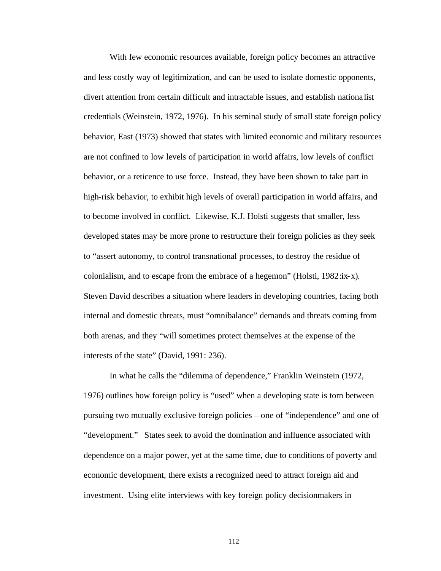With few economic resources available, foreign policy becomes an attractive and less costly way of legitimization, and can be used to isolate domestic opponents, divert attention from certain difficult and intractable issues, and establish nationa list credentials (Weinstein, 1972, 1976). In his seminal study of small state foreign policy behavior, East (1973) showed that states with limited economic and military resources are not confined to low levels of participation in world affairs, low levels of conflict behavior, or a reticence to use force. Instead, they have been shown to take part in high-risk behavior, to exhibit high levels of overall participation in world affairs, and to become involved in conflict. Likewise, K.J. Holsti suggests that smaller, less developed states may be more prone to restructure their foreign policies as they seek to "assert autonomy, to control transnational processes, to destroy the residue of colonialism, and to escape from the embrace of a hegemon" (Holsti,  $1982:x-x$ ). Steven David describes a situation where leaders in developing countries, facing both internal and domestic threats, must "omnibalance" demands and threats coming from both arenas, and they "will sometimes protect themselves at the expense of the interests of the state" (David, 1991: 236).

In what he calls the "dilemma of dependence," Franklin Weinstein (1972, 1976) outlines how foreign policy is "used" when a developing state is torn between pursuing two mutually exclusive foreign policies – one of "independence" and one of "development." States seek to avoid the domination and influence associated with dependence on a major power, yet at the same time, due to conditions of poverty and economic development, there exists a recognized need to attract foreign aid and investment. Using elite interviews with key foreign policy decisionmakers in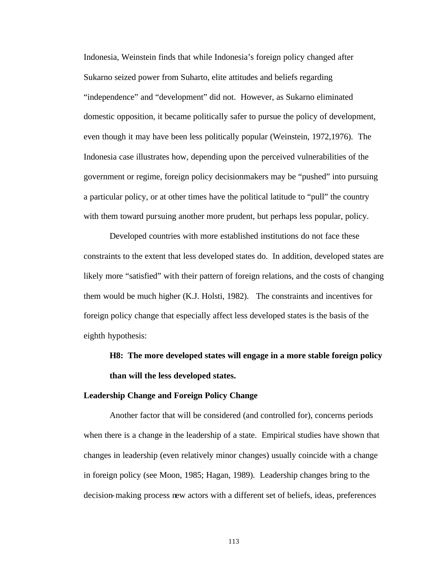Indonesia, Weinstein finds that while Indonesia's foreign policy changed after Sukarno seized power from Suharto, elite attitudes and beliefs regarding "independence" and "development" did not. However, as Sukarno eliminated domestic opposition, it became politically safer to pursue the policy of development, even though it may have been less politically popular (Weinstein, 1972,1976). The Indonesia case illustrates how, depending upon the perceived vulnerabilities of the government or regime, foreign policy decisionmakers may be "pushed" into pursuing a particular policy, or at other times have the political latitude to "pull" the country with them toward pursuing another more prudent, but perhaps less popular, policy.

Developed countries with more established institutions do not face these constraints to the extent that less developed states do. In addition, developed states are likely more "satisfied" with their pattern of foreign relations, and the costs of changing them would be much higher (K.J. Holsti, 1982). The constraints and incentives for foreign policy change that especially affect less developed states is the basis of the eighth hypothesis:

**H8: The more developed states will engage in a more stable foreign policy than will the less developed states.**

### **Leadership Change and Foreign Policy Change**

Another factor that will be considered (and controlled for), concerns periods when there is a change in the leadership of a state. Empirical studies have shown that changes in leadership (even relatively minor changes) usually coincide with a change in foreign policy (see Moon, 1985; Hagan, 1989). Leadership changes bring to the decision-making process new actors with a different set of beliefs, ideas, preferences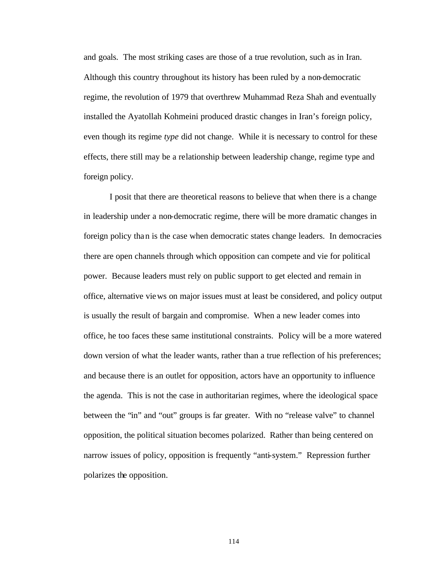and goals. The most striking cases are those of a true revolution, such as in Iran. Although this country throughout its history has been ruled by a non-democratic regime, the revolution of 1979 that overthrew Muhammad Reza Shah and eventually installed the Ayatollah Kohmeini produced drastic changes in Iran's foreign policy, even though its regime *type* did not change. While it is necessary to control for these effects, there still may be a relationship between leadership change, regime type and foreign policy.

I posit that there are theoretical reasons to believe that when there is a change in leadership under a non-democratic regime, there will be more dramatic changes in foreign policy than is the case when democratic states change leaders. In democracies there are open channels through which opposition can compete and vie for political power. Because leaders must rely on public support to get elected and remain in office, alternative views on major issues must at least be considered, and policy output is usually the result of bargain and compromise. When a new leader comes into office, he too faces these same institutional constraints. Policy will be a more watered down version of what the leader wants, rather than a true reflection of his preferences; and because there is an outlet for opposition, actors have an opportunity to influence the agenda. This is not the case in authoritarian regimes, where the ideological space between the "in" and "out" groups is far greater. With no "release valve" to channel opposition, the political situation becomes polarized. Rather than being centered on narrow issues of policy, opposition is frequently "anti-system." Repression further polarizes the opposition.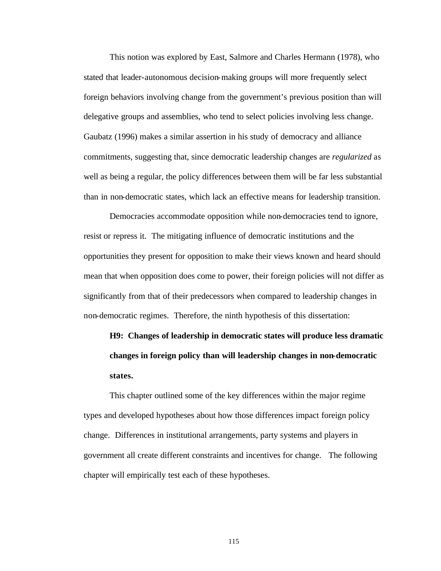This notion was explored by East, Salmore and Charles Hermann (1978), who stated that leader-autonomous decision-making groups will more frequently select foreign behaviors involving change from the government's previous position than will delegative groups and assemblies, who tend to select policies involving less change. Gaubatz (1996) makes a similar assertion in his study of democracy and alliance commitments, suggesting that, since democratic leadership changes are *regularized* as well as being a regular, the policy differences between them will be far less substantial than in non-democratic states, which lack an effective means for leadership transition.

Democracies accommodate opposition while non-democracies tend to ignore, resist or repress it. The mitigating influence of democratic institutions and the opportunities they present for opposition to make their views known and heard should mean that when opposition does come to power, their foreign policies will not differ as significantly from that of their predecessors when compared to leadership changes in non-democratic regimes. Therefore, the ninth hypothesis of this dissertation:

**H9: Changes of leadership in democratic states will produce less dramatic changes in foreign policy than will leadership changes in non-democratic states.**

This chapter outlined some of the key differences within the major regime types and developed hypotheses about how those differences impact foreign policy change. Differences in institutional arrangements, party systems and players in government all create different constraints and incentives for change. The following chapter will empirically test each of these hypotheses.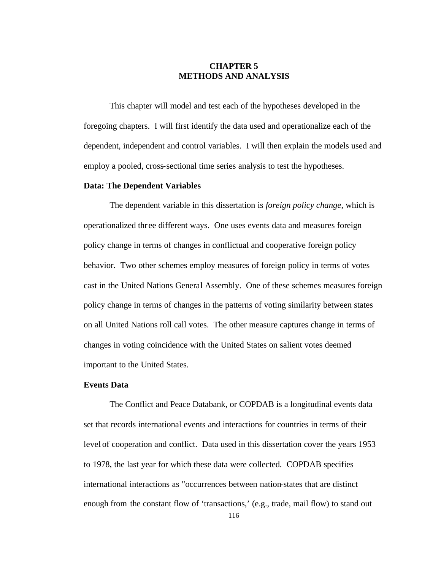# **CHAPTER 5 METHODS AND ANALYSIS**

This chapter will model and test each of the hypotheses developed in the foregoing chapters. I will first identify the data used and operationalize each of the dependent, independent and control variables. I will then explain the models used and employ a pooled, cross-sectional time series analysis to test the hypotheses.

## **Data: The Dependent Variables**

The dependent variable in this dissertation is *foreign policy change*, which is operationalized thr ee different ways. One uses events data and measures foreign policy change in terms of changes in conflictual and cooperative foreign policy behavior. Two other schemes employ measures of foreign policy in terms of votes cast in the United Nations General Assembly. One of these schemes measures foreign policy change in terms of changes in the patterns of voting similarity between states on all United Nations roll call votes. The other measure captures change in terms of changes in voting coincidence with the United States on salient votes deemed important to the United States.

## **Events Data**

The Conflict and Peace Databank, or COPDAB is a longitudinal events data set that records international events and interactions for countries in terms of their level of cooperation and conflict. Data used in this dissertation cover the years 1953 to 1978, the last year for which these data were collected. COPDAB specifies international interactions as "occurrences between nation-states that are distinct enough from the constant flow of 'transactions,' (e.g., trade, mail flow) to stand out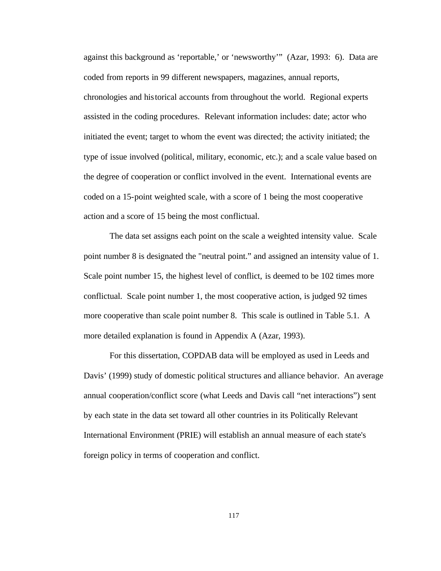against this background as 'reportable,' or 'newsworthy'" (Azar, 1993: 6). Data are coded from reports in 99 different newspapers, magazines, annual reports, chronologies and historical accounts from throughout the world. Regional experts assisted in the coding procedures. Relevant information includes: date; actor who initiated the event; target to whom the event was directed; the activity initiated; the type of issue involved (political, military, economic, etc.); and a scale value based on the degree of cooperation or conflict involved in the event. International events are coded on a 15-point weighted scale, with a score of 1 being the most cooperative action and a score of 15 being the most conflictual.

The data set assigns each point on the scale a weighted intensity value. Scale point number 8 is designated the "neutral point." and assigned an intensity value of 1. Scale point number 15, the highest level of conflict, is deemed to be 102 times more conflictual. Scale point number 1, the most cooperative action, is judged 92 times more cooperative than scale point number 8. This scale is outlined in Table 5.1. A more detailed explanation is found in Appendix A (Azar, 1993).

For this dissertation, COPDAB data will be employed as used in Leeds and Davis' (1999) study of domestic political structures and alliance behavior. An average annual cooperation/conflict score (what Leeds and Davis call "net interactions") sent by each state in the data set toward all other countries in its Politically Relevant International Environment (PRIE) will establish an annual measure of each state's foreign policy in terms of cooperation and conflict.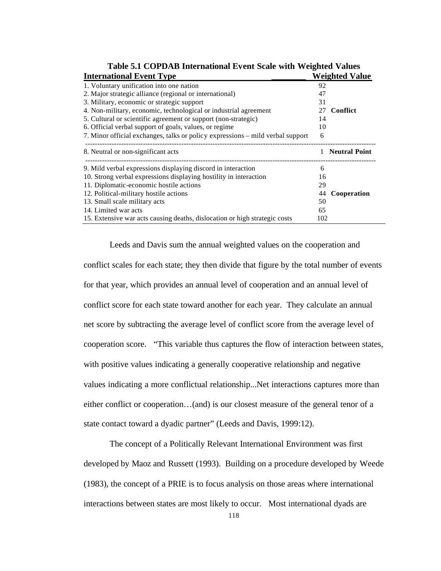| <b>International Event Type</b>                                                | <b>Weighted Value</b> |
|--------------------------------------------------------------------------------|-----------------------|
| 1. Voluntary unification into one nation                                       | 92                    |
| 2. Major strategic alliance (regional or international)                        | 47                    |
| 3. Military, economic or strategic support                                     | 31                    |
| 4. Non-military, economic, technological or industrial agreement               | <b>Conflict</b><br>27 |
| 5. Cultural or scientific agreement or support (non-strategic)                 | 14                    |
| 6. Official verbal support of goals, values, or regime                         | 10                    |
| 7. Minor official exchanges, talks or policy expressions – mild verbal support | 6                     |
| 8. Neutral or non-significant acts                                             | <b>Neutral Point</b>  |
| 9. Mild verbal expressions displaying discord in interaction                   | 6                     |
| 10. Strong verbal expressions displaying hostility in interaction              | 16                    |
| 11. Diplomatic-economic hostile actions                                        | 29                    |
| 12. Political-military hostile actions                                         | Cooperation<br>44     |
| 13. Small scale military acts                                                  | 50                    |
| 14. Limited war acts                                                           | 65                    |
| 15. Extensive war acts causing deaths, dislocation or high strategic costs     | 102                   |

**Table 5.1 COPDAB International Event Scale with Weighted Values**

Leeds and Davis sum the annual weighted values on the cooperation and conflict scales for each state; they then divide that figure by the total number of events for that year, which provides an annual level of cooperation and an annual level of conflict score for each state toward another for each year. They calculate an annual net score by subtracting the average level of conflict score from the average level of cooperation score. "This variable thus captures the flow of interaction between states, with positive values indicating a generally cooperative relationship and negative values indicating a more conflictual relationship...Net interactions captures more than either conflict or cooperation…(and) is our closest measure of the general tenor of a state contact toward a dyadic partner" (Leeds and Davis, 1999:12).

The concept of a Politically Relevant International Environment was first developed by Maoz and Russett (1993). Building on a procedure developed by Weede (1983), the concept of a PRIE is to focus analysis on those areas where international interactions between states are most likely to occur. Most international dyads are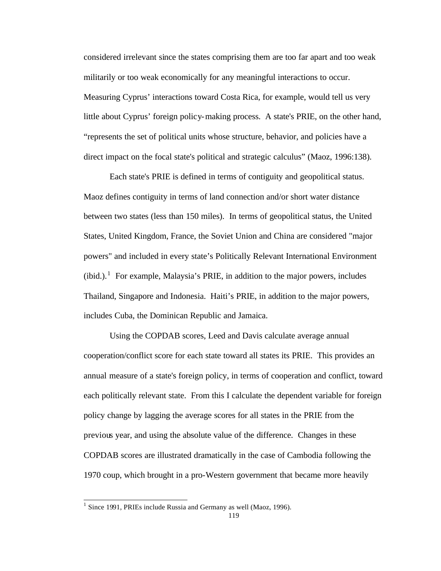considered irrelevant since the states comprising them are too far apart and too weak militarily or too weak economically for any meaningful interactions to occur. Measuring Cyprus' interactions toward Costa Rica, for example, would tell us very little about Cyprus' foreign policy-making process. A state's PRIE, on the other hand, "represents the set of political units whose structure, behavior, and policies have a direct impact on the focal state's political and strategic calculus" (Maoz, 1996:138).

Each state's PRIE is defined in terms of contiguity and geopolitical status. Maoz defines contiguity in terms of land connection and/or short water distance between two states (less than 150 miles). In terms of geopolitical status, the United States, United Kingdom, France, the Soviet Union and China are considered "major powers" and included in every state's Politically Relevant International Environment  $(ibid.)$ <sup>1</sup> For example, Malaysia's PRIE, in addition to the major powers, includes Thailand, Singapore and Indonesia. Haiti's PRIE, in addition to the major powers, includes Cuba, the Dominican Republic and Jamaica.

Using the COPDAB scores, Leed and Davis calculate average annual cooperation/conflict score for each state toward all states its PRIE. This provides an annual measure of a state's foreign policy, in terms of cooperation and conflict, toward each politically relevant state. From this I calculate the dependent variable for foreign policy change by lagging the average scores for all states in the PRIE from the previous year, and using the absolute value of the difference. Changes in these COPDAB scores are illustrated dramatically in the case of Cambodia following the 1970 coup, which brought in a pro-Western government that became more heavily

 1 Since 1991, PRIEs include Russia and Germany as well (Maoz, 1996).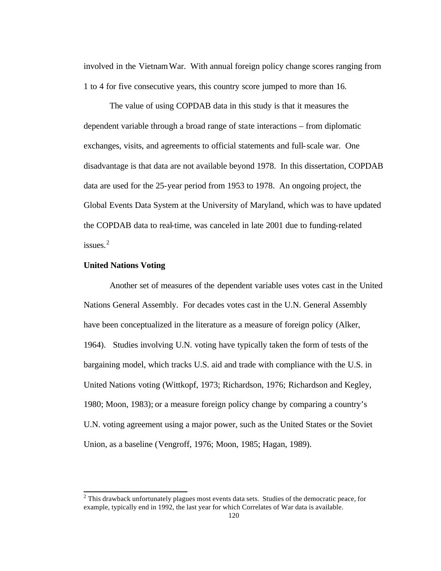involved in the Vietnam War. With annual foreign policy change scores ranging from 1 to 4 for five consecutive years, this country score jumped to more than 16.

The value of using COPDAB data in this study is that it measures the dependent variable through a broad range of state interactions – from diplomatic exchanges, visits, and agreements to official statements and full-scale war. One disadvantage is that data are not available beyond 1978. In this dissertation, COPDAB data are used for the 25-year period from 1953 to 1978. An ongoing project, the Global Events Data System at the University of Maryland, which was to have updated the COPDAB data to real-time, was canceled in late 2001 due to funding-related issues. $2$ 

## **United Nations Voting**

Another set of measures of the dependent variable uses votes cast in the United Nations General Assembly. For decades votes cast in the U.N. General Assembly have been conceptualized in the literature as a measure of foreign policy (Alker, 1964). Studies involving U.N. voting have typically taken the form of tests of the bargaining model, which tracks U.S. aid and trade with compliance with the U.S. in United Nations voting (Wittkopf, 1973; Richardson, 1976; Richardson and Kegley, 1980; Moon, 1983); or a measure foreign policy change by comparing a country's U.N. voting agreement using a major power, such as the United States or the Soviet Union, as a baseline (Vengroff, 1976; Moon, 1985; Hagan, 1989).

<sup>&</sup>lt;sup>2</sup> This drawback unfortunately plagues most events data sets. Studies of the democratic peace, for example, typically end in 1992, the last year for which Correlates of War data is available.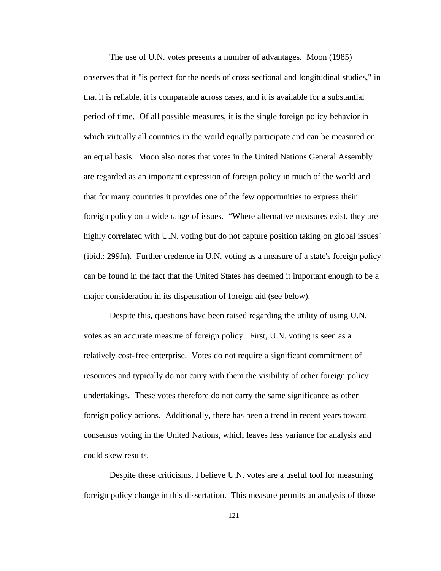The use of U.N. votes presents a number of advantages. Moon (1985) observes that it "is perfect for the needs of cross sectional and longitudinal studies," in that it is reliable, it is comparable across cases, and it is available for a substantial period of time. Of all possible measures, it is the single foreign policy behavior in which virtually all countries in the world equally participate and can be measured on an equal basis. Moon also notes that votes in the United Nations General Assembly are regarded as an important expression of foreign policy in much of the world and that for many countries it provides one of the few opportunities to express their foreign policy on a wide range of issues. "Where alternative measures exist, they are highly correlated with U.N. voting but do not capture position taking on global issues" (ibid.: 299fn). Further credence in U.N. voting as a measure of a state's foreign policy can be found in the fact that the United States has deemed it important enough to be a major consideration in its dispensation of foreign aid (see below).

Despite this, questions have been raised regarding the utility of using U.N. votes as an accurate measure of foreign policy. First, U.N. voting is seen as a relatively cost-free enterprise. Votes do not require a significant commitment of resources and typically do not carry with them the visibility of other foreign policy undertakings. These votes therefore do not carry the same significance as other foreign policy actions. Additionally, there has been a trend in recent years toward consensus voting in the United Nations, which leaves less variance for analysis and could skew results.

Despite these criticisms, I believe U.N. votes are a useful tool for measuring foreign policy change in this dissertation. This measure permits an analysis of those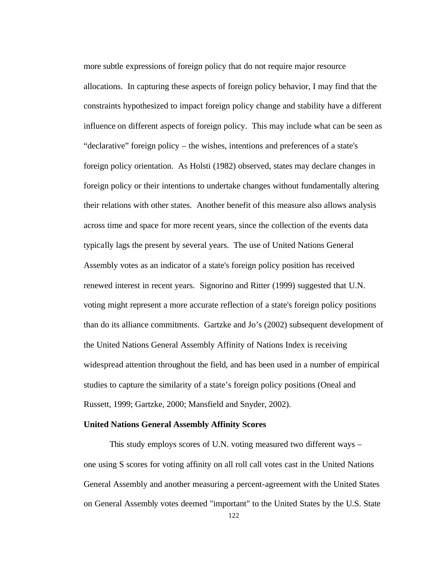more subtle expressions of foreign policy that do not require major resource allocations. In capturing these aspects of foreign policy behavior, I may find that the constraints hypothesized to impact foreign policy change and stability have a different influence on different aspects of foreign policy. This may include what can be seen as "declarative" foreign policy – the wishes, intentions and preferences of a state's foreign policy orientation. As Holsti (1982) observed, states may declare changes in foreign policy or their intentions to undertake changes without fundamentally altering their relations with other states. Another benefit of this measure also allows analysis across time and space for more recent years, since the collection of the events data typically lags the present by several years. The use of United Nations General Assembly votes as an indicator of a state's foreign policy position has received renewed interest in recent years. Signorino and Ritter (1999) suggested that U.N. voting might represent a more accurate reflection of a state's foreign policy positions than do its alliance commitments. Gartzke and Jo's (2002) subsequent development of the United Nations General Assembly Affinity of Nations Index is receiving widespread attention throughout the field, and has been used in a number of empirical studies to capture the similarity of a state's foreign policy positions (Oneal and Russett, 1999; Gartzke, 2000; Mansfield and Snyder, 2002).

#### **United Nations General Assembly Affinity Scores**

This study employs scores of U.N. voting measured two different ways – one using S scores for voting affinity on all roll call votes cast in the United Nations General Assembly and another measuring a percent-agreement with the United States on General Assembly votes deemed "important" to the United States by the U.S. State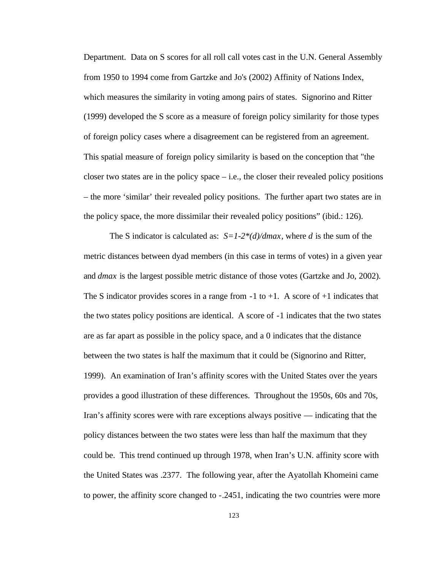Department. Data on S scores for all roll call votes cast in the U.N. General Assembly from 1950 to 1994 come from Gartzke and Jo's (2002) Affinity of Nations Index, which measures the similarity in voting among pairs of states. Signorino and Ritter (1999) developed the S score as a measure of foreign policy similarity for those types of foreign policy cases where a disagreement can be registered from an agreement. This spatial measure of foreign policy similarity is based on the conception that "the closer two states are in the policy space  $-$  i.e., the closer their revealed policy positions – the more 'similar' their revealed policy positions. The further apart two states are in the policy space, the more dissimilar their revealed policy positions" (ibid.: 126).

The S indicator is calculated as: *S=1-2\*(d)/dmax*, where *d* is the sum of the metric distances between dyad members (in this case in terms of votes) in a given year and *dmax* is the largest possible metric distance of those votes (Gartzke and Jo, 2002). The S indicator provides scores in a range from  $-1$  to  $+1$ . A score of  $+1$  indicates that the two states policy positions are identical. A score of -1 indicates that the two states are as far apart as possible in the policy space, and a 0 indicates that the distance between the two states is half the maximum that it could be (Signorino and Ritter, 1999). An examination of Iran's affinity scores with the United States over the years provides a good illustration of these differences. Throughout the 1950s, 60s and 70s, Iran's affinity scores were with rare exceptions always positive — indicating that the policy distances between the two states were less than half the maximum that they could be. This trend continued up through 1978, when Iran's U.N. affinity score with the United States was .2377. The following year, after the Ayatollah Khomeini came to power, the affinity score changed to -.2451, indicating the two countries were more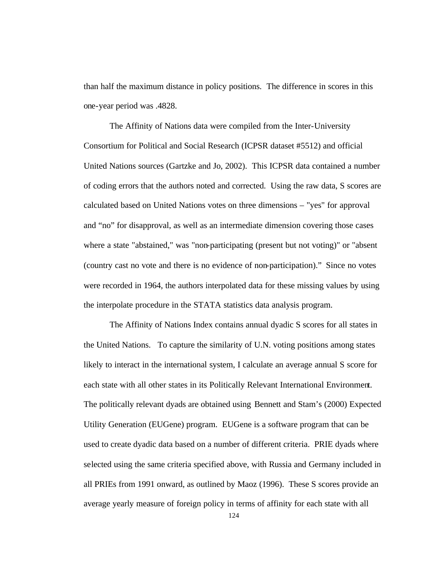than half the maximum distance in policy positions. The difference in scores in this one-year period was .4828.

The Affinity of Nations data were compiled from the Inter-University Consortium for Political and Social Research (ICPSR dataset #5512) and official United Nations sources (Gartzke and Jo, 2002). This ICPSR data contained a number of coding errors that the authors noted and corrected. Using the raw data, S scores are calculated based on United Nations votes on three dimensions – "yes" for approval and "no" for disapproval, as well as an intermediate dimension covering those cases where a state "abstained," was "non-participating (present but not voting)" or "absent (country cast no vote and there is no evidence of non-participation)." Since no votes were recorded in 1964, the authors interpolated data for these missing values by using the interpolate procedure in the STATA statistics data analysis program.

The Affinity of Nations Index contains annual dyadic S scores for all states in the United Nations. To capture the similarity of U.N. voting positions among states likely to interact in the international system, I calculate an average annual S score for each state with all other states in its Politically Relevant International Environment. The politically relevant dyads are obtained using Bennett and Stam's (2000) Expected Utility Generation (EUGene) program. EUGene is a software program that can be used to create dyadic data based on a number of different criteria. PRIE dyads where selected using the same criteria specified above, with Russia and Germany included in all PRIEs from 1991 onward, as outlined by Maoz (1996). These S scores provide an average yearly measure of foreign policy in terms of affinity for each state with all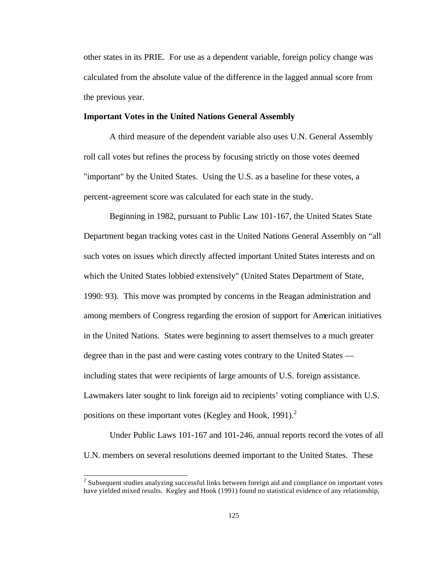other states in its PRIE. For use as a dependent variable, foreign policy change was calculated from the absolute value of the difference in the lagged annual score from the previous year.

## **Important Votes in the United Nations General Assembly**

A third measure of the dependent variable also uses U.N. General Assembly roll call votes but refines the process by focusing strictly on those votes deemed "important" by the United States. Using the U.S. as a baseline for these votes, a percent-agreement score was calculated for each state in the study.

Beginning in 1982, pursuant to Public Law 101-167, the United States State Department began tracking votes cast in the United Nations General Assembly on "all such votes on issues which directly affected important United States interests and on which the United States lobbied extensively" (United States Department of State, 1990: 93). This move was prompted by concerns in the Reagan administration and among members of Congress regarding the erosion of support for American initiatives in the United Nations. States were beginning to assert themselves to a much greater degree than in the past and were casting votes contrary to the United States including states that were recipients of large amounts of U.S. foreign assistance. Lawmakers later sought to link foreign aid to recipients' voting compliance with U.S. positions on these important votes (Kegley and Hook, 1991). $2$ 

Under Public Laws 101-167 and 101-246, annual reports record the votes of all U.N. members on several resolutions deemed important to the United States. These

l

 $2$  Subsequent studies analyzing successful links between foreign aid and compliance on important votes have yielded mixed results. Kegley and Hook (1991) found no statistical evidence of any relationship,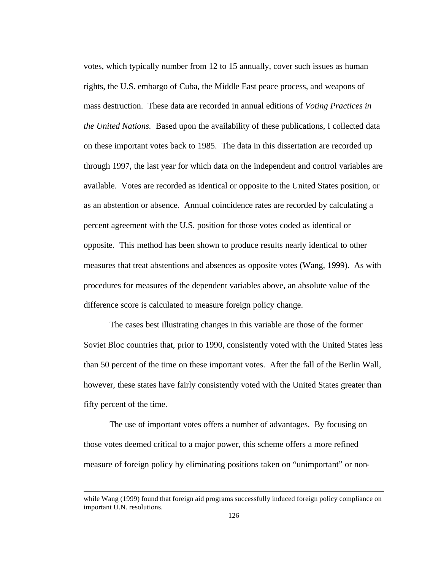votes, which typically number from 12 to 15 annually, cover such issues as human rights, the U.S. embargo of Cuba, the Middle East peace process, and weapons of mass destruction. These data are recorded in annual editions of *Voting Practices in the United Nations.* Based upon the availability of these publications, I collected data on these important votes back to 1985. The data in this dissertation are recorded up through 1997, the last year for which data on the independent and control variables are available. Votes are recorded as identical or opposite to the United States position, or as an abstention or absence. Annual coincidence rates are recorded by calculating a percent agreement with the U.S. position for those votes coded as identical or opposite. This method has been shown to produce results nearly identical to other measures that treat abstentions and absences as opposite votes (Wang, 1999). As with procedures for measures of the dependent variables above, an absolute value of the difference score is calculated to measure foreign policy change.

The cases best illustrating changes in this variable are those of the former Soviet Bloc countries that, prior to 1990, consistently voted with the United States less than 50 percent of the time on these important votes. After the fall of the Berlin Wall, however, these states have fairly consistently voted with the United States greater than fifty percent of the time.

The use of important votes offers a number of advantages. By focusing on those votes deemed critical to a major power, this scheme offers a more refined measure of foreign policy by eliminating positions taken on "unimportant" or non-

l

while Wang (1999) found that foreign aid programs successfully induced foreign policy compliance on important U.N. resolutions.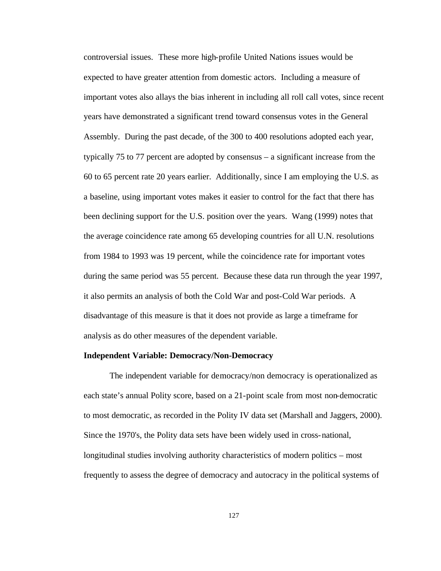controversial issues. These more high-profile United Nations issues would be expected to have greater attention from domestic actors. Including a measure of important votes also allays the bias inherent in including all roll call votes, since recent years have demonstrated a significant trend toward consensus votes in the General Assembly. During the past decade, of the 300 to 400 resolutions adopted each year, typically 75 to 77 percent are adopted by consensus – a significant increase from the 60 to 65 percent rate 20 years earlier. Additionally, since I am employing the U.S. as a baseline, using important votes makes it easier to control for the fact that there has been declining support for the U.S. position over the years. Wang (1999) notes that the average coincidence rate among 65 developing countries for all U.N. resolutions from 1984 to 1993 was 19 percent, while the coincidence rate for important votes during the same period was 55 percent. Because these data run through the year 1997, it also permits an analysis of both the Cold War and post-Cold War periods. A disadvantage of this measure is that it does not provide as large a timeframe for analysis as do other measures of the dependent variable.

#### **Independent Variable: Democracy/Non-Democracy**

The independent variable for democracy/non democracy is operationalized as each state's annual Polity score, based on a 21-point scale from most non-democratic to most democratic, as recorded in the Polity IV data set (Marshall and Jaggers, 2000). Since the 1970's, the Polity data sets have been widely used in cross-national, longitudinal studies involving authority characteristics of modern politics – most frequently to assess the degree of democracy and autocracy in the political systems of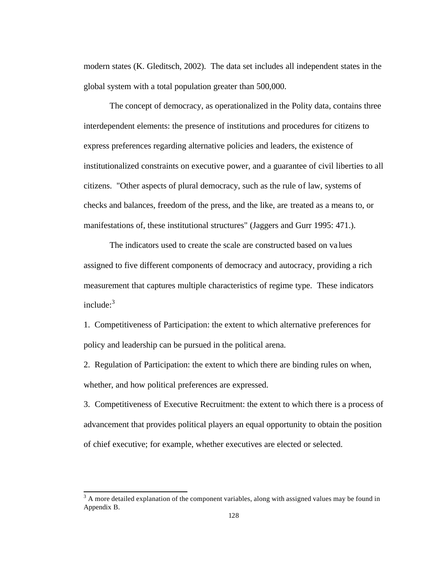modern states (K. Gleditsch, 2002). The data set includes all independent states in the global system with a total population greater than 500,000.

The concept of democracy, as operationalized in the Polity data, contains three interdependent elements: the presence of institutions and procedures for citizens to express preferences regarding alternative policies and leaders, the existence of institutionalized constraints on executive power, and a guarantee of civil liberties to all citizens. "Other aspects of plural democracy, such as the rule of law, systems of checks and balances, freedom of the press, and the like, are treated as a means to, or manifestations of, these institutional structures" (Jaggers and Gurr 1995: 471.).

The indicators used to create the scale are constructed based on va lues assigned to five different components of democracy and autocracy, providing a rich measurement that captures multiple characteristics of regime type. These indicators include: $3$ 

1. Competitiveness of Participation: the extent to which alternative preferences for policy and leadership can be pursued in the political arena.

2. Regulation of Participation: the extent to which there are binding rules on when, whether, and how political preferences are expressed.

3. Competitiveness of Executive Recruitment: the extent to which there is a process of advancement that provides political players an equal opportunity to obtain the position of chief executive; for example, whether executives are elected or selected.

l

 $3 \text{ A}$  more detailed explanation of the component variables, along with assigned values may be found in Appendix B.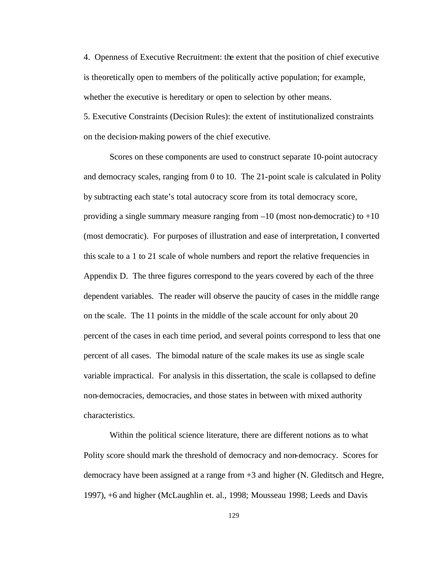4. Openness of Executive Recruitment: the extent that the position of chief executive is theoretically open to members of the politically active population; for example, whether the executive is hereditary or open to selection by other means.

5. Executive Constraints (Decision Rules): the extent of institutionalized constraints on the decision-making powers of the chief executive.

Scores on these components are used to construct separate 10-point autocracy and democracy scales, ranging from 0 to 10. The 21-point scale is calculated in Polity by subtracting each state's total autocracy score from its total democracy score, providing a single summary measure ranging from  $-10$  (most non-democratic) to  $+10$ (most democratic). For purposes of illustration and ease of interpretation, I converted this scale to a 1 to 21 scale of whole numbers and report the relative frequencies in Appendix D. The three figures correspond to the years covered by each of the three dependent variables. The reader will observe the paucity of cases in the middle range on the scale. The 11 points in the middle of the scale account for only about 20 percent of the cases in each time period, and several points correspond to less that one percent of all cases. The bimodal nature of the scale makes its use as single scale variable impractical. For analysis in this dissertation, the scale is collapsed to define non-democracies, democracies, and those states in between with mixed authority characteristics.

Within the political science literature, there are different notions as to what Polity score should mark the threshold of democracy and non-democracy. Scores for democracy have been assigned at a range from +3 and higher (N. Gleditsch and Hegre, 1997), +6 and higher (McLaughlin et. al., 1998; Mousseau 1998; Leeds and Davis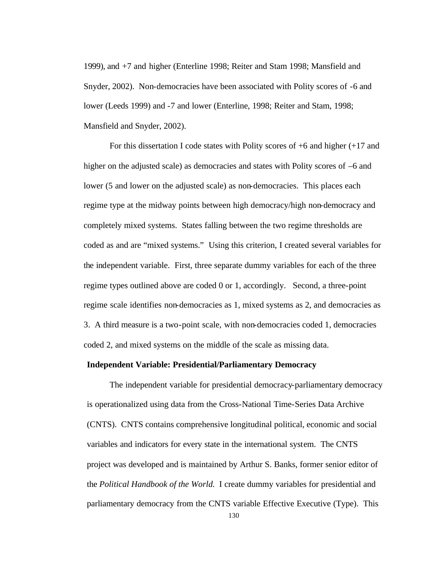1999), and +7 and higher (Enterline 1998; Reiter and Stam 1998; Mansfield and Snyder, 2002). Non-democracies have been associated with Polity scores of -6 and lower (Leeds 1999) and -7 and lower (Enterline, 1998; Reiter and Stam, 1998; Mansfield and Snyder, 2002).

For this dissertation I code states with Polity scores of  $+6$  and higher  $(+17 \text{ and }$ higher on the adjusted scale) as democracies and states with Polity scores of  $-6$  and lower (5 and lower on the adjusted scale) as non-democracies. This places each regime type at the midway points between high democracy/high non-democracy and completely mixed systems. States falling between the two regime thresholds are coded as and are "mixed systems." Using this criterion, I created several variables for the independent variable. First, three separate dummy variables for each of the three regime types outlined above are coded 0 or 1, accordingly. Second, a three-point regime scale identifies non-democracies as 1, mixed systems as 2, and democracies as 3. A third measure is a two-point scale, with non-democracies coded 1, democracies coded 2, and mixed systems on the middle of the scale as missing data.

## **Independent Variable: Presidential/Parliamentary Democracy**

The independent variable for presidential democracy-parliamentary democracy is operationalized using data from the Cross-National Time-Series Data Archive (CNTS). CNTS contains comprehensive longitudinal political, economic and social variables and indicators for every state in the international system. The CNTS project was developed and is maintained by Arthur S. Banks, former senior editor of the *Political Handbook of the World.* I create dummy variables for presidential and parliamentary democracy from the CNTS variable Effective Executive (Type). This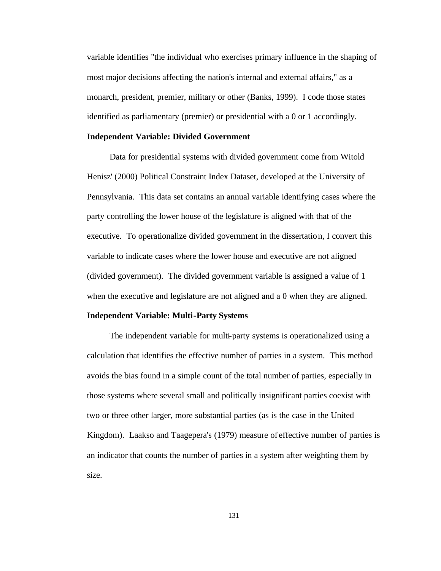variable identifies "the individual who exercises primary influence in the shaping of most major decisions affecting the nation's internal and external affairs," as a monarch, president, premier, military or other (Banks, 1999). I code those states identified as parliamentary (premier) or presidential with a 0 or 1 accordingly.

#### **Independent Variable: Divided Government**

Data for presidential systems with divided government come from Witold Henisz' (2000) Political Constraint Index Dataset, developed at the University of Pennsylvania. This data set contains an annual variable identifying cases where the party controlling the lower house of the legislature is aligned with that of the executive. To operationalize divided government in the dissertation, I convert this variable to indicate cases where the lower house and executive are not aligned (divided government). The divided government variable is assigned a value of 1 when the executive and legislature are not aligned and a 0 when they are aligned.

#### **Independent Variable: Multi-Party Systems**

The independent variable for multi-party systems is operationalized using a calculation that identifies the effective number of parties in a system. This method avoids the bias found in a simple count of the total number of parties, especially in those systems where several small and politically insignificant parties coexist with two or three other larger, more substantial parties (as is the case in the United Kingdom). Laakso and Taagepera's (1979) measure of effective number of parties is an indicator that counts the number of parties in a system after weighting them by size.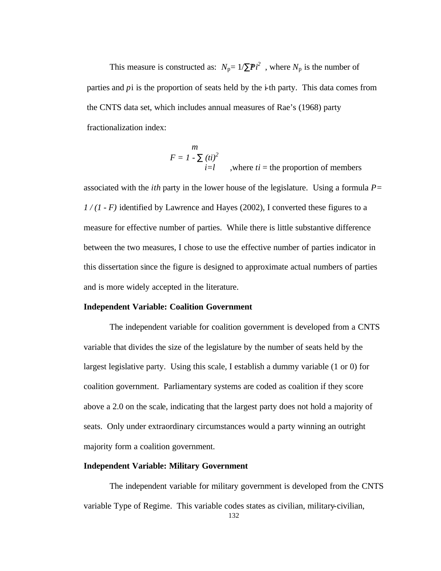This measure is constructed as:  $N_p = 1/\sum \mathbf{P}i^2$ , where  $N_p$  is the number of parties and *p*i is the proportion of seats held by the i-th party. This data comes from the CNTS data set, which includes annual measures of Rae's (1968) party fractionalization index:

$$
F = I - \sum_{i=1}^{m} (ti)^2
$$
, where  $ti$  = the proportion of members

associated with the *ith* party in the lower house of the legislature. Using a formula *P= 1 / (1 - F)* identified by Lawrence and Hayes (2002), I converted these figures to a measure for effective number of parties. While there is little substantive difference between the two measures, I chose to use the effective number of parties indicator in this dissertation since the figure is designed to approximate actual numbers of parties and is more widely accepted in the literature.

## **Independent Variable: Coalition Government**

The independent variable for coalition government is developed from a CNTS variable that divides the size of the legislature by the number of seats held by the largest legislative party. Using this scale, I establish a dummy variable (1 or 0) for coalition government. Parliamentary systems are coded as coalition if they score above a 2.0 on the scale, indicating that the largest party does not hold a majority of seats. Only under extraordinary circumstances would a party winning an outright majority form a coalition government.

### **Independent Variable: Military Government**

The independent variable for military government is developed from the CNTS variable Type of Regime. This variable codes states as civilian, military-civilian,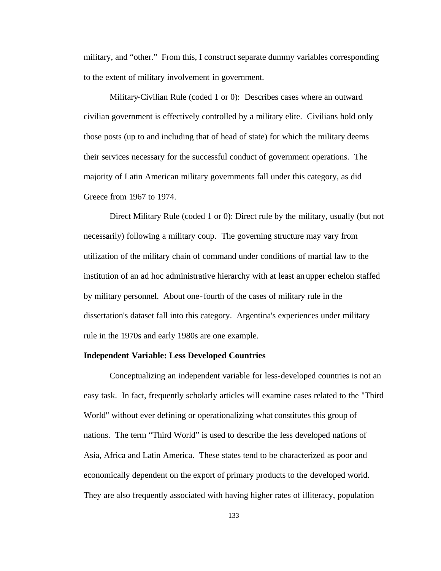military, and "other." From this, I construct separate dummy variables corresponding to the extent of military involvement in government.

Military-Civilian Rule (coded 1 or 0): Describes cases where an outward civilian government is effectively controlled by a military elite. Civilians hold only those posts (up to and including that of head of state) for which the military deems their services necessary for the successful conduct of government operations. The majority of Latin American military governments fall under this category, as did Greece from 1967 to 1974.

Direct Military Rule (coded 1 or 0): Direct rule by the military, usually (but not necessarily) following a military coup. The governing structure may vary from utilization of the military chain of command under conditions of martial law to the institution of an ad hoc administrative hierarchy with at least an upper echelon staffed by military personnel. About one-fourth of the cases of military rule in the dissertation's dataset fall into this category. Argentina's experiences under military rule in the 1970s and early 1980s are one example.

#### **Independent Variable: Less Developed Countries**

Conceptualizing an independent variable for less-developed countries is not an easy task. In fact, frequently scholarly articles will examine cases related to the "Third World" without ever defining or operationalizing what constitutes this group of nations. The term "Third World" is used to describe the less developed nations of Asia, Africa and Latin America. These states tend to be characterized as poor and economically dependent on the export of primary products to the developed world. They are also frequently associated with having higher rates of illiteracy, population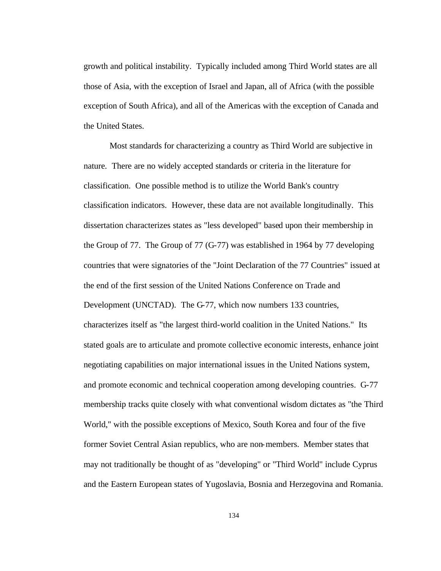growth and political instability. Typically included among Third World states are all those of Asia, with the exception of Israel and Japan, all of Africa (with the possible exception of South Africa), and all of the Americas with the exception of Canada and the United States.

Most standards for characterizing a country as Third World are subjective in nature. There are no widely accepted standards or criteria in the literature for classification. One possible method is to utilize the World Bank's country classification indicators. However, these data are not available longitudinally. This dissertation characterizes states as "less developed" based upon their membership in the Group of 77. The Group of 77 (G-77) was established in 1964 by 77 developing countries that were signatories of the "Joint Declaration of the 77 Countries" issued at the end of the first session of the United Nations Conference on Trade and Development (UNCTAD). The G-77, which now numbers 133 countries, characterizes itself as "the largest third-world coalition in the United Nations." Its stated goals are to articulate and promote collective economic interests, enhance joint negotiating capabilities on major international issues in the United Nations system, and promote economic and technical cooperation among developing countries. G-77 membership tracks quite closely with what conventional wisdom dictates as "the Third World," with the possible exceptions of Mexico, South Korea and four of the five former Soviet Central Asian republics, who are non-members. Member states that may not traditionally be thought of as "developing" or "Third World" include Cyprus and the Eastern European states of Yugoslavia, Bosnia and Herzegovina and Romania.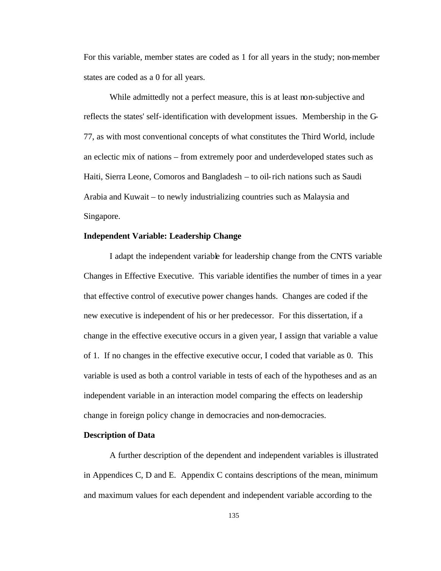For this variable, member states are coded as 1 for all years in the study; non-member states are coded as a 0 for all years.

While admittedly not a perfect measure, this is at least non-subjective and reflects the states' self-identification with development issues. Membership in the G-77, as with most conventional concepts of what constitutes the Third World, include an eclectic mix of nations – from extremely poor and underdeveloped states such as Haiti, Sierra Leone, Comoros and Bangladesh – to oil-rich nations such as Saudi Arabia and Kuwait – to newly industrializing countries such as Malaysia and Singapore.

### **Independent Variable: Leadership Change**

I adapt the independent variable for leadership change from the CNTS variable Changes in Effective Executive. This variable identifies the number of times in a year that effective control of executive power changes hands. Changes are coded if the new executive is independent of his or her predecessor. For this dissertation, if a change in the effective executive occurs in a given year, I assign that variable a value of 1. If no changes in the effective executive occur, I coded that variable as 0. This variable is used as both a control variable in tests of each of the hypotheses and as an independent variable in an interaction model comparing the effects on leadership change in foreign policy change in democracies and non-democracies.

#### **Description of Data**

A further description of the dependent and independent variables is illustrated in Appendices C, D and E. Appendix C contains descriptions of the mean, minimum and maximum values for each dependent and independent variable according to the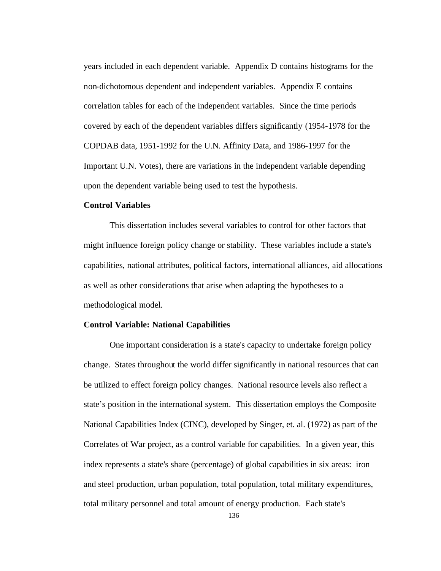years included in each dependent variable. Appendix D contains histograms for the non-dichotomous dependent and independent variables. Appendix E contains correlation tables for each of the independent variables. Since the time periods covered by each of the dependent variables differs significantly (1954-1978 for the COPDAB data, 1951-1992 for the U.N. Affinity Data, and 1986-1997 for the Important U.N. Votes), there are variations in the independent variable depending upon the dependent variable being used to test the hypothesis.

### **Control Variables**

This dissertation includes several variables to control for other factors that might influence foreign policy change or stability. These variables include a state's capabilities, national attributes, political factors, international alliances, aid allocations as well as other considerations that arise when adapting the hypotheses to a methodological model.

## **Control Variable: National Capabilities**

One important consideration is a state's capacity to undertake foreign policy change. States throughout the world differ significantly in national resources that can be utilized to effect foreign policy changes. National resource levels also reflect a state's position in the international system. This dissertation employs the Composite National Capabilities Index (CINC), developed by Singer, et. al. (1972) as part of the Correlates of War project, as a control variable for capabilities. In a given year, this index represents a state's share (percentage) of global capabilities in six areas: iron and steel production, urban population, total population, total military expenditures, total military personnel and total amount of energy production. Each state's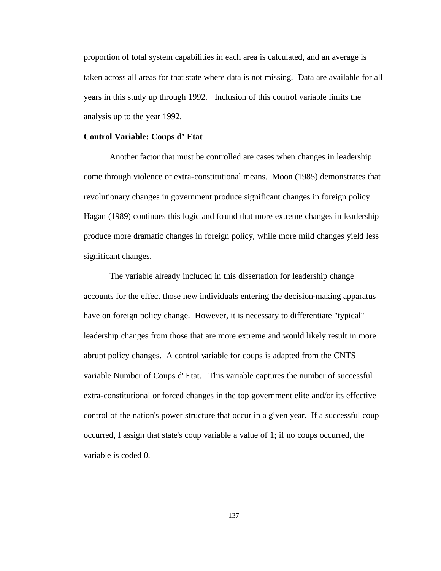proportion of total system capabilities in each area is calculated, and an average is taken across all areas for that state where data is not missing. Data are available for all years in this study up through 1992. Inclusion of this control variable limits the analysis up to the year 1992.

#### **Control Variable: Coups d' Etat**

Another factor that must be controlled are cases when changes in leadership come through violence or extra-constitutional means. Moon (1985) demonstrates that revolutionary changes in government produce significant changes in foreign policy. Hagan (1989) continues this logic and found that more extreme changes in leadership produce more dramatic changes in foreign policy, while more mild changes yield less significant changes.

The variable already included in this dissertation for leadership change accounts for the effect those new individuals entering the decision-making apparatus have on foreign policy change. However, it is necessary to differentiate "typical" leadership changes from those that are more extreme and would likely result in more abrupt policy changes. A control variable for coups is adapted from the CNTS variable Number of Coups d' Etat. This variable captures the number of successful extra-constitutional or forced changes in the top government elite and/or its effective control of the nation's power structure that occur in a given year. If a successful coup occurred, I assign that state's coup variable a value of 1; if no coups occurred, the variable is coded 0.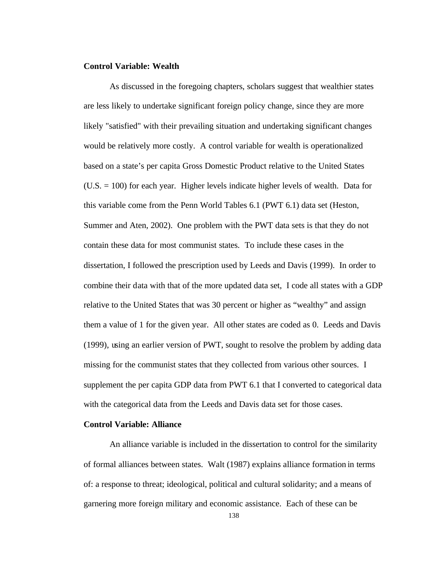## **Control Variable: Wealth**

As discussed in the foregoing chapters, scholars suggest that wealthier states are less likely to undertake significant foreign policy change, since they are more likely "satisfied" with their prevailing situation and undertaking significant changes would be relatively more costly. A control variable for wealth is operationalized based on a state's per capita Gross Domestic Product relative to the United States (U.S. = 100) for each year. Higher levels indicate higher levels of wealth. Data for this variable come from the Penn World Tables 6.1 (PWT 6.1) data set (Heston, Summer and Aten, 2002). One problem with the PWT data sets is that they do not contain these data for most communist states. To include these cases in the dissertation, I followed the prescription used by Leeds and Davis (1999). In order to combine their data with that of the more updated data set, I code all states with a GDP relative to the United States that was 30 percent or higher as "wealthy" and assign them a value of 1 for the given year. All other states are coded as 0. Leeds and Davis (1999), using an earlier version of PWT, sought to resolve the problem by adding data missing for the communist states that they collected from various other sources. I supplement the per capita GDP data from PWT 6.1 that I converted to categorical data with the categorical data from the Leeds and Davis data set for those cases.

## **Control Variable: Alliance**

An alliance variable is included in the dissertation to control for the similarity of formal alliances between states. Walt (1987) explains alliance formation in terms of: a response to threat; ideological, political and cultural solidarity; and a means of garnering more foreign military and economic assistance. Each of these can be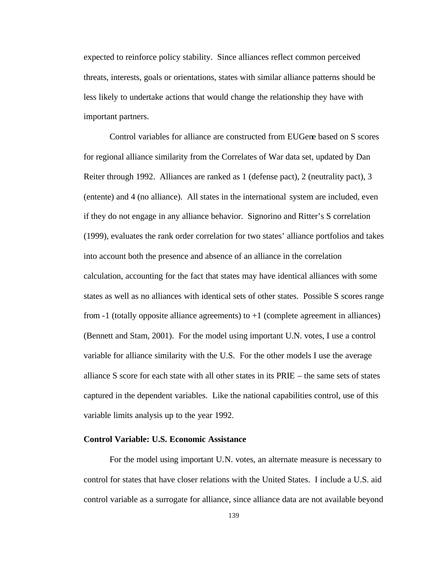expected to reinforce policy stability. Since alliances reflect common perceived threats, interests, goals or orientations, states with similar alliance patterns should be less likely to undertake actions that would change the relationship they have with important partners.

Control variables for alliance are constructed from EUGene based on S scores for regional alliance similarity from the Correlates of War data set, updated by Dan Reiter through 1992. Alliances are ranked as 1 (defense pact), 2 (neutrality pact), 3 (entente) and 4 (no alliance). All states in the international system are included, even if they do not engage in any alliance behavior. Signorino and Ritter's S correlation (1999), evaluates the rank order correlation for two states' alliance portfolios and takes into account both the presence and absence of an alliance in the correlation calculation, accounting for the fact that states may have identical alliances with some states as well as no alliances with identical sets of other states. Possible S scores range from -1 (totally opposite alliance agreements) to +1 (complete agreement in alliances) (Bennett and Stam, 2001). For the model using important U.N. votes, I use a control variable for alliance similarity with the U.S. For the other models I use the average alliance S score for each state with all other states in its PRIE – the same sets of states captured in the dependent variables. Like the national capabilities control, use of this variable limits analysis up to the year 1992.

## **Control Variable: U.S. Economic Assistance**

For the model using important U.N. votes, an alternate measure is necessary to control for states that have closer relations with the United States. I include a U.S. aid control variable as a surrogate for alliance, since alliance data are not available beyond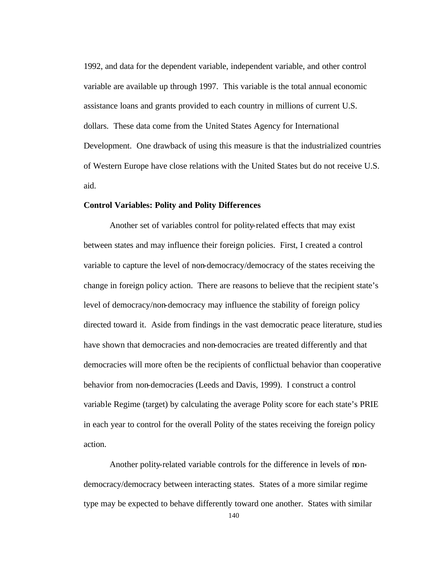1992, and data for the dependent variable, independent variable, and other control variable are available up through 1997. This variable is the total annual economic assistance loans and grants provided to each country in millions of current U.S. dollars. These data come from the United States Agency for International Development. One drawback of using this measure is that the industrialized countries of Western Europe have close relations with the United States but do not receive U.S. aid.

#### **Control Variables: Polity and Polity Differences**

Another set of variables control for polity-related effects that may exist between states and may influence their foreign policies. First, I created a control variable to capture the level of non-democracy/democracy of the states receiving the change in foreign policy action. There are reasons to believe that the recipient state's level of democracy/non-democracy may influence the stability of foreign policy directed toward it. Aside from findings in the vast democratic peace literature, studies have shown that democracies and non-democracies are treated differently and that democracies will more often be the recipients of conflictual behavior than cooperative behavior from non-democracies (Leeds and Davis, 1999). I construct a control variable Regime (target) by calculating the average Polity score for each state's PRIE in each year to control for the overall Polity of the states receiving the foreign policy action.

Another polity-related variable controls for the difference in levels of nondemocracy/democracy between interacting states. States of a more similar regime type may be expected to behave differently toward one another. States with similar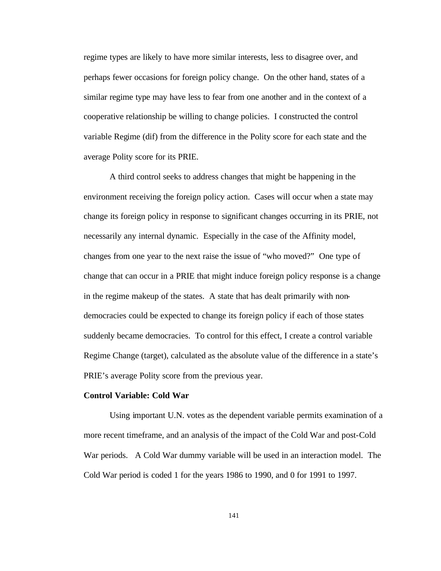regime types are likely to have more similar interests, less to disagree over, and perhaps fewer occasions for foreign policy change. On the other hand, states of a similar regime type may have less to fear from one another and in the context of a cooperative relationship be willing to change policies. I constructed the control variable Regime (dif) from the difference in the Polity score for each state and the average Polity score for its PRIE.

A third control seeks to address changes that might be happening in the environment receiving the foreign policy action. Cases will occur when a state may change its foreign policy in response to significant changes occurring in its PRIE, not necessarily any internal dynamic. Especially in the case of the Affinity model, changes from one year to the next raise the issue of "who moved?" One type of change that can occur in a PRIE that might induce foreign policy response is a change in the regime makeup of the states. A state that has dealt primarily with nondemocracies could be expected to change its foreign policy if each of those states suddenly became democracies. To control for this effect, I create a control variable Regime Change (target), calculated as the absolute value of the difference in a state's PRIE's average Polity score from the previous year.

#### **Control Variable: Cold War**

Using important U.N. votes as the dependent variable permits examination of a more recent timeframe, and an analysis of the impact of the Cold War and post-Cold War periods. A Cold War dummy variable will be used in an interaction model. The Cold War period is coded 1 for the years 1986 to 1990, and 0 for 1991 to 1997.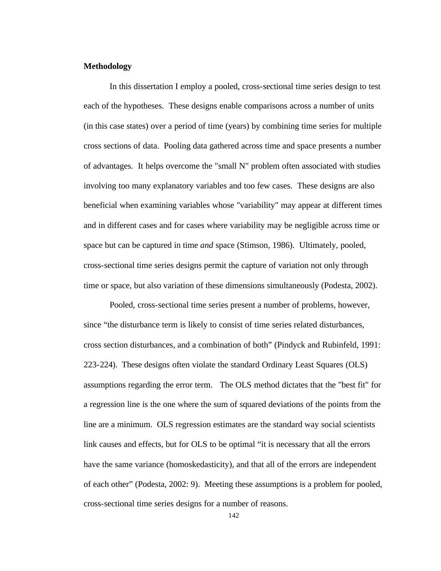#### **Methodology**

In this dissertation I employ a pooled, cross-sectional time series design to test each of the hypotheses. These designs enable comparisons across a number of units (in this case states) over a period of time (years) by combining time series for multiple cross sections of data. Pooling data gathered across time and space presents a number of advantages. It helps overcome the "small N" problem often associated with studies involving too many explanatory variables and too few cases. These designs are also beneficial when examining variables whose "variability" may appear at different times and in different cases and for cases where variability may be negligible across time or space but can be captured in time *and* space (Stimson, 1986). Ultimately, pooled, cross-sectional time series designs permit the capture of variation not only through time or space, but also variation of these dimensions simultaneously (Podesta, 2002).

Pooled, cross-sectional time series present a number of problems, however, since "the disturbance term is likely to consist of time series related disturbances, cross section disturbances, and a combination of both" (Pindyck and Rubinfeld, 1991: 223-224). These designs often violate the standard Ordinary Least Squares (OLS) assumptions regarding the error term. The OLS method dictates that the "best fit" for a regression line is the one where the sum of squared deviations of the points from the line are a minimum. OLS regression estimates are the standard way social scientists link causes and effects, but for OLS to be optimal "it is necessary that all the errors have the same variance (homoskedasticity), and that all of the errors are independent of each other" (Podesta, 2002: 9). Meeting these assumptions is a problem for pooled, cross-sectional time series designs for a number of reasons.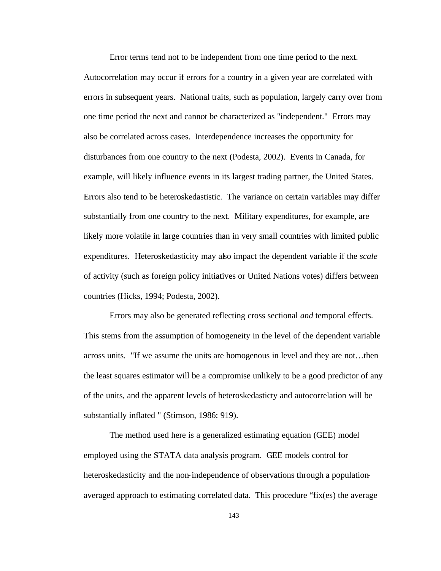Error terms tend not to be independent from one time period to the next. Autocorrelation may occur if errors for a country in a given year are correlated with errors in subsequent years. National traits, such as population, largely carry over from one time period the next and cannot be characterized as "independent." Errors may also be correlated across cases. Interdependence increases the opportunity for disturbances from one country to the next (Podesta, 2002). Events in Canada, for example, will likely influence events in its largest trading partner, the United States. Errors also tend to be heteroskedastistic. The variance on certain variables may differ substantially from one country to the next. Military expenditures, for example, are likely more volatile in large countries than in very small countries with limited public expenditures. Heteroskedasticity may also impact the dependent variable if the *scale* of activity (such as foreign policy initiatives or United Nations votes) differs between countries (Hicks, 1994; Podesta, 2002).

Errors may also be generated reflecting cross sectional *and* temporal effects. This stems from the assumption of homogeneity in the level of the dependent variable across units. "If we assume the units are homogenous in level and they are not…then the least squares estimator will be a compromise unlikely to be a good predictor of any of the units, and the apparent levels of heteroskedasticty and autocorrelation will be substantially inflated " (Stimson, 1986: 919).

The method used here is a generalized estimating equation (GEE) model employed using the STATA data analysis program. GEE models control for heteroskedasticity and the non-independence of observations through a populationaveraged approach to estimating correlated data. This procedure "fix(es) the average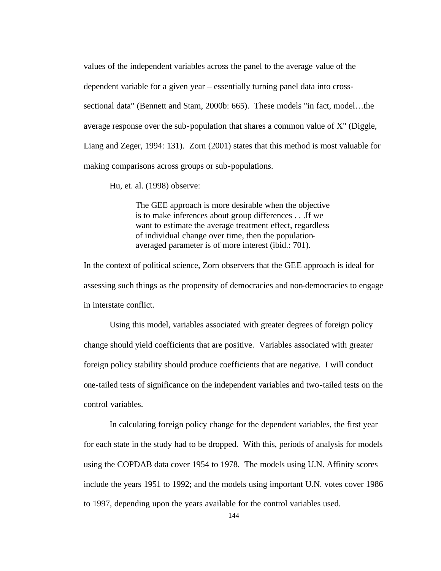values of the independent variables across the panel to the average value of the dependent variable for a given year – essentially turning panel data into crosssectional data" (Bennett and Stam, 2000b: 665). These models "in fact, model…the average response over the sub-population that shares a common value of X" (Diggle, Liang and Zeger, 1994: 131). Zorn (2001) states that this method is most valuable for making comparisons across groups or sub-populations.

Hu, et. al. (1998) observe:

The GEE approach is more desirable when the objective is to make inferences about group differences . . .If we want to estimate the average treatment effect, regardless of individual change over time, then the populationaveraged parameter is of more interest (ibid.: 701).

In the context of political science, Zorn observers that the GEE approach is ideal for assessing such things as the propensity of democracies and non-democracies to engage in interstate conflict.

Using this model, variables associated with greater degrees of foreign policy change should yield coefficients that are positive. Variables associated with greater foreign policy stability should produce coefficients that are negative. I will conduct one-tailed tests of significance on the independent variables and two-tailed tests on the control variables.

In calculating foreign policy change for the dependent variables, the first year for each state in the study had to be dropped. With this, periods of analysis for models using the COPDAB data cover 1954 to 1978. The models using U.N. Affinity scores include the years 1951 to 1992; and the models using important U.N. votes cover 1986 to 1997, depending upon the years available for the control variables used.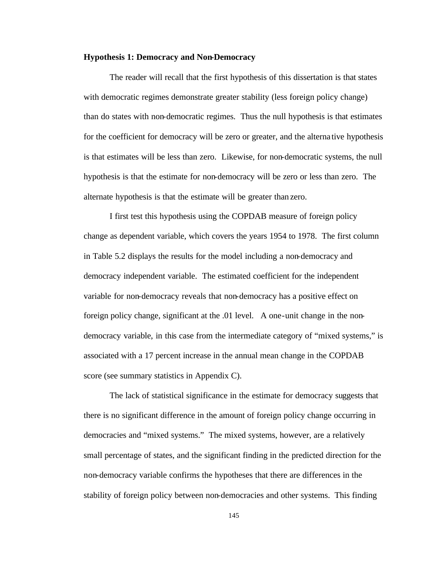#### **Hypothesis 1: Democracy and Non-Democracy**

The reader will recall that the first hypothesis of this dissertation is that states with democratic regimes demonstrate greater stability (less foreign policy change) than do states with non-democratic regimes. Thus the null hypothesis is that estimates for the coefficient for democracy will be zero or greater, and the alterna tive hypothesis is that estimates will be less than zero. Likewise, for non-democratic systems, the null hypothesis is that the estimate for non-democracy will be zero or less than zero. The alternate hypothesis is that the estimate will be greater than zero.

I first test this hypothesis using the COPDAB measure of foreign policy change as dependent variable, which covers the years 1954 to 1978. The first column in Table 5.2 displays the results for the model including a non-democracy and democracy independent variable. The estimated coefficient for the independent variable for non-democracy reveals that non-democracy has a positive effect on foreign policy change, significant at the .01 level. A one-unit change in the nondemocracy variable, in this case from the intermediate category of "mixed systems," is associated with a 17 percent increase in the annual mean change in the COPDAB score (see summary statistics in Appendix C).

The lack of statistical significance in the estimate for democracy suggests that there is no significant difference in the amount of foreign policy change occurring in democracies and "mixed systems." The mixed systems, however, are a relatively small percentage of states, and the significant finding in the predicted direction for the non-democracy variable confirms the hypotheses that there are differences in the stability of foreign policy between non-democracies and other systems. This finding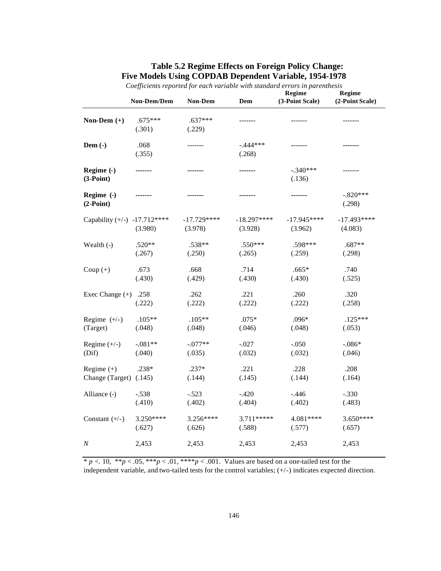# **Table 5.2 Regime Effects on Foreign Policy Change: Five Models Using COPDAB Dependent Variable, 1954-1978**

|                              | Non-Dem/Dem         | <b>Non-Dem</b>          | Dem                     | Regime<br>(3-Point Scale) | Regime<br>(2-Point Scale) |
|------------------------------|---------------------|-------------------------|-------------------------|---------------------------|---------------------------|
| Non-Dem $(+)$                | $.675***$<br>(.301) | $.637***$<br>(.229)     | -------                 | -------                   | -------                   |
| Dem $(-)$                    | .068<br>(.355)      | -------                 | $-.444***$<br>(.268)    | -------                   | -------                   |
| Regime (-)<br>$(3-Point)$    | -------             | -------                 | -------                 | $-.340***$<br>(.136)      | -------                   |
| Regime (-)<br>$(2-Point)$    |                     |                         | -------                 | -------                   | $-.820***$<br>(.298)      |
| Capability (+/-) -17.712**** | (3.980)             | $-17.729***$<br>(3.978) | $-18.297***$<br>(3.928) | $-17.945***$<br>(3.962)   | $-17.493***$<br>(4.083)   |
| Wealth (-)                   | $.520**$            | $.538**$                | $.550***$               | .598***                   | .687**                    |
|                              | (.267)              | (.250)                  | (.265)                  | (.259)                    | (.298)                    |
| Coup $(+)$                   | .673                | .668                    | .714                    | $.665*$                   | .740                      |
|                              | (.430)              | (.429)                  | (.430)                  | (.430)                    | (.525)                    |
| Exec Change $(+)$            | .258                | .262                    | .221                    | .260                      | .320                      |
|                              | (.222)              | (.222)                  | (.222)                  | (.222)                    | (.258)                    |
| Regime $(+/-)$               | $.105**$            | $.105**$                | $.075*$                 | .096*                     | $.125***$                 |
| (Target)                     | (.048)              | (.048)                  | (.046)                  | (.048)                    | (.053)                    |
| Regime $(+/-)$               | $-.081**$           | $-.077**$               | $-.027$                 | $-.050$                   | $-.086*$                  |
| (Dif)                        | (.040)              | (.035)                  | (.032)                  | (.032)                    | (.046)                    |
| Regime $(+)$                 | .238*               | $.237*$                 | .221                    | .228                      | .208                      |
| Change (Target) (.145)       |                     | (.144)                  | (.145)                  | (.144)                    | (.164)                    |
| Alliance (-)                 | $-.538$             | $-.523$                 | $-.420$                 | $-.446$                   | $-.330$                   |
|                              | (.410)              | (.402)                  | (.404)                  | (.402)                    | (.483)                    |
| Constant $(+/-)$             | 3.250****           | 3.256****               | $3.711****$             | 4.081****                 | $3.650***$                |
|                              | (.627)              | (.626)                  | (.588)                  | (.577)                    | (.657)                    |
| $\cal N$                     | 2,453               | 2,453                   | 2,453                   | 2,453                     | 2,453                     |

*Coefficients reported for each variable with standard errors in parenthesis*

 $* p < 0.10, ** p < 0.05, *** p < 0.01, *** p < 0.001$ . Values are based on a one-tailed test for the independent variable, and two-tailed tests for the control variables; (+/-) indicates expected direction.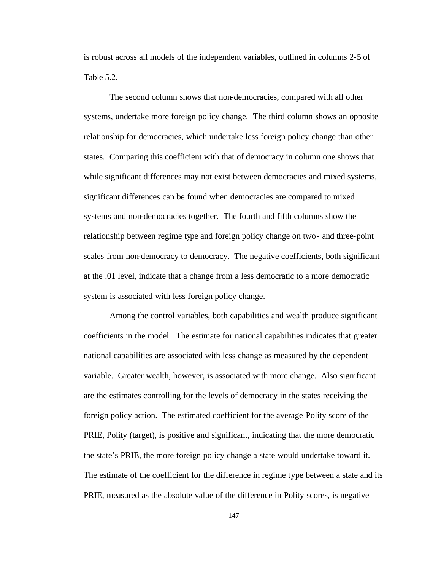is robust across all models of the independent variables, outlined in columns 2-5 of Table 5.2.

The second column shows that non-democracies, compared with all other systems, undertake more foreign policy change. The third column shows an opposite relationship for democracies, which undertake less foreign policy change than other states. Comparing this coefficient with that of democracy in column one shows that while significant differences may not exist between democracies and mixed systems, significant differences can be found when democracies are compared to mixed systems and non-democracies together. The fourth and fifth columns show the relationship between regime type and foreign policy change on two- and three-point scales from non-democracy to democracy. The negative coefficients, both significant at the .01 level, indicate that a change from a less democratic to a more democratic system is associated with less foreign policy change.

Among the control variables, both capabilities and wealth produce significant coefficients in the model. The estimate for national capabilities indicates that greater national capabilities are associated with less change as measured by the dependent variable. Greater wealth, however, is associated with more change. Also significant are the estimates controlling for the levels of democracy in the states receiving the foreign policy action. The estimated coefficient for the average Polity score of the PRIE, Polity (target), is positive and significant, indicating that the more democratic the state's PRIE, the more foreign policy change a state would undertake toward it. The estimate of the coefficient for the difference in regime type between a state and its PRIE, measured as the absolute value of the difference in Polity scores, is negative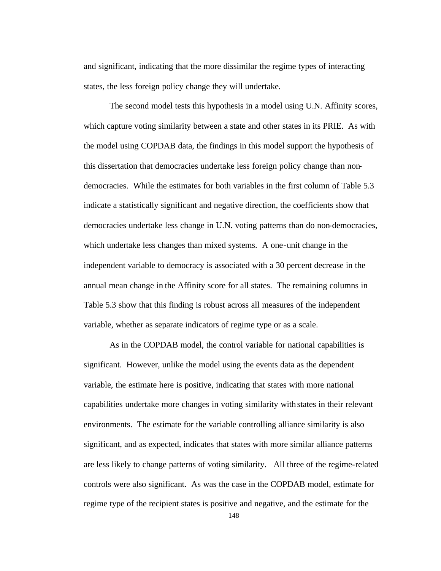and significant, indicating that the more dissimilar the regime types of interacting states, the less foreign policy change they will undertake.

The second model tests this hypothesis in a model using U.N. Affinity scores, which capture voting similarity between a state and other states in its PRIE. As with the model using COPDAB data, the findings in this model support the hypothesis of this dissertation that democracies undertake less foreign policy change than nondemocracies. While the estimates for both variables in the first column of Table 5.3 indicate a statistically significant and negative direction, the coefficients show that democracies undertake less change in U.N. voting patterns than do non-democracies, which undertake less changes than mixed systems. A one-unit change in the independent variable to democracy is associated with a 30 percent decrease in the annual mean change in the Affinity score for all states. The remaining columns in Table 5.3 show that this finding is robust across all measures of the independent variable, whether as separate indicators of regime type or as a scale.

As in the COPDAB model, the control variable for national capabilities is significant. However, unlike the model using the events data as the dependent variable, the estimate here is positive, indicating that states with more national capabilities undertake more changes in voting similarity with states in their relevant environments. The estimate for the variable controlling alliance similarity is also significant, and as expected, indicates that states with more similar alliance patterns are less likely to change patterns of voting similarity. All three of the regime-related controls were also significant. As was the case in the COPDAB model, estimate for regime type of the recipient states is positive and negative, and the estimate for the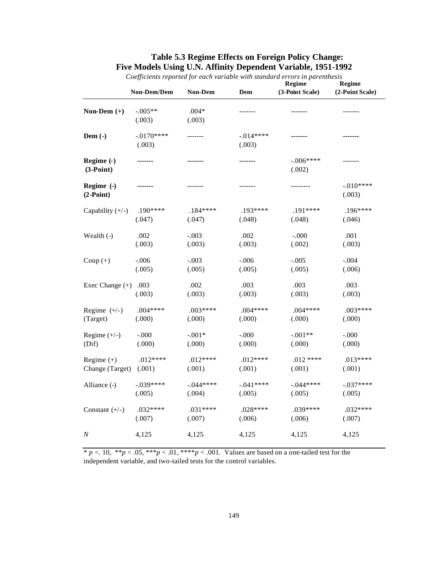|                    |             |            |             | Coefficients reported for each variable with standard errors in parentnesis<br>Regime |                           |  |
|--------------------|-------------|------------|-------------|---------------------------------------------------------------------------------------|---------------------------|--|
|                    | Non-Dem/Dem | Non-Dem    | Dem         | (3-Point Scale)                                                                       | Regime<br>(2-Point Scale) |  |
| Non-Dem $(+)$      | $-.005**$   | $.004*$    | -------     | -------                                                                               | -------                   |  |
|                    | (.003)      | (.003)     |             |                                                                                       |                           |  |
| Dem $(-)$          | $-0170***$  | -------    | $-0.014***$ | -------                                                                               | -------                   |  |
|                    | (.003)      |            | (.003)      |                                                                                       |                           |  |
| Regime (-)         |             | ------     |             | $-.006***$                                                                            |                           |  |
| $(3-Point)$        |             |            |             | (.002)                                                                                |                           |  |
| Regime (-)         | -------     | -------    | -------     | --------                                                                              | $-.010***$                |  |
| $(2-Point)$        |             |            |             |                                                                                       | (.003)                    |  |
| Capability $(+/-)$ | $.190***$   | $.184***$  | $.193****$  | $.191***$                                                                             | $.196***$                 |  |
|                    | (.047)      | (.047)     | (.048)      | (.048)                                                                                | (.046)                    |  |
| Wealth $(-)$       | .002        | $-.003$    | .002        | $-.000$                                                                               | .001                      |  |
|                    | (.003)      | (.003)     | (.003)      | (.002)                                                                                | (.003)                    |  |
| Coup $(+)$         | $-0.06$     | $-.003$    | $-.006$     | $-.005$                                                                               | $-.004$                   |  |
|                    | (.005)      | (.005)     | (.005)      | (.005)                                                                                | (.006)                    |  |
| Exec Change $(+)$  | .003        | .002       | .003        | .003                                                                                  | .003                      |  |
|                    | (.003)      | (.003)     | (.003)      | (.003)                                                                                | (.003)                    |  |
| Regime $(+/-)$     | $.004***$   | $.003***$  | $.004***$   | $.004***$                                                                             | $.003***$                 |  |
| (Target)           | (.000)      | (.000)     | (.000)      | (.000)                                                                                | (.000)                    |  |
| Regime $(+/-)$     | $-.000$     | $-.001*$   | $-.000$     | $-.001**$                                                                             | $-.000$                   |  |
| (Dif)              | (.000)      | (.000)     | (.000)      | (.000)                                                                                | (.000)                    |  |
| Regime $(+)$       | $.012***$   | $.012***$  | $.012***$   | $.012***$                                                                             | $.013***$                 |  |
| Change (Target)    | (.001)      | (.001)     | (.001)      | (.001)                                                                                | (.001)                    |  |
| Alliance (-)       | $-.039***$  | $-.044***$ | $-.041***$  | $-.044***$                                                                            | $-.037***$                |  |
|                    | (.005)      | (.004)     | (.005)      | (.005)                                                                                | (.005)                    |  |
| Constant $(+/-)$   | $.032***$   | $.031***$  | $.028***$   | .039****                                                                              | $.032***$                 |  |
|                    | (.007)      | (.007)     | (.006)      | (.006)                                                                                | (.007)                    |  |
| Ν                  | 4,125       | 4,125      | 4,125       | 4,125                                                                                 | 4,125                     |  |

# **Table 5.3 Regime Effects on Foreign Policy Change: Five Models Using U.N. Affinity Dependent Variable, 1951-1992**

*Coefficients reported for each variable with standard errors in parenthesis*

 $* p < .10, ** p < .05, *** p < .01, *** p < .001$ . Values are based on a one-tailed test for the independent variable, and two-tailed tests for the control variables.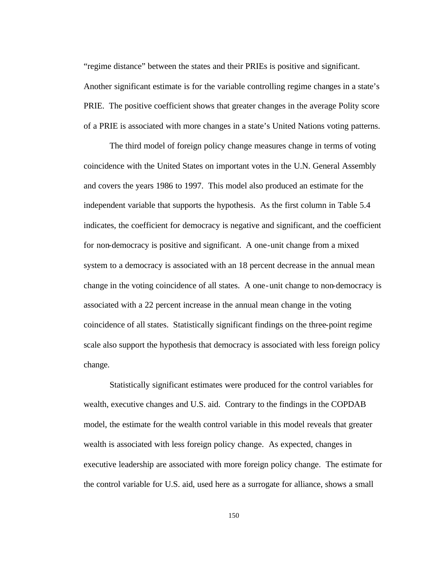"regime distance" between the states and their PRIEs is positive and significant. Another significant estimate is for the variable controlling regime changes in a state's PRIE. The positive coefficient shows that greater changes in the average Polity score of a PRIE is associated with more changes in a state's United Nations voting patterns.

The third model of foreign policy change measures change in terms of voting coincidence with the United States on important votes in the U.N. General Assembly and covers the years 1986 to 1997. This model also produced an estimate for the independent variable that supports the hypothesis. As the first column in Table 5.4 indicates, the coefficient for democracy is negative and significant, and the coefficient for non-democracy is positive and significant. A one-unit change from a mixed system to a democracy is associated with an 18 percent decrease in the annual mean change in the voting coincidence of all states. A one-unit change to non-democracy is associated with a 22 percent increase in the annual mean change in the voting coincidence of all states. Statistically significant findings on the three-point regime scale also support the hypothesis that democracy is associated with less foreign policy change.

Statistically significant estimates were produced for the control variables for wealth, executive changes and U.S. aid. Contrary to the findings in the COPDAB model, the estimate for the wealth control variable in this model reveals that greater wealth is associated with less foreign policy change. As expected, changes in executive leadership are associated with more foreign policy change. The estimate for the control variable for U.S. aid, used here as a surrogate for alliance, shows a small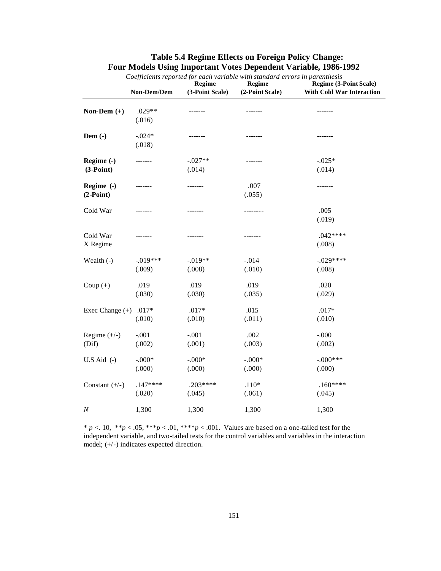|                           | Coefficients reported for each variable with standard errors in parenthesis<br>Regime<br>Regime |                      |                    |                                                                   |
|---------------------------|-------------------------------------------------------------------------------------------------|----------------------|--------------------|-------------------------------------------------------------------|
|                           | Non-Dem/Dem                                                                                     | (3-Point Scale)      | (2-Point Scale)    | <b>Regime (3-Point Scale)</b><br><b>With Cold War Interaction</b> |
| Non-Dem $(+)$             | $.029**$<br>(.016)                                                                              | -------              | -------            | -------                                                           |
| Dem $(-)$                 | $-.024*$<br>(.018)                                                                              |                      |                    |                                                                   |
| Regime (-)<br>$(3-Point)$ |                                                                                                 | $-.027**$<br>(.014)  | -------            | $-0.025*$<br>(.014)                                               |
| Regime (-)<br>$(2-Point)$ | -------                                                                                         | -------              | .007<br>(.055)     | -------                                                           |
| Cold War                  |                                                                                                 |                      | -------            | .005<br>(.019)                                                    |
| Cold War<br>X Regime      |                                                                                                 |                      |                    | $.042***$<br>(.008)                                               |
| Wealth (-)                | $-019***$<br>(.009)                                                                             | $-0.019**$<br>(.008) | $-.014$<br>(.010)  | $-.029***$<br>(.008)                                              |
| Coup $(+)$                | .019<br>(.030)                                                                                  | .019<br>(.030)       | .019<br>(.035)     | .020<br>(.029)                                                    |
| Exec Change (+)           | $.017*$<br>(.010)                                                                               | $.017*$<br>(.010)    | .015<br>(.011)     | $.017*$<br>(.010)                                                 |
| Regime $(+/-)$<br>(Dif)   | $-.001$<br>(.002)                                                                               | $-.001$<br>(.001)    | .002<br>(.003)     | $-.000$<br>(.002)                                                 |
| $U.S$ Aid $(-)$           | $-.000*$<br>(.000)                                                                              | $-.000*$<br>(.000)   | $-.000*$<br>(.000) | $-.000***$<br>(.000)                                              |
| Constant $(+/-)$          | $.147***$<br>(.020)                                                                             | $.203***$<br>(.045)  | $.110*$<br>(.061)  | $.160***$<br>(.045)                                               |
| $\boldsymbol{N}$          | 1,300                                                                                           | 1,300                | 1,300              | 1,300                                                             |

# **Table 5.4 Regime Effects on Foreign Policy Change: Four Models Using Important Votes Dependent Variable, 1986-1992**

 $* p < 0.10, ** p < 0.05, *** p < 0.01, *** p < 0.001$ . Values are based on a one-tailed test for the independent variable, and two-tailed tests for the control variables and variables in the interaction model; (+/-) indicates expected direction.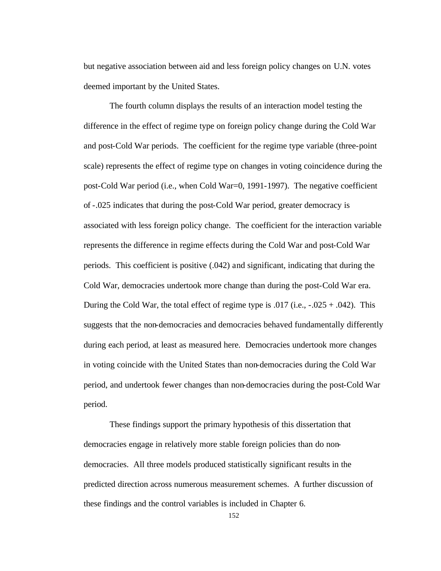but negative association between aid and less foreign policy changes on U.N. votes deemed important by the United States.

The fourth column displays the results of an interaction model testing the difference in the effect of regime type on foreign policy change during the Cold War and post-Cold War periods. The coefficient for the regime type variable (three-point scale) represents the effect of regime type on changes in voting coincidence during the post-Cold War period (i.e., when Cold War=0, 1991-1997). The negative coefficient of -.025 indicates that during the post-Cold War period, greater democracy is associated with less foreign policy change. The coefficient for the interaction variable represents the difference in regime effects during the Cold War and post-Cold War periods. This coefficient is positive (.042) and significant, indicating that during the Cold War, democracies undertook more change than during the post-Cold War era. During the Cold War, the total effect of regime type is  $.017$  (i.e.,  $-.025 + .042$ ). This suggests that the non-democracies and democracies behaved fundamentally differently during each period, at least as measured here. Democracies undertook more changes in voting coincide with the United States than non-democracies during the Cold War period, and undertook fewer changes than non-democracies during the post-Cold War period.

These findings support the primary hypothesis of this dissertation that democracies engage in relatively more stable foreign policies than do nondemocracies. All three models produced statistically significant results in the predicted direction across numerous measurement schemes. A further discussion of these findings and the control variables is included in Chapter 6.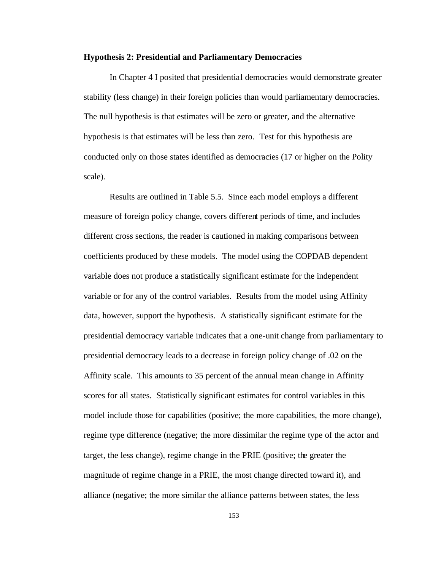#### **Hypothesis 2: Presidential and Parliamentary Democracies**

In Chapter 4 I posited that presidential democracies would demonstrate greater stability (less change) in their foreign policies than would parliamentary democracies. The null hypothesis is that estimates will be zero or greater, and the alternative hypothesis is that estimates will be less than zero. Test for this hypothesis are conducted only on those states identified as democracies (17 or higher on the Polity scale).

Results are outlined in Table 5.5. Since each model employs a different measure of foreign policy change, covers different periods of time, and includes different cross sections, the reader is cautioned in making comparisons between coefficients produced by these models. The model using the COPDAB dependent variable does not produce a statistically significant estimate for the independent variable or for any of the control variables. Results from the model using Affinity data, however, support the hypothesis. A statistically significant estimate for the presidential democracy variable indicates that a one-unit change from parliamentary to presidential democracy leads to a decrease in foreign policy change of .02 on the Affinity scale. This amounts to 35 percent of the annual mean change in Affinity scores for all states. Statistically significant estimates for control variables in this model include those for capabilities (positive; the more capabilities, the more change), regime type difference (negative; the more dissimilar the regime type of the actor and target, the less change), regime change in the PRIE (positive; the greater the magnitude of regime change in a PRIE, the most change directed toward it), and alliance (negative; the more similar the alliance patterns between states, the less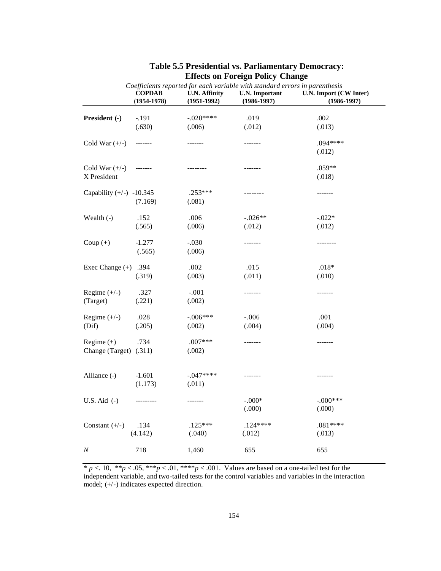|                            | Coefficients reported for each variable with standard errors in parenthesis |                      |                       |                        |  |
|----------------------------|-----------------------------------------------------------------------------|----------------------|-----------------------|------------------------|--|
|                            | <b>COPDAB</b>                                                               | <b>U.N. Affinity</b> | <b>U.N.</b> Important | U.N. Import (CW Inter) |  |
|                            | $(1954 - 1978)$                                                             | $(1951-1992)$        | $(1986 - 1997)$       | $(1986-1997)$          |  |
| President (-)              | $-191$                                                                      | $-.020***$           | .019                  | .002                   |  |
|                            | (.630)                                                                      | (.006)               | (.012)                | (.013)                 |  |
|                            |                                                                             |                      |                       |                        |  |
| Cold War $(+/-)$           | $------$                                                                    | -------              | -------               | .094****               |  |
|                            |                                                                             |                      |                       | (.012)                 |  |
|                            |                                                                             |                      |                       |                        |  |
| Cold War $(+/-)$           | $\begin{tabular}{cc} - & - & - & - \\ \hline \end{tabular}$                 | --------             | -------               | $.059**$               |  |
| X President                |                                                                             |                      |                       | (.018)                 |  |
|                            |                                                                             |                      |                       |                        |  |
| Capability $(+/-)$ -10.345 |                                                                             | $.253***$            | --------              | -------                |  |
|                            | (7.169)                                                                     | (.081)               |                       |                        |  |
|                            |                                                                             |                      |                       |                        |  |
| Wealth (-)                 | .152                                                                        | .006                 | $-.026**$             | $-0.022*$              |  |
|                            | (.565)                                                                      | (.006)               | (.012)                | (.012)                 |  |
| Coup $(+)$                 | $-1.277$                                                                    | $-.030$              | -------               | --------               |  |
|                            | (.565)                                                                      | (.006)               |                       |                        |  |
|                            |                                                                             |                      |                       |                        |  |
| Exec Change $(+)$          | .394                                                                        | .002                 | .015                  | $.018*$                |  |
|                            | (.319)                                                                      | (.003)               | (.011)                | (.010)                 |  |
|                            |                                                                             |                      |                       |                        |  |
| Regime $(+/-)$             | .327                                                                        | $-.001$              | -------               | -------                |  |
| (Target)                   | (.221)                                                                      | (.002)               |                       |                        |  |
|                            |                                                                             |                      |                       |                        |  |
| Regime $(+/-)$             | .028                                                                        | $-.006***$           | $-.006$               | .001                   |  |
| (Dif)                      | (.205)                                                                      | (.002)               | (.004)                | (.004)                 |  |
|                            |                                                                             |                      |                       |                        |  |
| Regime $(+)$               | .734                                                                        | $.007***$            | -------               | -------                |  |
| Change (Target) (.311)     |                                                                             | (.002)               |                       |                        |  |
|                            |                                                                             |                      |                       |                        |  |
| Alliance (-)               | $-1.601$                                                                    | $-.047***$           | -------               |                        |  |
|                            | (1.173)                                                                     | (.011)               |                       |                        |  |
|                            |                                                                             |                      |                       |                        |  |
| U.S. Aid $(-)$             | ---------                                                                   | -------              | $-.000*$              | $-.000***$             |  |
|                            |                                                                             |                      | (.000)                | (.000)                 |  |
|                            |                                                                             |                      |                       |                        |  |
| Constant $(+/-)$           | .134                                                                        | $.125***$            | $.124***$             | $.081***$              |  |
|                            | (4.142)                                                                     | (.040)               | (.012)                | (.013)                 |  |
|                            |                                                                             |                      |                       |                        |  |
| N                          | 718                                                                         | 1,460                | 655                   | 655                    |  |

# **Table 5.5 Presidential vs. Parliamentary Democracy: Effects on Foreign Policy Change**

\* *p* <. 10, \*\**p* < .05, \*\*\**p* < .01, \*\*\*\**p* < .001. Values are based on a one-tailed test for the independent variable, and two-tailed tests for the control variables and variables in the interaction model; (+/-) indicates expected direction.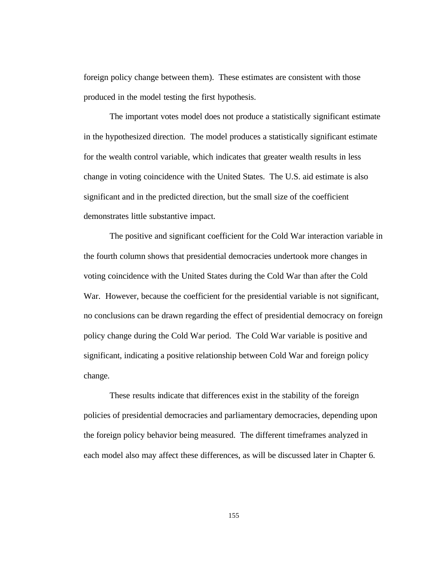foreign policy change between them). These estimates are consistent with those produced in the model testing the first hypothesis.

The important votes model does not produce a statistically significant estimate in the hypothesized direction. The model produces a statistically significant estimate for the wealth control variable, which indicates that greater wealth results in less change in voting coincidence with the United States. The U.S. aid estimate is also significant and in the predicted direction, but the small size of the coefficient demonstrates little substantive impact.

The positive and significant coefficient for the Cold War interaction variable in the fourth column shows that presidential democracies undertook more changes in voting coincidence with the United States during the Cold War than after the Cold War. However, because the coefficient for the presidential variable is not significant, no conclusions can be drawn regarding the effect of presidential democracy on foreign policy change during the Cold War period. The Cold War variable is positive and significant, indicating a positive relationship between Cold War and foreign policy change.

These results indicate that differences exist in the stability of the foreign policies of presidential democracies and parliamentary democracies, depending upon the foreign policy behavior being measured. The different timeframes analyzed in each model also may affect these differences, as will be discussed later in Chapter 6.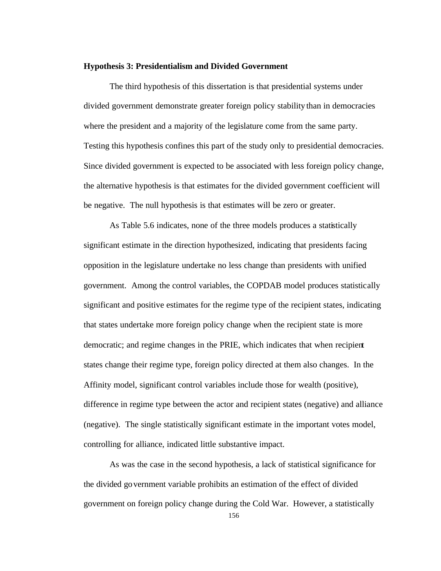#### **Hypothesis 3: Presidentialism and Divided Government**

The third hypothesis of this dissertation is that presidential systems under divided government demonstrate greater foreign policy stability than in democracies where the president and a majority of the legislature come from the same party. Testing this hypothesis confines this part of the study only to presidential democracies. Since divided government is expected to be associated with less foreign policy change, the alternative hypothesis is that estimates for the divided government coefficient will be negative. The null hypothesis is that estimates will be zero or greater.

As Table 5.6 indicates, none of the three models produces a statistically significant estimate in the direction hypothesized, indicating that presidents facing opposition in the legislature undertake no less change than presidents with unified government. Among the control variables, the COPDAB model produces statistically significant and positive estimates for the regime type of the recipient states, indicating that states undertake more foreign policy change when the recipient state is more democratic; and regime changes in the PRIE, which indicates that when recipient states change their regime type, foreign policy directed at them also changes. In the Affinity model, significant control variables include those for wealth (positive), difference in regime type between the actor and recipient states (negative) and alliance (negative). The single statistically significant estimate in the important votes model, controlling for alliance, indicated little substantive impact.

As was the case in the second hypothesis, a lack of statistical significance for the divided government variable prohibits an estimation of the effect of divided government on foreign policy change during the Cold War. However, a statistically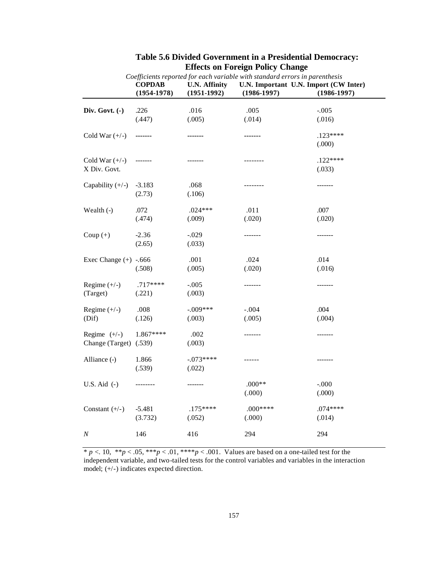|                                          | <b>COPDAB</b><br>$(1954 - 1978)$ | <b>U.N. Affinity</b><br>$(1951-1992)$ | Coefficients reported for each variable with standard errors in parenthesis<br>$(1986 - 1997)$ | U.N. Important U.N. Import (CW Inter)<br>$(1986 - 1997)$ |
|------------------------------------------|----------------------------------|---------------------------------------|------------------------------------------------------------------------------------------------|----------------------------------------------------------|
| Div. Govt. (-)                           | .226                             | .016                                  | .005                                                                                           | $-.005$                                                  |
|                                          | (.447)                           | (.005)                                | (.014)                                                                                         | (.016)                                                   |
| Cold War $(+/-)$                         | -------                          |                                       | -------                                                                                        | $.123****$<br>(.000)                                     |
| Cold War $(+/-)$<br>X Div. Govt.         | -------                          | ------                                | --------                                                                                       | $.122***$<br>(.033)                                      |
| Capability $(+/-)$                       | $-3.183$<br>(2.73)               | .068<br>(.106)                        | --------                                                                                       | -------                                                  |
| Wealth (-)                               | .072<br>(.474)                   | $.024***$<br>(.009)                   | .011<br>(.020)                                                                                 | .007<br>(.020)                                           |
| Coup $(+)$                               | $-2.36$<br>(2.65)                | $-.029$<br>(.033)                     | -------                                                                                        | -------                                                  |
| Exec Change $(+)$ -.666                  | (.508)                           | .001<br>(.005)                        | .024<br>(.020)                                                                                 | .014<br>(.016)                                           |
| Regime $(+/-)$<br>(Target)               | $.717***$<br>(.221)              | $-.005$<br>(.003)                     | -------                                                                                        | -------                                                  |
| Regime $(+/-)$<br>(Dif)                  | .008<br>(.126)                   | $-.009***$<br>(.003)                  | $-.004$<br>(.005)                                                                              | .004<br>(.004)                                           |
| Regime $(+/-)$<br>Change (Target) (.539) | 1.867****                        | .002<br>(.003)                        | -------                                                                                        | -------                                                  |
| Alliance (-)                             | 1.866<br>(.539)                  | $-0.073***$<br>(.022)                 | ------                                                                                         | -------                                                  |
| U.S. Aid $(-)$                           | --------                         | -------                               | $.000**$<br>(.000)                                                                             | $-.000$<br>(.000)                                        |
| Constant $(+/-)$                         | $-5.481$<br>(3.732)              | $.175***$<br>(.052)                   | $.000***$<br>(.000)                                                                            | $.074***$<br>(.014)                                      |
| N                                        | 146                              | 416                                   | 294                                                                                            | 294                                                      |

# **Table 5.6 Divided Government in a Presidential Democracy: Effects on Foreign Policy Change**

 $* p < 0.10, ** p < 0.05, *** p < 0.01, *** p < 0.001$ . Values are based on a one-tailed test for the independent variable, and two-tailed tests for the control variables and variables in the interaction model; (+/-) indicates expected direction.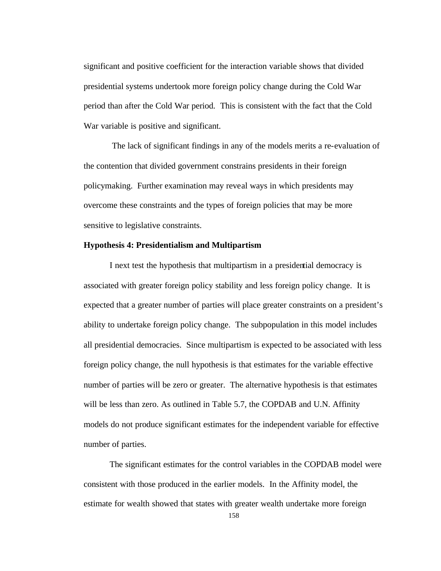significant and positive coefficient for the interaction variable shows that divided presidential systems undertook more foreign policy change during the Cold War period than after the Cold War period. This is consistent with the fact that the Cold War variable is positive and significant.

 The lack of significant findings in any of the models merits a re-evaluation of the contention that divided government constrains presidents in their foreign policymaking. Further examination may reveal ways in which presidents may overcome these constraints and the types of foreign policies that may be more sensitive to legislative constraints.

## **Hypothesis 4: Presidentialism and Multipartism**

I next test the hypothesis that multipartism in a presidential democracy is associated with greater foreign policy stability and less foreign policy change. It is expected that a greater number of parties will place greater constraints on a president's ability to undertake foreign policy change. The subpopulation in this model includes all presidential democracies. Since multipartism is expected to be associated with less foreign policy change, the null hypothesis is that estimates for the variable effective number of parties will be zero or greater. The alternative hypothesis is that estimates will be less than zero. As outlined in Table 5.7, the COPDAB and U.N. Affinity models do not produce significant estimates for the independent variable for effective number of parties.

The significant estimates for the control variables in the COPDAB model were consistent with those produced in the earlier models. In the Affinity model, the estimate for wealth showed that states with greater wealth undertake more foreign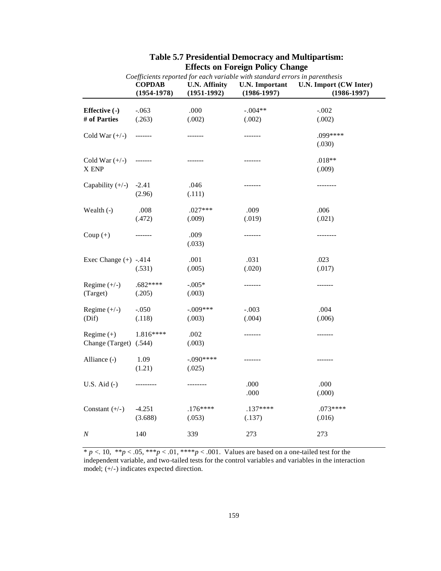| Coefficients reported for each variable with standard errors in parenthesis |                                  |                                         |                                          |                                           |
|-----------------------------------------------------------------------------|----------------------------------|-----------------------------------------|------------------------------------------|-------------------------------------------|
|                                                                             | <b>COPDAB</b><br>$(1954 - 1978)$ | <b>U.N. Affinity</b><br>$(1951 - 1992)$ | <b>U.N.</b> Important<br>$(1986 - 1997)$ | U.N. Import (CW Inter)<br>$(1986 - 1997)$ |
| Effective (-)                                                               | $-.063$                          | .000                                    | $-.004**$                                | $-.002$                                   |
| # of Parties                                                                | (.263)                           | (.002)                                  | (.002)                                   | (.002)                                    |
| Cold War $(+/-)$                                                            | -------                          | -------                                 | -------                                  | $.099***$<br>(.030)                       |
| Cold War $(+/-)$<br>X ENP                                                   | -------                          |                                         | -------                                  | $.018**$<br>(.009)                        |
| Capability $(+/-)$                                                          | $-2.41$<br>(2.96)                | .046<br>(.111)                          | -------                                  | --------                                  |
| Wealth (-)                                                                  | .008<br>(.472)                   | $.027***$<br>(.009)                     | .009<br>(.019)                           | .006<br>(.021)                            |
| Coup $(+)$                                                                  | -------                          | .009<br>(.033)                          | -------                                  | --------                                  |
| Exec Change $(+)$ -.414                                                     | (.531)                           | .001<br>(.005)                          | .031<br>(.020)                           | .023<br>(.017)                            |
| Regime $(+/-)$<br>(Target)                                                  | $.682***$<br>(.205)              | $-.005*$<br>(.003)                      | -------                                  | -------                                   |
| Regime $(+/-)$<br>(Dif)                                                     | $-.050$<br>(.118)                | $-.009***$<br>(.003)                    | $-.003$<br>(.004)                        | .004<br>(.006)                            |
| Regime $(+)$<br>Change (Target) (.544)                                      | 1.816****                        | .002<br>(.003)                          | -------                                  | -------                                   |
| Alliance (-)                                                                | 1.09<br>(1.21)                   | $-.090***$<br>(.025)                    | -------                                  | -------                                   |
| U.S. Aid $(-)$                                                              | ---------                        | --------                                | .000<br>.000                             | .000<br>(.000)                            |
| Constant $(+/-)$                                                            | $-4.251$<br>(3.688)              | $.176***$<br>(.053)                     | $.137***$<br>(.137)                      | $.073***$<br>(.016)                       |
| $\cal N$                                                                    | 140                              | 339                                     | 273                                      | 273                                       |

# **Table 5.7 Presidential Democracy and Multipartism: Effects on Foreign Policy Change**

 $* p < 0.10, ** p < 0.05, *** p < 0.01, *** p < 0.001$ . Values are based on a one-tailed test for the independent variable, and two-tailed tests for the control variables and variables in the interaction model; (+/-) indicates expected direction.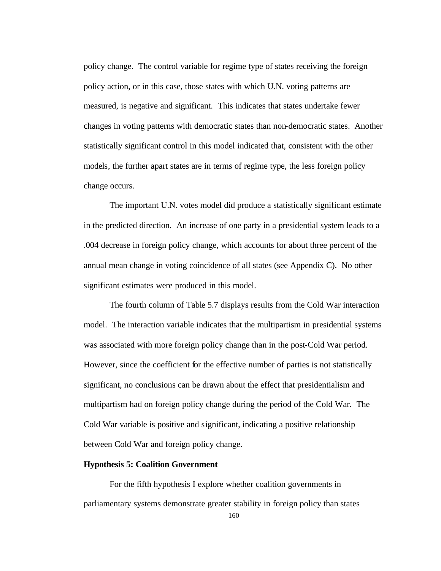policy change. The control variable for regime type of states receiving the foreign policy action, or in this case, those states with which U.N. voting patterns are measured, is negative and significant. This indicates that states undertake fewer changes in voting patterns with democratic states than non-democratic states. Another statistically significant control in this model indicated that, consistent with the other models, the further apart states are in terms of regime type, the less foreign policy change occurs.

The important U.N. votes model did produce a statistically significant estimate in the predicted direction. An increase of one party in a presidential system leads to a .004 decrease in foreign policy change, which accounts for about three percent of the annual mean change in voting coincidence of all states (see Appendix C). No other significant estimates were produced in this model.

The fourth column of Table 5.7 displays results from the Cold War interaction model. The interaction variable indicates that the multipartism in presidential systems was associated with more foreign policy change than in the post-Cold War period. However, since the coefficient for the effective number of parties is not statistically significant, no conclusions can be drawn about the effect that presidentialism and multipartism had on foreign policy change during the period of the Cold War. The Cold War variable is positive and significant, indicating a positive relationship between Cold War and foreign policy change.

## **Hypothesis 5: Coalition Government**

For the fifth hypothesis I explore whether coalition governments in parliamentary systems demonstrate greater stability in foreign policy than states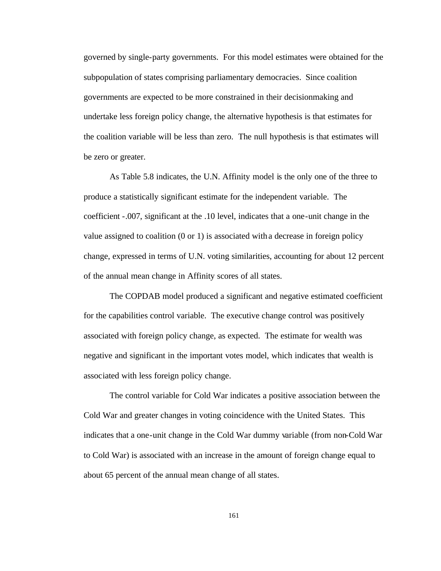governed by single-party governments. For this model estimates were obtained for the subpopulation of states comprising parliamentary democracies. Since coalition governments are expected to be more constrained in their decisionmaking and undertake less foreign policy change, the alternative hypothesis is that estimates for the coalition variable will be less than zero. The null hypothesis is that estimates will be zero or greater.

As Table 5.8 indicates, the U.N. Affinity model is the only one of the three to produce a statistically significant estimate for the independent variable. The coefficient -.007, significant at the .10 level, indicates that a one-unit change in the value assigned to coalition (0 or 1) is associated with a decrease in foreign policy change, expressed in terms of U.N. voting similarities, accounting for about 12 percent of the annual mean change in Affinity scores of all states.

The COPDAB model produced a significant and negative estimated coefficient for the capabilities control variable. The executive change control was positively associated with foreign policy change, as expected. The estimate for wealth was negative and significant in the important votes model, which indicates that wealth is associated with less foreign policy change.

The control variable for Cold War indicates a positive association between the Cold War and greater changes in voting coincidence with the United States. This indicates that a one-unit change in the Cold War dummy variable (from non-Cold War to Cold War) is associated with an increase in the amount of foreign change equal to about 65 percent of the annual mean change of all states.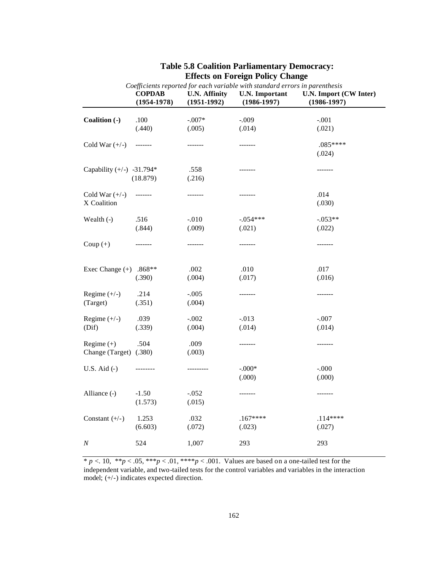|                             | Coefficients reported for each variable with standard errors in parenthesis |                                       |                                          |                                           |
|-----------------------------|-----------------------------------------------------------------------------|---------------------------------------|------------------------------------------|-------------------------------------------|
|                             | <b>COPDAB</b><br>$(1954 - 1978)$                                            | <b>U.N. Affinity</b><br>$(1951-1992)$ | <b>U.N.</b> Important<br>$(1986 - 1997)$ | U.N. Import (CW Inter)<br>$(1986 - 1997)$ |
|                             |                                                                             | $-.007*$                              | $-.009$                                  |                                           |
| Coalition (-)               | .100<br>(.440)                                                              | (.005)                                | (.014)                                   | $-.001$<br>(.021)                         |
|                             |                                                                             |                                       |                                          |                                           |
| Cold War $(+/-)$            | -------                                                                     | -------                               | -------                                  | $.085***$                                 |
|                             |                                                                             |                                       |                                          | (.024)                                    |
|                             |                                                                             |                                       |                                          |                                           |
| Capability $(+/-)$ -31.794* |                                                                             | .558                                  | -------                                  | -------                                   |
|                             | (18.879)                                                                    | (.216)                                |                                          |                                           |
|                             |                                                                             |                                       |                                          |                                           |
| Cold War $(+/-)$            | --------                                                                    | -------                               | -------                                  | .014                                      |
| X Coalition                 |                                                                             |                                       |                                          | (.030)                                    |
| Wealth $(-)$                | .516                                                                        | $-.010$                               | $-.054***$                               | $-0.053**$                                |
|                             | (.844)                                                                      | (.009)                                | (.021)                                   | (.022)                                    |
|                             |                                                                             |                                       |                                          |                                           |
| Coup $(+)$                  | --------                                                                    | -------                               | -------                                  | -------                                   |
|                             |                                                                             |                                       |                                          |                                           |
|                             |                                                                             |                                       |                                          |                                           |
| Exec Change $(+)$ .868**    |                                                                             | .002                                  | .010                                     | .017                                      |
|                             | (.390)                                                                      | (.004)                                | (.017)                                   | (.016)                                    |
| Regime $(+/-)$              | .214                                                                        | $-.005$                               | -------                                  | -------                                   |
| (Target)                    | (.351)                                                                      | (.004)                                |                                          |                                           |
|                             |                                                                             |                                       |                                          |                                           |
| Regime $(+/-)$              | .039                                                                        | $-.002$                               | $-0.013$                                 | $-.007$                                   |
| (Dif)                       | (.339)                                                                      | (.004)                                | (.014)                                   | (.014)                                    |
|                             |                                                                             |                                       |                                          |                                           |
| Regime $(+)$                | .504                                                                        | .009                                  | -------                                  | -------                                   |
| Change (Target) (.380)      |                                                                             | (.003)                                |                                          |                                           |
|                             |                                                                             |                                       |                                          |                                           |
| U.S. Aid $(-)$              | --------                                                                    | ---------                             | $-.000*$                                 | $-.000$                                   |
|                             |                                                                             |                                       | (.000)                                   | (.000)                                    |
| Alliance (-)                | $-1.50$                                                                     | $-.052$                               | -------                                  | -------                                   |
|                             | (1.573)                                                                     | (.015)                                |                                          |                                           |
|                             |                                                                             |                                       |                                          |                                           |
| Constant $(+/-)$            | 1.253                                                                       | .032                                  | $.167***$                                | $.114****$                                |
|                             | (6.603)                                                                     | (.072)                                | (.023)                                   | (.027)                                    |
|                             |                                                                             |                                       |                                          |                                           |
| N                           | 524                                                                         | 1,007                                 | 293                                      | 293                                       |

# **Table 5.8 Coalition Parliamentary Democracy: Effects on Foreign Policy Change**

 $* p < 0.10, ** p < 0.05, *** p < 0.01, *** p < 0.001$ . Values are based on a one-tailed test for the independent variable, and two-tailed tests for the control variables and variables in the interaction model; (+/-) indicates expected direction.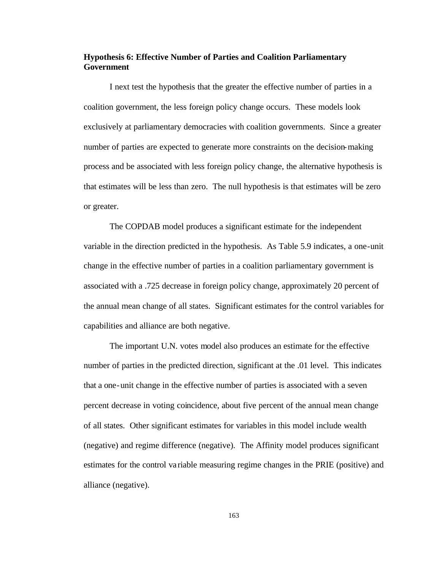## **Hypothesis 6: Effective Number of Parties and Coalition Parliamentary Government**

I next test the hypothesis that the greater the effective number of parties in a coalition government, the less foreign policy change occurs. These models look exclusively at parliamentary democracies with coalition governments. Since a greater number of parties are expected to generate more constraints on the decision-making process and be associated with less foreign policy change, the alternative hypothesis is that estimates will be less than zero. The null hypothesis is that estimates will be zero or greater.

The COPDAB model produces a significant estimate for the independent variable in the direction predicted in the hypothesis. As Table 5.9 indicates, a one-unit change in the effective number of parties in a coalition parliamentary government is associated with a .725 decrease in foreign policy change, approximately 20 percent of the annual mean change of all states. Significant estimates for the control variables for capabilities and alliance are both negative.

The important U.N. votes model also produces an estimate for the effective number of parties in the predicted direction, significant at the .01 level. This indicates that a one-unit change in the effective number of parties is associated with a seven percent decrease in voting coincidence, about five percent of the annual mean change of all states. Other significant estimates for variables in this model include wealth (negative) and regime difference (negative). The Affinity model produces significant estimates for the control va riable measuring regime changes in the PRIE (positive) and alliance (negative).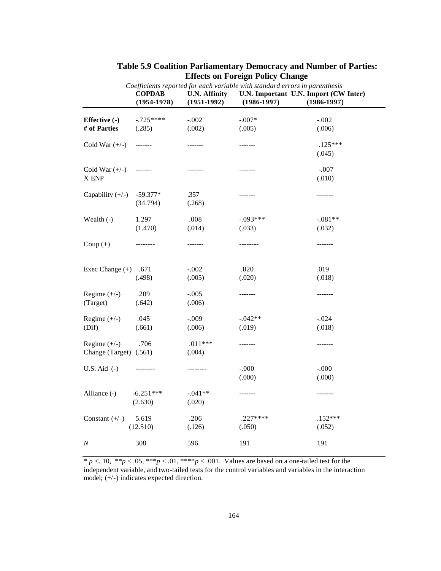| Coefficients reported for each variable with standard errors in parenthesis |                                  |                                       |                      |                                                          |
|-----------------------------------------------------------------------------|----------------------------------|---------------------------------------|----------------------|----------------------------------------------------------|
|                                                                             | <b>COPDAB</b><br>$(1954 - 1978)$ | <b>U.N. Affinity</b><br>$(1951-1992)$ | $(1986 - 1997)$      | U.N. Important U.N. Import (CW Inter)<br>$(1986 - 1997)$ |
| Effective (-)                                                               | $-725***$                        | $-.002$                               | $-.007*$             | $-.002$                                                  |
| # of Parties                                                                | (.285)                           | (.002)                                | (.005)               | (.006)                                                   |
| Cold War $(+/-)$                                                            | -------                          | -------                               | -------              | $.125***$<br>(.045)                                      |
| Cold War $(+/-)$<br>X ENP                                                   | $------ -$                       | -------                               | -------              | $-.007$<br>(.010)                                        |
| Capability $(+/-)$                                                          | $-59.377*$<br>(34.794)           | .357<br>(.268)                        | -------              | -------                                                  |
| Wealth (-)                                                                  | 1.297<br>(1.470)                 | .008<br>(.014)                        | $-.093***$<br>(.033) | $-.081**$<br>(.032)                                      |
| Coup $(+)$                                                                  | --------                         | -------                               | --------             | -------                                                  |
| Exec Change $(+)$                                                           | .671<br>(.498)                   | $-.002$<br>(.005)                     | .020<br>(.020)       | .019<br>(.018)                                           |
| Regime $(+/-)$<br>(Target)                                                  | .209<br>(.642)                   | $-.005$<br>(.006)                     | -------              | -------                                                  |
| Regime $(+/-)$<br>(Dif)                                                     | .045<br>(.661)                   | $-.009$<br>(.006)                     | $-.042**$<br>(.019)  | $-.024$<br>(.018)                                        |
| Regime $(+/-)$<br>Change (Target) (.561)                                    | .706                             | $.011***$<br>(.004)                   | -------              | -------                                                  |
| U.S. Aid $(-)$                                                              | --------                         | --------                              | $-.000$<br>(.000)    | $-.000$<br>(.000)                                        |
| Alliance (-)                                                                | $-6.251***$<br>(2.630)           | $-.041**$<br>(.020)                   | -------              | -------                                                  |
| Constant $(+/-)$                                                            | 5.619<br>(12.510)                | .206<br>(.126)                        | $.227***$<br>(.050)  | $.152***$<br>(.052)                                      |
| Ν                                                                           | 308                              | 596                                   | 191                  | 191                                                      |

## **Table 5.9 Coalition Parliamentary Democracy and Number of Parties: Effects on Foreign Policy Change**

 $* p < 0.10, ** p < 0.05, *** p < 0.01, *** p < 0.001$ . Values are based on a one-tailed test for the independent variable, and two-tailed tests for the control variables and variables in the interaction model; (+/-) indicates expected direction.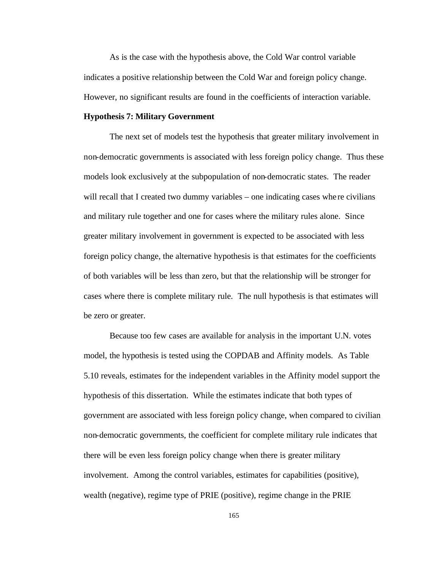As is the case with the hypothesis above, the Cold War control variable indicates a positive relationship between the Cold War and foreign policy change. However, no significant results are found in the coefficients of interaction variable.

### **Hypothesis 7: Military Government**

The next set of models test the hypothesis that greater military involvement in non-democratic governments is associated with less foreign policy change. Thus these models look exclusively at the subpopulation of non-democratic states. The reader will recall that I created two dummy variables – one indicating cases where civilians and military rule together and one for cases where the military rules alone. Since greater military involvement in government is expected to be associated with less foreign policy change, the alternative hypothesis is that estimates for the coefficients of both variables will be less than zero, but that the relationship will be stronger for cases where there is complete military rule. The null hypothesis is that estimates will be zero or greater.

Because too few cases are available for analysis in the important U.N. votes model, the hypothesis is tested using the COPDAB and Affinity models. As Table 5.10 reveals, estimates for the independent variables in the Affinity model support the hypothesis of this dissertation. While the estimates indicate that both types of government are associated with less foreign policy change, when compared to civilian non-democratic governments, the coefficient for complete military rule indicates that there will be even less foreign policy change when there is greater military involvement. Among the control variables, estimates for capabilities (positive), wealth (negative), regime type of PRIE (positive), regime change in the PRIE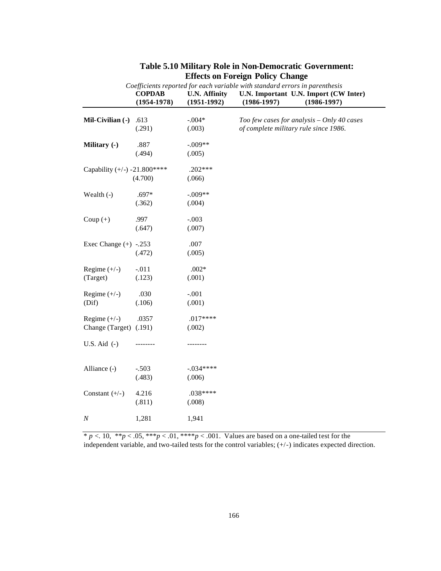| Coefficients reported for each variable with standard errors in parenthesis |                                  |                                       |                                                                                     |                                                          |  |  |
|-----------------------------------------------------------------------------|----------------------------------|---------------------------------------|-------------------------------------------------------------------------------------|----------------------------------------------------------|--|--|
|                                                                             | <b>COPDAB</b><br>$(1954 - 1978)$ | <b>U.N. Affinity</b><br>$(1951-1992)$ | $(1986 - 1997)$                                                                     | U.N. Important U.N. Import (CW Inter)<br>$(1986 - 1997)$ |  |  |
| Mil-Civilian (-)                                                            | .613                             | $-.004*$                              |                                                                                     |                                                          |  |  |
|                                                                             | (.291)                           | (.003)                                | Too few cases for analysis - Only 40 cases<br>of complete military rule since 1986. |                                                          |  |  |
| Military (-)                                                                | .887                             | $-.009**$                             |                                                                                     |                                                          |  |  |
|                                                                             | (.494)                           | (.005)                                |                                                                                     |                                                          |  |  |
| Capability $(+/-)$ -21.800****                                              |                                  | $.202***$                             |                                                                                     |                                                          |  |  |
|                                                                             | (4.700)                          | (.066)                                |                                                                                     |                                                          |  |  |
| Wealth $(-)$                                                                | $.697*$                          | $-.009**$                             |                                                                                     |                                                          |  |  |
|                                                                             | (.362)                           | (.004)                                |                                                                                     |                                                          |  |  |
| Coup $(+)$                                                                  | .997                             | $-.003$                               |                                                                                     |                                                          |  |  |
|                                                                             | (.647)                           | (.007)                                |                                                                                     |                                                          |  |  |
| Exec Change $(+)$ -.253                                                     |                                  | .007                                  |                                                                                     |                                                          |  |  |
|                                                                             | (.472)                           | (.005)                                |                                                                                     |                                                          |  |  |
| Regime $(+/-)$                                                              | $-.011$                          | $.002*$                               |                                                                                     |                                                          |  |  |
| (Target)                                                                    | (.123)                           | (.001)                                |                                                                                     |                                                          |  |  |
| Regime $(+/-)$                                                              | .030                             | $-.001$                               |                                                                                     |                                                          |  |  |
| (Dif)                                                                       | (.106)                           | (.001)                                |                                                                                     |                                                          |  |  |
| Regime $(+/-)$                                                              | .0357                            | $.017***$                             |                                                                                     |                                                          |  |  |
| Change (Target)                                                             | (.191)                           | (.002)                                |                                                                                     |                                                          |  |  |
| U.S. Aid $(-)$                                                              |                                  |                                       |                                                                                     |                                                          |  |  |
| Alliance (-)                                                                | $-.503$                          | $-.034***$                            |                                                                                     |                                                          |  |  |
|                                                                             | (.483)                           | (.006)                                |                                                                                     |                                                          |  |  |
| Constant $(+/-)$                                                            | 4.216                            | $.038***$                             |                                                                                     |                                                          |  |  |
|                                                                             | (.811)                           | (.008)                                |                                                                                     |                                                          |  |  |
| $\boldsymbol{N}$                                                            | 1,281                            | 1,941                                 |                                                                                     |                                                          |  |  |
|                                                                             |                                  |                                       |                                                                                     |                                                          |  |  |

# **Table 5.10 Military Role in Non-Democratic Government: Effects on Foreign Policy Change**

 $* p < 0.10, ** p < 0.05, *** p < 0.01, *** p < 0.001$ . Values are based on a one-tailed test for the independent variable, and two-tailed tests for the control variables; (+/-) indicates expected direction.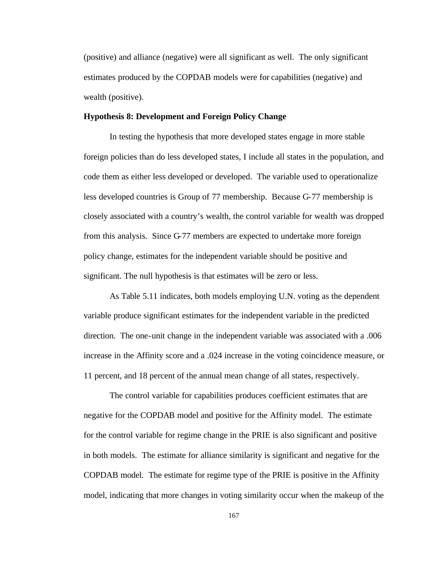(positive) and alliance (negative) were all significant as well. The only significant estimates produced by the COPDAB models were for capabilities (negative) and wealth (positive).

## **Hypothesis 8: Development and Foreign Policy Change**

In testing the hypothesis that more developed states engage in more stable foreign policies than do less developed states, I include all states in the population, and code them as either less developed or developed. The variable used to operationalize less developed countries is Group of 77 membership. Because G-77 membership is closely associated with a country's wealth, the control variable for wealth was dropped from this analysis. Since G-77 members are expected to undertake more foreign policy change, estimates for the independent variable should be positive and significant. The null hypothesis is that estimates will be zero or less.

As Table 5.11 indicates, both models employing U.N. voting as the dependent variable produce significant estimates for the independent variable in the predicted direction. The one-unit change in the independent variable was associated with a .006 increase in the Affinity score and a .024 increase in the voting coincidence measure, or 11 percent, and 18 percent of the annual mean change of all states, respectively.

The control variable for capabilities produces coefficient estimates that are negative for the COPDAB model and positive for the Affinity model. The estimate for the control variable for regime change in the PRIE is also significant and positive in both models. The estimate for alliance similarity is significant and negative for the COPDAB model. The estimate for regime type of the PRIE is positive in the Affinity model, indicating that more changes in voting similarity occur when the makeup of the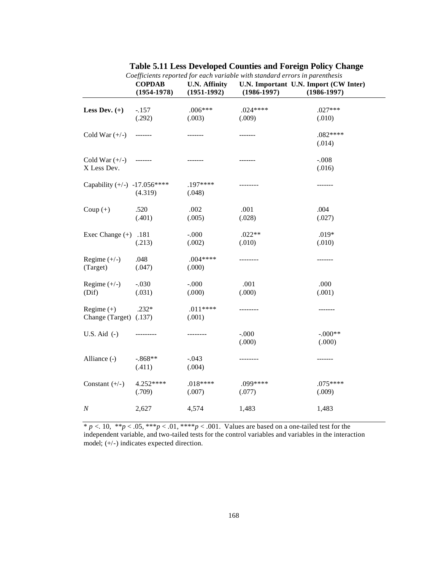|                                        | <b>COPDAB</b><br>$(1954 - 1978)$ | <b>U.N. Affinity</b><br>$(1951-1992)$ | $(1986 - 1997)$    | U.N. Important U.N. Import (CW Inter)<br>$(1986 - 1997)$ |
|----------------------------------------|----------------------------------|---------------------------------------|--------------------|----------------------------------------------------------|
| Less Dev. $(+)$                        | $-157$                           | $.006***$                             | $.024***$          | $.027***$                                                |
|                                        | (.292)                           | (.003)                                | (.009)             | (.010)                                                   |
| Cold War $(+/-)$                       | -------                          | -------                               | -------            | $.082***$<br>(.014)                                      |
| Cold War $(+/-)$<br>X Less Dev.        | $------$                         | -------                               | -------            | $-.008$<br>(.016)                                        |
| Capability $(+/-)$ -17.056****         | (4.319)                          | .197****<br>(.048)                    | --------           | -------                                                  |
| Coup $(+)$                             | .520<br>(.401)                   | .002<br>(.005)                        | .001<br>(.028)     | .004<br>(.027)                                           |
| Exec Change $(+)$ .181                 | (.213)                           | $-.000$<br>(.002)                     | $.022**$<br>(.010) | $.019*$<br>(.010)                                        |
| Regime $(+/-)$<br>(Target)             | .048<br>(.047)                   | $.004***$<br>(.000)                   | --------           | -------                                                  |
| Regime $(+/-)$<br>(Dif)                | $-.030$<br>(.031)                | $-.000$<br>(000)                      | .001<br>(.000)     | .000<br>(.001)                                           |
| Regime $(+)$<br>Change (Target) (.137) | $.232*$                          | $.011***$<br>(.001)                   | --------           | -------                                                  |
| U.S. Aid $(-)$                         | ---------                        | --------                              | $-.000$<br>(.000)  | $-.000**$<br>(.000)                                      |
| Alliance (-)                           | $-.868**$<br>(.411)              | $-.043$<br>(.004)                     | --------           | -------                                                  |
| Constant $(+/-)$                       | 4.252****<br>(.709)              | $.018***$<br>(.007)                   | .099****<br>(.077) | $.075***$<br>(.009)                                      |
| N                                      | 2,627                            | 4,574                                 | 1,483              | 1,483                                                    |

|  | Table 5.11 Less Developed Counties and Foreign Policy Change |  |
|--|--------------------------------------------------------------|--|
|  |                                                              |  |

*Coefficients reported for each variable with standard errors in parenthesis*

 $* p < 0.10, ** p < 0.05, *** p < 0.01, *** p < 0.001$ . Values are based on a one-tailed test for the independent variable, and two-tailed tests for the control variables and variables in the interaction model; (+/-) indicates expected direction.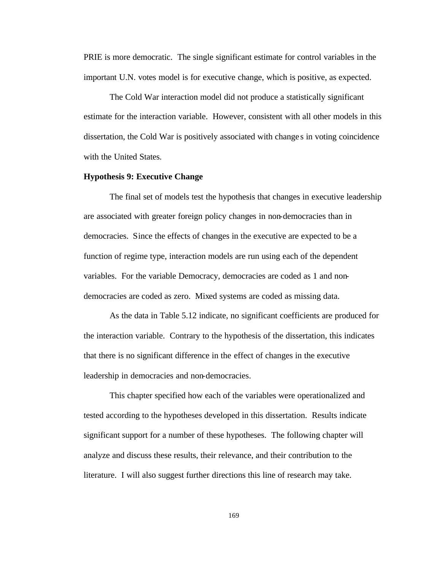PRIE is more democratic. The single significant estimate for control variables in the important U.N. votes model is for executive change, which is positive, as expected.

The Cold War interaction model did not produce a statistically significant estimate for the interaction variable. However, consistent with all other models in this dissertation, the Cold War is positively associated with change s in voting coincidence with the United States.

### **Hypothesis 9: Executive Change**

The final set of models test the hypothesis that changes in executive leadership are associated with greater foreign policy changes in non-democracies than in democracies. Since the effects of changes in the executive are expected to be a function of regime type, interaction models are run using each of the dependent variables. For the variable Democracy, democracies are coded as 1 and nondemocracies are coded as zero. Mixed systems are coded as missing data.

As the data in Table 5.12 indicate, no significant coefficients are produced for the interaction variable. Contrary to the hypothesis of the dissertation, this indicates that there is no significant difference in the effect of changes in the executive leadership in democracies and non-democracies.

This chapter specified how each of the variables were operationalized and tested according to the hypotheses developed in this dissertation. Results indicate significant support for a number of these hypotheses. The following chapter will analyze and discuss these results, their relevance, and their contribution to the literature. I will also suggest further directions this line of research may take.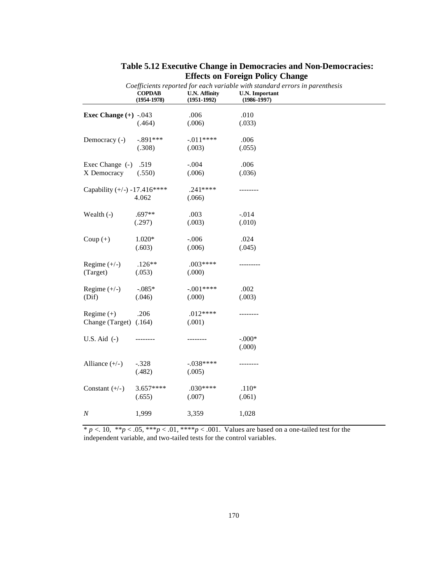|                                | Coefficients reported for each variable with standard errors in parenthesis |                                         |                                          |  |  |
|--------------------------------|-----------------------------------------------------------------------------|-----------------------------------------|------------------------------------------|--|--|
|                                | <b>COPDAB</b><br>$(1954 - 1978)$                                            | <b>U.N. Affinity</b><br>$(1951 - 1992)$ | <b>U.N.</b> Important<br>$(1986 - 1997)$ |  |  |
| Exec Change $(+)$ -.043        |                                                                             | .006                                    | .010                                     |  |  |
|                                | (.464)                                                                      | (.006)                                  | (.033)                                   |  |  |
| Democracy (-)                  | $-.891***$                                                                  | $-.011***$                              | .006                                     |  |  |
|                                | (.308)                                                                      | (.003)                                  | (.055)                                   |  |  |
| Exec Change (-)                | .519                                                                        | $-.004$                                 | .006                                     |  |  |
| X Democracy                    | (.550)                                                                      | (.006)                                  | (.036)                                   |  |  |
| Capability $(+/-)$ -17.416**** |                                                                             | $.241***$                               | -------                                  |  |  |
|                                | 4.062                                                                       | (.066)                                  |                                          |  |  |
| Wealth $(-)$                   | $.697**$                                                                    | .003                                    | $-.014$                                  |  |  |
|                                | (.297)                                                                      | (.003)                                  | (.010)                                   |  |  |
| Coup $(+)$                     | $1.020*$                                                                    | $-.006$                                 | .024                                     |  |  |
|                                | (.603)                                                                      | (.006)                                  | (.045)                                   |  |  |
| Regime $(+/-)$                 | $.126**$                                                                    | .003****                                | .                                        |  |  |
| (Target)                       | (.053)                                                                      | (.000)                                  |                                          |  |  |
| Regime $(+/-)$                 | $-.085*$                                                                    | $-.001***$                              | .002                                     |  |  |
| (Dif)                          | (.046)                                                                      | (.000)                                  | (.003)                                   |  |  |
| Regime $(+)$                   | .206                                                                        | $.012***$                               | -------                                  |  |  |
| Change (Target) (.164)         |                                                                             | (.001)                                  |                                          |  |  |
| U.S. Aid $(-)$                 |                                                                             | .                                       | $-.000*$                                 |  |  |
|                                |                                                                             |                                         | (.000)                                   |  |  |
| Alliance $(+/-)$               | $-.328$                                                                     | $-.038***$                              | -------                                  |  |  |
|                                | (.482)                                                                      | (.005)                                  |                                          |  |  |
| Constant $(+/-)$               | 3.657****                                                                   | $.030***$                               | $.110*$                                  |  |  |
|                                | (.655)                                                                      | (.007)                                  | (.061)                                   |  |  |
| $\boldsymbol{N}$               | 1,999                                                                       | 3,359                                   | 1,028                                    |  |  |
|                                |                                                                             |                                         |                                          |  |  |

# **Table 5.12 Executive Change in Democracies and Non-Democracies: Effects on Foreign Policy Change**

\* *p* <. 10, \*\**p* < .05, \*\*\**p* < .01, \*\*\*\**p* < .001. Values are based on a one-tailed test for the independent variable, and two-tailed tests for the control variables.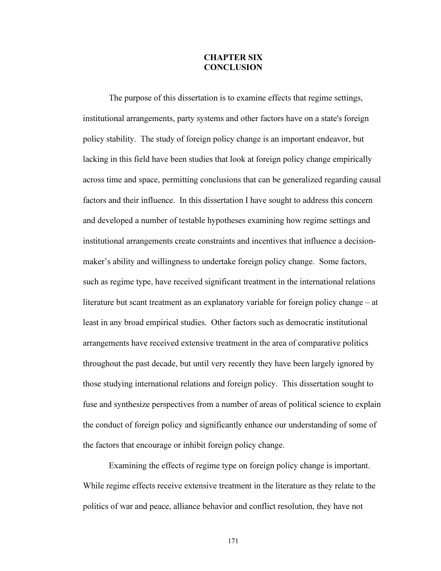## CHAPTER SIX **CONCLUSION**

The purpose of this dissertation is to examine effects that regime settings, institutional arrangements, party systems and other factors have on a state's foreign policy stability. The study of foreign policy change is an important endeavor, but lacking in this field have been studies that look at foreign policy change empirically across time and space, permitting conclusions that can be generalized regarding causal factors and their influence. In this dissertation I have sought to address this concern and developed a number of testable hypotheses examining how regime settings and institutional arrangements create constraints and incentives that influence a decisionmaker's ability and willingness to undertake foreign policy change. Some factors, such as regime type, have received significant treatment in the international relations literature but scant treatment as an explanatory variable for foreign policy change – at least in any broad empirical studies. Other factors such as democratic institutional arrangements have received extensive treatment in the area of comparative politics throughout the past decade, but until very recently they have been largely ignored by those studying international relations and foreign policy. This dissertation sought to fuse and synthesize perspectives from a number of areas of political science to explain the conduct of foreign policy and significantly enhance our understanding of some of the factors that encourage or inhibit foreign policy change.

Examining the effects of regime type on foreign policy change is important. While regime effects receive extensive treatment in the literature as they relate to the politics of war and peace, alliance behavior and conflict resolution, they have not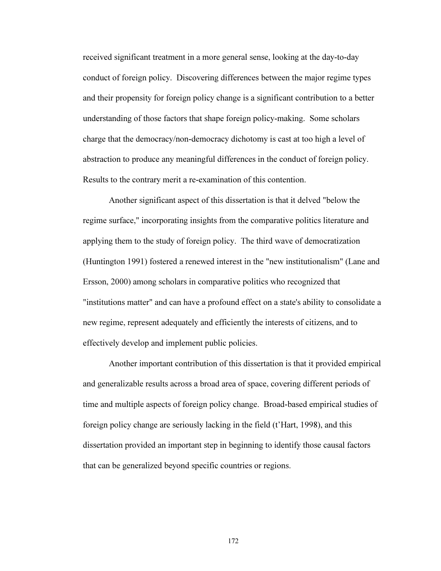received significant treatment in a more general sense, looking at the day-to-day conduct of foreign policy. Discovering differences between the major regime types and their propensity for foreign policy change is a significant contribution to a better understanding of those factors that shape foreign policy-making. Some scholars charge that the democracy/non-democracy dichotomy is cast at too high a level of abstraction to produce any meaningful differences in the conduct of foreign policy. Results to the contrary merit a re-examination of this contention.

Another significant aspect of this dissertation is that it delved "below the regime surface," incorporating insights from the comparative politics literature and applying them to the study of foreign policy. The third wave of democratization (Huntington 1991) fostered a renewed interest in the "new institutionalism" (Lane and Ersson, 2000) among scholars in comparative politics who recognized that "institutions matter" and can have a profound effect on a state's ability to consolidate a new regime, represent adequately and efficiently the interests of citizens, and to effectively develop and implement public policies.

Another important contribution of this dissertation is that it provided empirical and generalizable results across a broad area of space, covering different periods of time and multiple aspects of foreign policy change. Broad-based empirical studies of foreign policy change are seriously lacking in the field (t'Hart, 1998), and this dissertation provided an important step in beginning to identify those causal factors that can be generalized beyond specific countries or regions.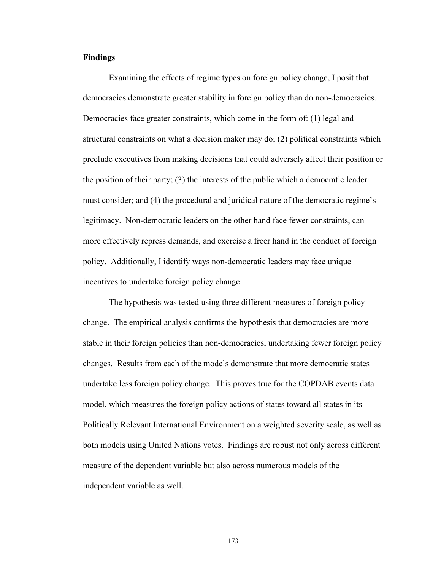## Findings

Examining the effects of regime types on foreign policy change, I posit that democracies demonstrate greater stability in foreign policy than do non-democracies. Democracies face greater constraints, which come in the form of: (1) legal and structural constraints on what a decision maker may do; (2) political constraints which preclude executives from making decisions that could adversely affect their position or the position of their party; (3) the interests of the public which a democratic leader must consider; and (4) the procedural and juridical nature of the democratic regime's legitimacy. Non-democratic leaders on the other hand face fewer constraints, can more effectively repress demands, and exercise a freer hand in the conduct of foreign policy. Additionally, I identify ways non-democratic leaders may face unique incentives to undertake foreign policy change.

The hypothesis was tested using three different measures of foreign policy change. The empirical analysis confirms the hypothesis that democracies are more stable in their foreign policies than non-democracies, undertaking fewer foreign policy changes. Results from each of the models demonstrate that more democratic states undertake less foreign policy change. This proves true for the COPDAB events data model, which measures the foreign policy actions of states toward all states in its Politically Relevant International Environment on a weighted severity scale, as well as both models using United Nations votes. Findings are robust not only across different measure of the dependent variable but also across numerous models of the independent variable as well.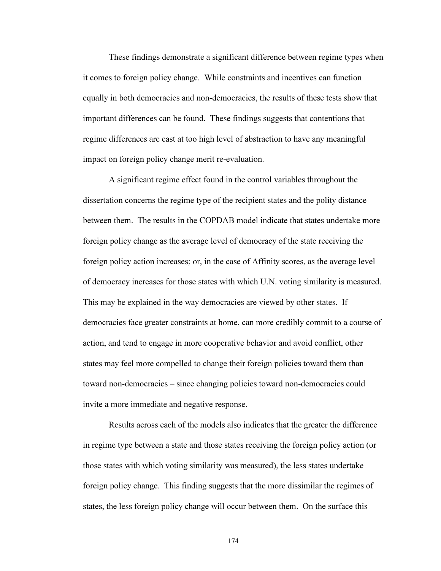These findings demonstrate a significant difference between regime types when it comes to foreign policy change. While constraints and incentives can function equally in both democracies and non-democracies, the results of these tests show that important differences can be found. These findings suggests that contentions that regime differences are cast at too high level of abstraction to have any meaningful impact on foreign policy change merit re-evaluation.

A significant regime effect found in the control variables throughout the dissertation concerns the regime type of the recipient states and the polity distance between them. The results in the COPDAB model indicate that states undertake more foreign policy change as the average level of democracy of the state receiving the foreign policy action increases; or, in the case of Affinity scores, as the average level of democracy increases for those states with which U.N. voting similarity is measured. This may be explained in the way democracies are viewed by other states. If democracies face greater constraints at home, can more credibly commit to a course of action, and tend to engage in more cooperative behavior and avoid conflict, other states may feel more compelled to change their foreign policies toward them than toward non-democracies – since changing policies toward non-democracies could invite a more immediate and negative response.

Results across each of the models also indicates that the greater the difference in regime type between a state and those states receiving the foreign policy action (or those states with which voting similarity was measured), the less states undertake foreign policy change. This finding suggests that the more dissimilar the regimes of states, the less foreign policy change will occur between them. On the surface this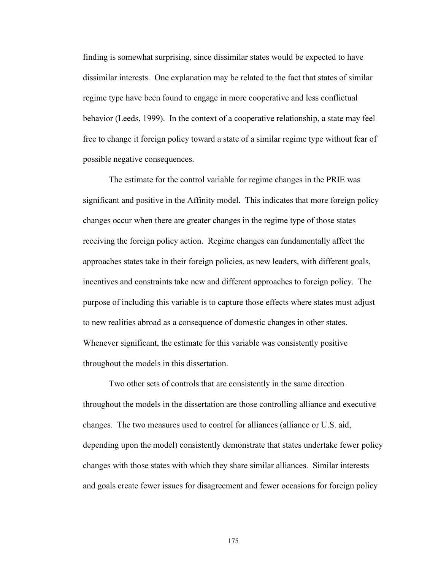finding is somewhat surprising, since dissimilar states would be expected to have dissimilar interests. One explanation may be related to the fact that states of similar regime type have been found to engage in more cooperative and less conflictual behavior (Leeds, 1999). In the context of a cooperative relationship, a state may feel free to change it foreign policy toward a state of a similar regime type without fear of possible negative consequences.

The estimate for the control variable for regime changes in the PRIE was significant and positive in the Affinity model. This indicates that more foreign policy changes occur when there are greater changes in the regime type of those states receiving the foreign policy action. Regime changes can fundamentally affect the approaches states take in their foreign policies, as new leaders, with different goals, incentives and constraints take new and different approaches to foreign policy. The purpose of including this variable is to capture those effects where states must adjust to new realities abroad as a consequence of domestic changes in other states. Whenever significant, the estimate for this variable was consistently positive throughout the models in this dissertation.

Two other sets of controls that are consistently in the same direction throughout the models in the dissertation are those controlling alliance and executive changes. The two measures used to control for alliances (alliance or U.S. aid, depending upon the model) consistently demonstrate that states undertake fewer policy changes with those states with which they share similar alliances. Similar interests and goals create fewer issues for disagreement and fewer occasions for foreign policy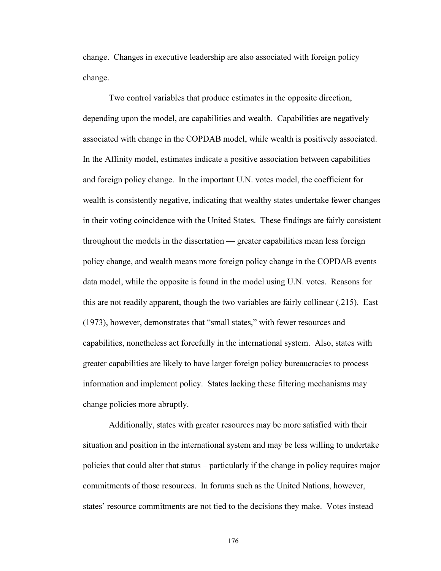change. Changes in executive leadership are also associated with foreign policy change.

Two control variables that produce estimates in the opposite direction, depending upon the model, are capabilities and wealth. Capabilities are negatively associated with change in the COPDAB model, while wealth is positively associated. In the Affinity model, estimates indicate a positive association between capabilities and foreign policy change. In the important U.N. votes model, the coefficient for wealth is consistently negative, indicating that wealthy states undertake fewer changes in their voting coincidence with the United States. These findings are fairly consistent throughout the models in the dissertation — greater capabilities mean less foreign policy change, and wealth means more foreign policy change in the COPDAB events data model, while the opposite is found in the model using U.N. votes. Reasons for this are not readily apparent, though the two variables are fairly collinear (.215). East (1973), however, demonstrates that "small states," with fewer resources and capabilities, nonetheless act forcefully in the international system. Also, states with greater capabilities are likely to have larger foreign policy bureaucracies to process information and implement policy. States lacking these filtering mechanisms may change policies more abruptly.

Additionally, states with greater resources may be more satisfied with their situation and position in the international system and may be less willing to undertake policies that could alter that status – particularly if the change in policy requires major commitments of those resources. In forums such as the United Nations, however, states' resource commitments are not tied to the decisions they make. Votes instead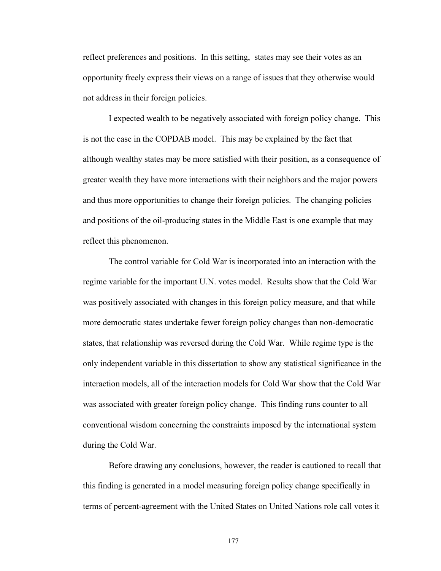reflect preferences and positions. In this setting, states may see their votes as an opportunity freely express their views on a range of issues that they otherwise would not address in their foreign policies.

I expected wealth to be negatively associated with foreign policy change. This is not the case in the COPDAB model. This may be explained by the fact that although wealthy states may be more satisfied with their position, as a consequence of greater wealth they have more interactions with their neighbors and the major powers and thus more opportunities to change their foreign policies. The changing policies and positions of the oil-producing states in the Middle East is one example that may reflect this phenomenon.

The control variable for Cold War is incorporated into an interaction with the regime variable for the important U.N. votes model. Results show that the Cold War was positively associated with changes in this foreign policy measure, and that while more democratic states undertake fewer foreign policy changes than non-democratic states, that relationship was reversed during the Cold War. While regime type is the only independent variable in this dissertation to show any statistical significance in the interaction models, all of the interaction models for Cold War show that the Cold War was associated with greater foreign policy change. This finding runs counter to all conventional wisdom concerning the constraints imposed by the international system during the Cold War.

Before drawing any conclusions, however, the reader is cautioned to recall that this finding is generated in a model measuring foreign policy change specifically in terms of percent-agreement with the United States on United Nations role call votes it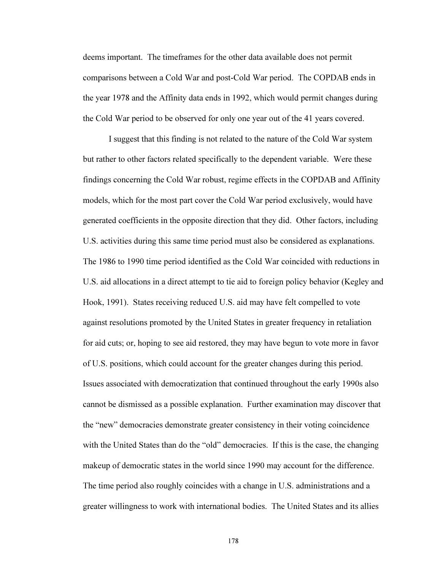deems important. The timeframes for the other data available does not permit comparisons between a Cold War and post-Cold War period. The COPDAB ends in the year 1978 and the Affinity data ends in 1992, which would permit changes during the Cold War period to be observed for only one year out of the 41 years covered.

I suggest that this finding is not related to the nature of the Cold War system but rather to other factors related specifically to the dependent variable. Were these findings concerning the Cold War robust, regime effects in the COPDAB and Affinity models, which for the most part cover the Cold War period exclusively, would have generated coefficients in the opposite direction that they did. Other factors, including U.S. activities during this same time period must also be considered as explanations. The 1986 to 1990 time period identified as the Cold War coincided with reductions in U.S. aid allocations in a direct attempt to tie aid to foreign policy behavior (Kegley and Hook, 1991). States receiving reduced U.S. aid may have felt compelled to vote against resolutions promoted by the United States in greater frequency in retaliation for aid cuts; or, hoping to see aid restored, they may have begun to vote more in favor of U.S. positions, which could account for the greater changes during this period. Issues associated with democratization that continued throughout the early 1990s also cannot be dismissed as a possible explanation. Further examination may discover that the "new" democracies demonstrate greater consistency in their voting coincidence with the United States than do the "old" democracies. If this is the case, the changing makeup of democratic states in the world since 1990 may account for the difference. The time period also roughly coincides with a change in U.S. administrations and a greater willingness to work with international bodies. The United States and its allies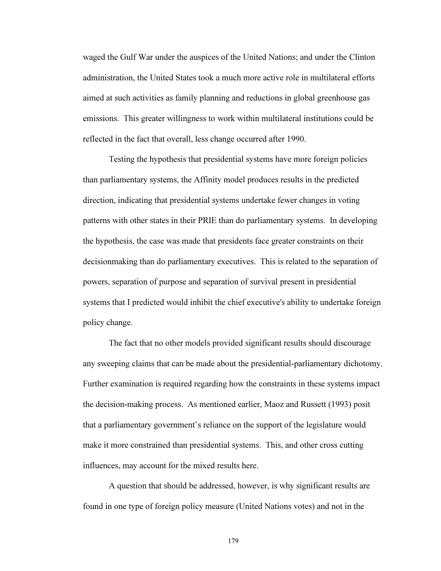waged the Gulf War under the auspices of the United Nations; and under the Clinton administration, the United States took a much more active role in multilateral efforts aimed at such activities as family planning and reductions in global greenhouse gas emissions. This greater willingness to work within multilateral institutions could be reflected in the fact that overall, less change occurred after 1990.

Testing the hypothesis that presidential systems have more foreign policies than parliamentary systems, the Affinity model produces results in the predicted direction, indicating that presidential systems undertake fewer changes in voting patterns with other states in their PRIE than do parliamentary systems. In developing the hypothesis, the case was made that presidents face greater constraints on their decisionmaking than do parliamentary executives. This is related to the separation of powers, separation of purpose and separation of survival present in presidential systems that I predicted would inhibit the chief executive's ability to undertake foreign policy change.

The fact that no other models provided significant results should discourage any sweeping claims that can be made about the presidential-parliamentary dichotomy. Further examination is required regarding how the constraints in these systems impact the decision-making process. As mentioned earlier, Maoz and Russett (1993) posit that a parliamentary government's reliance on the support of the legislature would make it more constrained than presidential systems. This, and other cross cutting influences, may account for the mixed results here.

A question that should be addressed, however, is why significant results are found in one type of foreign policy measure (United Nations votes) and not in the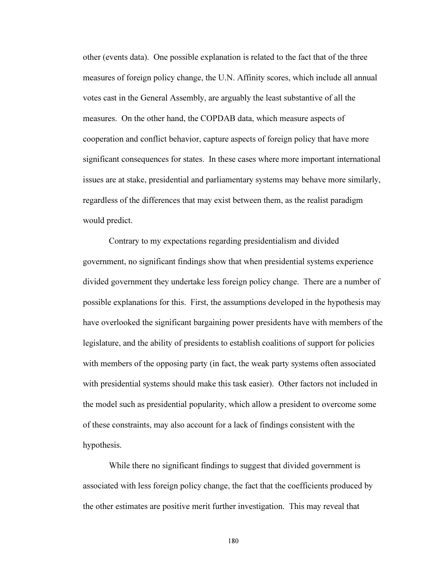other (events data). One possible explanation is related to the fact that of the three measures of foreign policy change, the U.N. Affinity scores, which include all annual votes cast in the General Assembly, are arguably the least substantive of all the measures. On the other hand, the COPDAB data, which measure aspects of cooperation and conflict behavior, capture aspects of foreign policy that have more significant consequences for states. In these cases where more important international issues are at stake, presidential and parliamentary systems may behave more similarly, regardless of the differences that may exist between them, as the realist paradigm would predict.

Contrary to my expectations regarding presidentialism and divided government, no significant findings show that when presidential systems experience divided government they undertake less foreign policy change. There are a number of possible explanations for this. First, the assumptions developed in the hypothesis may have overlooked the significant bargaining power presidents have with members of the legislature, and the ability of presidents to establish coalitions of support for policies with members of the opposing party (in fact, the weak party systems often associated with presidential systems should make this task easier). Other factors not included in the model such as presidential popularity, which allow a president to overcome some of these constraints, may also account for a lack of findings consistent with the hypothesis.

While there no significant findings to suggest that divided government is associated with less foreign policy change, the fact that the coefficients produced by the other estimates are positive merit further investigation. This may reveal that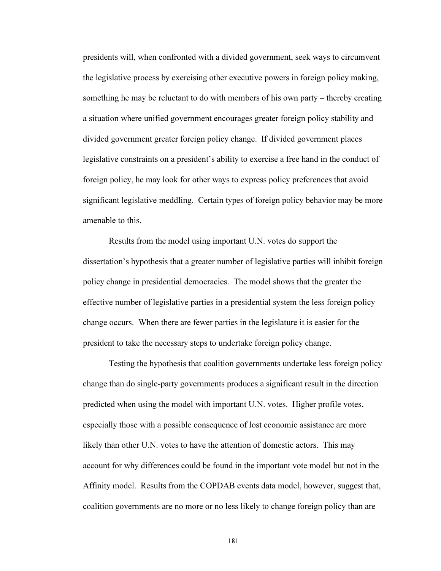presidents will, when confronted with a divided government, seek ways to circumvent the legislative process by exercising other executive powers in foreign policy making, something he may be reluctant to do with members of his own party – thereby creating a situation where unified government encourages greater foreign policy stability and divided government greater foreign policy change. If divided government places legislative constraints on a president's ability to exercise a free hand in the conduct of foreign policy, he may look for other ways to express policy preferences that avoid significant legislative meddling. Certain types of foreign policy behavior may be more amenable to this.

Results from the model using important U.N. votes do support the dissertation's hypothesis that a greater number of legislative parties will inhibit foreign policy change in presidential democracies. The model shows that the greater the effective number of legislative parties in a presidential system the less foreign policy change occurs. When there are fewer parties in the legislature it is easier for the president to take the necessary steps to undertake foreign policy change.

Testing the hypothesis that coalition governments undertake less foreign policy change than do single-party governments produces a significant result in the direction predicted when using the model with important U.N. votes. Higher profile votes, especially those with a possible consequence of lost economic assistance are more likely than other U.N. votes to have the attention of domestic actors. This may account for why differences could be found in the important vote model but not in the Affinity model. Results from the COPDAB events data model, however, suggest that, coalition governments are no more or no less likely to change foreign policy than are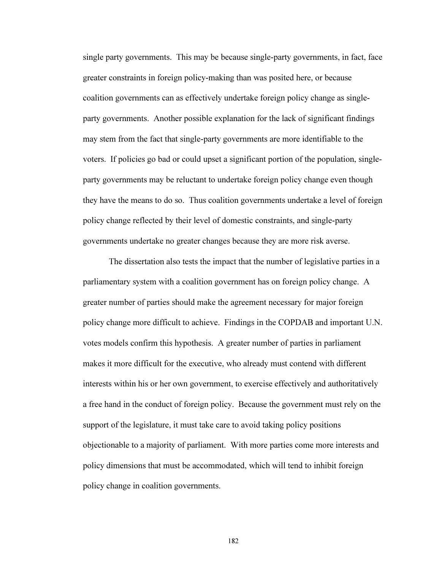single party governments. This may be because single-party governments, in fact, face greater constraints in foreign policy-making than was posited here, or because coalition governments can as effectively undertake foreign policy change as singleparty governments. Another possible explanation for the lack of significant findings may stem from the fact that single-party governments are more identifiable to the voters. If policies go bad or could upset a significant portion of the population, singleparty governments may be reluctant to undertake foreign policy change even though they have the means to do so. Thus coalition governments undertake a level of foreign policy change reflected by their level of domestic constraints, and single-party governments undertake no greater changes because they are more risk averse.

The dissertation also tests the impact that the number of legislative parties in a parliamentary system with a coalition government has on foreign policy change. A greater number of parties should make the agreement necessary for major foreign policy change more difficult to achieve. Findings in the COPDAB and important U.N. votes models confirm this hypothesis. A greater number of parties in parliament makes it more difficult for the executive, who already must contend with different interests within his or her own government, to exercise effectively and authoritatively a free hand in the conduct of foreign policy. Because the government must rely on the support of the legislature, it must take care to avoid taking policy positions objectionable to a majority of parliament. With more parties come more interests and policy dimensions that must be accommodated, which will tend to inhibit foreign policy change in coalition governments.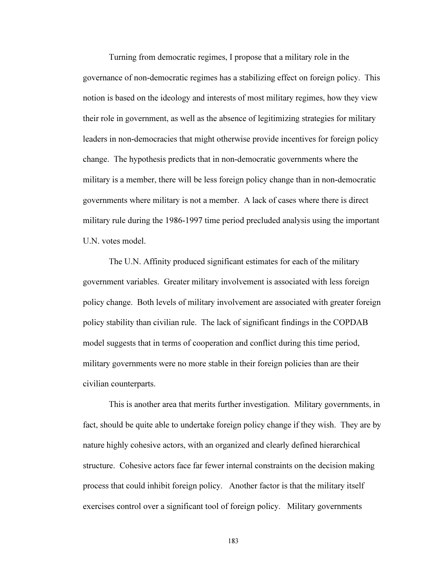Turning from democratic regimes, I propose that a military role in the governance of non-democratic regimes has a stabilizing effect on foreign policy. This notion is based on the ideology and interests of most military regimes, how they view their role in government, as well as the absence of legitimizing strategies for military leaders in non-democracies that might otherwise provide incentives for foreign policy change. The hypothesis predicts that in non-democratic governments where the military is a member, there will be less foreign policy change than in non-democratic governments where military is not a member. A lack of cases where there is direct military rule during the 1986-1997 time period precluded analysis using the important U.N. votes model.

The U.N. Affinity produced significant estimates for each of the military government variables. Greater military involvement is associated with less foreign policy change. Both levels of military involvement are associated with greater foreign policy stability than civilian rule. The lack of significant findings in the COPDAB model suggests that in terms of cooperation and conflict during this time period, military governments were no more stable in their foreign policies than are their civilian counterparts.

This is another area that merits further investigation. Military governments, in fact, should be quite able to undertake foreign policy change if they wish. They are by nature highly cohesive actors, with an organized and clearly defined hierarchical structure. Cohesive actors face far fewer internal constraints on the decision making process that could inhibit foreign policy. Another factor is that the military itself exercises control over a significant tool of foreign policy. Military governments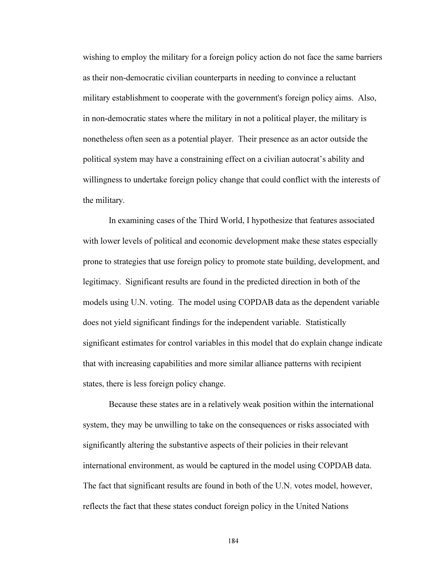wishing to employ the military for a foreign policy action do not face the same barriers as their non-democratic civilian counterparts in needing to convince a reluctant military establishment to cooperate with the government's foreign policy aims. Also, in non-democratic states where the military in not a political player, the military is nonetheless often seen as a potential player. Their presence as an actor outside the political system may have a constraining effect on a civilian autocrat's ability and willingness to undertake foreign policy change that could conflict with the interests of the military.

In examining cases of the Third World, I hypothesize that features associated with lower levels of political and economic development make these states especially prone to strategies that use foreign policy to promote state building, development, and legitimacy. Significant results are found in the predicted direction in both of the models using U.N. voting. The model using COPDAB data as the dependent variable does not yield significant findings for the independent variable. Statistically significant estimates for control variables in this model that do explain change indicate that with increasing capabilities and more similar alliance patterns with recipient states, there is less foreign policy change.

Because these states are in a relatively weak position within the international system, they may be unwilling to take on the consequences or risks associated with significantly altering the substantive aspects of their policies in their relevant international environment, as would be captured in the model using COPDAB data. The fact that significant results are found in both of the U.N. votes model, however, reflects the fact that these states conduct foreign policy in the United Nations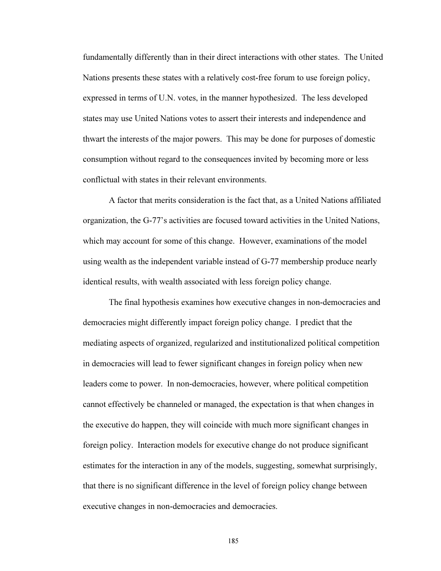fundamentally differently than in their direct interactions with other states. The United Nations presents these states with a relatively cost-free forum to use foreign policy, expressed in terms of U.N. votes, in the manner hypothesized. The less developed states may use United Nations votes to assert their interests and independence and thwart the interests of the major powers. This may be done for purposes of domestic consumption without regard to the consequences invited by becoming more or less conflictual with states in their relevant environments.

A factor that merits consideration is the fact that, as a United Nations affiliated organization, the G-77's activities are focused toward activities in the United Nations, which may account for some of this change. However, examinations of the model using wealth as the independent variable instead of G-77 membership produce nearly identical results, with wealth associated with less foreign policy change.

The final hypothesis examines how executive changes in non-democracies and democracies might differently impact foreign policy change. I predict that the mediating aspects of organized, regularized and institutionalized political competition in democracies will lead to fewer significant changes in foreign policy when new leaders come to power. In non-democracies, however, where political competition cannot effectively be channeled or managed, the expectation is that when changes in the executive do happen, they will coincide with much more significant changes in foreign policy. Interaction models for executive change do not produce significant estimates for the interaction in any of the models, suggesting, somewhat surprisingly, that there is no significant difference in the level of foreign policy change between executive changes in non-democracies and democracies.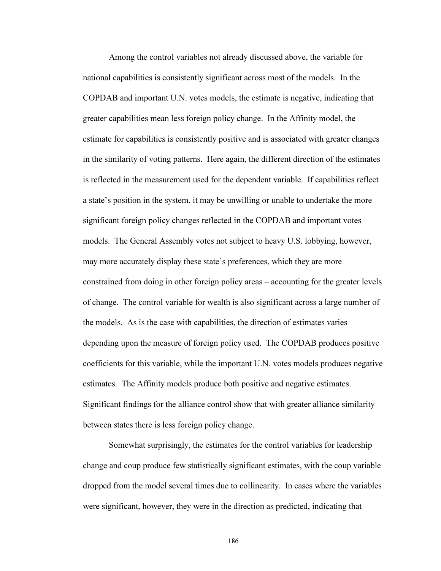Among the control variables not already discussed above, the variable for national capabilities is consistently significant across most of the models. In the COPDAB and important U.N. votes models, the estimate is negative, indicating that greater capabilities mean less foreign policy change. In the Affinity model, the estimate for capabilities is consistently positive and is associated with greater changes in the similarity of voting patterns. Here again, the different direction of the estimates is reflected in the measurement used for the dependent variable. If capabilities reflect a state's position in the system, it may be unwilling or unable to undertake the more significant foreign policy changes reflected in the COPDAB and important votes models. The General Assembly votes not subject to heavy U.S. lobbying, however, may more accurately display these state's preferences, which they are more constrained from doing in other foreign policy areas – accounting for the greater levels of change. The control variable for wealth is also significant across a large number of the models. As is the case with capabilities, the direction of estimates varies depending upon the measure of foreign policy used. The COPDAB produces positive coefficients for this variable, while the important U.N. votes models produces negative estimates. The Affinity models produce both positive and negative estimates. Significant findings for the alliance control show that with greater alliance similarity between states there is less foreign policy change.

Somewhat surprisingly, the estimates for the control variables for leadership change and coup produce few statistically significant estimates, with the coup variable dropped from the model several times due to collinearity. In cases where the variables were significant, however, they were in the direction as predicted, indicating that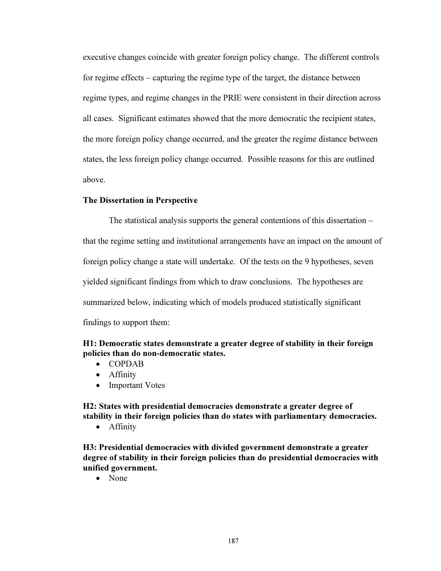executive changes coincide with greater foreign policy change. The different controls for regime effects – capturing the regime type of the target, the distance between regime types, and regime changes in the PRIE were consistent in their direction across all cases. Significant estimates showed that the more democratic the recipient states, the more foreign policy change occurred, and the greater the regime distance between states, the less foreign policy change occurred. Possible reasons for this are outlined above.

## The Dissertation in Perspective

The statistical analysis supports the general contentions of this dissertation – that the regime setting and institutional arrangements have an impact on the amount of foreign policy change a state will undertake. Of the tests on the 9 hypotheses, seven yielded significant findings from which to draw conclusions. The hypotheses are summarized below, indicating which of models produced statistically significant findings to support them:

H1: Democratic states demonstrate a greater degree of stability in their foreign policies than do non-democratic states.

- COPDAB
- Affinity
- Important Votes

H2: States with presidential democracies demonstrate a greater degree of stability in their foreign policies than do states with parliamentary democracies.

• Affinity

H3: Presidential democracies with divided government demonstrate a greater degree of stability in their foreign policies than do presidential democracies with unified government.

• None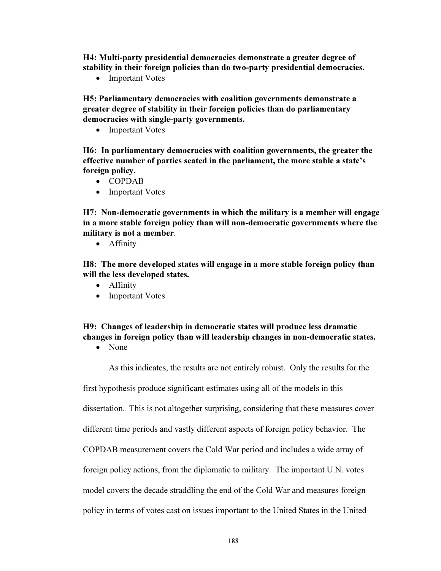H4: Multi-party presidential democracies demonstrate a greater degree of stability in their foreign policies than do two-party presidential democracies.

• Important Votes

H5: Parliamentary democracies with coalition governments demonstrate a greater degree of stability in their foreign policies than do parliamentary democracies with single-party governments.

• Important Votes

H6: In parliamentary democracies with coalition governments, the greater the effective number of parties seated in the parliament, the more stable a state's foreign policy.

- COPDAB
- Important Votes

H7: Non-democratic governments in which the military is a member will engage in a more stable foreign policy than will non-democratic governments where the military is not a member.

• Affinity

H8: The more developed states will engage in a more stable foreign policy than will the less developed states.

- Affinity
- Important Votes

## H9: Changes of leadership in democratic states will produce less dramatic changes in foreign policy than will leadership changes in non-democratic states.

• None

As this indicates, the results are not entirely robust. Only the results for the

first hypothesis produce significant estimates using all of the models in this

dissertation. This is not altogether surprising, considering that these measures cover

different time periods and vastly different aspects of foreign policy behavior. The

COPDAB measurement covers the Cold War period and includes a wide array of

foreign policy actions, from the diplomatic to military. The important U.N. votes

model covers the decade straddling the end of the Cold War and measures foreign

policy in terms of votes cast on issues important to the United States in the United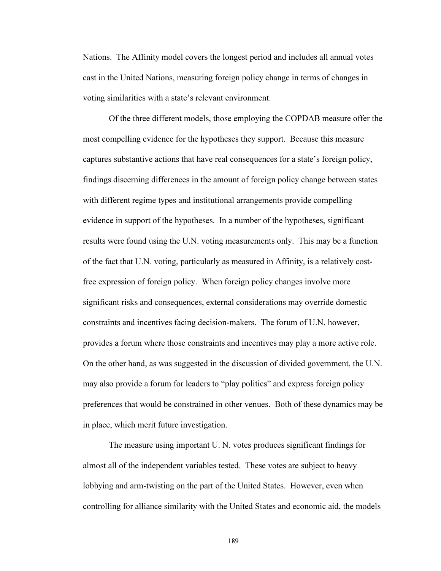Nations. The Affinity model covers the longest period and includes all annual votes cast in the United Nations, measuring foreign policy change in terms of changes in voting similarities with a state's relevant environment.

 Of the three different models, those employing the COPDAB measure offer the most compelling evidence for the hypotheses they support. Because this measure captures substantive actions that have real consequences for a state's foreign policy, findings discerning differences in the amount of foreign policy change between states with different regime types and institutional arrangements provide compelling evidence in support of the hypotheses. In a number of the hypotheses, significant results were found using the U.N. voting measurements only. This may be a function of the fact that U.N. voting, particularly as measured in Affinity, is a relatively costfree expression of foreign policy. When foreign policy changes involve more significant risks and consequences, external considerations may override domestic constraints and incentives facing decision-makers. The forum of U.N. however, provides a forum where those constraints and incentives may play a more active role. On the other hand, as was suggested in the discussion of divided government, the U.N. may also provide a forum for leaders to "play politics" and express foreign policy preferences that would be constrained in other venues. Both of these dynamics may be in place, which merit future investigation.

The measure using important U. N. votes produces significant findings for almost all of the independent variables tested. These votes are subject to heavy lobbying and arm-twisting on the part of the United States. However, even when controlling for alliance similarity with the United States and economic aid, the models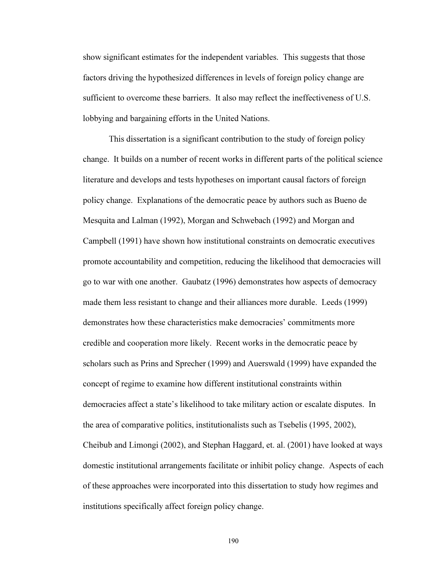show significant estimates for the independent variables. This suggests that those factors driving the hypothesized differences in levels of foreign policy change are sufficient to overcome these barriers. It also may reflect the ineffectiveness of U.S. lobbying and bargaining efforts in the United Nations.

This dissertation is a significant contribution to the study of foreign policy change. It builds on a number of recent works in different parts of the political science literature and develops and tests hypotheses on important causal factors of foreign policy change. Explanations of the democratic peace by authors such as Bueno de Mesquita and Lalman (1992), Morgan and Schwebach (1992) and Morgan and Campbell (1991) have shown how institutional constraints on democratic executives promote accountability and competition, reducing the likelihood that democracies will go to war with one another. Gaubatz (1996) demonstrates how aspects of democracy made them less resistant to change and their alliances more durable. Leeds (1999) demonstrates how these characteristics make democracies' commitments more credible and cooperation more likely. Recent works in the democratic peace by scholars such as Prins and Sprecher (1999) and Auerswald (1999) have expanded the concept of regime to examine how different institutional constraints within democracies affect a state's likelihood to take military action or escalate disputes. In the area of comparative politics, institutionalists such as Tsebelis (1995, 2002), Cheibub and Limongi (2002), and Stephan Haggard, et. al. (2001) have looked at ways domestic institutional arrangements facilitate or inhibit policy change. Aspects of each of these approaches were incorporated into this dissertation to study how regimes and institutions specifically affect foreign policy change.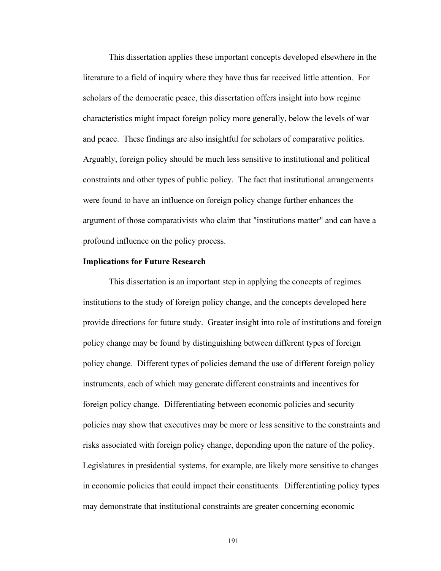This dissertation applies these important concepts developed elsewhere in the literature to a field of inquiry where they have thus far received little attention. For scholars of the democratic peace, this dissertation offers insight into how regime characteristics might impact foreign policy more generally, below the levels of war and peace. These findings are also insightful for scholars of comparative politics. Arguably, foreign policy should be much less sensitive to institutional and political constraints and other types of public policy. The fact that institutional arrangements were found to have an influence on foreign policy change further enhances the argument of those comparativists who claim that "institutions matter" and can have a profound influence on the policy process.

## Implications for Future Research

This dissertation is an important step in applying the concepts of regimes institutions to the study of foreign policy change, and the concepts developed here provide directions for future study. Greater insight into role of institutions and foreign policy change may be found by distinguishing between different types of foreign policy change. Different types of policies demand the use of different foreign policy instruments, each of which may generate different constraints and incentives for foreign policy change. Differentiating between economic policies and security policies may show that executives may be more or less sensitive to the constraints and risks associated with foreign policy change, depending upon the nature of the policy. Legislatures in presidential systems, for example, are likely more sensitive to changes in economic policies that could impact their constituents. Differentiating policy types may demonstrate that institutional constraints are greater concerning economic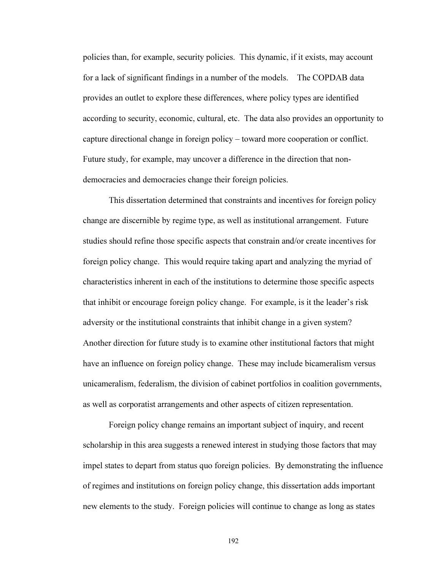policies than, for example, security policies. This dynamic, if it exists, may account for a lack of significant findings in a number of the models. The COPDAB data provides an outlet to explore these differences, where policy types are identified according to security, economic, cultural, etc. The data also provides an opportunity to capture directional change in foreign policy – toward more cooperation or conflict. Future study, for example, may uncover a difference in the direction that nondemocracies and democracies change their foreign policies.

This dissertation determined that constraints and incentives for foreign policy change are discernible by regime type, as well as institutional arrangement. Future studies should refine those specific aspects that constrain and/or create incentives for foreign policy change. This would require taking apart and analyzing the myriad of characteristics inherent in each of the institutions to determine those specific aspects that inhibit or encourage foreign policy change. For example, is it the leader's risk adversity or the institutional constraints that inhibit change in a given system? Another direction for future study is to examine other institutional factors that might have an influence on foreign policy change. These may include bicameralism versus unicameralism, federalism, the division of cabinet portfolios in coalition governments, as well as corporatist arrangements and other aspects of citizen representation.

Foreign policy change remains an important subject of inquiry, and recent scholarship in this area suggests a renewed interest in studying those factors that may impel states to depart from status quo foreign policies. By demonstrating the influence of regimes and institutions on foreign policy change, this dissertation adds important new elements to the study. Foreign policies will continue to change as long as states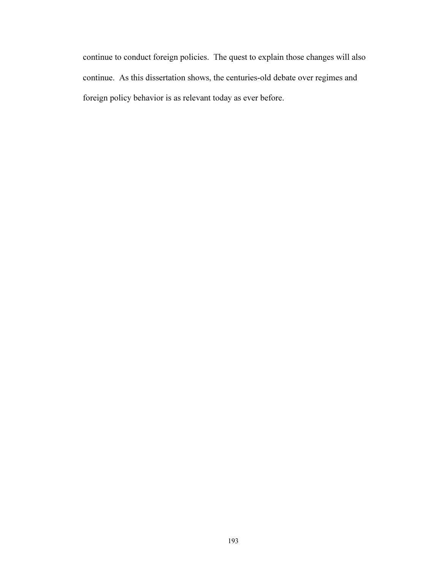continue to conduct foreign policies. The quest to explain those changes will also continue. As this dissertation shows, the centuries-old debate over regimes and foreign policy behavior is as relevant today as ever before.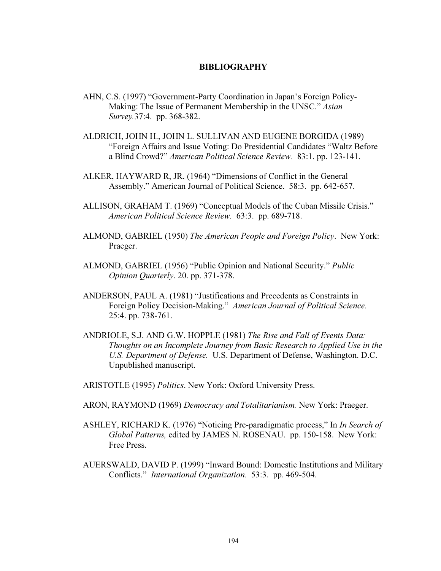## BIBLIOGRAPHY

- AHN, C.S. (1997) "Government-Party Coordination in Japan's Foreign Policy-Making: The Issue of Permanent Membership in the UNSC." Asian Survey.37:4. pp. 368-382.
- ALDRICH, JOHN H., JOHN L. SULLIVAN AND EUGENE BORGIDA (1989) "Foreign Affairs and Issue Voting: Do Presidential Candidates "Waltz Before a Blind Crowd?" American Political Science Review. 83:1. pp. 123-141.
- ALKER, HAYWARD R, JR. (1964) "Dimensions of Conflict in the General Assembly." American Journal of Political Science. 58:3. pp. 642-657.
- ALLISON, GRAHAM T. (1969) "Conceptual Models of the Cuban Missile Crisis." American Political Science Review. 63:3. pp. 689-718.
- ALMOND, GABRIEL (1950) The American People and Foreign Policy. New York: Praeger.
- ALMOND, GABRIEL (1956) "Public Opinion and National Security." Public Opinion Quarterly. 20. pp. 371-378.
- ANDERSON, PAUL A. (1981) "Justifications and Precedents as Constraints in Foreign Policy Decision-Making." American Journal of Political Science. 25:4. pp. 738-761.
- ANDRIOLE, S.J. AND G.W. HOPPLE (1981) The Rise and Fall of Events Data: Thoughts on an Incomplete Journey from Basic Research to Applied Use in the U.S. Department of Defense. U.S. Department of Defense, Washington. D.C. Unpublished manuscript.
- ARISTOTLE (1995) Politics. New York: Oxford University Press.
- ARON, RAYMOND (1969) Democracy and Totalitarianism. New York: Praeger.
- ASHLEY, RICHARD K. (1976) "Noticing Pre-paradigmatic process," In In Search of Global Patterns, edited by JAMES N. ROSENAU. pp. 150-158. New York: Free Press.
- AUERSWALD, DAVID P. (1999) "Inward Bound: Domestic Institutions and Military Conflicts." International Organization. 53:3. pp. 469-504.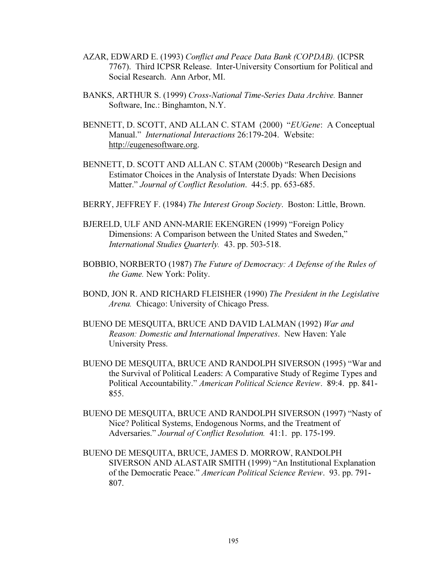- AZAR, EDWARD E. (1993) Conflict and Peace Data Bank (COPDAB). (ICPSR 7767). Third ICPSR Release. Inter-University Consortium for Political and Social Research. Ann Arbor, MI.
- BANKS, ARTHUR S. (1999) Cross-National Time-Series Data Archive. Banner Software, Inc.: Binghamton, N.Y.
- BENNETT, D. SCOTT, AND ALLAN C. STAM (2000) "EUGene: A Conceptual Manual." International Interactions 26:179-204. Website: http://eugenesoftware.org.
- BENNETT, D. SCOTT AND ALLAN C. STAM (2000b) "Research Design and Estimator Choices in the Analysis of Interstate Dyads: When Decisions Matter." Journal of Conflict Resolution. 44:5. pp. 653-685.
- BERRY, JEFFREY F. (1984) The Interest Group Society. Boston: Little, Brown.
- BJERELD, ULF AND ANN-MARIE EKENGREN (1999) "Foreign Policy Dimensions: A Comparison between the United States and Sweden," International Studies Quarterly. 43. pp. 503-518.
- BOBBIO, NORBERTO (1987) The Future of Democracy: A Defense of the Rules of the Game. New York: Polity.
- BOND, JON R. AND RICHARD FLEISHER (1990) The President in the Legislative Arena. Chicago: University of Chicago Press.
- BUENO DE MESQUITA, BRUCE AND DAVID LALMAN (1992) War and Reason: Domestic and International Imperatives. New Haven: Yale University Press.
- BUENO DE MESQUITA, BRUCE AND RANDOLPH SIVERSON (1995) "War and the Survival of Political Leaders: A Comparative Study of Regime Types and Political Accountability." American Political Science Review. 89:4. pp. 841- 855.
- BUENO DE MESQUITA, BRUCE AND RANDOLPH SIVERSON (1997) "Nasty of Nice? Political Systems, Endogenous Norms, and the Treatment of Adversaries." Journal of Conflict Resolution. 41:1. pp. 175-199.
- BUENO DE MESQUITA, BRUCE, JAMES D. MORROW, RANDOLPH SIVERSON AND ALASTAIR SMITH (1999) "An Institutional Explanation of the Democratic Peace." American Political Science Review. 93. pp. 791- 807.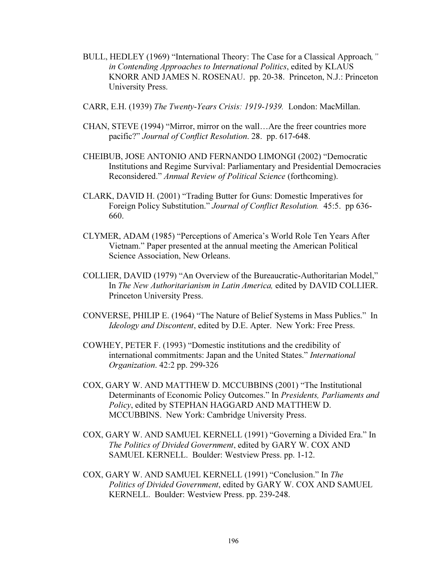- BULL, HEDLEY (1969) "International Theory: The Case for a Classical Approach," in Contending Approaches to International Politics, edited by KLAUS KNORR AND JAMES N. ROSENAU. pp. 20-38. Princeton, N.J.: Princeton University Press.
- CARR, E.H. (1939) The Twenty-Years Crisis: 1919-1939. London: MacMillan.
- CHAN, STEVE (1994) "Mirror, mirror on the wall…Are the freer countries more pacific?" Journal of Conflict Resolution. 28. pp. 617-648.
- CHEIBUB, JOSE ANTONIO AND FERNANDO LIMONGI (2002) "Democratic Institutions and Regime Survival: Parliamentary and Presidential Democracies Reconsidered." Annual Review of Political Science (forthcoming).
- CLARK, DAVID H. (2001) "Trading Butter for Guns: Domestic Imperatives for Foreign Policy Substitution." Journal of Conflict Resolution. 45:5. pp 636- 660.
- CLYMER, ADAM (1985) "Perceptions of America's World Role Ten Years After Vietnam." Paper presented at the annual meeting the American Political Science Association, New Orleans.
- COLLIER, DAVID (1979) "An Overview of the Bureaucratic-Authoritarian Model," In The New Authoritarianism in Latin America, edited by DAVID COLLIER. Princeton University Press.
- CONVERSE, PHILIP E. (1964) "The Nature of Belief Systems in Mass Publics." In Ideology and Discontent, edited by D.E. Apter. New York: Free Press.
- COWHEY, PETER F. (1993) "Domestic institutions and the credibility of international commitments: Japan and the United States." International Organization. 42:2 pp. 299-326
- COX, GARY W. AND MATTHEW D. MCCUBBINS (2001) "The Institutional Determinants of Economic Policy Outcomes." In Presidents, Parliaments and Policy, edited by STEPHAN HAGGARD AND MATTHEW D. MCCUBBINS. New York: Cambridge University Press.
- COX, GARY W. AND SAMUEL KERNELL (1991) "Governing a Divided Era." In The Politics of Divided Government, edited by GARY W. COX AND SAMUEL KERNELL. Boulder: Westview Press. pp. 1-12.
- COX, GARY W. AND SAMUEL KERNELL (1991) "Conclusion." In The Politics of Divided Government, edited by GARY W. COX AND SAMUEL KERNELL. Boulder: Westview Press. pp. 239-248.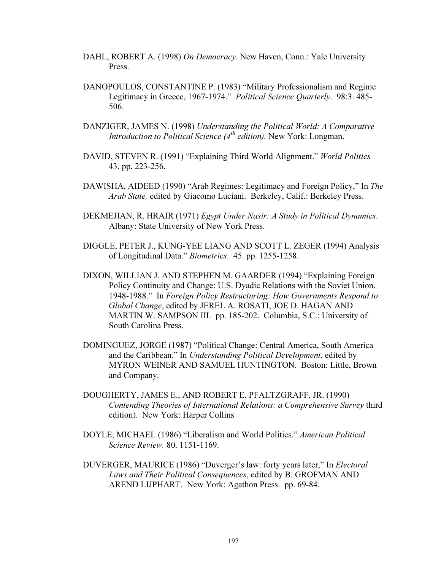- DAHL, ROBERT A. (1998) On Democracy. New Haven, Conn.: Yale University Press.
- DANOPOULOS, CONSTANTINE P. (1983) "Military Professionalism and Regime Legitimacy in Greece, 1967-1974." Political Science Quarterly. 98:3. 485- 506.
- DANZIGER, JAMES N. (1998) Understanding the Political World: A Comparative Introduction to Political Science  $(4<sup>th</sup>$  edition). New York: Longman.
- DAVID, STEVEN R. (1991) "Explaining Third World Alignment." World Politics. 43. pp. 223-256.
- DAWISHA, AIDEED (1990) "Arab Regimes: Legitimacy and Foreign Policy," In The Arab State, edited by Giacomo Luciani. Berkeley, Calif.: Berkeley Press.
- DEKMEJIAN, R. HRAIR (1971) Egypt Under Nasir: A Study in Political Dynamics. Albany: State University of New York Press.
- DIGGLE, PETER J., KUNG-YEE LIANG AND SCOTT L. ZEGER (1994) Analysis of Longitudinal Data." Biometrics. 45. pp. 1255-1258.
- DIXON, WILLIAN J. AND STEPHEN M. GAARDER (1994) "Explaining Foreign Policy Continuity and Change: U.S. Dyadic Relations with the Soviet Union, 1948-1988." In Foreign Policy Restructuring: How Governments Respond to Global Change, edited by JEREL A. ROSATI, JOE D. HAGAN AND MARTIN W. SAMPSON III. pp. 185-202. Columbia, S.C.: University of South Carolina Press.
- DOMINGUEZ, JORGE (1987) "Political Change: Central America, South America and the Caribbean." In Understanding Political Development, edited by MYRON WEINER AND SAMUEL HUNTINGTON. Boston: Little, Brown and Company.
- DOUGHERTY, JAMES E., AND ROBERT E. PFALTZGRAFF, JR. (1990) Contending Theories of International Relations: a Comprehensive Survey third edition). New York: Harper Collins
- DOYLE, MICHAEL (1986) "Liberalism and World Politics." American Political Science Review. 80. 1151-1169.
- DUVERGER, MAURICE (1986) "Duverger's law: forty years later," In Electoral Laws and Their Political Consequences, edited by B. GROFMAN AND AREND LIJPHART. New York: Agathon Press. pp. 69-84.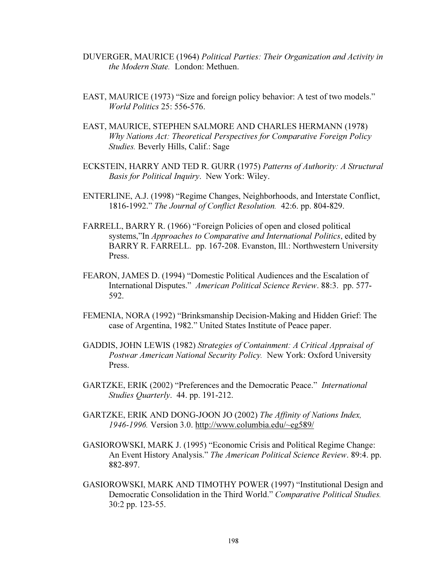- DUVERGER, MAURICE (1964) Political Parties: Their Organization and Activity in the Modern State. London: Methuen.
- EAST, MAURICE (1973) "Size and foreign policy behavior: A test of two models." World Politics 25: 556-576.
- EAST, MAURICE, STEPHEN SALMORE AND CHARLES HERMANN (1978) Why Nations Act: Theoretical Perspectives for Comparative Foreign Policy Studies. Beverly Hills, Calif.: Sage
- ECKSTEIN, HARRY AND TED R. GURR (1975) Patterns of Authority: A Structural Basis for Political Inquiry. New York: Wiley.
- ENTERLINE, A.J. (1998) "Regime Changes, Neighborhoods, and Interstate Conflict, 1816-1992." The Journal of Conflict Resolution. 42:6. pp. 804-829.
- FARRELL, BARRY R. (1966) "Foreign Policies of open and closed political systems,"In Approaches to Comparative and International Politics, edited by BARRY R. FARRELL. pp. 167-208. Evanston, Ill.: Northwestern University Press.
- FEARON, JAMES D. (1994) "Domestic Political Audiences and the Escalation of International Disputes." American Political Science Review. 88:3. pp. 577- 592.
- FEMENIA, NORA (1992) "Brinksmanship Decision-Making and Hidden Grief: The case of Argentina, 1982." United States Institute of Peace paper.
- GADDIS, JOHN LEWIS (1982) Strategies of Containment: A Critical Appraisal of Postwar American National Security Policy. New York: Oxford University Press.
- GARTZKE, ERIK (2002) "Preferences and the Democratic Peace." International Studies Quarterly. 44. pp. 191-212.
- GARTZKE, ERIK AND DONG-JOON JO (2002) The Affinity of Nations Index, 1946-1996. Version 3.0. http://www.columbia.edu/~eg589/
- GASIOROWSKI, MARK J. (1995) "Economic Crisis and Political Regime Change: An Event History Analysis." The American Political Science Review. 89:4. pp. 882-897.
- GASIOROWSKI, MARK AND TIMOTHY POWER (1997) "Institutional Design and Democratic Consolidation in the Third World." Comparative Political Studies. 30:2 pp. 123-55.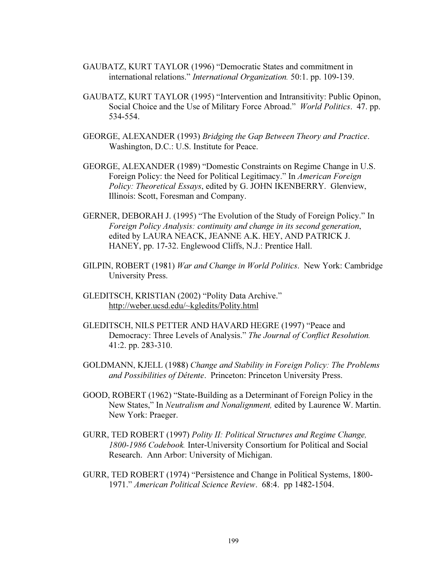- GAUBATZ, KURT TAYLOR (1996) "Democratic States and commitment in international relations." International Organization. 50:1. pp. 109-139.
- GAUBATZ, KURT TAYLOR (1995) "Intervention and Intransitivity: Public Opinon, Social Choice and the Use of Military Force Abroad." World Politics. 47. pp. 534-554.
- GEORGE, ALEXANDER (1993) Bridging the Gap Between Theory and Practice. Washington, D.C.: U.S. Institute for Peace.
- GEORGE, ALEXANDER (1989) "Domestic Constraints on Regime Change in U.S. Foreign Policy: the Need for Political Legitimacy." In American Foreign Policy: Theoretical Essays, edited by G. JOHN IKENBERRY. Glenview, Illinois: Scott, Foresman and Company.
- GERNER, DEBORAH J. (1995) "The Evolution of the Study of Foreign Policy." In Foreign Policy Analysis: continuity and change in its second generation, edited by LAURA NEACK, JEANNE A.K. HEY, AND PATRICK J. HANEY, pp. 17-32. Englewood Cliffs, N.J.: Prentice Hall.
- GILPIN, ROBERT (1981) War and Change in World Politics. New York: Cambridge University Press.
- GLEDITSCH, KRISTIAN (2002) "Polity Data Archive." http://weber.ucsd.edu/~kgledits/Polity.html
- GLEDITSCH, NILS PETTER AND HAVARD HEGRE (1997) "Peace and Democracy: Three Levels of Analysis." The Journal of Conflict Resolution. 41:2. pp. 283-310.
- GOLDMANN, KJELL (1988) Change and Stability in Foreign Policy: The Problems and Possibilities of Détente. Princeton: Princeton University Press.
- GOOD, ROBERT (1962) "State-Building as a Determinant of Foreign Policy in the New States," In Neutralism and Nonalignment, edited by Laurence W. Martin. New York: Praeger.
- GURR, TED ROBERT (1997) Polity II: Political Structures and Regime Change, 1800-1986 Codebook. Inter-University Consortium for Political and Social Research. Ann Arbor: University of Michigan.
- GURR, TED ROBERT (1974) "Persistence and Change in Political Systems, 1800- 1971." American Political Science Review. 68:4. pp 1482-1504.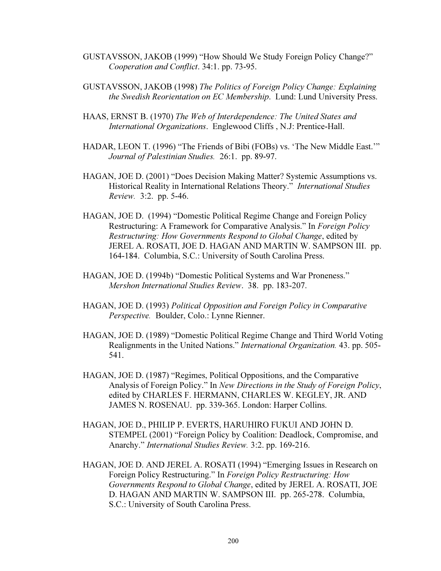- GUSTAVSSON, JAKOB (1999) "How Should We Study Foreign Policy Change?" Cooperation and Conflict. 34:1. pp. 73-95.
- GUSTAVSSON, JAKOB (1998) The Politics of Foreign Policy Change: Explaining the Swedish Reorientation on EC Membership. Lund: Lund University Press.
- HAAS, ERNST B. (1970) The Web of Interdependence: The United States and International Organizations. Englewood Cliffs , N.J: Prentice-Hall.
- HADAR, LEON T. (1996) "The Friends of Bibi (FOBs) vs. 'The New Middle East.'" Journal of Palestinian Studies. 26:1. pp. 89-97.
- HAGAN, JOE D. (2001) "Does Decision Making Matter? Systemic Assumptions vs. Historical Reality in International Relations Theory." International Studies Review. 3:2. pp. 5-46.
- HAGAN, JOE D. (1994) "Domestic Political Regime Change and Foreign Policy Restructuring: A Framework for Comparative Analysis." In Foreign Policy Restructuring: How Governments Respond to Global Change, edited by JEREL A. ROSATI, JOE D. HAGAN AND MARTIN W. SAMPSON III. pp. 164-184. Columbia, S.C.: University of South Carolina Press.
- HAGAN, JOE D. (1994b) "Domestic Political Systems and War Proneness." Mershon International Studies Review. 38. pp. 183-207.
- HAGAN, JOE D. (1993) Political Opposition and Foreign Policy in Comparative Perspective. Boulder, Colo.: Lynne Rienner.
- HAGAN, JOE D. (1989) "Domestic Political Regime Change and Third World Voting Realignments in the United Nations." International Organization. 43. pp. 505- 541.
- HAGAN, JOE D. (1987) "Regimes, Political Oppositions, and the Comparative Analysis of Foreign Policy." In New Directions in the Study of Foreign Policy, edited by CHARLES F. HERMANN, CHARLES W. KEGLEY, JR. AND JAMES N. ROSENAU. pp. 339-365. London: Harper Collins.
- HAGAN, JOE D., PHILIP P. EVERTS, HARUHIRO FUKUI AND JOHN D. STEMPEL (2001) "Foreign Policy by Coalition: Deadlock, Compromise, and Anarchy." International Studies Review. 3:2. pp. 169-216.
- HAGAN, JOE D. AND JEREL A. ROSATI (1994) "Emerging Issues in Research on Foreign Policy Restructuring." In Foreign Policy Restructuring: How Governments Respond to Global Change, edited by JEREL A. ROSATI, JOE D. HAGAN AND MARTIN W. SAMPSON III. pp. 265-278. Columbia, S.C.: University of South Carolina Press.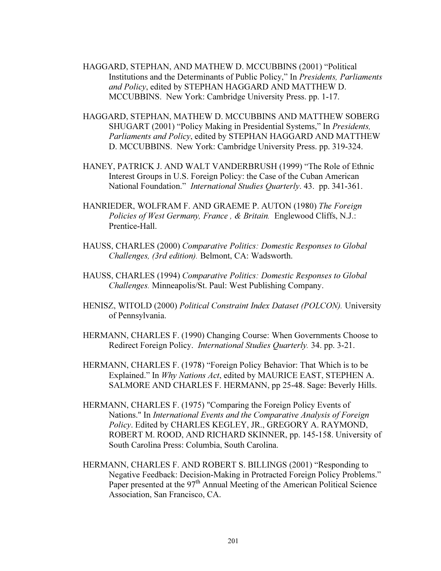- HAGGARD, STEPHAN, AND MATHEW D. MCCUBBINS (2001) "Political Institutions and the Determinants of Public Policy," In Presidents, Parliaments and Policy, edited by STEPHAN HAGGARD AND MATTHEW D. MCCUBBINS. New York: Cambridge University Press. pp. 1-17.
- HAGGARD, STEPHAN, MATHEW D. MCCUBBINS AND MATTHEW SOBERG SHUGART (2001) "Policy Making in Presidential Systems," In Presidents, Parliaments and Policy, edited by STEPHAN HAGGARD AND MATTHEW D. MCCUBBINS. New York: Cambridge University Press. pp. 319-324.
- HANEY, PATRICK J. AND WALT VANDERBRUSH (1999) "The Role of Ethnic Interest Groups in U.S. Foreign Policy: the Case of the Cuban American National Foundation." International Studies Quarterly. 43. pp. 341-361.
- HANRIEDER, WOLFRAM F. AND GRAEME P. AUTON (1980) The Foreign Policies of West Germany, France, & Britain. Englewood Cliffs, N.J.: Prentice-Hall.
- HAUSS, CHARLES (2000) Comparative Politics: Domestic Responses to Global Challenges, (3rd edition). Belmont, CA: Wadsworth.
- HAUSS, CHARLES (1994) Comparative Politics: Domestic Responses to Global Challenges. Minneapolis/St. Paul: West Publishing Company.
- HENISZ, WITOLD (2000) Political Constraint Index Dataset (POLCON). University of Pennsylvania.
- HERMANN, CHARLES F. (1990) Changing Course: When Governments Choose to Redirect Foreign Policy. International Studies Quarterly. 34. pp. 3-21.
- HERMANN, CHARLES F. (1978) "Foreign Policy Behavior: That Which is to be Explained." In Why Nations Act, edited by MAURICE EAST, STEPHEN A. SALMORE AND CHARLES F. HERMANN, pp 25-48. Sage: Beverly Hills.
- HERMANN, CHARLES F. (1975) "Comparing the Foreign Policy Events of Nations." In International Events and the Comparative Analysis of Foreign Policy. Edited by CHARLES KEGLEY, JR., GREGORY A. RAYMOND, ROBERT M. ROOD, AND RICHARD SKINNER, pp. 145-158. University of South Carolina Press: Columbia, South Carolina.
- HERMANN, CHARLES F. AND ROBERT S. BILLINGS (2001) "Responding to Negative Feedback: Decision-Making in Protracted Foreign Policy Problems." Paper presented at the  $97<sup>th</sup>$  Annual Meeting of the American Political Science Association, San Francisco, CA.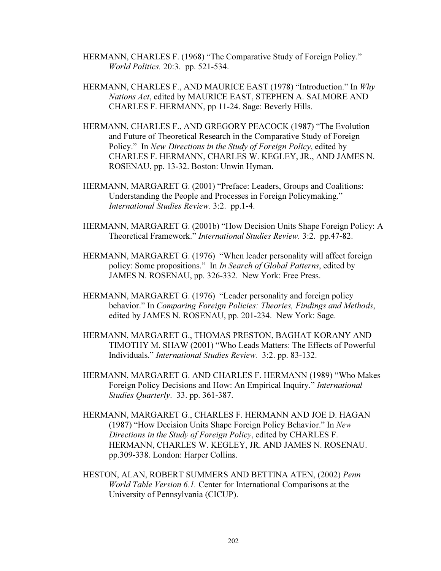- HERMANN, CHARLES F. (1968) "The Comparative Study of Foreign Policy." World Politics. 20:3. pp. 521-534.
- HERMANN, CHARLES F., AND MAURICE EAST (1978) "Introduction." In Why Nations Act, edited by MAURICE EAST, STEPHEN A. SALMORE AND CHARLES F. HERMANN, pp 11-24. Sage: Beverly Hills.
- HERMANN, CHARLES F., AND GREGORY PEACOCK (1987) "The Evolution and Future of Theoretical Research in the Comparative Study of Foreign Policy." In New Directions in the Study of Foreign Policy, edited by CHARLES F. HERMANN, CHARLES W. KEGLEY, JR., AND JAMES N. ROSENAU, pp. 13-32. Boston: Unwin Hyman.
- HERMANN, MARGARET G. (2001) "Preface: Leaders, Groups and Coalitions: Understanding the People and Processes in Foreign Policymaking." International Studies Review. 3:2. pp.1-4.
- HERMANN, MARGARET G. (2001b) "How Decision Units Shape Foreign Policy: A Theoretical Framework." International Studies Review. 3:2. pp.47-82.
- HERMANN, MARGARET G. (1976) "When leader personality will affect foreign policy: Some propositions." In In Search of Global Patterns, edited by JAMES N. ROSENAU, pp. 326-332. New York: Free Press.
- HERMANN, MARGARET G. (1976) "Leader personality and foreign policy behavior." In Comparing Foreign Policies: Theories, Findings and Methods, edited by JAMES N. ROSENAU, pp. 201-234. New York: Sage.
- HERMANN, MARGARET G., THOMAS PRESTON, BAGHAT KORANY AND TIMOTHY M. SHAW (2001) "Who Leads Matters: The Effects of Powerful Individuals." International Studies Review. 3:2. pp. 83-132.
- HERMANN, MARGARET G. AND CHARLES F. HERMANN (1989) "Who Makes Foreign Policy Decisions and How: An Empirical Inquiry." International Studies Quarterly. 33. pp. 361-387.
- HERMANN, MARGARET G., CHARLES F. HERMANN AND JOE D. HAGAN (1987) "How Decision Units Shape Foreign Policy Behavior." In New Directions in the Study of Foreign Policy, edited by CHARLES F. HERMANN, CHARLES W. KEGLEY, JR. AND JAMES N. ROSENAU. pp.309-338. London: Harper Collins.
- HESTON, ALAN, ROBERT SUMMERS AND BETTINA ATEN, (2002) Penn World Table Version 6.1. Center for International Comparisons at the University of Pennsylvania (CICUP).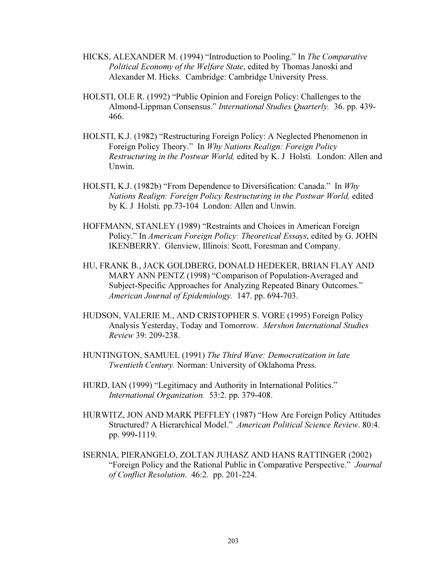- HICKS, ALEXANDER M. (1994) "Introduction to Pooling." In The Comparative Political Economy of the Welfare State, edited by Thomas Janoski and Alexander M. Hicks. Cambridge: Cambridge University Press.
- HOLSTI, OLE R. (1992) "Public Opinion and Foreign Policy: Challenges to the Almond-Lippman Consensus." International Studies Quarterly. 36. pp. 439- 466.
- HOLSTI, K.J. (1982) "Restructuring Foreign Policy: A Neglected Phenomenon in Foreign Policy Theory." In Why Nations Realign: Foreign Policy Restructuring in the Postwar World, edited by K. J Holsti. London: Allen and Unwin.
- HOLSTI, K.J. (1982b) "From Dependence to Diversification: Canada." In Why Nations Realign: Foreign Policy Restructuring in the Postwar World, edited by K. J Holsti, pp.73-104 London: Allen and Unwin.
- HOFFMANN, STANLEY (1989) "Restraints and Choices in American Foreign Policy." In American Foreign Policy: Theoretical Essays, edited by G. JOHN IKENBERRY. Glenview, Illinois: Scott, Foresman and Company.
- HU, FRANK B., JACK GOLDBERG, DONALD HEDEKER, BRIAN FLAY AND MARY ANN PENTZ (1998) "Comparison of Population-Averaged and Subject-Specific Approaches for Analyzing Repeated Binary Outcomes." American Journal of Epidemiology. 147. pp. 694-703.
- HUDSON, VALERIE M., AND CRISTOPHER S. VORE (1995) Foreign Policy Analysis Yesterday, Today and Tomorrow. Mershon International Studies Review 39: 209-238.
- HUNTINGTON, SAMUEL (1991) The Third Wave: Democratization in late Twentieth Century. Norman: University of Oklahoma Press.
- HURD, IAN (1999) "Legitimacy and Authority in International Politics." International Organization. 53:2. pp. 379-408.
- HURWITZ, JON AND MARK PEFFLEY (1987) "How Are Foreign Policy Attitudes Structured? A Hierarchical Model." American Political Science Review. 80:4. pp. 999-1119.
- ISERNIA, PIERANGELO, ZOLTAN JUHASZ AND HANS RATTINGER (2002) "Foreign Policy and the Rational Public in Comparative Perspective." Journal of Conflict Resolution. 46:2. pp. 201-224.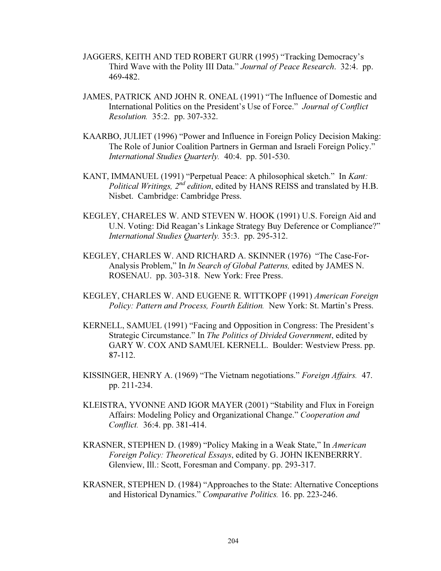- JAGGERS, KEITH AND TED ROBERT GURR (1995) "Tracking Democracy's Third Wave with the Polity III Data." Journal of Peace Research. 32:4. pp. 469-482.
- JAMES, PATRICK AND JOHN R. ONEAL (1991) "The Influence of Domestic and International Politics on the President's Use of Force." Journal of Conflict Resolution. 35:2. pp. 307-332.
- KAARBO, JULIET (1996) "Power and Influence in Foreign Policy Decision Making: The Role of Junior Coalition Partners in German and Israeli Foreign Policy." International Studies Quarterly. 40:4. pp. 501-530.
- KANT, IMMANUEL (1991) "Perpetual Peace: A philosophical sketch." In Kant: Political Writings,  $2^{nd}$  edition, edited by HANS REISS and translated by H.B. Nisbet. Cambridge: Cambridge Press.
- KEGLEY, CHARELES W. AND STEVEN W. HOOK (1991) U.S. Foreign Aid and U.N. Voting: Did Reagan's Linkage Strategy Buy Deference or Compliance?" International Studies Quarterly. 35:3. pp. 295-312.
- KEGLEY, CHARLES W. AND RICHARD A. SKINNER (1976) "The Case-For-Analysis Problem," In In Search of Global Patterns, edited by JAMES N. ROSENAU. pp. 303-318. New York: Free Press.
- KEGLEY, CHARLES W. AND EUGENE R. WITTKOPF (1991) American Foreign Policy: Pattern and Process, Fourth Edition. New York: St. Martin's Press.
- KERNELL, SAMUEL (1991) "Facing and Opposition in Congress: The President's Strategic Circumstance." In The Politics of Divided Government, edited by GARY W. COX AND SAMUEL KERNELL. Boulder: Westview Press. pp. 87-112.
- KISSINGER, HENRY A. (1969) "The Vietnam negotiations." Foreign Affairs. 47. pp. 211-234.
- KLEISTRA, YVONNE AND IGOR MAYER (2001) "Stability and Flux in Foreign Affairs: Modeling Policy and Organizational Change." Cooperation and Conflict. 36:4. pp. 381-414.
- KRASNER, STEPHEN D. (1989) "Policy Making in a Weak State," In American Foreign Policy: Theoretical Essays, edited by G. JOHN IKENBERRRY. Glenview, Ill.: Scott, Foresman and Company. pp. 293-317.
- KRASNER, STEPHEN D. (1984) "Approaches to the State: Alternative Conceptions and Historical Dynamics." Comparative Politics. 16. pp. 223-246.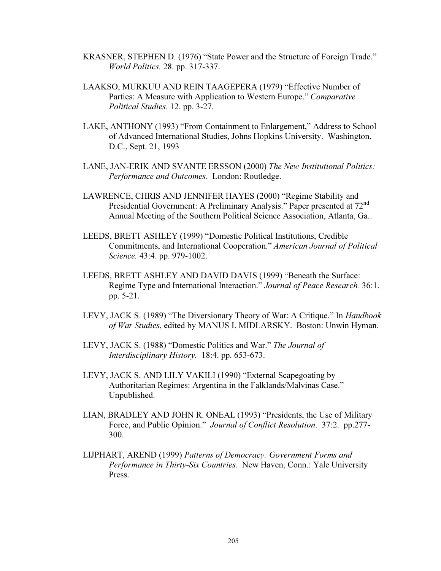- KRASNER, STEPHEN D. (1976) "State Power and the Structure of Foreign Trade." World Politics. 28. pp. 317-337.
- LAAKSO, MURKUU AND REIN TAAGEPERA (1979) "Effective Number of Parties: A Measure with Application to Western Europe." Comparative Political Studies. 12. pp. 3-27.
- LAKE, ANTHONY (1993) "From Containment to Enlargement," Address to School of Advanced International Studies, Johns Hopkins University. Washington, D.C., Sept. 21, 1993
- LANE, JAN-ERIK AND SVANTE ERSSON (2000) The New Institutional Politics: Performance and Outcomes. London: Routledge.
- LAWRENCE, CHRIS AND JENNIFER HAYES (2000) "Regime Stability and Presidential Government: A Preliminary Analysis." Paper presented at 72<sup>nd</sup> Annual Meeting of the Southern Political Science Association, Atlanta, Ga..
- LEEDS, BRETT ASHLEY (1999) "Domestic Political Institutions, Credible Commitments, and International Cooperation." American Journal of Political Science. 43:4. pp. 979-1002.
- LEEDS, BRETT ASHLEY AND DAVID DAVIS (1999) "Beneath the Surface: Regime Type and International Interaction." Journal of Peace Research. 36:1. pp. 5-21.
- LEVY, JACK S. (1989) "The Diversionary Theory of War: A Critique." In Handbook of War Studies, edited by MANUS I. MIDLARSKY. Boston: Unwin Hyman.
- LEVY, JACK S. (1988) "Domestic Politics and War." The Journal of Interdisciplinary History. 18:4. pp. 653-673.
- LEVY, JACK S. AND LILY VAKILI (1990) "External Scapegoating by Authoritarian Regimes: Argentina in the Falklands/Malvinas Case." Unpublished.
- LIAN, BRADLEY AND JOHN R. ONEAL (1993) "Presidents, the Use of Military Force, and Public Opinion." Journal of Conflict Resolution. 37:2. pp.277- 300.
- LIJPHART, AREND (1999) Patterns of Democracy: Government Forms and Performance in Thirty-Six Countries. New Haven, Conn.: Yale University Press.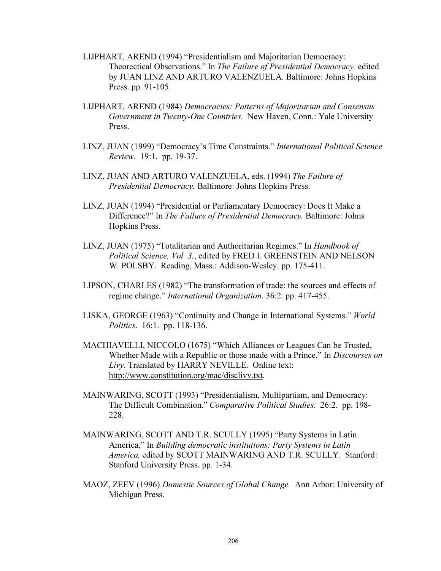- LIJPHART, AREND (1994) "Presidentialism and Majoritarian Democracy: Theorectical Observations." In The Failure of Presidential Democracy, edited by JUAN LINZ AND ARTURO VALENZUELA. Baltimore: Johns Hopkins Press. pp. 91-105.
- LIJPHART, AREND (1984) Democracies: Patterns of Majoritarian and Consensus Government in Twenty-One Countries. New Haven, Conn.: Yale University Press.
- LINZ, JUAN (1999) "Democracy's Time Constraints." International Political Science Review. 19:1. pp. 19-37.
- LINZ, JUAN AND ARTURO VALENZUELA, eds. (1994) The Failure of Presidential Democracy. Baltimore: Johns Hopkins Press.
- LINZ, JUAN (1994) "Presidential or Parliamentary Democracy: Does It Make a Difference?" In The Failure of Presidential Democracy. Baltimore: Johns Hopkins Press.
- LINZ, JUAN (1975) "Totalitarian and Authoritarian Regimes." In Handbook of Political Science, Vol. 3., edited by FRED I. GREENSTEIN AND NELSON W. POLSBY. Reading, Mass.: Addison-Wesley. pp. 175-411.
- LIPSON, CHARLES (1982) "The transformation of trade: the sources and effects of regime change." International Organization. 36:2. pp. 417-455.
- LISKA, GEORGE (1963) "Continuity and Change in International Systems." World Politics. 16:1. pp. 118-136.
- MACHIAVELLI, NICCOLO (1675) "Which Alliances or Leagues Can be Trusted, Whether Made with a Republic or those made with a Prince." In *Discourses on* Livy. Translated by HARRY NEVILLE. Online text: http://www.constitution.org/mac/disclivy.txt.
- MAINWARING, SCOTT (1993) "Presidentialism, Multipartism, and Democracy: The Difficult Combination." Comparative Political Studies. 26:2. pp. 198- 228.
- MAINWARING, SCOTT AND T.R. SCULLY (1995) "Party Systems in Latin America," In Building democratic institutions: Party Systems in Latin America, edited by SCOTT MAINWARING AND T.R. SCULLY. Stanford: Stanford University Press. pp. 1-34.
- MAOZ, ZEEV (1996) Domestic Sources of Global Change. Ann Arbor: University of Michigan Press.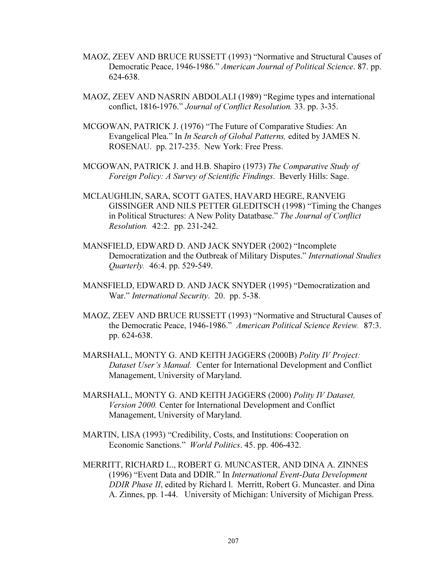- MAOZ, ZEEV AND BRUCE RUSSETT (1993) "Normative and Structural Causes of Democratic Peace, 1946-1986." American Journal of Political Science. 87. pp. 624-638.
- MAOZ, ZEEV AND NASRIN ABDOLALI (1989) "Regime types and international conflict, 1816-1976." Journal of Conflict Resolution. 33. pp. 3-35.
- MCGOWAN, PATRICK J. (1976) "The Future of Comparative Studies: An Evangelical Plea." In In Search of Global Patterns, edited by JAMES N. ROSENAU. pp. 217-235. New York: Free Press.
- MCGOWAN, PATRICK J. and H.B. Shapiro (1973) The Comparative Study of Foreign Policy: A Survey of Scientific Findings. Beverly Hills: Sage.
- MCLAUGHLIN, SARA, SCOTT GATES, HAVARD HEGRE, RANVEIG GISSINGER AND NILS PETTER GLEDITSCH (1998) "Timing the Changes in Political Structures: A New Polity Datatbase." The Journal of Conflict Resolution. 42:2. pp. 231-242.
- MANSFIELD, EDWARD D. AND JACK SNYDER (2002) "Incomplete Democratization and the Outbreak of Military Disputes." International Studies Quarterly. 46:4. pp. 529-549.
- MANSFIELD, EDWARD D. AND JACK SNYDER (1995) "Democratization and War." International Security. 20. pp. 5-38.
- MAOZ, ZEEV AND BRUCE RUSSETT (1993) "Normative and Structural Causes of the Democratic Peace, 1946-1986." American Political Science Review. 87:3. pp. 624-638.
- MARSHALL, MONTY G. AND KEITH JAGGERS (2000B) Polity IV Project: Dataset User's Manual. Center for International Development and Conflict Management, University of Maryland.
- MARSHALL, MONTY G. AND KEITH JAGGERS (2000) Polity IV Dataset, Version 2000. Center for International Development and Conflict Management, University of Maryland.
- MARTIN, LISA (1993) "Credibility, Costs, and Institutions: Cooperation on Economic Sanctions." World Politics. 45. pp. 406-432.
- MERRITT, RICHARD L., ROBERT G. MUNCASTER, AND DINA A. ZINNES (1996) "Event Data and DDIR." In International Event-Data Development DDIR Phase II, edited by Richard l. Merritt, Robert G. Muncaster. and Dina A. Zinnes, pp. 1-44. University of Michigan: University of Michigan Press.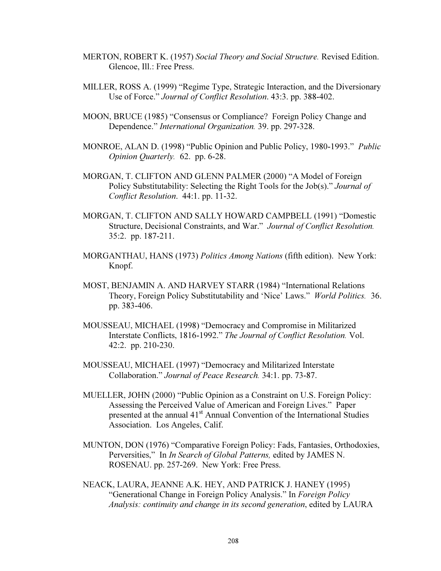- MERTON, ROBERT K. (1957) Social Theory and Social Structure. Revised Edition. Glencoe, Ill.: Free Press.
- MILLER, ROSS A. (1999) "Regime Type, Strategic Interaction, and the Diversionary Use of Force." Journal of Conflict Resolution. 43:3. pp. 388-402.
- MOON, BRUCE (1985) "Consensus or Compliance? Foreign Policy Change and Dependence." International Organization. 39. pp. 297-328.
- MONROE, ALAN D. (1998) "Public Opinion and Public Policy, 1980-1993." Public Opinion Quarterly. 62. pp. 6-28.
- MORGAN, T. CLIFTON AND GLENN PALMER (2000) "A Model of Foreign Policy Substitutability: Selecting the Right Tools for the Job(s)." Journal of Conflict Resolution. 44:1. pp. 11-32.
- MORGAN, T. CLIFTON AND SALLY HOWARD CAMPBELL (1991) "Domestic Structure, Decisional Constraints, and War." Journal of Conflict Resolution. 35:2. pp. 187-211.
- MORGANTHAU, HANS (1973) Politics Among Nations (fifth edition). New York: Knopf.
- MOST, BENJAMIN A. AND HARVEY STARR (1984) "International Relations Theory, Foreign Policy Substitutability and 'Nice' Laws." World Politics. 36. pp. 383-406.
- MOUSSEAU, MICHAEL (1998) "Democracy and Compromise in Militarized Interstate Conflicts, 1816-1992." The Journal of Conflict Resolution. Vol. 42:2. pp. 210-230.
- MOUSSEAU, MICHAEL (1997) "Democracy and Militarized Interstate Collaboration." Journal of Peace Research. 34:1. pp. 73-87.
- MUELLER, JOHN (2000) "Public Opinion as a Constraint on U.S. Foreign Policy: Assessing the Perceived Value of American and Foreign Lives." Paper presented at the annual 41<sup>st</sup> Annual Convention of the International Studies Association. Los Angeles, Calif.
- MUNTON, DON (1976) "Comparative Foreign Policy: Fads, Fantasies, Orthodoxies, Perversities," In *In Search of Global Patterns*, edited by JAMES N. ROSENAU. pp. 257-269. New York: Free Press.
- NEACK, LAURA, JEANNE A.K. HEY, AND PATRICK J. HANEY (1995) "Generational Change in Foreign Policy Analysis." In Foreign Policy Analysis: continuity and change in its second generation, edited by LAURA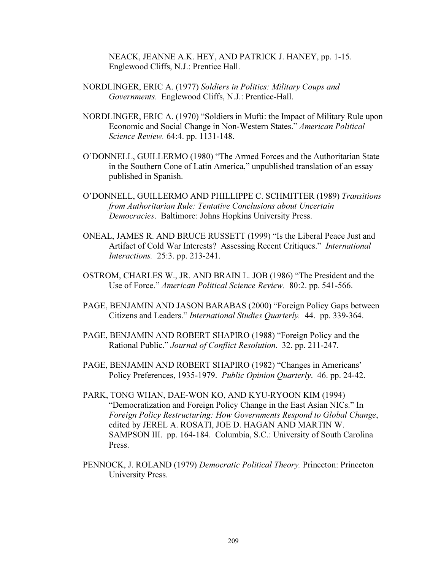NEACK, JEANNE A.K. HEY, AND PATRICK J. HANEY, pp. 1-15. Englewood Cliffs, N.J.: Prentice Hall.

- NORDLINGER, ERIC A. (1977) Soldiers in Politics: Military Coups and Governments. Englewood Cliffs, N.J.: Prentice-Hall.
- NORDLINGER, ERIC A. (1970) "Soldiers in Mufti: the Impact of Military Rule upon Economic and Social Change in Non-Western States." American Political Science Review. 64:4. pp. 1131-148.
- O'DONNELL, GUILLERMO (1980) "The Armed Forces and the Authoritarian State in the Southern Cone of Latin America," unpublished translation of an essay published in Spanish.
- O'DONNELL, GUILLERMO AND PHILLIPPE C. SCHMITTER (1989) Transitions from Authoritarian Rule: Tentative Conclusions about Uncertain Democracies. Baltimore: Johns Hopkins University Press.
- ONEAL, JAMES R. AND BRUCE RUSSETT (1999) "Is the Liberal Peace Just and Artifact of Cold War Interests? Assessing Recent Critiques." International Interactions. 25:3. pp. 213-241.
- OSTROM, CHARLES W., JR. AND BRAIN L. JOB (1986) "The President and the Use of Force." American Political Science Review. 80:2. pp. 541-566.
- PAGE, BENJAMIN AND JASON BARABAS (2000) "Foreign Policy Gaps between Citizens and Leaders." International Studies Quarterly. 44. pp. 339-364.
- PAGE, BENJAMIN AND ROBERT SHAPIRO (1988) "Foreign Policy and the Rational Public." Journal of Conflict Resolution. 32. pp. 211-247.
- PAGE, BENJAMIN AND ROBERT SHAPIRO (1982) "Changes in Americans' Policy Preferences, 1935-1979. Public Opinion Quarterly. 46. pp. 24-42.
- PARK, TONG WHAN, DAE-WON KO, AND KYU-RYOON KIM (1994) "Democratization and Foreign Policy Change in the East Asian NICs." In Foreign Policy Restructuring: How Governments Respond to Global Change, edited by JEREL A. ROSATI, JOE D. HAGAN AND MARTIN W. SAMPSON III. pp. 164-184. Columbia, S.C.: University of South Carolina Press.
- PENNOCK, J. ROLAND (1979) Democratic Political Theory. Princeton: Princeton University Press.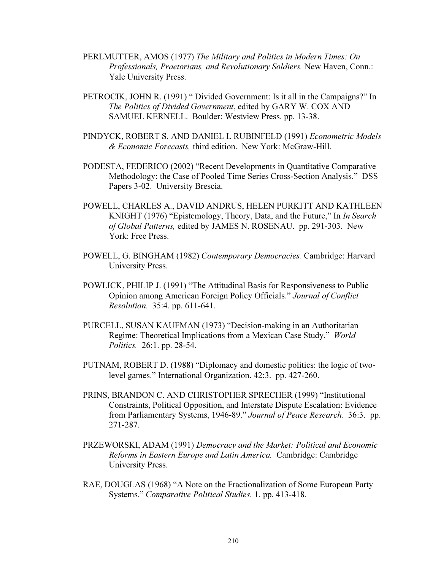- PERLMUTTER, AMOS (1977) The Military and Politics in Modern Times: On Professionals, Praetorians, and Revolutionary Soldiers. New Haven, Conn.: Yale University Press.
- PETROCIK, JOHN R. (1991) " Divided Government: Is it all in the Campaigns?" In The Politics of Divided Government, edited by GARY W. COX AND SAMUEL KERNELL. Boulder: Westview Press. pp. 13-38.
- PINDYCK, ROBERT S. AND DANIEL L RUBINFELD (1991) Econometric Models & Economic Forecasts, third edition. New York: McGraw-Hill.
- PODESTA, FEDERICO (2002) "Recent Developments in Quantitative Comparative Methodology: the Case of Pooled Time Series Cross-Section Analysis." DSS Papers 3-02. University Brescia.
- POWELL, CHARLES A., DAVID ANDRUS, HELEN PURKITT AND KATHLEEN KNIGHT (1976) "Epistemology, Theory, Data, and the Future," In In Search of Global Patterns, edited by JAMES N. ROSENAU. pp. 291-303. New York: Free Press.
- POWELL, G. BINGHAM (1982) Contemporary Democracies. Cambridge: Harvard University Press.
- POWLICK, PHILIP J. (1991) "The Attitudinal Basis for Responsiveness to Public Opinion among American Foreign Policy Officials." Journal of Conflict Resolution. 35:4. pp. 611-641.
- PURCELL, SUSAN KAUFMAN (1973) "Decision-making in an Authoritarian Regime: Theoretical Implications from a Mexican Case Study." World Politics. 26:1. pp. 28-54.
- PUTNAM, ROBERT D. (1988) "Diplomacy and domestic politics: the logic of twolevel games." International Organization. 42:3. pp. 427-260.
- PRINS, BRANDON C. AND CHRISTOPHER SPRECHER (1999) "Institutional Constraints, Political Opposition, and Interstate Dispute Escalation: Evidence from Parliamentary Systems, 1946-89." Journal of Peace Research. 36:3. pp. 271-287.
- PRZEWORSKI, ADAM (1991) Democracy and the Market: Political and Economic Reforms in Eastern Europe and Latin America. Cambridge: Cambridge University Press.
- RAE, DOUGLAS (1968) "A Note on the Fractionalization of Some European Party Systems." Comparative Political Studies. 1. pp. 413-418.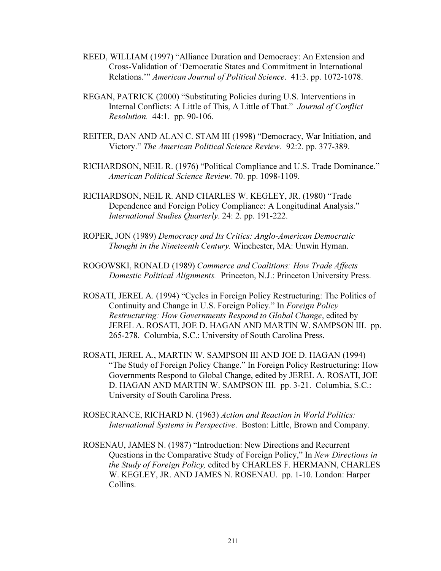- REED, WILLIAM (1997) "Alliance Duration and Democracy: An Extension and Cross-Validation of 'Democratic States and Commitment in International Relations.'" American Journal of Political Science. 41:3. pp. 1072-1078.
- REGAN, PATRICK (2000) "Substituting Policies during U.S. Interventions in Internal Conflicts: A Little of This, A Little of That." Journal of Conflict Resolution. 44:1. pp. 90-106.
- REITER, DAN AND ALAN C. STAM III (1998) "Democracy, War Initiation, and Victory." The American Political Science Review. 92:2. pp. 377-389.
- RICHARDSON, NEIL R. (1976) "Political Compliance and U.S. Trade Dominance." American Political Science Review. 70. pp. 1098-1109.
- RICHARDSON, NEIL R. AND CHARLES W. KEGLEY, JR. (1980) "Trade Dependence and Foreign Policy Compliance: A Longitudinal Analysis." International Studies Quarterly. 24: 2. pp. 191-222.
- ROPER, JON (1989) Democracy and Its Critics: Anglo-American Democratic Thought in the Nineteenth Century. Winchester, MA: Unwin Hyman.
- ROGOWSKI, RONALD (1989) Commerce and Coalitions: How Trade Affects Domestic Political Alignments. Princeton, N.J.: Princeton University Press.
- ROSATI, JEREL A. (1994) "Cycles in Foreign Policy Restructuring: The Politics of Continuity and Change in U.S. Foreign Policy." In Foreign Policy Restructuring: How Governments Respond to Global Change, edited by JEREL A. ROSATI, JOE D. HAGAN AND MARTIN W. SAMPSON III. pp. 265-278. Columbia, S.C.: University of South Carolina Press.
- ROSATI, JEREL A., MARTIN W. SAMPSON III AND JOE D. HAGAN (1994) "The Study of Foreign Policy Change." In Foreign Policy Restructuring: How Governments Respond to Global Change, edited by JEREL A. ROSATI, JOE D. HAGAN AND MARTIN W. SAMPSON III. pp. 3-21. Columbia, S.C.: University of South Carolina Press.
- ROSECRANCE, RICHARD N. (1963) Action and Reaction in World Politics: International Systems in Perspective. Boston: Little, Brown and Company.
- ROSENAU, JAMES N. (1987) "Introduction: New Directions and Recurrent Questions in the Comparative Study of Foreign Policy," In New Directions in the Study of Foreign Policy, edited by CHARLES F. HERMANN, CHARLES W. KEGLEY, JR. AND JAMES N. ROSENAU. pp. 1-10. London: Harper Collins.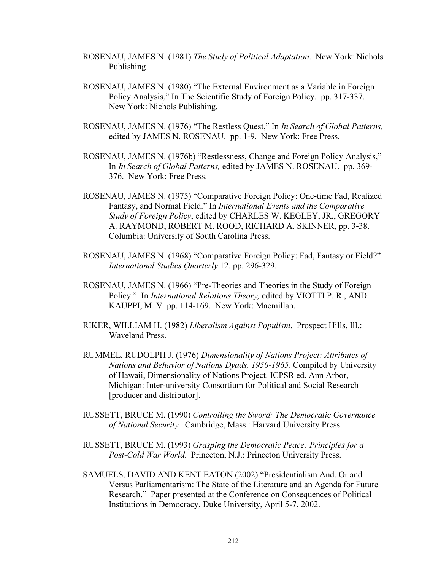- ROSENAU, JAMES N. (1981) The Study of Political Adaptation. New York: Nichols Publishing.
- ROSENAU, JAMES N. (1980) "The External Environment as a Variable in Foreign Policy Analysis," In The Scientific Study of Foreign Policy. pp. 317-337. New York: Nichols Publishing.
- ROSENAU, JAMES N. (1976) "The Restless Quest," In In Search of Global Patterns, edited by JAMES N. ROSENAU. pp. 1-9. New York: Free Press.
- ROSENAU, JAMES N. (1976b) "Restlessness, Change and Foreign Policy Analysis," In In Search of Global Patterns, edited by JAMES N. ROSENAU. pp. 369- 376. New York: Free Press.
- ROSENAU, JAMES N. (1975) "Comparative Foreign Policy: One-time Fad, Realized Fantasy, and Normal Field." In International Events and the Comparative Study of Foreign Policy, edited by CHARLES W. KEGLEY, JR., GREGORY A. RAYMOND, ROBERT M. ROOD, RICHARD A. SKINNER, pp. 3-38. Columbia: University of South Carolina Press.
- ROSENAU, JAMES N. (1968) "Comparative Foreign Policy: Fad, Fantasy or Field?" International Studies Quarterly 12. pp. 296-329.
- ROSENAU, JAMES N. (1966) "Pre-Theories and Theories in the Study of Foreign Policy." In International Relations Theory, edited by VIOTTI P. R., AND KAUPPI, M. V, pp. 114-169. New York: Macmillan.
- RIKER, WILLIAM H. (1982) Liberalism Against Populism. Prospect Hills, Ill.: Waveland Press.
- RUMMEL, RUDOLPH J. (1976) Dimensionality of Nations Project: Attributes of Nations and Behavior of Nations Dyads, 1950-1965. Compiled by University of Hawaii, Dimensionality of Nations Project. ICPSR ed. Ann Arbor, Michigan: Inter-university Consortium for Political and Social Research [producer and distributor].
- RUSSETT, BRUCE M. (1990) Controlling the Sword: The Democratic Governance of National Security. Cambridge, Mass.: Harvard University Press.
- RUSSETT, BRUCE M. (1993) Grasping the Democratic Peace: Principles for a Post-Cold War World. Princeton, N.J.: Princeton University Press.
- SAMUELS, DAVID AND KENT EATON (2002) "Presidentialism And, Or and Versus Parliamentarism: The State of the Literature and an Agenda for Future Research." Paper presented at the Conference on Consequences of Political Institutions in Democracy, Duke University, April 5-7, 2002.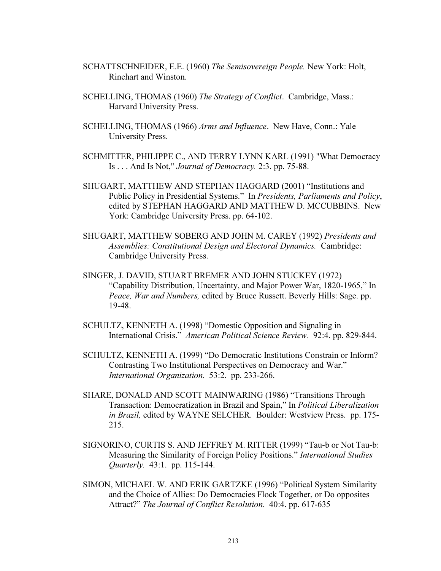- SCHATTSCHNEIDER, E.E. (1960) The Semisovereign People. New York: Holt, Rinehart and Winston.
- SCHELLING, THOMAS (1960) The Strategy of Conflict. Cambridge, Mass.: Harvard University Press.
- SCHELLING, THOMAS (1966) Arms and Influence. New Have, Conn.: Yale University Press.
- SCHMITTER, PHILIPPE C., AND TERRY LYNN KARL (1991) "What Democracy Is . . . And Is Not," Journal of Democracy. 2:3. pp. 75-88.
- SHUGART, MATTHEW AND STEPHAN HAGGARD (2001) "Institutions and Public Policy in Presidential Systems." In Presidents, Parliaments and Policy, edited by STEPHAN HAGGARD AND MATTHEW D. MCCUBBINS. New York: Cambridge University Press. pp. 64-102.
- SHUGART, MATTHEW SOBERG AND JOHN M. CAREY (1992) Presidents and Assemblies: Constitutional Design and Electoral Dynamics. Cambridge: Cambridge University Press.
- SINGER, J. DAVID, STUART BREMER AND JOHN STUCKEY (1972) "Capability Distribution, Uncertainty, and Major Power War, 1820-1965," In Peace, War and Numbers, edited by Bruce Russett. Beverly Hills: Sage. pp. 19-48.
- SCHULTZ, KENNETH A. (1998) "Domestic Opposition and Signaling in International Crisis." American Political Science Review. 92:4. pp. 829-844.
- SCHULTZ, KENNETH A. (1999) "Do Democratic Institutions Constrain or Inform? Contrasting Two Institutional Perspectives on Democracy and War." International Organization. 53:2. pp. 233-266.
- SHARE, DONALD AND SCOTT MAINWARING (1986) "Transitions Through Transaction: Democratization in Brazil and Spain," In Political Liberalization in Brazil, edited by WAYNE SELCHER. Boulder: Westview Press. pp. 175- 215.
- SIGNORINO, CURTIS S. AND JEFFREY M. RITTER (1999) "Tau-b or Not Tau-b: Measuring the Similarity of Foreign Policy Positions." International Studies Quarterly. 43:1. pp. 115-144.
- SIMON, MICHAEL W. AND ERIK GARTZKE (1996) "Political System Similarity and the Choice of Allies: Do Democracies Flock Together, or Do opposites Attract?" The Journal of Conflict Resolution. 40:4. pp. 617-635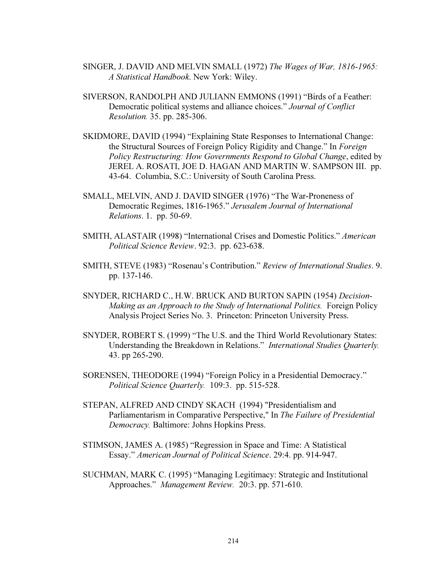- SINGER, J. DAVID AND MELVIN SMALL (1972) The Wages of War, 1816-1965: A Statistical Handbook. New York: Wiley.
- SIVERSON, RANDOLPH AND JULIANN EMMONS (1991) "Birds of a Feather: Democratic political systems and alliance choices." Journal of Conflict Resolution. 35. pp. 285-306.
- SKIDMORE, DAVID (1994) "Explaining State Responses to International Change: the Structural Sources of Foreign Policy Rigidity and Change." In Foreign Policy Restructuring: How Governments Respond to Global Change, edited by JEREL A. ROSATI, JOE D. HAGAN AND MARTIN W. SAMPSON III. pp. 43-64. Columbia, S.C.: University of South Carolina Press.
- SMALL, MELVIN, AND J. DAVID SINGER (1976) "The War-Proneness of Democratic Regimes, 1816-1965." Jerusalem Journal of International Relations. 1. pp. 50-69.
- SMITH, ALASTAIR (1998) "International Crises and Domestic Politics." American Political Science Review. 92:3. pp. 623-638.
- SMITH, STEVE (1983) "Rosenau's Contribution." Review of International Studies. 9. pp. 137-146.
- SNYDER, RICHARD C., H.W. BRUCK AND BURTON SAPIN (1954) Decision-Making as an Approach to the Study of International Politics. Foreign Policy Analysis Project Series No. 3. Princeton: Princeton University Press.
- SNYDER, ROBERT S. (1999) "The U.S. and the Third World Revolutionary States: Understanding the Breakdown in Relations." International Studies Quarterly. 43. pp 265-290.
- SORENSEN, THEODORE (1994) "Foreign Policy in a Presidential Democracy." Political Science Quarterly. 109:3. pp. 515-528.
- STEPAN, ALFRED AND CINDY SKACH (1994) "Presidentialism and Parliamentarism in Comparative Perspective," In The Failure of Presidential Democracy. Baltimore: Johns Hopkins Press.
- STIMSON, JAMES A. (1985) "Regression in Space and Time: A Statistical Essay." American Journal of Political Science. 29:4. pp. 914-947.
- SUCHMAN, MARK C. (1995) "Managing Legitimacy: Strategic and Institutional Approaches." Management Review. 20:3. pp. 571-610.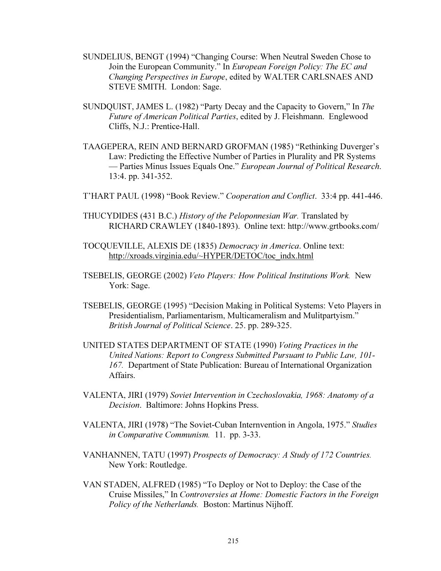- SUNDELIUS, BENGT (1994) "Changing Course: When Neutral Sweden Chose to Join the European Community." In European Foreign Policy: The EC and Changing Perspectives in Europe, edited by WALTER CARLSNAES AND STEVE SMITH. London: Sage.
- SUNDQUIST, JAMES L. (1982) "Party Decay and the Capacity to Govern," In The Future of American Political Parties, edited by J. Fleishmann. Englewood Cliffs, N.J.: Prentice-Hall.
- TAAGEPERA, REIN AND BERNARD GROFMAN (1985) "Rethinking Duverger's Law: Predicting the Effective Number of Parties in Plurality and PR Systems — Parties Minus Issues Equals One." European Journal of Political Research. 13:4. pp. 341-352.
- T'HART PAUL (1998) "Book Review." Cooperation and Conflict. 33:4 pp. 441-446.
- THUCYDIDES (431 B.C.) History of the Peloponnesian War. Translated by RICHARD CRAWLEY (1840-1893). Online text: http://www.grtbooks.com/
- TOCQUEVILLE, ALEXIS DE (1835) Democracy in America. Online text: http://xroads.virginia.edu/~HYPER/DETOC/toc\_indx.html
- TSEBELIS, GEORGE (2002) Veto Players: How Political Institutions Work. New York: Sage.
- TSEBELIS, GEORGE (1995) "Decision Making in Political Systems: Veto Players in Presidentialism, Parliamentarism, Multicameralism and Mulitpartyism." British Journal of Political Science. 25. pp. 289-325.
- UNITED STATES DEPARTMENT OF STATE (1990) Voting Practices in the United Nations: Report to Congress Submitted Pursuant to Public Law, 101- 167. Department of State Publication: Bureau of International Organization Affairs.
- VALENTA, JIRI (1979) Soviet Intervention in Czechoslovakia, 1968: Anatomy of a Decision. Baltimore: Johns Hopkins Press.
- VALENTA, JIRI (1978) "The Soviet-Cuban Internvention in Angola, 1975." Studies in Comparative Communism. 11. pp. 3-33.
- VANHANNEN, TATU (1997) Prospects of Democracy: A Study of 172 Countries. New York: Routledge.
- VAN STADEN, ALFRED (1985) "To Deploy or Not to Deploy: the Case of the Cruise Missiles," In Controversies at Home: Domestic Factors in the Foreign Policy of the Netherlands. Boston: Martinus Nijhoff.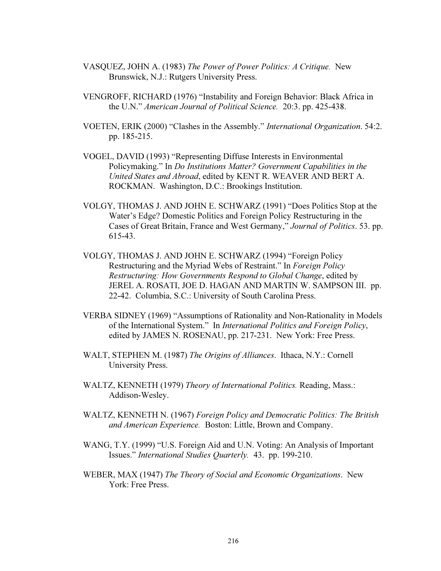- VASQUEZ, JOHN A. (1983) The Power of Power Politics: A Critique. New Brunswick, N.J.: Rutgers University Press.
- VENGROFF, RICHARD (1976) "Instability and Foreign Behavior: Black Africa in the U.N." American Journal of Political Science. 20:3. pp. 425-438.
- VOETEN, ERIK (2000) "Clashes in the Assembly." International Organization. 54:2. pp. 185-215.
- VOGEL, DAVID (1993) "Representing Diffuse Interests in Environmental Policymaking." In Do Institutions Matter? Government Capabilities in the United States and Abroad, edited by KENT R. WEAVER AND BERT A. ROCKMAN. Washington, D.C.: Brookings Institution.
- VOLGY, THOMAS J. AND JOHN E. SCHWARZ (1991) "Does Politics Stop at the Water's Edge? Domestic Politics and Foreign Policy Restructuring in the Cases of Great Britain, France and West Germany," Journal of Politics. 53. pp. 615-43.
- VOLGY, THOMAS J. AND JOHN E. SCHWARZ (1994) "Foreign Policy Restructuring and the Myriad Webs of Restraint." In Foreign Policy Restructuring: How Governments Respond to Global Change, edited by JEREL A. ROSATI, JOE D. HAGAN AND MARTIN W. SAMPSON III. pp. 22-42. Columbia, S.C.: University of South Carolina Press.
- VERBA SIDNEY (1969) "Assumptions of Rationality and Non-Rationality in Models of the International System." In International Politics and Foreign Policy, edited by JAMES N. ROSENAU, pp. 217-231. New York: Free Press.
- WALT, STEPHEN M. (1987) The Origins of Alliances. Ithaca, N.Y.: Cornell University Press.
- WALTZ, KENNETH (1979) Theory of International Politics. Reading, Mass.: Addison-Wesley.
- WALTZ, KENNETH N. (1967) Foreign Policy and Democratic Politics: The British and American Experience. Boston: Little, Brown and Company.
- WANG, T.Y. (1999) "U.S. Foreign Aid and U.N. Voting: An Analysis of Important Issues." International Studies Quarterly. 43. pp. 199-210.
- WEBER, MAX (1947) The Theory of Social and Economic Organizations. New York: Free Press.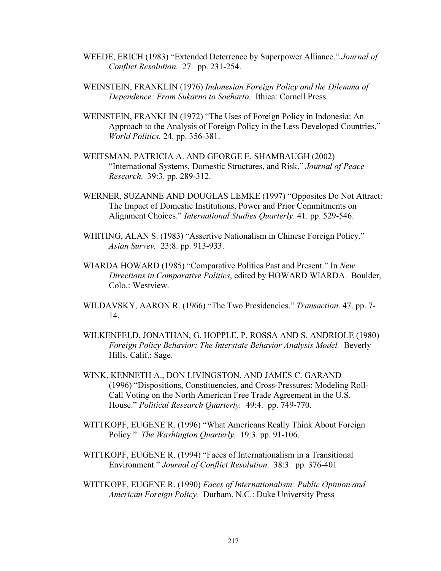- WEEDE, ERICH (1983) "Extended Deterrence by Superpower Alliance." Journal of Conflict Resolution. 27. pp. 231-254.
- WEINSTEIN, FRANKLIN (1976) Indonesian Foreign Policy and the Dilemma of Dependence: From Sukarno to Soeharto. Ithica: Cornell Press.
- WEINSTEIN, FRANKLIN (1972) "The Uses of Foreign Policy in Indonesia: An Approach to the Analysis of Foreign Policy in the Less Developed Countries," World Politics. 24. pp. 356-381.
- WEITSMAN, PATRICIA A. AND GEORGE E. SHAMBAUGH (2002) "International Systems, Domestic Structures, and Risk." Journal of Peace Research. 39:3. pp. 289-312.
- WERNER, SUZANNE AND DOUGLAS LEMKE (1997) "Opposites Do Not Attract: The Impact of Domestic Institutions, Power and Prior Commitments on Alignment Choices." International Studies Quarterly. 41. pp. 529-546.
- WHITING, ALAN S. (1983) "Assertive Nationalism in Chinese Foreign Policy." Asian Survey. 23:8. pp. 913-933.
- WIARDA HOWARD (1985) "Comparative Politics Past and Present." In New Directions in Comparative Politics, edited by HOWARD WIARDA. Boulder, Colo.: Westview.
- WILDAVSKY, AARON R. (1966) "The Two Presidencies." Transaction. 47. pp. 7- 14.
- WILKENFELD, JONATHAN, G. HOPPLE, P. ROSSA AND S. ANDRIOLE (1980) Foreign Policy Behavior: The Interstate Behavior Analysis Model. Beverly Hills, Calif.: Sage.
- WINK, KENNETH A., DON LIVINGSTON, AND JAMES C. GARAND (1996) "Dispositions, Constituencies, and Cross-Pressures: Modeling Roll-Call Voting on the North American Free Trade Agreement in the U.S. House." Political Research Quarterly. 49:4. pp. 749-770.
- WITTKOPF, EUGENE R. (1996) "What Americans Really Think About Foreign Policy." The Washington Quarterly. 19:3. pp. 91-106.
- WITTKOPF, EUGENE R. (1994) "Faces of Internationalism in a Transitional Environment." Journal of Conflict Resolution. 38:3. pp. 376-401
- WITTKOPF, EUGENE R. (1990) Faces of Internationalism: Public Opinion and American Foreign Policy. Durham, N.C.: Duke University Press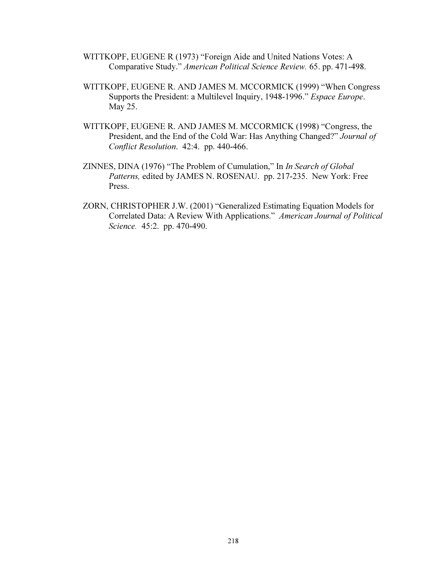- WITTKOPF, EUGENE R (1973) "Foreign Aide and United Nations Votes: A Comparative Study." American Political Science Review. 65. pp. 471-498.
- WITTKOPF, EUGENE R. AND JAMES M. MCCORMICK (1999) "When Congress Supports the President: a Multilevel Inquiry, 1948-1996." Espace Europe. May 25.
- WITTKOPF, EUGENE R. AND JAMES M. MCCORMICK (1998) "Congress, the President, and the End of the Cold War: Has Anything Changed?" Journal of Conflict Resolution. 42:4. pp. 440-466.
- ZINNES, DINA (1976) "The Problem of Cumulation," In In Search of Global Patterns, edited by JAMES N. ROSENAU. pp. 217-235. New York: Free Press.
- ZORN, CHRISTOPHER J.W. (2001) "Generalized Estimating Equation Models for Correlated Data: A Review With Applications." American Journal of Political Science. 45:2. pp. 470-490.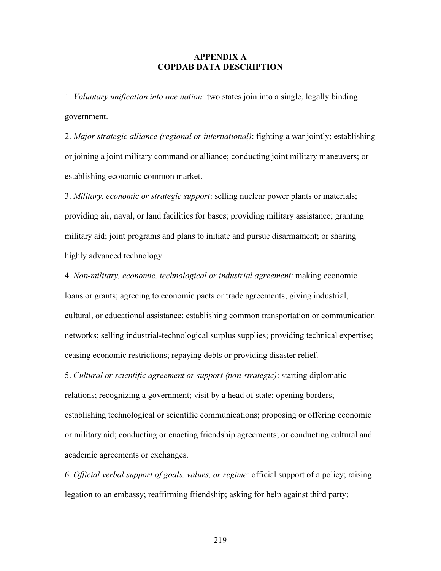#### APPENDIX A COPDAB DATA DESCRIPTION

1. Voluntary unification into one nation: two states join into a single, legally binding government.

2. Major strategic alliance (regional or international): fighting a war jointly; establishing or joining a joint military command or alliance; conducting joint military maneuvers; or establishing economic common market.

3. Military, economic or strategic support: selling nuclear power plants or materials; providing air, naval, or land facilities for bases; providing military assistance; granting military aid; joint programs and plans to initiate and pursue disarmament; or sharing highly advanced technology.

4. Non-military, economic, technological or industrial agreement: making economic loans or grants; agreeing to economic pacts or trade agreements; giving industrial, cultural, or educational assistance; establishing common transportation or communication networks; selling industrial-technological surplus supplies; providing technical expertise; ceasing economic restrictions; repaying debts or providing disaster relief.

5. Cultural or scientific agreement or support (non-strategic): starting diplomatic relations; recognizing a government; visit by a head of state; opening borders; establishing technological or scientific communications; proposing or offering economic or military aid; conducting or enacting friendship agreements; or conducting cultural and academic agreements or exchanges.

6. Official verbal support of goals, values, or regime: official support of a policy; raising legation to an embassy; reaffirming friendship; asking for help against third party;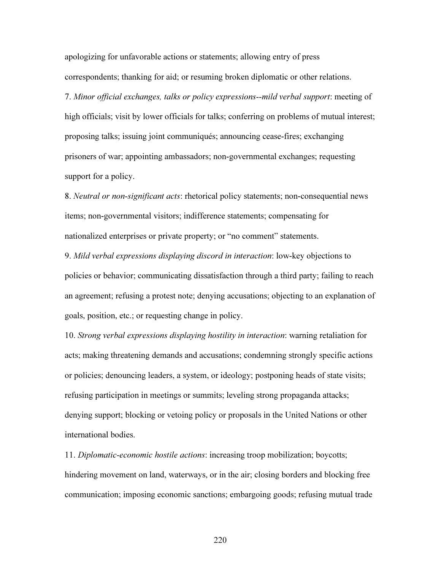apologizing for unfavorable actions or statements; allowing entry of press correspondents; thanking for aid; or resuming broken diplomatic or other relations.

7. Minor official exchanges, talks or policy expressions--mild verbal support: meeting of high officials; visit by lower officials for talks; conferring on problems of mutual interest; proposing talks; issuing joint communiqués; announcing cease-fires; exchanging prisoners of war; appointing ambassadors; non-governmental exchanges; requesting support for a policy.

8. Neutral or non-significant acts: rhetorical policy statements; non-consequential news items; non-governmental visitors; indifference statements; compensating for nationalized enterprises or private property; or "no comment" statements.

9. Mild verbal expressions displaying discord in interaction: low-key objections to policies or behavior; communicating dissatisfaction through a third party; failing to reach an agreement; refusing a protest note; denying accusations; objecting to an explanation of goals, position, etc.; or requesting change in policy.

10. Strong verbal expressions displaying hostility in interaction: warning retaliation for acts; making threatening demands and accusations; condemning strongly specific actions or policies; denouncing leaders, a system, or ideology; postponing heads of state visits; refusing participation in meetings or summits; leveling strong propaganda attacks; denying support; blocking or vetoing policy or proposals in the United Nations or other international bodies.

11. Diplomatic-economic hostile actions: increasing troop mobilization; boycotts; hindering movement on land, waterways, or in the air; closing borders and blocking free communication; imposing economic sanctions; embargoing goods; refusing mutual trade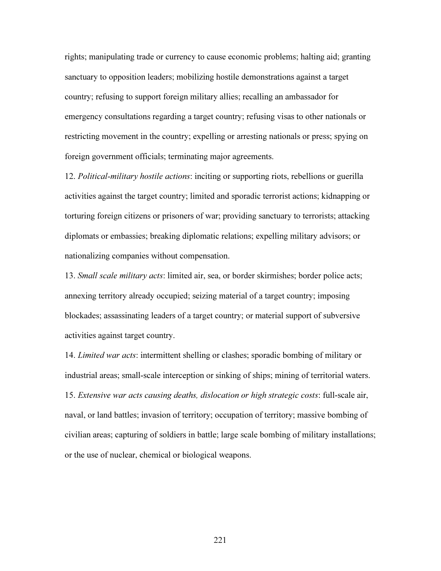rights; manipulating trade or currency to cause economic problems; halting aid; granting sanctuary to opposition leaders; mobilizing hostile demonstrations against a target country; refusing to support foreign military allies; recalling an ambassador for emergency consultations regarding a target country; refusing visas to other nationals or restricting movement in the country; expelling or arresting nationals or press; spying on foreign government officials; terminating major agreements.

12. Political-military hostile actions: inciting or supporting riots, rebellions or guerilla activities against the target country; limited and sporadic terrorist actions; kidnapping or torturing foreign citizens or prisoners of war; providing sanctuary to terrorists; attacking diplomats or embassies; breaking diplomatic relations; expelling military advisors; or nationalizing companies without compensation.

13. Small scale military acts: limited air, sea, or border skirmishes; border police acts; annexing territory already occupied; seizing material of a target country; imposing blockades; assassinating leaders of a target country; or material support of subversive activities against target country.

14. Limited war acts: intermittent shelling or clashes; sporadic bombing of military or industrial areas; small-scale interception or sinking of ships; mining of territorial waters. 15. Extensive war acts causing deaths, dislocation or high strategic costs: full-scale air, naval, or land battles; invasion of territory; occupation of territory; massive bombing of civilian areas; capturing of soldiers in battle; large scale bombing of military installations; or the use of nuclear, chemical or biological weapons.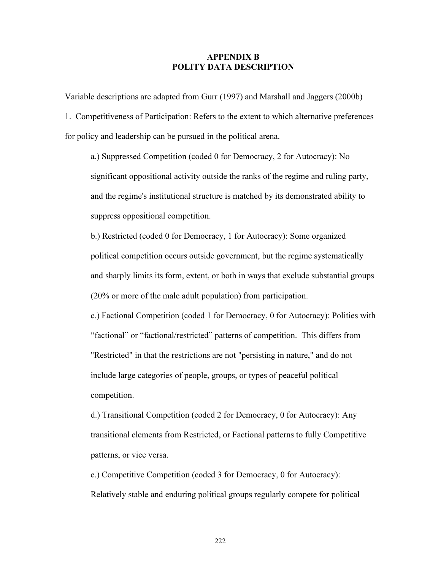#### APPENDIX B POLITY DATA DESCRIPTION

Variable descriptions are adapted from Gurr (1997) and Marshall and Jaggers (2000b)

1. Competitiveness of Participation: Refers to the extent to which alternative preferences for policy and leadership can be pursued in the political arena.

a.) Suppressed Competition (coded 0 for Democracy, 2 for Autocracy): No significant oppositional activity outside the ranks of the regime and ruling party, and the regime's institutional structure is matched by its demonstrated ability to suppress oppositional competition.

b.) Restricted (coded 0 for Democracy, 1 for Autocracy): Some organized political competition occurs outside government, but the regime systematically and sharply limits its form, extent, or both in ways that exclude substantial groups (20% or more of the male adult population) from participation.

c.) Factional Competition (coded 1 for Democracy, 0 for Autocracy): Polities with "factional" or "factional/restricted" patterns of competition. This differs from "Restricted" in that the restrictions are not "persisting in nature," and do not include large categories of people, groups, or types of peaceful political competition.

d.) Transitional Competition (coded 2 for Democracy, 0 for Autocracy): Any transitional elements from Restricted, or Factional patterns to fully Competitive patterns, or vice versa.

e.) Competitive Competition (coded 3 for Democracy, 0 for Autocracy): Relatively stable and enduring political groups regularly compete for political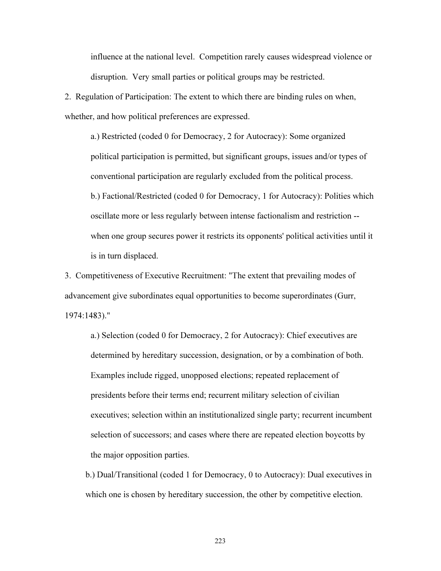influence at the national level. Competition rarely causes widespread violence or disruption. Very small parties or political groups may be restricted.

2. Regulation of Participation: The extent to which there are binding rules on when, whether, and how political preferences are expressed.

a.) Restricted (coded 0 for Democracy, 2 for Autocracy): Some organized political participation is permitted, but significant groups, issues and/or types of conventional participation are regularly excluded from the political process. b.) Factional/Restricted (coded 0 for Democracy, 1 for Autocracy): Polities which oscillate more or less regularly between intense factionalism and restriction - when one group secures power it restricts its opponents' political activities until it is in turn displaced.

3. Competitiveness of Executive Recruitment: "The extent that prevailing modes of advancement give subordinates equal opportunities to become superordinates (Gurr, 1974:1483)."

 a.) Selection (coded 0 for Democracy, 2 for Autocracy): Chief executives are determined by hereditary succession, designation, or by a combination of both. Examples include rigged, unopposed elections; repeated replacement of presidents before their terms end; recurrent military selection of civilian executives; selection within an institutionalized single party; recurrent incumbent selection of successors; and cases where there are repeated election boycotts by the major opposition parties.

 b.) Dual/Transitional (coded 1 for Democracy, 0 to Autocracy): Dual executives in which one is chosen by hereditary succession, the other by competitive election.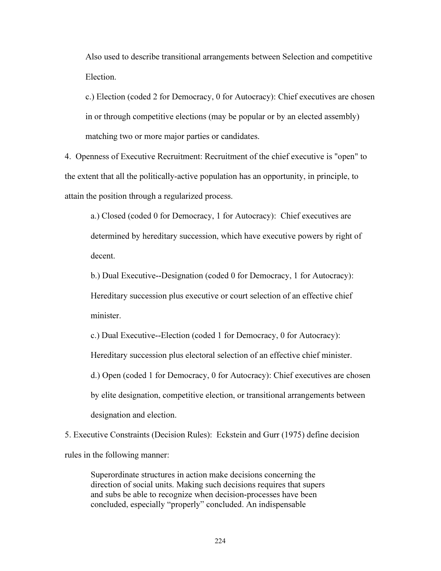Also used to describe transitional arrangements between Selection and competitive Election.

 c.) Election (coded 2 for Democracy, 0 for Autocracy): Chief executives are chosen in or through competitive elections (may be popular or by an elected assembly) matching two or more major parties or candidates.

4. Openness of Executive Recruitment: Recruitment of the chief executive is "open" to the extent that all the politically-active population has an opportunity, in principle, to attain the position through a regularized process.

a.) Closed (coded 0 for Democracy, 1 for Autocracy): Chief executives are determined by hereditary succession, which have executive powers by right of decent.

b.) Dual Executive--Designation (coded 0 for Democracy, 1 for Autocracy): Hereditary succession plus executive or court selection of an effective chief minister.

c.) Dual Executive--Election (coded 1 for Democracy, 0 for Autocracy): Hereditary succession plus electoral selection of an effective chief minister. d.) Open (coded 1 for Democracy, 0 for Autocracy): Chief executives are chosen by elite designation, competitive election, or transitional arrangements between designation and election.

5. Executive Constraints (Decision Rules): Eckstein and Gurr (1975) define decision rules in the following manner:

Superordinate structures in action make decisions concerning the direction of social units. Making such decisions requires that supers and subs be able to recognize when decision-processes have been concluded, especially "properly" concluded. An indispensable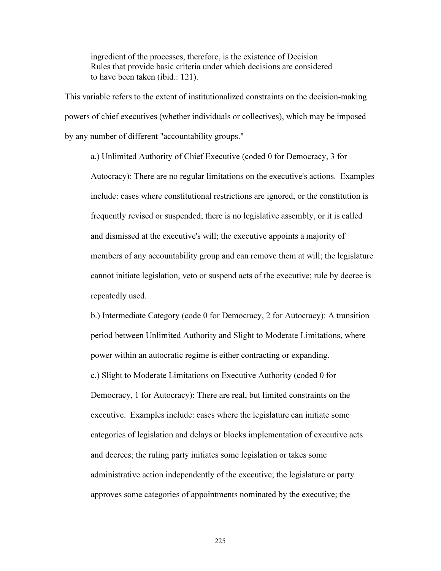ingredient of the processes, therefore, is the existence of Decision Rules that provide basic criteria under which decisions are considered to have been taken (ibid.: 121).

This variable refers to the extent of institutionalized constraints on the decision-making powers of chief executives (whether individuals or collectives), which may be imposed by any number of different "accountability groups."

a.) Unlimited Authority of Chief Executive (coded 0 for Democracy, 3 for Autocracy): There are no regular limitations on the executive's actions. Examples include: cases where constitutional restrictions are ignored, or the constitution is frequently revised or suspended; there is no legislative assembly, or it is called and dismissed at the executive's will; the executive appoints a majority of members of any accountability group and can remove them at will; the legislature cannot initiate legislation, veto or suspend acts of the executive; rule by decree is repeatedly used.

b.) Intermediate Category (code 0 for Democracy, 2 for Autocracy): A transition period between Unlimited Authority and Slight to Moderate Limitations, where power within an autocratic regime is either contracting or expanding. c.) Slight to Moderate Limitations on Executive Authority (coded 0 for Democracy, 1 for Autocracy): There are real, but limited constraints on the executive. Examples include: cases where the legislature can initiate some categories of legislation and delays or blocks implementation of executive acts and decrees; the ruling party initiates some legislation or takes some administrative action independently of the executive; the legislature or party approves some categories of appointments nominated by the executive; the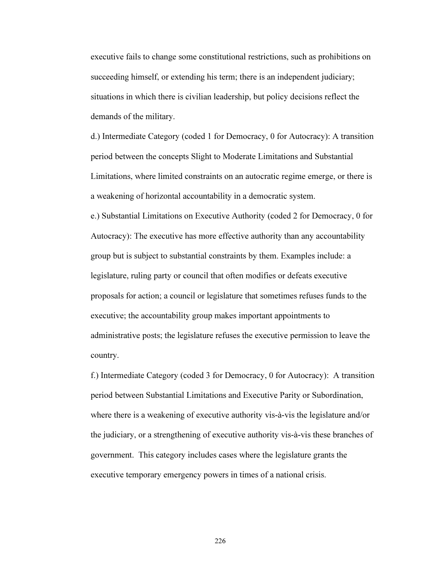executive fails to change some constitutional restrictions, such as prohibitions on succeeding himself, or extending his term; there is an independent judiciary; situations in which there is civilian leadership, but policy decisions reflect the demands of the military.

d.) Intermediate Category (coded 1 for Democracy, 0 for Autocracy): A transition period between the concepts Slight to Moderate Limitations and Substantial Limitations, where limited constraints on an autocratic regime emerge, or there is a weakening of horizontal accountability in a democratic system.

e.) Substantial Limitations on Executive Authority (coded 2 for Democracy, 0 for Autocracy): The executive has more effective authority than any accountability group but is subject to substantial constraints by them. Examples include: a legislature, ruling party or council that often modifies or defeats executive proposals for action; a council or legislature that sometimes refuses funds to the executive; the accountability group makes important appointments to administrative posts; the legislature refuses the executive permission to leave the country.

f.) Intermediate Category (coded 3 for Democracy, 0 for Autocracy): A transition period between Substantial Limitations and Executive Parity or Subordination, where there is a weakening of executive authority vis-à-vis the legislature and/or the judiciary, or a strengthening of executive authority vis-à-vis these branches of government. This category includes cases where the legislature grants the executive temporary emergency powers in times of a national crisis.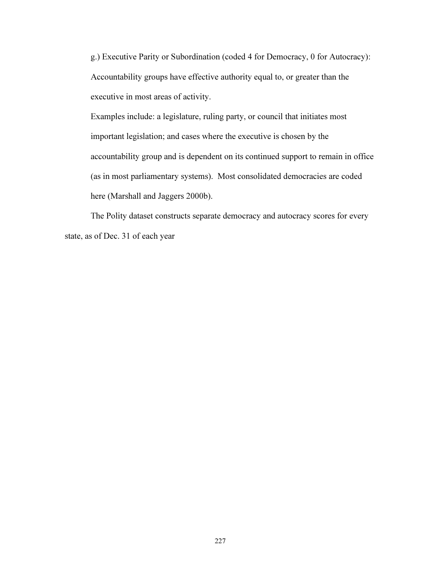g.) Executive Parity or Subordination (coded 4 for Democracy, 0 for Autocracy): Accountability groups have effective authority equal to, or greater than the executive in most areas of activity.

Examples include: a legislature, ruling party, or council that initiates most important legislation; and cases where the executive is chosen by the accountability group and is dependent on its continued support to remain in office (as in most parliamentary systems). Most consolidated democracies are coded here (Marshall and Jaggers 2000b).

 The Polity dataset constructs separate democracy and autocracy scores for every state, as of Dec. 31 of each year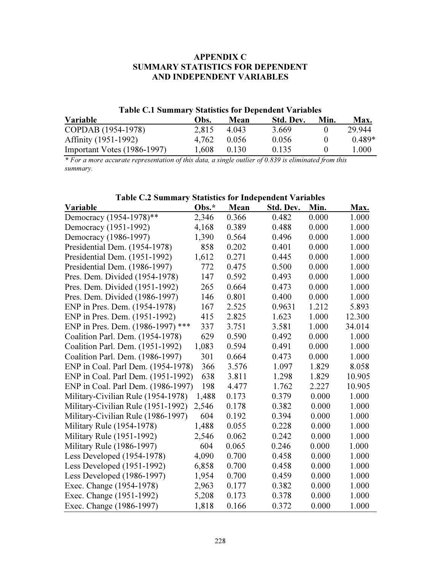# APPENDIX C SUMMARY STATISTICS FOR DEPENDENT AND INDEPENDENT VARIABLES

## Table C.1 Summary Statistics for Dependent Variables

| Variable                    | Obs.  | Mean  | Std. Dev. | Min.         | Max.     |
|-----------------------------|-------|-------|-----------|--------------|----------|
| COPDAB (1954-1978)          | 2.815 | 4.043 | 3.669     |              | 29.944   |
| Affinity (1951-1992)        | 4.762 | 0.056 | 0.056     | $\mathbf{I}$ | $0.489*$ |
| Important Votes (1986-1997) | 1.608 | 0.130 | 0.135     |              | 1.000    |

\* For a more accurate representation of this data, a single outlier of 0.839 is eliminated from this summary.

# Table C.2 Summary Statistics for Independent Variables

| Variable                           | Obs.* | Mean  | Std. Dev. | Min.  | Max.   |
|------------------------------------|-------|-------|-----------|-------|--------|
| Democracy (1954-1978)**            | 2,346 | 0.366 | 0.482     | 0.000 | 1.000  |
| Democracy (1951-1992)              | 4,168 | 0.389 | 0.488     | 0.000 | 1.000  |
| Democracy (1986-1997)              | 1,390 | 0.564 | 0.496     | 0.000 | 1.000  |
| Presidential Dem. (1954-1978)      | 858   | 0.202 | 0.401     | 0.000 | 1.000  |
| Presidential Dem. (1951-1992)      | 1,612 | 0.271 | 0.445     | 0.000 | 1.000  |
| Presidential Dem. (1986-1997)      | 772   | 0.475 | 0.500     | 0.000 | 1.000  |
| Pres. Dem. Divided (1954-1978)     | 147   | 0.592 | 0.493     | 0.000 | 1.000  |
| Pres. Dem. Divided (1951-1992)     | 265   | 0.664 | 0.473     | 0.000 | 1.000  |
| Pres. Dem. Divided (1986-1997)     | 146   | 0.801 | 0.400     | 0.000 | 1.000  |
| ENP in Pres. Dem. (1954-1978)      | 167   | 2.525 | 0.9631    | 1.212 | 5.893  |
| ENP in Pres. Dem. (1951-1992)      | 415   | 2.825 | 1.623     | 1.000 | 12.300 |
| ENP in Pres. Dem. (1986-1997) ***  | 337   | 3.751 | 3.581     | 1.000 | 34.014 |
| Coalition Parl. Dem. (1954-1978)   | 629   | 0.590 | 0.492     | 0.000 | 1.000  |
| Coalition Parl. Dem. (1951-1992)   | 1,083 | 0.594 | 0.491     | 0.000 | 1.000  |
| Coalition Parl. Dem. (1986-1997)   | 301   | 0.664 | 0.473     | 0.000 | 1.000  |
| ENP in Coal. Parl Dem. (1954-1978) | 366   | 3.576 | 1.097     | 1.829 | 8.058  |
| ENP in Coal. Parl Dem. (1951-1992) | 638   | 3.811 | 1.298     | 1.829 | 10.905 |
| ENP in Coal. Parl Dem. (1986-1997) | 198   | 4.477 | 1.762     | 2.227 | 10.905 |
| Military-Civilian Rule (1954-1978) | 1,488 | 0.173 | 0.379     | 0.000 | 1.000  |
| Military-Civilian Rule (1951-1992) | 2,546 | 0.178 | 0.382     | 0.000 | 1.000  |
| Military-Civilian Rule (1986-1997) | 604   | 0.192 | 0.394     | 0.000 | 1.000  |
| Military Rule (1954-1978)          | 1,488 | 0.055 | 0.228     | 0.000 | 1.000  |
| Military Rule (1951-1992)          | 2,546 | 0.062 | 0.242     | 0.000 | 1.000  |
| Military Rule (1986-1997)          | 604   | 0.065 | 0.246     | 0.000 | 1.000  |
| Less Developed (1954-1978)         | 4,090 | 0.700 | 0.458     | 0.000 | 1.000  |
| Less Developed (1951-1992)         | 6,858 | 0.700 | 0.458     | 0.000 | 1.000  |
| Less Developed (1986-1997)         | 1,954 | 0.700 | 0.459     | 0.000 | 1.000  |
| Exec. Change (1954-1978)           | 2,963 | 0.177 | 0.382     | 0.000 | 1.000  |
| Exec. Change (1951-1992)           | 5,208 | 0.173 | 0.378     | 0.000 | 1.000  |
| Exec. Change (1986-1997)           | 1,818 | 0.166 | 0.372     | 0.000 | 1.000  |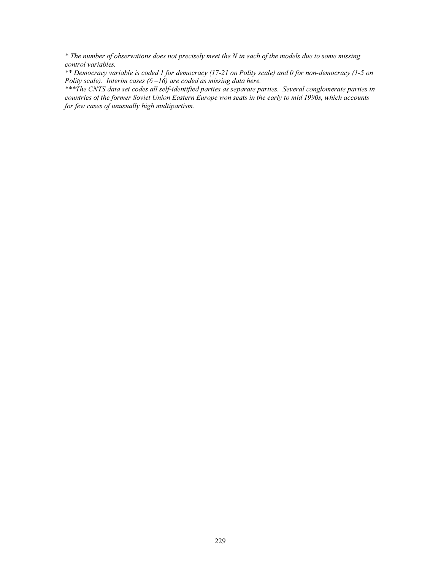\* The number of observations does not precisely meet the N in each of the models due to some missing control variables.

\*\* Democracy variable is coded 1 for democracy (17-21 on Polity scale) and 0 for non-democracy (1-5 on Polity scale). Interim cases  $(6 - 16)$  are coded as missing data here.

\*\*\*The CNTS data set codes all self-identified parties as separate parties. Several conglomerate parties in countries of the former Soviet Union Eastern Europe won seats in the early to mid 1990s, which accounts for few cases of unusually high multipartism.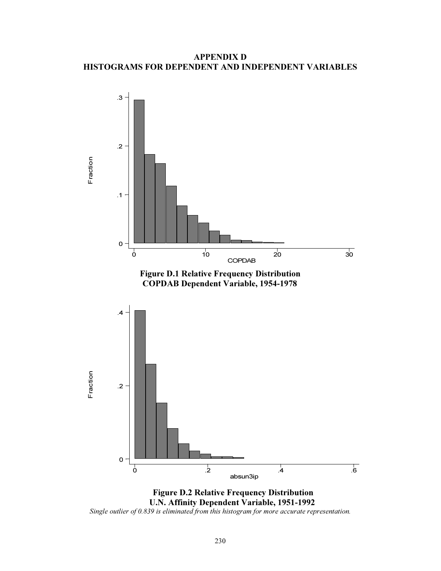APPENDIX D HISTOGRAMS FOR DEPENDENT AND INDEPENDENT VARIABLES



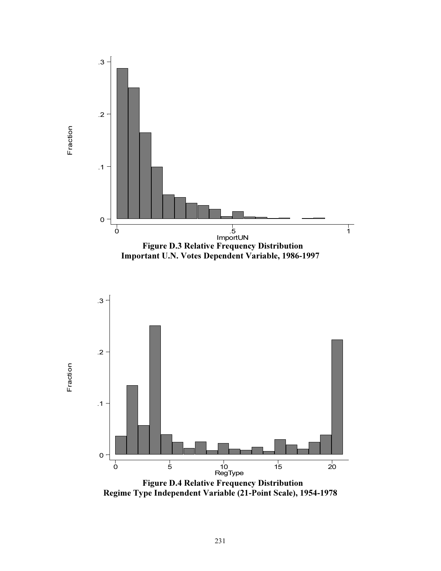

Regime Type Independent Variable (21-Point Scale), 1954-1978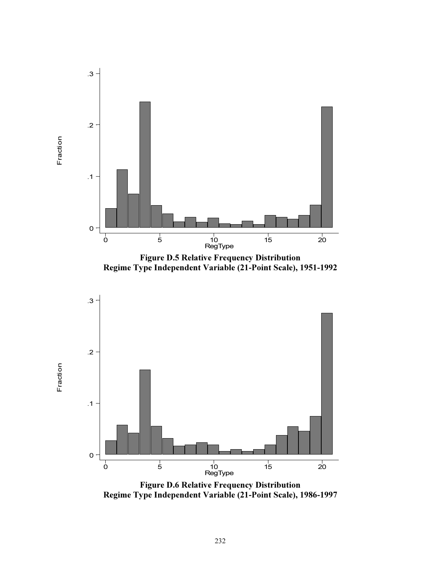

Figure D.5 Relative Frequency Distribution Regime Type Independent Variable (21-Point Scale), 1951-1992



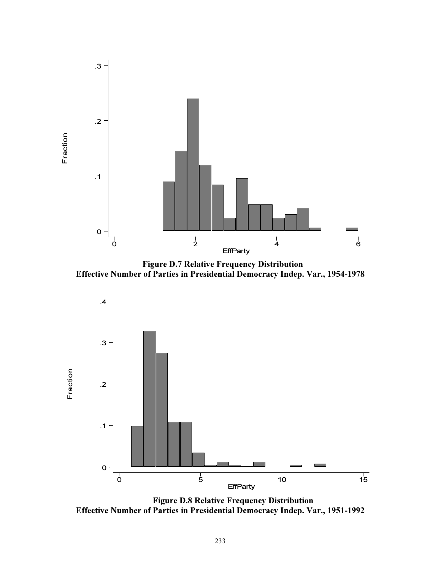

Figure D.7 Relative Frequency Distribution Effective Number of Parties in Presidential Democracy Indep. Var., 1954-1978



Figure D.8 Relative Frequency Distribution Effective Number of Parties in Presidential Democracy Indep. Var., 1951-1992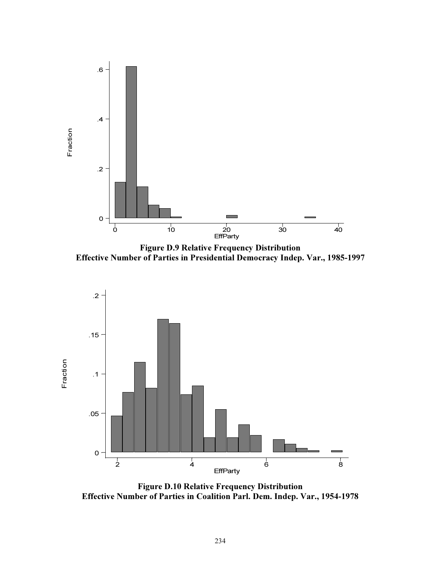

Figure D.9 Relative Frequency Distribution Effective Number of Parties in Presidential Democracy Indep. Var., 1985-1997



Figure D.10 Relative Frequency Distribution Effective Number of Parties in Coalition Parl. Dem. Indep. Var., 1954-1978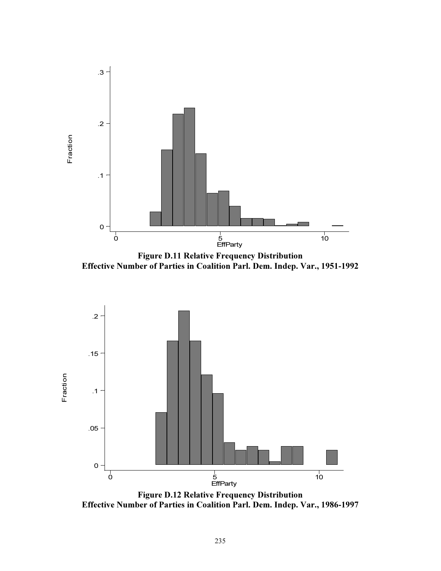

Effective Number of Parties in Coalition Parl. Dem. Indep. Var., 1951-1992



Figure D.12 Relative Frequency Distribution Effective Number of Parties in Coalition Parl. Dem. Indep. Var., 1986-1997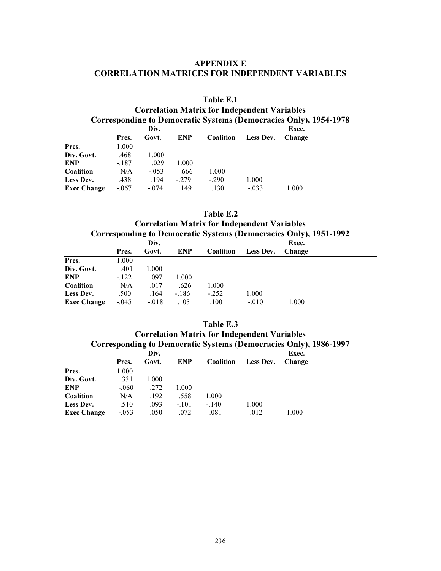## APPENDIX E CORRELATION MATRICES FOR INDEPENDENT VARIABLES

# Table E.1 Correlation Matrix for Independent Variables Corresponding to Democratic Systems (Democracies Only), 1954-1978

|                  | Div.    |         |            |           | Exec.     |        |  |
|------------------|---------|---------|------------|-----------|-----------|--------|--|
|                  | Pres.   | Govt.   | <b>ENP</b> | Coalition | Less Dev. | Change |  |
| Pres.            | 1.000   |         |            |           |           |        |  |
| Div. Govt.       | .468    | 1.000   |            |           |           |        |  |
| ENP              | $-.187$ | .029    | 1.000      |           |           |        |  |
| Coalition        | N/A     | $-.053$ | .666       | 1.000     |           |        |  |
| <b>Less Dev.</b> | .438    | .194    | $-279$     | $-.290$   | 1.000     |        |  |
| Exec Change      | $-.067$ | $-.074$ | .149       | .130      | $-.033$   | 1.000  |  |
|                  |         |         |            |           |           |        |  |

### Table E.2 Correlation Matrix for Independent Variables Corresponding to Democratic Systems (Democracies Only), 1951-1992

|                  |         | Div.    |            |                  |           | Exec.  |  |
|------------------|---------|---------|------------|------------------|-----------|--------|--|
|                  | Pres.   | Govt.   | <b>ENP</b> | <b>Coalition</b> | Less Dev. | Change |  |
| Pres.            | 1.000   |         |            |                  |           |        |  |
| Div. Govt.       | .401    | 1.000   |            |                  |           |        |  |
| <b>ENP</b>       | $-122$  | .097    | 1.000      |                  |           |        |  |
| <b>Coalition</b> | N/A     | .017    | .626       | 1.000            |           |        |  |
| Less Dev.        | .500    | .164    | $-.186$    | $-.252$          | 1.000     |        |  |
| Exec Change      | $-.045$ | $-.018$ | .103       | .100             | $-.010$   | 1.000  |  |
|                  |         |         |            |                  |           |        |  |

### Table E.3

### Correlation Matrix for Independent Variables Corresponding to Democratic Systems (Democracies Only), 1986-1997

|                    |         | Div.  |            |                  |           | Exec.  |
|--------------------|---------|-------|------------|------------------|-----------|--------|
|                    | Pres.   | Govt. | <b>ENP</b> | <b>Coalition</b> | Less Dev. | Change |
| Pres.              | 1.000   |       |            |                  |           |        |
| Div. Govt.         | .331    | 1.000 |            |                  |           |        |
| <b>ENP</b>         | $-.060$ | .272  | 1.000      |                  |           |        |
| Coalition          | N/A     | .192  | .558       | 1.000            |           |        |
| Less Dev.          | .510    | .093  | $-.101$    | $-.140$          | 1.000     |        |
| <b>Exec Change</b> | $-.053$ | .050  | .072       | .081             | .012      | 1.000  |
|                    |         |       |            |                  |           |        |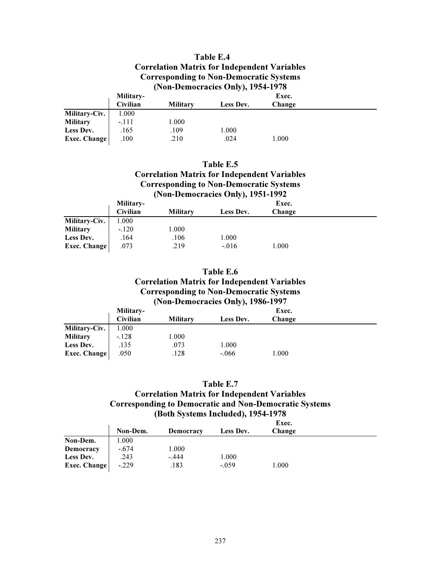## Table E.4 Correlation Matrix for Independent Variables Corresponding to Non-Democratic Systems (Non-Democracies Only), 1954-1978

|                 | Military-       |                 |           | Exec.  |  |
|-----------------|-----------------|-----------------|-----------|--------|--|
|                 | <b>Civilian</b> | <b>Military</b> | Less Dev. | Change |  |
| Military-Civ.   | 1.000           |                 |           |        |  |
| <b>Military</b> | $-.111$         | ! .000          |           |        |  |
| Less Dev.       | .165            | .109            | 1.000     |        |  |
| Exec. Change    | .100            | .210            | .024      | 1.000  |  |
|                 |                 |                 |           |        |  |

| Table E.5                                           |
|-----------------------------------------------------|
| <b>Correlation Matrix for Independent Variables</b> |
| <b>Corresponding to Non-Democratic Systems</b>      |
| (Non-Democracies Only), 1951-1992                   |

|               | Military- |                 |           | Exec.  |  |
|---------------|-----------|-----------------|-----------|--------|--|
|               | Civilian  | <b>Military</b> | Less Dev. | Change |  |
| Military-Civ. | 1.000     |                 |           |        |  |
| Military      | $-.120$   | 1.000           |           |        |  |
| Less Dev.     | .164      | .106            | 1.000     |        |  |
| Exec. Change  | .073      | .219            | $-.016$   | 1.000  |  |
|               |           |                 |           |        |  |

# Table E.6 Correlation Matrix for Independent Variables Corresponding to Non-Democratic Systems (Non-Democracies Only), 1986-1997

|                 | Military-       |                 |           | Exec.  |  |
|-----------------|-----------------|-----------------|-----------|--------|--|
|                 | <b>Civilian</b> | <b>Military</b> | Less Dev. | Change |  |
| Military-Civ.   | 1.000           |                 |           |        |  |
| <b>Military</b> | $-.128$         | 1.000           |           |        |  |
| Less Dev.       | .135            | .073            | 1.000     |        |  |
| Exec. Change    | .050            | .128            | $-.066$   | 1.000  |  |
|                 |                 |                 |           |        |  |

#### Table E.7

## Correlation Matrix for Independent Variables Corresponding to Democratic and Non-Democratic Systems (Both Systems Included), 1954-1978

|              |          | Exec.     |           |        |  |
|--------------|----------|-----------|-----------|--------|--|
|              | Non-Dem. | Democracy | Less Dev. | Change |  |
| Non-Dem.     | 1.000    |           |           |        |  |
| Democracy    | $-.674$  | 1.000     |           |        |  |
| Less Dev.    | .243     | $-.444$   | 1.000     |        |  |
| Exec. Change | $-.229$  | .183      | $-.059$   | 1.000  |  |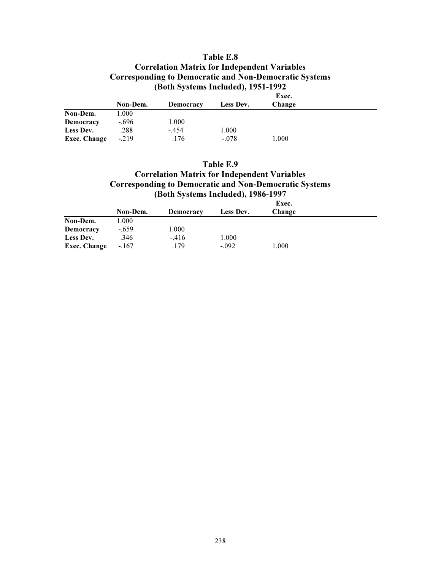## Table E.8 Correlation Matrix for Independent Variables Corresponding to Democratic and Non-Democratic Systems (Both Systems Included), 1951-1992

|              |          |           |           | Exec.  |  |
|--------------|----------|-----------|-----------|--------|--|
|              | Non-Dem. | Democracy | Less Dev. | Change |  |
| Non-Dem.     | 1.000    |           |           |        |  |
| Democracy    | $-.696$  | 1.000     |           |        |  |
| Less Dev.    | .288     | $-.454$   | 1.000     |        |  |
| Exec. Change | $-219$   | .176      | $-.078$   | 1.000  |  |
|              |          |           |           |        |  |

# Table E.9 Correlation Matrix for Independent Variables Corresponding to Democratic and Non-Democratic Systems (Both Systems Included), 1986-1997

|                  |          |           |           | Exec.  |  |
|------------------|----------|-----------|-----------|--------|--|
|                  | Non-Dem. | Democracy | Less Dev. | Change |  |
| Non-Dem.         | 1.000    |           |           |        |  |
| <b>Democracy</b> | $-.659$  | 1.000     |           |        |  |
| Less Dev.        | .346     | $-416$    | 1.000     |        |  |
| Exec. Change     | $-.167$  | .179      | $-.092$   | 1.000  |  |
|                  |          |           |           |        |  |